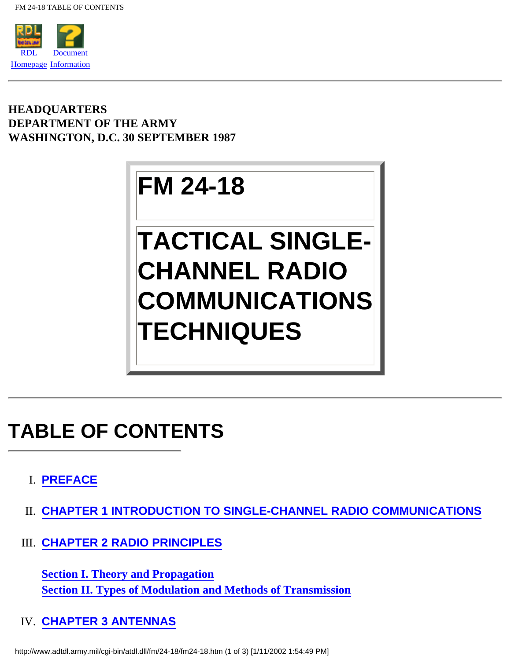<span id="page-0-0"></span>

## **HEADQUARTERS DEPARTMENT OF THE ARMY WASHINGTON, D.C. 30 SEPTEMBER 1987**

# **FM 24-18**

# **TACTICAL SINGLE-CHANNEL RADIO COMMUNICATIONS TECHNIQUES**

## **TABLE OF CONTENTS**

- I. **PREFACE**
- II. **CHAPTER 1 INTRODUCTION TO SINGLE-CHANNEL RADIO COMMUNICATIONS**
- III. **[CHAPTER 2 RADIO PRINCIPLES](#page-7-0)**

**[Section I. Theory and Propagation](#page-7-1) [Section II. Types of Modulation and Methods of Transmission](#page-15-0)**

IV. **CHAPTER 3 ANTENNAS**

http://www.adtdl.army.mil/cgi-bin/atdl.dll/fm/24-18/fm24-18.htm (1 of 3) [1/11/2002 1:54:49 PM]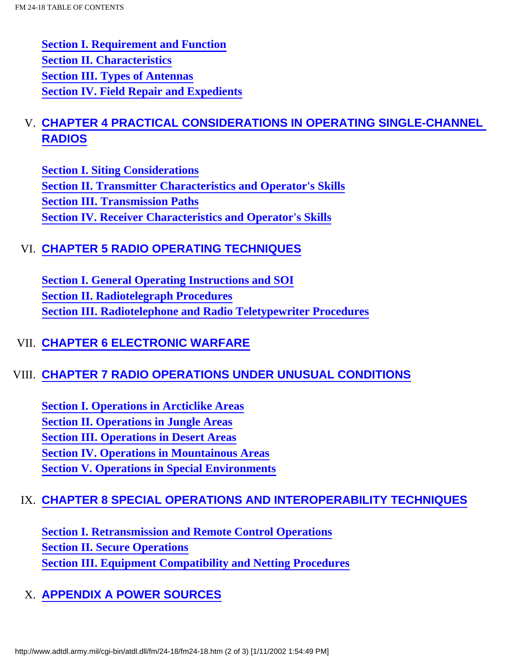**Section I. Requirement and Function Section II. Characteristics Section III. Types of Antennas Section IV. Field Repair and Expedients**

## V. **[CHAPTER 4 PRACTICAL CONSIDERATIONS IN OPERATING SINGLE-CHANNEL](#page-40-0)  [RADIOS](#page-40-0)**

**[Section I. Siting Considerations](#page-40-1) [Section II. Transmitter Characteristics and Operator's Skills](#page-42-0) [Section III. Transmission Paths](#page-44-0) [Section IV. Receiver Characteristics and Operator's Skills](#page-44-1)**

## VI. **[CHAPTER 5 RADIO OPERATING TECHNIQUES](#page-48-0)**

**[Section I. General Operating Instructions and SOI](#page-48-1) [Section II. Radiotelegraph Procedures](#page-52-0) [Section III. Radiotelephone and Radio Teletypewriter Procedures](#page-54-0)**

## VII. **[CHAPTER 6 ELECTRONIC WARFARE](#page-58-0)**

## VIII. **CHAPTER 7 RADIO OPERATIONS UNDER UNUSUAL CONDITIONS**

**Section I. Operations in Arcticlike Areas Section II. Operations in Jungle Areas Section III. Operations in Desert Areas Section IV. Operations in Mountainous Areas Section V. Operations in Special Environments**

## IX. **CHAPTER 8 SPECIAL OPERATIONS AND INTEROPERABILITY TECHNIQUES**

**Section I. Retransmission and Remote Control Operations Section II. Secure Operations Section III. Equipment Compatibility and Netting Procedures**

## X. **APPENDIX A POWER SOURCES**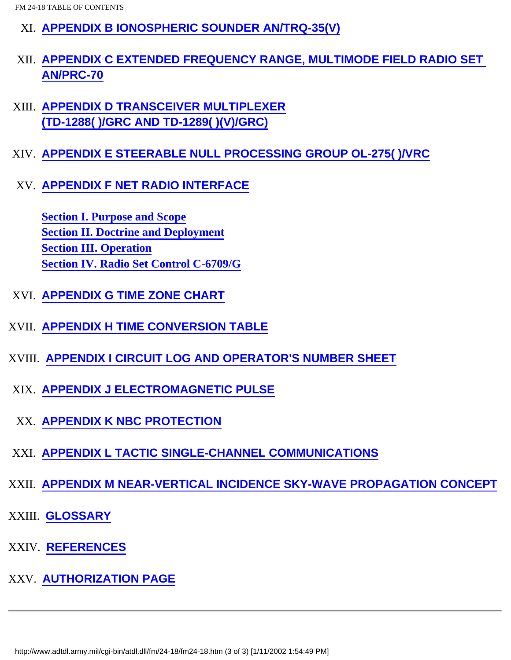- XI. **APPENDIX B IONOSPHERIC SOUNDER AN/TRQ-35(V)**
- XII. **APPENDIX C EXTENDED FREQUENCY RANGE, MULTIMODE FIELD RADIO SET AN/PRC-70**
- XIII. **APPENDIX D TRANSCEIVER MULTIPLEXER (TD-1288( )/GRC AND TD-1289( )(V)/GRC)**
- XIV. **[APPENDIX E STEERABLE NULL PROCESSING GROUP OL-275\( \)/VRC](#page-109-0)**
- XV. **APPENDIX F NET RADIO INTERFACE**

**Section I. Purpose and Scope Section II. Doctrine and Deployment Section III. Operation Section IV. Radio Set Control C-6709/G**

- XVI. **APPENDIX G TIME ZONE CHART**
- XVII. **APPENDIX H TIME CONVERSION TABLE**
- XVIII. **APPENDIX I CIRCUIT LOG AND OPERATOR'S NUMBER SHEET**
- XIX. **APPENDIX J ELECTROMAGNETIC PULSE**
- XX. **[APPENDIX K NBC PROTECTION](#page-146-0)**
- XXI. **[APPENDIX L TACTIC SINGLE-CHANNEL COMMUNICATIONS](#page-148-0)**
- XXII. **APPENDIX M NEAR-VERTICAL INCIDENCE SKY-WAVE PROPAGATION CONCEPT**
- XXIII. **GLOSSARY**
- XXIV. **[REFERENCES](#page-175-0)**
- XXV. **AUTHORIZATION PAGE**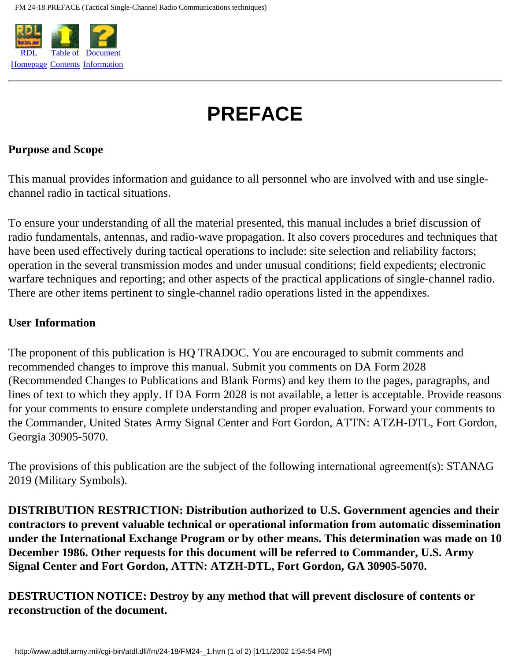

# **PREFACE**

## **Purpose and Scope**

This manual provides information and guidance to all personnel who are involved with and use singlechannel radio in tactical situations.

To ensure your understanding of all the material presented, this manual includes a brief discussion of radio fundamentals, antennas, and radio-wave propagation. It also covers procedures and techniques that have been used effectively during tactical operations to include: site selection and reliability factors; operation in the several transmission modes and under unusual conditions; field expedients; electronic warfare techniques and reporting; and other aspects of the practical applications of single-channel radio. There are other items pertinent to single-channel radio operations listed in the appendixes.

### **User Information**

The proponent of this publication is HQ TRADOC. You are encouraged to submit comments and recommended changes to improve this manual. Submit you comments on DA Form 2028 (Recommended Changes to Publications and Blank Forms) and key them to the pages, paragraphs, and lines of text to which they apply. If DA Form 2028 is not available, a letter is acceptable. Provide reasons for your comments to ensure complete understanding and proper evaluation. Forward your comments to the Commander, United States Army Signal Center and Fort Gordon, ATTN: ATZH-DTL, Fort Gordon, Georgia 30905-5070.

The provisions of this publication are the subject of the following international agreement(s): STANAG 2019 (Military Symbols).

**DISTRIBUTION RESTRICTION: Distribution authorized to U.S. Government agencies and their contractors to prevent valuable technical or operational information from automatic dissemination under the International Exchange Program or by other means. This determination was made on 10 December 1986. Other requests for this document will be referred to Commander, U.S. Army Signal Center and Fort Gordon, ATTN: ATZH-DTL, Fort Gordon, GA 30905-5070.** 

**DESTRUCTION NOTICE: Destroy by any method that will prevent disclosure of contents or reconstruction of the document.**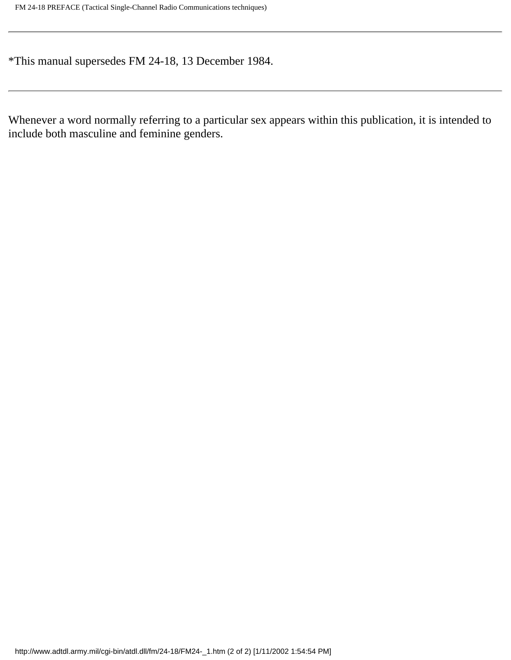\*This manual supersedes FM 24-18, 13 December 1984.

Whenever a word normally referring to a particular sex appears within this publication, it is intended to include both masculine and feminine genders.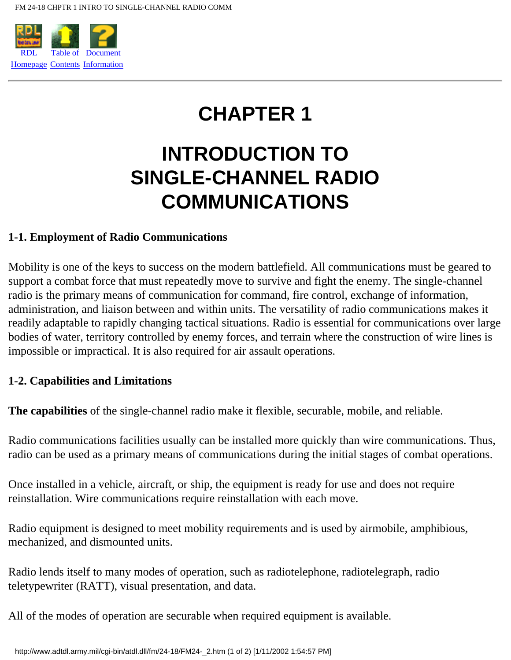

# **CHAPTER 1**

## **INTRODUCTION TO SINGLE-CHANNEL RADIO COMMUNICATIONS**

## **1-1. Employment of Radio Communications**

Mobility is one of the keys to success on the modern battlefield. All communications must be geared to support a combat force that must repeatedly move to survive and fight the enemy. The single-channel radio is the primary means of communication for command, fire control, exchange of information, administration, and liaison between and within units. The versatility of radio communications makes it readily adaptable to rapidly changing tactical situations. Radio is essential for communications over large bodies of water, territory controlled by enemy forces, and terrain where the construction of wire lines is impossible or impractical. It is also required for air assault operations.

### **1-2. Capabilities and Limitations**

**The capabilities** of the single-channel radio make it flexible, securable, mobile, and reliable.

Radio communications facilities usually can be installed more quickly than wire communications. Thus, radio can be used as a primary means of communications during the initial stages of combat operations.

Once installed in a vehicle, aircraft, or ship, the equipment is ready for use and does not require reinstallation. Wire communications require reinstallation with each move.

Radio equipment is designed to meet mobility requirements and is used by airmobile, amphibious, mechanized, and dismounted units.

Radio lends itself to many modes of operation, such as radiotelephone, radiotelegraph, radio teletypewriter (RATT), visual presentation, and data.

All of the modes of operation are securable when required equipment is available.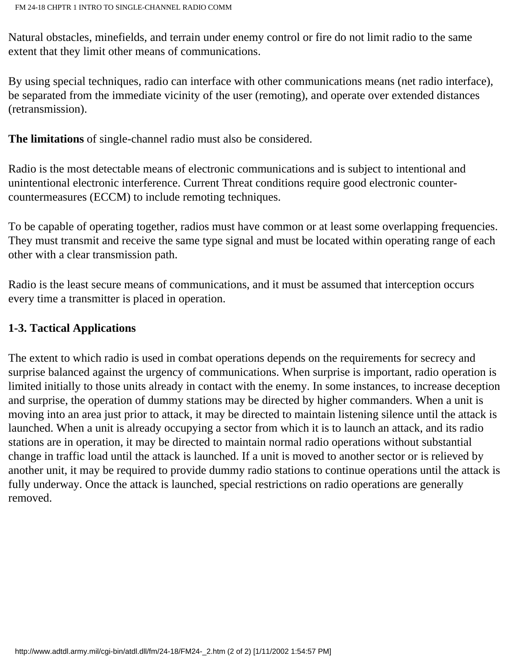Natural obstacles, minefields, and terrain under enemy control or fire do not limit radio to the same extent that they limit other means of communications.

By using special techniques, radio can interface with other communications means (net radio interface), be separated from the immediate vicinity of the user (remoting), and operate over extended distances (retransmission).

**The limitations** of single-channel radio must also be considered.

Radio is the most detectable means of electronic communications and is subject to intentional and unintentional electronic interference. Current Threat conditions require good electronic countercountermeasures (ECCM) to include remoting techniques.

To be capable of operating together, radios must have common or at least some overlapping frequencies. They must transmit and receive the same type signal and must be located within operating range of each other with a clear transmission path.

Radio is the least secure means of communications, and it must be assumed that interception occurs every time a transmitter is placed in operation.

## **1-3. Tactical Applications**

The extent to which radio is used in combat operations depends on the requirements for secrecy and surprise balanced against the urgency of communications. When surprise is important, radio operation is limited initially to those units already in contact with the enemy. In some instances, to increase deception and surprise, the operation of dummy stations may be directed by higher commanders. When a unit is moving into an area just prior to attack, it may be directed to maintain listening silence until the attack is launched. When a unit is already occupying a sector from which it is to launch an attack, and its radio stations are in operation, it may be directed to maintain normal radio operations without substantial change in traffic load until the attack is launched. If a unit is moved to another sector or is relieved by another unit, it may be required to provide dummy radio stations to continue operations until the attack is fully underway. Once the attack is launched, special restrictions on radio operations are generally removed.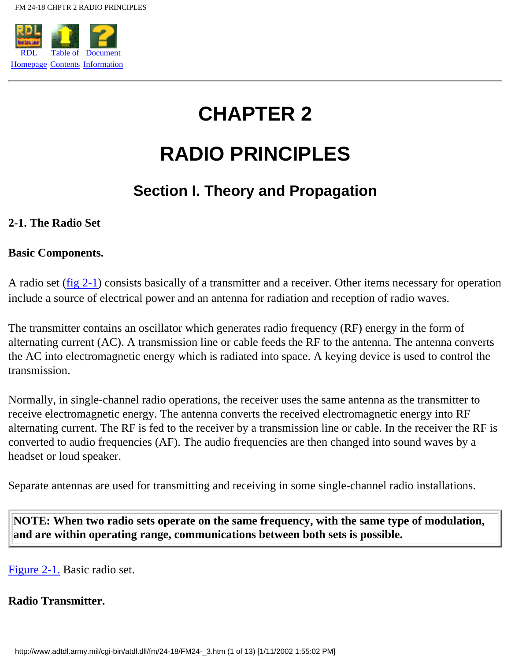<span id="page-7-0"></span>

# **CHAPTER 2**

# **RADIO PRINCIPLES**

## **Section I. Theory and Propagation**

## <span id="page-7-1"></span>**2-1. The Radio Set**

### **Basic Components.**

A radio set ([fig 2-1](http://www.adtdl.army.mil/cgi-bin/atdl.dll/fm/24-18/24180001.gif)) consists basically of a transmitter and a receiver. Other items necessary for operation include a source of electrical power and an antenna for radiation and reception of radio waves.

The transmitter contains an oscillator which generates radio frequency (RF) energy in the form of alternating current (AC). A transmission line or cable feeds the RF to the antenna. The antenna converts the AC into electromagnetic energy which is radiated into space. A keying device is used to control the transmission.

Normally, in single-channel radio operations, the receiver uses the same antenna as the transmitter to receive electromagnetic energy. The antenna converts the received electromagnetic energy into RF alternating current. The RF is fed to the receiver by a transmission line or cable. In the receiver the RF is converted to audio frequencies (AF). The audio frequencies are then changed into sound waves by a headset or loud speaker.

Separate antennas are used for transmitting and receiving in some single-channel radio installations.

**NOTE: When two radio sets operate on the same frequency, with the same type of modulation, and are within operating range, communications between both sets is possible.**

[Figure 2-1.](http://www.adtdl.army.mil/cgi-bin/atdl.dll/fm/24-18/24180001.gif) Basic radio set.

### **Radio Transmitter.**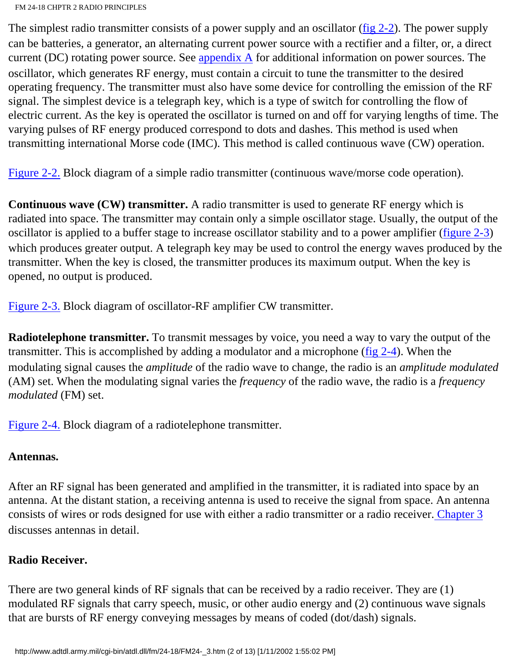The simplest radio transmitter consists of a power supply and an oscillator  $(fig 2-2)$  $(fig 2-2)$  $(fig 2-2)$ . The power supply can be batteries, a generator, an alternating current power source with a rectifier and a filter, or, a direct current (DC) rotating power source. See [appendix A](http://www.adtdl.army.mil/cgi-bin/atdl.dll/fm/24-18/FM24-_10.HTM) for additional information on power sources. The oscillator, which generates RF energy, must contain a circuit to tune the transmitter to the desired operating frequency. The transmitter must also have some device for controlling the emission of the RF signal. The simplest device is a telegraph key, which is a type of switch for controlling the flow of electric current. As the key is operated the oscillator is turned on and off for varying lengths of time. The varying pulses of RF energy produced correspond to dots and dashes. This method is used when transmitting international Morse code (IMC). This method is called continuous wave (CW) operation.

[Figure 2-2.](http://www.adtdl.army.mil/cgi-bin/atdl.dll/fm/24-18/24180002.gif) Block diagram of a simple radio transmitter (continuous wave/morse code operation).

**Continuous wave (CW) transmitter.** A radio transmitter is used to generate RF energy which is radiated into space. The transmitter may contain only a simple oscillator stage. Usually, the output of the oscillator is applied to a buffer stage to increase oscillator stability and to a power amplifier [\(figure 2-3\)](http://www.adtdl.army.mil/cgi-bin/atdl.dll/fm/24-18/24180003.gif) which produces greater output. A telegraph key may be used to control the energy waves produced by the transmitter. When the key is closed, the transmitter produces its maximum output. When the key is opened, no output is produced.

[Figure 2-3.](http://www.adtdl.army.mil/cgi-bin/atdl.dll/fm/24-18/24180003.gif) Block diagram of oscillator-RF amplifier CW transmitter.

**Radiotelephone transmitter.** To transmit messages by voice, you need a way to vary the output of the transmitter. This is accomplished by adding a modulator and a microphone  $(fig\ 2-4)$ . When the modulating signal causes the *amplitude* of the radio wave to change, the radio is an *amplitude modulated*  (AM) set. When the modulating signal varies the *frequency* of the radio wave, the radio is a *frequency modulated* (FM) set.

[Figure 2-4.](http://www.adtdl.army.mil/cgi-bin/atdl.dll/fm/24-18/24180004.gif) Block diagram of a radiotelephone transmitter.

## **Antennas.**

After an RF signal has been generated and amplified in the transmitter, it is radiated into space by an antenna. At the distant station, a receiving antenna is used to receive the signal from space. An antenna consists of wires or rods designed for use with either a radio transmitter or a radio receiver[. Chapter 3](http://www.adtdl.army.mil/cgi-bin/atdl.dll/fm/24-18/FM24-_4.HTM) discusses antennas in detail.

## **Radio Receiver.**

There are two general kinds of RF signals that can be received by a radio receiver. They are (1) modulated RF signals that carry speech, music, or other audio energy and (2) continuous wave signals that are bursts of RF energy conveying messages by means of coded (dot/dash) signals.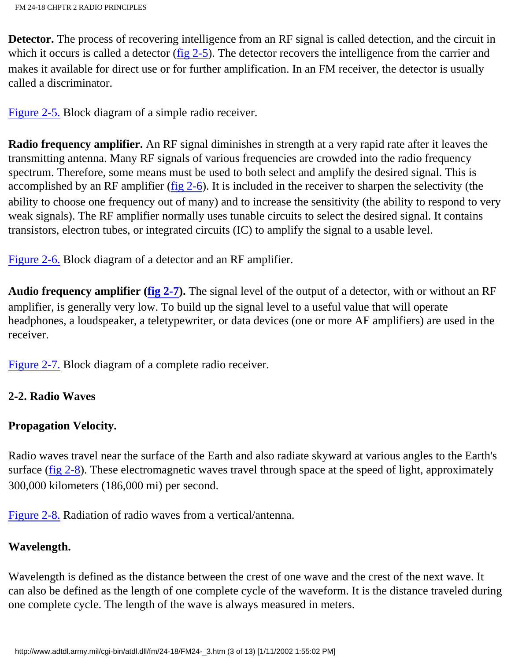**Detector.** The process of recovering intelligence from an RF signal is called detection, and the circuit in which it occurs is called a detector  $(fig\ 2-5)$ . The detector recovers the intelligence from the carrier and makes it available for direct use or for further amplification. In an FM receiver, the detector is usually called a discriminator.

[Figure 2-5.](http://www.adtdl.army.mil/cgi-bin/atdl.dll/fm/24-18/24180005.gif) Block diagram of a simple radio receiver.

**Radio frequency amplifier.** An RF signal diminishes in strength at a very rapid rate after it leaves the transmitting antenna. Many RF signals of various frequencies are crowded into the radio frequency spectrum. Therefore, some means must be used to both select and amplify the desired signal. This is accomplished by an RF amplifier  $(fig\ 2-6)$ . It is included in the receiver to sharpen the selectivity (the ability to choose one frequency out of many) and to increase the sensitivity (the ability to respond to very weak signals). The RF amplifier normally uses tunable circuits to select the desired signal. It contains transistors, electron tubes, or integrated circuits (IC) to amplify the signal to a usable level.

[Figure 2-6.](http://www.adtdl.army.mil/cgi-bin/atdl.dll/fm/24-18/24180006.gif) Block diagram of a detector and an RF amplifier.

**Audio frequency amplifier ([fig 2-7\)](http://www.adtdl.army.mil/cgi-bin/atdl.dll/fm/24-18/24180007.gif).** The signal level of the output of a detector, with or without an RF amplifier, is generally very low. To build up the signal level to a useful value that will operate headphones, a loudspeaker, a teletypewriter, or data devices (one or more AF amplifiers) are used in the receiver.

[Figure 2-7.](http://www.adtdl.army.mil/cgi-bin/atdl.dll/fm/24-18/24180007.gif) Block diagram of a complete radio receiver.

## **2-2. Radio Waves**

## **Propagation Velocity.**

Radio waves travel near the surface of the Earth and also radiate skyward at various angles to the Earth's surface ([fig 2-8](http://www.adtdl.army.mil/cgi-bin/atdl.dll/fm/24-18/24180008.gif)). These electromagnetic waves travel through space at the speed of light, approximately 300,000 kilometers (186,000 mi) per second.

[Figure 2-8.](http://www.adtdl.army.mil/cgi-bin/atdl.dll/fm/24-18/24180008.gif) Radiation of radio waves from a vertical/antenna.

### **Wavelength.**

Wavelength is defined as the distance between the crest of one wave and the crest of the next wave. It can also be defined as the length of one complete cycle of the waveform. It is the distance traveled during one complete cycle. The length of the wave is always measured in meters.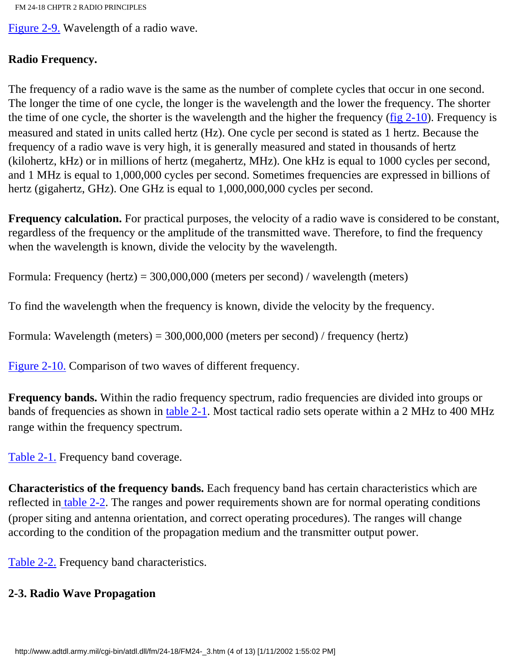FM 24-18 CHPTR 2 RADIO PRINCIPLES

[Figure 2-9.](http://www.adtdl.army.mil/cgi-bin/atdl.dll/fm/24-18/24180009.gif) Wavelength of a radio wave.

### **Radio Frequency.**

The frequency of a radio wave is the same as the number of complete cycles that occur in one second. The longer the time of one cycle, the longer is the wavelength and the lower the frequency. The shorter the time of one cycle, the shorter is the wavelength and the higher the frequency  $(fig 2-10)$ . Frequency is measured and stated in units called hertz (Hz). One cycle per second is stated as 1 hertz. Because the frequency of a radio wave is very high, it is generally measured and stated in thousands of hertz (kilohertz, kHz) or in millions of hertz (megahertz, MHz). One kHz is equal to 1000 cycles per second, and 1 MHz is equal to 1,000,000 cycles per second. Sometimes frequencies are expressed in billions of hertz (gigahertz, GHz). One GHz is equal to 1,000,000,000 cycles per second.

**Frequency calculation.** For practical purposes, the velocity of a radio wave is considered to be constant, regardless of the frequency or the amplitude of the transmitted wave. Therefore, to find the frequency when the wavelength is known, divide the velocity by the wavelength.

Formula: Frequency (hertz) = 300,000,000 (meters per second) / wavelength (meters)

To find the wavelength when the frequency is known, divide the velocity by the frequency.

Formula: Wavelength (meters) = 300,000,000 (meters per second) / frequency (hertz)

[Figure 2-10.](http://www.adtdl.army.mil/cgi-bin/atdl.dll/fm/24-18/24180010.gif) Comparison of two waves of different frequency.

**Frequency bands.** Within the radio frequency spectrum, radio frequencies are divided into groups or bands of frequencies as shown in [table 2-1](http://www.adtdl.army.mil/cgi-bin/atdl.dll/fm/24-18/24180011.gif). Most tactical radio sets operate within a 2 MHz to 400 MHz range within the frequency spectrum.

[Table 2-1.](http://www.adtdl.army.mil/cgi-bin/atdl.dll/fm/24-18/24180011.gif) Frequency band coverage.

**Characteristics of the frequency bands.** Each frequency band has certain characteristics which are reflected i[n table 2-2](http://www.adtdl.army.mil/cgi-bin/atdl.dll/fm/24-18/24180012.gif). The ranges and power requirements shown are for normal operating conditions (proper siting and antenna orientation, and correct operating procedures). The ranges will change according to the condition of the propagation medium and the transmitter output power.

[Table 2-2.](http://www.adtdl.army.mil/cgi-bin/atdl.dll/fm/24-18/24180012.gif) Frequency band characteristics.

## **2-3. Radio Wave Propagation**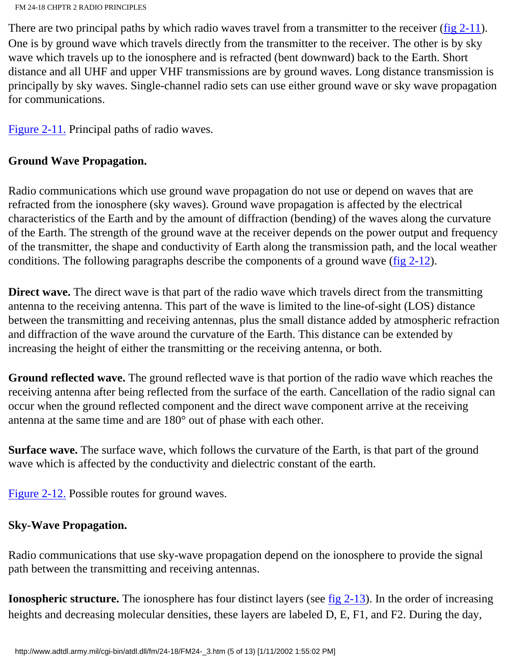There are two principal paths by which radio waves travel from a transmitter to the receiver (fig  $2-11$ ). One is by ground wave which travels directly from the transmitter to the receiver. The other is by sky wave which travels up to the ionosphere and is refracted (bent downward) back to the Earth. Short distance and all UHF and upper VHF transmissions are by ground waves. Long distance transmission is principally by sky waves. Single-channel radio sets can use either ground wave or sky wave propagation for communications.

[Figure 2-11.](http://www.adtdl.army.mil/cgi-bin/atdl.dll/fm/24-18/24180013.gif) Principal paths of radio waves.

## **Ground Wave Propagation.**

Radio communications which use ground wave propagation do not use or depend on waves that are refracted from the ionosphere (sky waves). Ground wave propagation is affected by the electrical characteristics of the Earth and by the amount of diffraction (bending) of the waves along the curvature of the Earth. The strength of the ground wave at the receiver depends on the power output and frequency of the transmitter, the shape and conductivity of Earth along the transmission path, and the local weather conditions. The following paragraphs describe the components of a ground wave [\(fig 2-12\)](http://www.adtdl.army.mil/cgi-bin/atdl.dll/fm/24-18/24180014.gif).

**Direct wave.** The direct wave is that part of the radio wave which travels direct from the transmitting antenna to the receiving antenna. This part of the wave is limited to the line-of-sight (LOS) distance between the transmitting and receiving antennas, plus the small distance added by atmospheric refraction and diffraction of the wave around the curvature of the Earth. This distance can be extended by increasing the height of either the transmitting or the receiving antenna, or both.

**Ground reflected wave.** The ground reflected wave is that portion of the radio wave which reaches the receiving antenna after being reflected from the surface of the earth. Cancellation of the radio signal can occur when the ground reflected component and the direct wave component arrive at the receiving antenna at the same time and are 180° out of phase with each other.

**Surface wave.** The surface wave, which follows the curvature of the Earth, is that part of the ground wave which is affected by the conductivity and dielectric constant of the earth.

[Figure 2-12.](http://www.adtdl.army.mil/cgi-bin/atdl.dll/fm/24-18/24180014.gif) Possible routes for ground waves.

## **Sky-Wave Propagation.**

Radio communications that use sky-wave propagation depend on the ionosphere to provide the signal path between the transmitting and receiving antennas.

**Ionospheric structure.** The ionosphere has four distinct layers (see [fig 2-13](http://www.adtdl.army.mil/cgi-bin/atdl.dll/fm/24-18/24180015.gif)). In the order of increasing heights and decreasing molecular densities, these layers are labeled D, E, F1, and F2. During the day,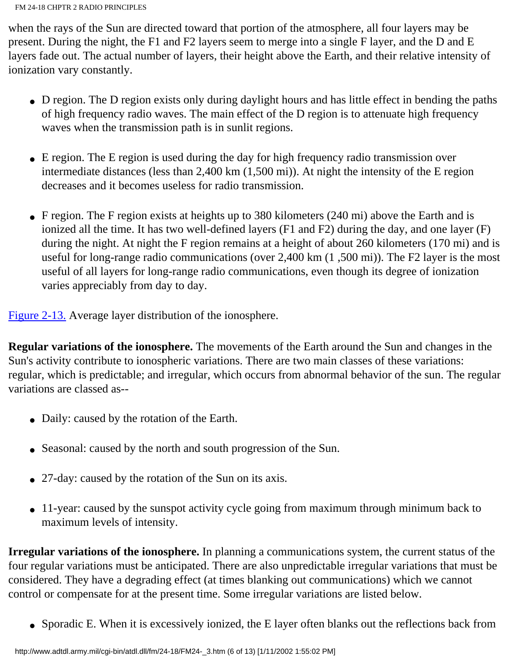when the rays of the Sun are directed toward that portion of the atmosphere, all four layers may be present. During the night, the F1 and F2 layers seem to merge into a single F layer, and the D and E layers fade out. The actual number of layers, their height above the Earth, and their relative intensity of ionization vary constantly.

- D region. The D region exists only during daylight hours and has little effect in bending the paths of high frequency radio waves. The main effect of the D region is to attenuate high frequency waves when the transmission path is in sunlit regions.
- E region. The E region is used during the day for high frequency radio transmission over intermediate distances (less than 2,400 km (1,500 mi)). At night the intensity of the E region decreases and it becomes useless for radio transmission.
- F region. The F region exists at heights up to 380 kilometers (240 mi) above the Earth and is ionized all the time. It has two well-defined layers (F1 and F2) during the day, and one layer (F) during the night. At night the F region remains at a height of about 260 kilometers (170 mi) and is useful for long-range radio communications (over 2,400 km (1 ,500 mi)). The F2 layer is the most useful of all layers for long-range radio communications, even though its degree of ionization varies appreciably from day to day.

[Figure 2-13.](http://www.adtdl.army.mil/cgi-bin/atdl.dll/fm/24-18/24180015.gif) Average layer distribution of the ionosphere.

**Regular variations of the ionosphere.** The movements of the Earth around the Sun and changes in the Sun's activity contribute to ionospheric variations. There are two main classes of these variations: regular, which is predictable; and irregular, which occurs from abnormal behavior of the sun. The regular variations are classed as--

- Daily: caused by the rotation of the Earth.
- Seasonal: caused by the north and south progression of the Sun.
- 27-day: caused by the rotation of the Sun on its axis.
- 11-year: caused by the sunspot activity cycle going from maximum through minimum back to maximum levels of intensity.

**Irregular variations of the ionosphere.** In planning a communications system, the current status of the four regular variations must be anticipated. There are also unpredictable irregular variations that must be considered. They have a degrading effect (at times blanking out communications) which we cannot control or compensate for at the present time. Some irregular variations are listed below.

• Sporadic E. When it is excessively ionized, the E layer often blanks out the reflections back from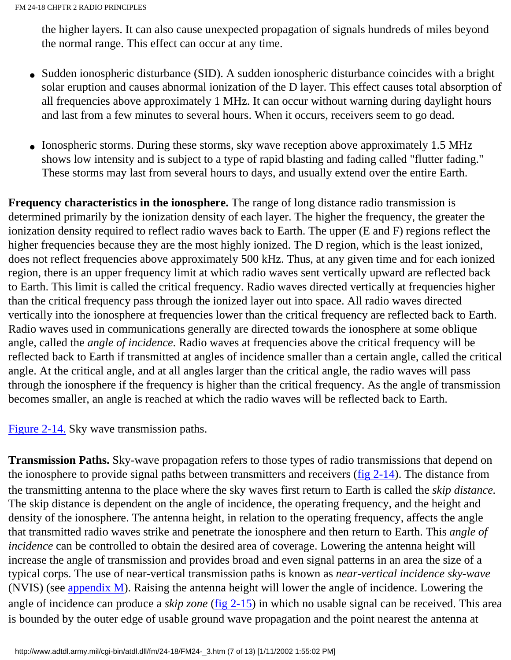the higher layers. It can also cause unexpected propagation of signals hundreds of miles beyond the normal range. This effect can occur at any time.

- Sudden ionospheric disturbance (SID). A sudden ionospheric disturbance coincides with a bright solar eruption and causes abnormal ionization of the D layer. This effect causes total absorption of all frequencies above approximately 1 MHz. It can occur without warning during daylight hours and last from a few minutes to several hours. When it occurs, receivers seem to go dead.
- Ionospheric storms. During these storms, sky wave reception above approximately 1.5 MHz shows low intensity and is subject to a type of rapid blasting and fading called "flutter fading." These storms may last from several hours to days, and usually extend over the entire Earth.

**Frequency characteristics in the ionosphere.** The range of long distance radio transmission is determined primarily by the ionization density of each layer. The higher the frequency, the greater the ionization density required to reflect radio waves back to Earth. The upper (E and F) regions reflect the higher frequencies because they are the most highly ionized. The D region, which is the least ionized, does not reflect frequencies above approximately 500 kHz. Thus, at any given time and for each ionized region, there is an upper frequency limit at which radio waves sent vertically upward are reflected back to Earth. This limit is called the critical frequency. Radio waves directed vertically at frequencies higher than the critical frequency pass through the ionized layer out into space. All radio waves directed vertically into the ionosphere at frequencies lower than the critical frequency are reflected back to Earth. Radio waves used in communications generally are directed towards the ionosphere at some oblique angle, called the *angle of incidence.* Radio waves at frequencies above the critical frequency will be reflected back to Earth if transmitted at angles of incidence smaller than a certain angle, called the critical angle. At the critical angle, and at all angles larger than the critical angle, the radio waves will pass through the ionosphere if the frequency is higher than the critical frequency. As the angle of transmission becomes smaller, an angle is reached at which the radio waves will be reflected back to Earth.

[Figure 2-14.](http://www.adtdl.army.mil/cgi-bin/atdl.dll/fm/24-18/24180016.gif) Sky wave transmission paths.

**Transmission Paths.** Sky-wave propagation refers to those types of radio transmissions that depend on the ionosphere to provide signal paths between transmitters and receivers [\(fig 2-14](http://www.adtdl.army.mil/cgi-bin/atdl.dll/fm/24-18/24180016.gif)). The distance from the transmitting antenna to the place where the sky waves first return to Earth is called the *skip distance.* The skip distance is dependent on the angle of incidence, the operating frequency, and the height and density of the ionosphere. The antenna height, in relation to the operating frequency, affects the angle that transmitted radio waves strike and penetrate the ionosphere and then return to Earth. This *angle of incidence* can be controlled to obtain the desired area of coverage. Lowering the antenna height will increase the angle of transmission and provides broad and even signal patterns in an area the size of a typical corps. The use of near-vertical transmission paths is known as *near-vertical incidence sky-wave* (NVIS) (see [appendix M\)](#page-151-0). Raising the antenna height will lower the angle of incidence. Lowering the angle of incidence can produce a *skip zone* [\(fig 2-15\)](http://www.adtdl.army.mil/cgi-bin/atdl.dll/fm/24-18/24180017.gif) in which no usable signal can be received. This area is bounded by the outer edge of usable ground wave propagation and the point nearest the antenna at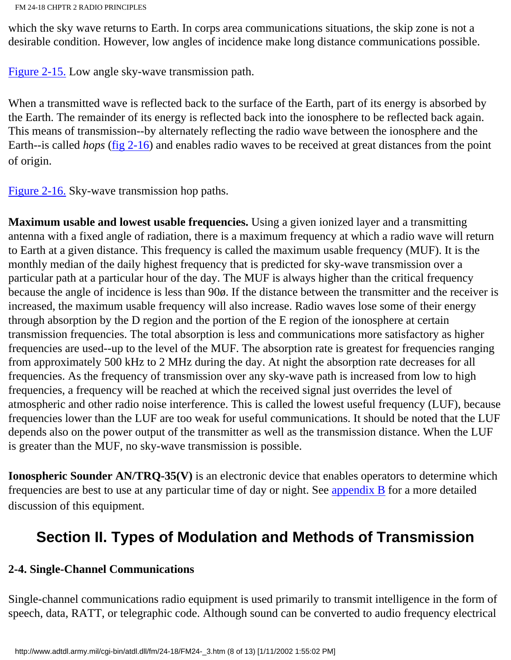which the sky wave returns to Earth. In corps area communications situations, the skip zone is not a desirable condition. However, low angles of incidence make long distance communications possible.

[Figure 2-15.](http://www.adtdl.army.mil/cgi-bin/atdl.dll/fm/24-18/24180017.gif) Low angle sky-wave transmission path.

When a transmitted wave is reflected back to the surface of the Earth, part of its energy is absorbed by the Earth. The remainder of its energy is reflected back into the ionosphere to be reflected back again. This means of transmission--by alternately reflecting the radio wave between the ionosphere and the Earth--is called *hops* [\(fig 2-16\)](http://www.adtdl.army.mil/cgi-bin/atdl.dll/fm/24-18/24180018.gif) and enables radio waves to be received at great distances from the point of origin.

[Figure 2-16.](http://www.adtdl.army.mil/cgi-bin/atdl.dll/fm/24-18/24180018.gif) Sky-wave transmission hop paths.

**Maximum usable and lowest usable frequencies.** Using a given ionized layer and a transmitting antenna with a fixed angle of radiation, there is a maximum frequency at which a radio wave will return to Earth at a given distance. This frequency is called the maximum usable frequency (MUF). It is the monthly median of the daily highest frequency that is predicted for sky-wave transmission over a particular path at a particular hour of the day. The MUF is always higher than the critical frequency because the angle of incidence is less than 90ø. If the distance between the transmitter and the receiver is increased, the maximum usable frequency will also increase. Radio waves lose some of their energy through absorption by the D region and the portion of the E region of the ionosphere at certain transmission frequencies. The total absorption is less and communications more satisfactory as higher frequencies are used--up to the level of the MUF. The absorption rate is greatest for frequencies ranging from approximately 500 kHz to 2 MHz during the day. At night the absorption rate decreases for all frequencies. As the frequency of transmission over any sky-wave path is increased from low to high frequencies, a frequency will be reached at which the received signal just overrides the level of atmospheric and other radio noise interference. This is called the lowest useful frequency (LUF), because frequencies lower than the LUF are too weak for useful communications. It should be noted that the LUF depends also on the power output of the transmitter as well as the transmission distance. When the LUF is greater than the MUF, no sky-wave transmission is possible.

**Ionospheric Sounder AN/TRQ-35(V)** is an electronic device that enables operators to determine which frequencies are best to use at any particular time of day or night. See [appendix B](http://www.adtdl.army.mil/cgi-bin/atdl.dll/fm/24-18/FM24-_11.HTM) for a more detailed discussion of this equipment.

## **Section II. Types of Modulation and Methods of Transmission**

## **2-4. Single-Channel Communications**

Single-channel communications radio equipment is used primarily to transmit intelligence in the form of speech, data, RATT, or telegraphic code. Although sound can be converted to audio frequency electrical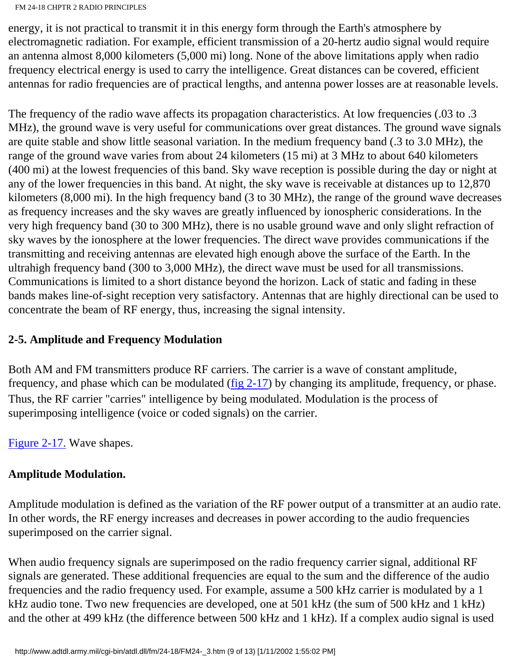energy, it is not practical to transmit it in this energy form through the Earth's atmosphere by electromagnetic radiation. For example, efficient transmission of a 20-hertz audio signal would require an antenna almost 8,000 kilometers (5,000 mi) long. None of the above limitations apply when radio frequency electrical energy is used to carry the intelligence. Great distances can be covered, efficient antennas for radio frequencies are of practical lengths, and antenna power losses are at reasonable levels.

The frequency of the radio wave affects its propagation characteristics. At low frequencies (.03 to .3 MHz), the ground wave is very useful for communications over great distances. The ground wave signals are quite stable and show little seasonal variation. In the medium frequency band (.3 to 3.0 MHz), the range of the ground wave varies from about 24 kilometers (15 mi) at 3 MHz to about 640 kilometers (400 mi) at the lowest frequencies of this band. Sky wave reception is possible during the day or night at any of the lower frequencies in this band. At night, the sky wave is receivable at distances up to 12,870 kilometers (8,000 mi). In the high frequency band (3 to 30 MHz), the range of the ground wave decreases as frequency increases and the sky waves are greatly influenced by ionospheric considerations. In the very high frequency band (30 to 300 MHz), there is no usable ground wave and only slight refraction of sky waves by the ionosphere at the lower frequencies. The direct wave provides communications if the transmitting and receiving antennas are elevated high enough above the surface of the Earth. In the ultrahigh frequency band (300 to 3,000 MHz), the direct wave must be used for all transmissions. Communications is limited to a short distance beyond the horizon. Lack of static and fading in these bands makes line-of-sight reception very satisfactory. Antennas that are highly directional can be used to concentrate the beam of RF energy, thus, increasing the signal intensity.

## <span id="page-15-0"></span>**2-5. Amplitude and Frequency Modulation**

Both AM and FM transmitters produce RF carriers. The carrier is a wave of constant amplitude, frequency, and phase which can be modulated ([fig 2-17](http://www.adtdl.army.mil/cgi-bin/atdl.dll/fm/24-18/24180019.gif)) by changing its amplitude, frequency, or phase. Thus, the RF carrier "carries" intelligence by being modulated. Modulation is the process of superimposing intelligence (voice or coded signals) on the carrier.

[Figure 2-17.](http://www.adtdl.army.mil/cgi-bin/atdl.dll/fm/24-18/24180019.gif) Wave shapes.

## **Amplitude Modulation.**

Amplitude modulation is defined as the variation of the RF power output of a transmitter at an audio rate. In other words, the RF energy increases and decreases in power according to the audio frequencies superimposed on the carrier signal.

When audio frequency signals are superimposed on the radio frequency carrier signal, additional RF signals are generated. These additional frequencies are equal to the sum and the difference of the audio frequencies and the radio frequency used. For example, assume a 500 kHz carrier is modulated by a 1 kHz audio tone. Two new frequencies are developed, one at 501 kHz (the sum of 500 kHz and 1 kHz) and the other at 499 kHz (the difference between 500 kHz and 1 kHz). If a complex audio signal is used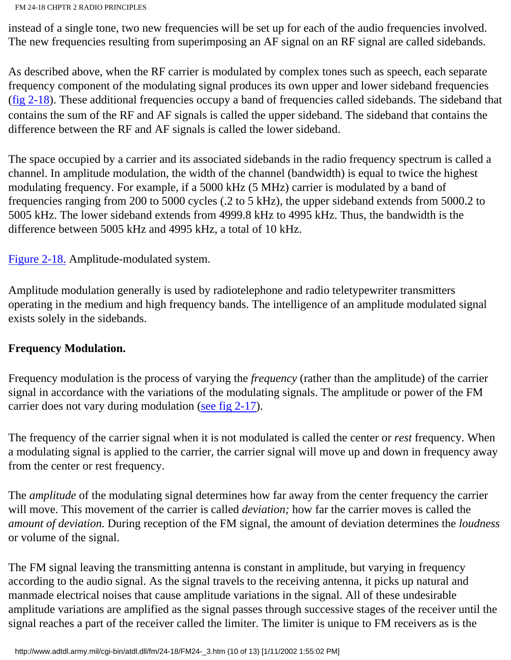instead of a single tone, two new frequencies will be set up for each of the audio frequencies involved. The new frequencies resulting from superimposing an AF signal on an RF signal are called sidebands.

As described above, when the RF carrier is modulated by complex tones such as speech, each separate frequency component of the modulating signal produces its own upper and lower sideband frequencies ([fig 2-18](http://www.adtdl.army.mil/cgi-bin/atdl.dll/fm/24-18/24180020.gif)). These additional frequencies occupy a band of frequencies called sidebands. The sideband that contains the sum of the RF and AF signals is called the upper sideband. The sideband that contains the difference between the RF and AF signals is called the lower sideband.

The space occupied by a carrier and its associated sidebands in the radio frequency spectrum is called a channel. In amplitude modulation, the width of the channel (bandwidth) is equal to twice the highest modulating frequency. For example, if a 5000 kHz (5 MHz) carrier is modulated by a band of frequencies ranging from 200 to 5000 cycles (.2 to 5 kHz), the upper sideband extends from 5000.2 to 5005 kHz. The lower sideband extends from 4999.8 kHz to 4995 kHz. Thus, the bandwidth is the difference between 5005 kHz and 4995 kHz, a total of 10 kHz.

[Figure 2-18.](http://www.adtdl.army.mil/cgi-bin/atdl.dll/fm/24-18/24180020.gif) Amplitude-modulated system.

Amplitude modulation generally is used by radiotelephone and radio teletypewriter transmitters operating in the medium and high frequency bands. The intelligence of an amplitude modulated signal exists solely in the sidebands.

## **Frequency Modulation.**

Frequency modulation is the process of varying the *frequency* (rather than the amplitude) of the carrier signal in accordance with the variations of the modulating signals. The amplitude or power of the FM carrier does not vary during modulation ([see fig 2-17](http://www.adtdl.army.mil/cgi-bin/atdl.dll/fm/24-18/24180019.gif)).

The frequency of the carrier signal when it is not modulated is called the center or *rest* frequency. When a modulating signal is applied to the carrier, the carrier signal will move up and down in frequency away from the center or rest frequency.

The *amplitude* of the modulating signal determines how far away from the center frequency the carrier will move. This movement of the carrier is called *deviation;* how far the carrier moves is called the *amount of deviation.* During reception of the FM signal, the amount of deviation determines the *loudness* or volume of the signal.

The FM signal leaving the transmitting antenna is constant in amplitude, but varying in frequency according to the audio signal. As the signal travels to the receiving antenna, it picks up natural and manmade electrical noises that cause amplitude variations in the signal. All of these undesirable amplitude variations are amplified as the signal passes through successive stages of the receiver until the signal reaches a part of the receiver called the limiter. The limiter is unique to FM receivers as is the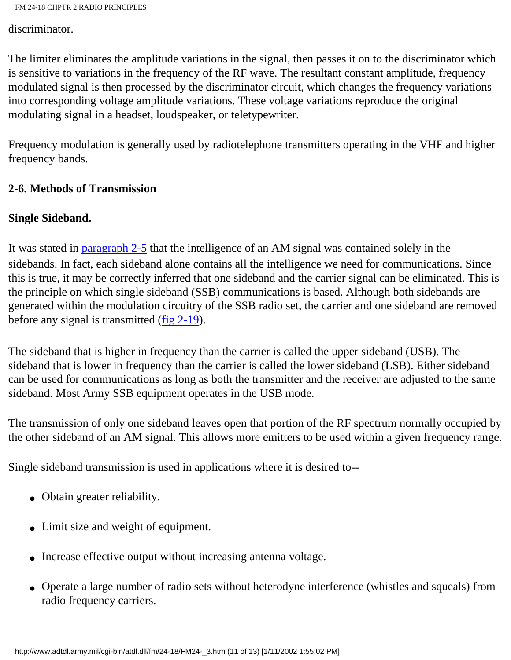FM 24-18 CHPTR 2 RADIO PRINCIPLES

discriminator.

The limiter eliminates the amplitude variations in the signal, then passes it on to the discriminator which is sensitive to variations in the frequency of the RF wave. The resultant constant amplitude, frequency modulated signal is then processed by the discriminator circuit, which changes the frequency variations into corresponding voltage amplitude variations. These voltage variations reproduce the original modulating signal in a headset, loudspeaker, or teletypewriter.

Frequency modulation is generally used by radiotelephone transmitters operating in the VHF and higher frequency bands.

## **2-6. Methods of Transmission**

## **Single Sideband.**

It was stated in [paragraph 2-5](http://www.adtdl.army.mil/cgi-bin/atdl.dll/fm/24-18/FM24-_3.HTM#P2-5) that the intelligence of an AM signal was contained solely in the sidebands. In fact, each sideband alone contains all the intelligence we need for communications. Since this is true, it may be correctly inferred that one sideband and the carrier signal can be eliminated. This is the principle on which single sideband (SSB) communications is based. Although both sidebands are generated within the modulation circuitry of the SSB radio set, the carrier and one sideband are removed before any signal is transmitted ([fig 2-19\)](http://www.adtdl.army.mil/cgi-bin/atdl.dll/fm/24-18/24180021.gif).

The sideband that is higher in frequency than the carrier is called the upper sideband (USB). The sideband that is lower in frequency than the carrier is called the lower sideband (LSB). Either sideband can be used for communications as long as both the transmitter and the receiver are adjusted to the same sideband. Most Army SSB equipment operates in the USB mode.

The transmission of only one sideband leaves open that portion of the RF spectrum normally occupied by the other sideband of an AM signal. This allows more emitters to be used within a given frequency range.

Single sideband transmission is used in applications where it is desired to--

- Obtain greater reliability.
- Limit size and weight of equipment.
- Increase effective output without increasing antenna voltage.
- Operate a large number of radio sets without heterodyne interference (whistles and squeals) from radio frequency carriers.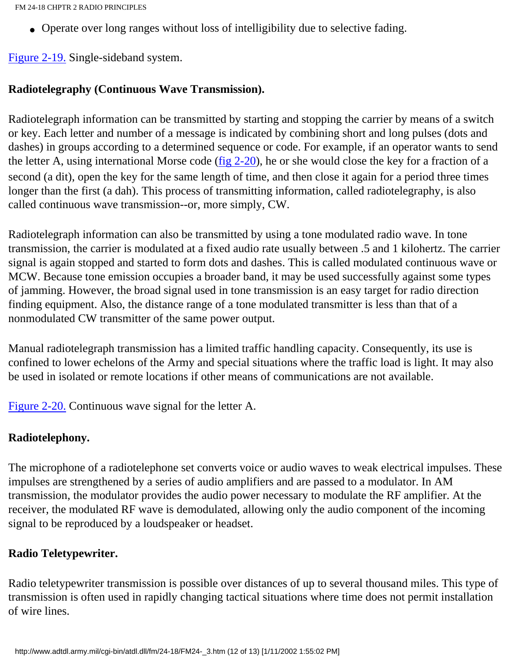FM 24-18 CHPTR 2 RADIO PRINCIPLES

● Operate over long ranges without loss of intelligibility due to selective fading.

[Figure 2-19.](http://www.adtdl.army.mil/cgi-bin/atdl.dll/fm/24-18/24180021.gif) Single-sideband system.

## **Radiotelegraphy (Continuous Wave Transmission).**

Radiotelegraph information can be transmitted by starting and stopping the carrier by means of a switch or key. Each letter and number of a message is indicated by combining short and long pulses (dots and dashes) in groups according to a determined sequence or code. For example, if an operator wants to send the letter A, using international Morse code ( $f$ ig  $2-20$ ), he or she would close the key for a fraction of a second (a dit), open the key for the same length of time, and then close it again for a period three times longer than the first (a dah). This process of transmitting information, called radiotelegraphy, is also called continuous wave transmission--or, more simply, CW.

Radiotelegraph information can also be transmitted by using a tone modulated radio wave. In tone transmission, the carrier is modulated at a fixed audio rate usually between .5 and 1 kilohertz. The carrier signal is again stopped and started to form dots and dashes. This is called modulated continuous wave or MCW. Because tone emission occupies a broader band, it may be used successfully against some types of jamming. However, the broad signal used in tone transmission is an easy target for radio direction finding equipment. Also, the distance range of a tone modulated transmitter is less than that of a nonmodulated CW transmitter of the same power output.

Manual radiotelegraph transmission has a limited traffic handling capacity. Consequently, its use is confined to lower echelons of the Army and special situations where the traffic load is light. It may also be used in isolated or remote locations if other means of communications are not available.

[Figure 2-20.](http://www.adtdl.army.mil/cgi-bin/atdl.dll/fm/24-18/24180022.gif) Continuous wave signal for the letter A.

### **Radiotelephony.**

The microphone of a radiotelephone set converts voice or audio waves to weak electrical impulses. These impulses are strengthened by a series of audio amplifiers and are passed to a modulator. In AM transmission, the modulator provides the audio power necessary to modulate the RF amplifier. At the receiver, the modulated RF wave is demodulated, allowing only the audio component of the incoming signal to be reproduced by a loudspeaker or headset.

## **Radio Teletypewriter.**

Radio teletypewriter transmission is possible over distances of up to several thousand miles. This type of transmission is often used in rapidly changing tactical situations where time does not permit installation of wire lines.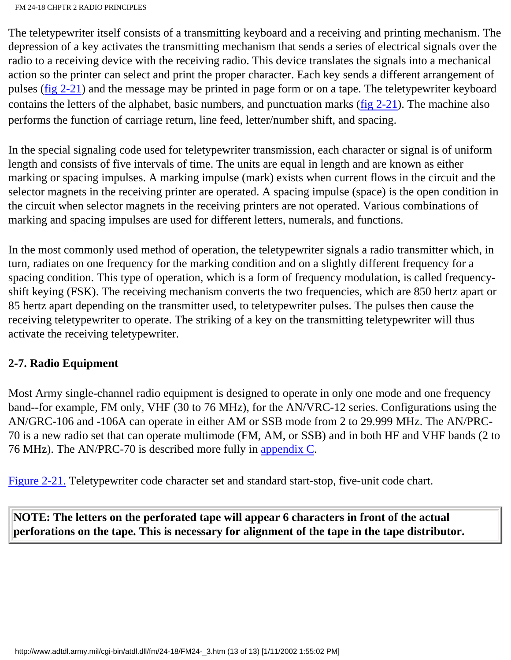The teletypewriter itself consists of a transmitting keyboard and a receiving and printing mechanism. The depression of a key activates the transmitting mechanism that sends a series of electrical signals over the radio to a receiving device with the receiving radio. This device translates the signals into a mechanical action so the printer can select and print the proper character. Each key sends a different arrangement of pulses [\(fig 2-21\)](http://www.adtdl.army.mil/cgi-bin/atdl.dll/fm/24-18/24180023.gif) and the message may be printed in page form or on a tape. The teletypewriter keyboard contains the letters of the alphabet, basic numbers, and punctuation marks (fig  $2-21$ ). The machine also performs the function of carriage return, line feed, letter/number shift, and spacing.

In the special signaling code used for teletypewriter transmission, each character or signal is of uniform length and consists of five intervals of time. The units are equal in length and are known as either marking or spacing impulses. A marking impulse (mark) exists when current flows in the circuit and the selector magnets in the receiving printer are operated. A spacing impulse (space) is the open condition in the circuit when selector magnets in the receiving printers are not operated. Various combinations of marking and spacing impulses are used for different letters, numerals, and functions.

In the most commonly used method of operation, the teletypewriter signals a radio transmitter which, in turn, radiates on one frequency for the marking condition and on a slightly different frequency for a spacing condition. This type of operation, which is a form of frequency modulation, is called frequencyshift keying (FSK). The receiving mechanism converts the two frequencies, which are 850 hertz apart or 85 hertz apart depending on the transmitter used, to teletypewriter pulses. The pulses then cause the receiving teletypewriter to operate. The striking of a key on the transmitting teletypewriter will thus activate the receiving teletypewriter.

## **2-7. Radio Equipment**

Most Army single-channel radio equipment is designed to operate in only one mode and one frequency band--for example, FM only, VHF (30 to 76 MHz), for the AN/VRC-12 series. Configurations using the AN/GRC-106 and -106A can operate in either AM or SSB mode from 2 to 29.999 MHz. The AN/PRC-70 is a new radio set that can operate multimode (FM, AM, or SSB) and in both HF and VHF bands (2 to 76 MHz). The AN/PRC-70 is described more fully in [appendix C.](http://www.adtdl.army.mil/cgi-bin/atdl.dll/fm/24-18/FM24-_12.HTM)

[Figure 2-21.](http://www.adtdl.army.mil/cgi-bin/atdl.dll/fm/24-18/24180023.gif) Teletypewriter code character set and standard start-stop, five-unit code chart.

**NOTE: The letters on the perforated tape will appear 6 characters in front of the actual perforations on the tape. This is necessary for alignment of the tape in the tape distributor.**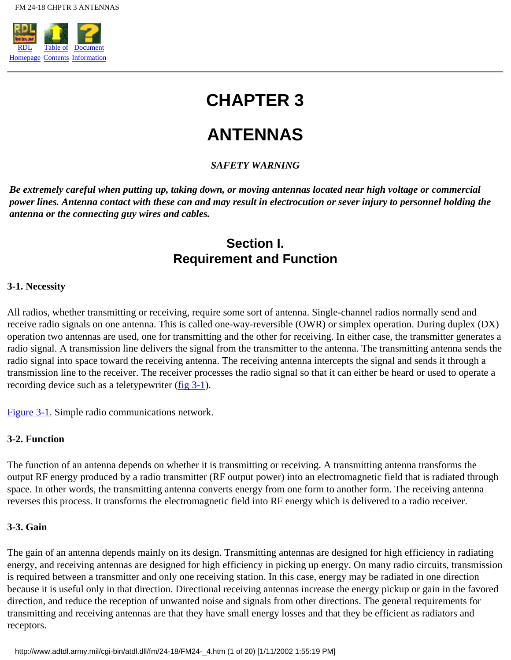

## **CHAPTER 3**

## **ANTENNAS**

#### *SAFETY WARNING*

*Be extremely careful when putting up, taking down, or moving antennas located near high voltage or commercial power lines. Antenna contact with these can and may result in electrocution or sever injury to personnel holding the antenna or the connecting guy wires and cables.*

## **Section I. Requirement and Function**

#### **3-1. Necessity**

All radios, whether transmitting or receiving, require some sort of antenna. Single-channel radios normally send and receive radio signals on one antenna. This is called one-way-reversible (OWR) or simplex operation. During duplex (DX) operation two antennas are used, one for transmitting and the other for receiving. In either case, the transmitter generates a radio signal. A transmission line delivers the signal from the transmitter to the antenna. The transmitting antenna sends the radio signal into space toward the receiving antenna. The receiving antenna intercepts the signal and sends it through a transmission line to the receiver. The receiver processes the radio signal so that it can either be heard or used to operate a recording device such as a teletypewriter [\(fig 3-1\)](http://www.adtdl.army.mil/cgi-bin/atdl.dll/fm/24-18/24180024.gif).

[Figure 3-1.](http://www.adtdl.army.mil/cgi-bin/atdl.dll/fm/24-18/24180024.gif) Simple radio communications network.

#### **3-2. Function**

The function of an antenna depends on whether it is transmitting or receiving. A transmitting antenna transforms the output RF energy produced by a radio transmitter (RF output power) into an electromagnetic field that is radiated through space. In other words, the transmitting antenna converts energy from one form to another form. The receiving antenna reverses this process. It transforms the electromagnetic field into RF energy which is delivered to a radio receiver.

#### **3-3. Gain**

The gain of an antenna depends mainly on its design. Transmitting antennas are designed for high efficiency in radiating energy, and receiving antennas are designed for high efficiency in picking up energy. On many radio circuits, transmission is required between a transmitter and only one receiving station. In this case, energy may be radiated in one direction because it is useful only in that direction. Directional receiving antennas increase the energy pickup or gain in the favored direction, and reduce the reception of unwanted noise and signals from other directions. The general requirements for transmitting and receiving antennas are that they have small energy losses and that they be efficient as radiators and receptors.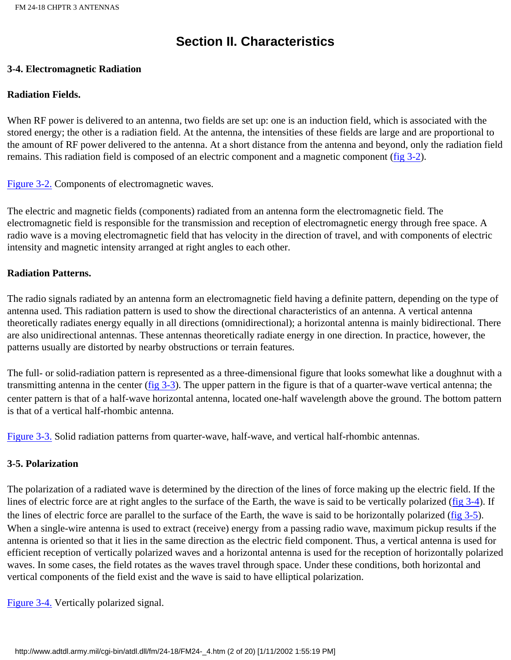## **Section II. Characteristics**

#### **3-4. Electromagnetic Radiation**

#### **Radiation Fields.**

When RF power is delivered to an antenna, two fields are set up: one is an induction field, which is associated with the stored energy; the other is a radiation field. At the antenna, the intensities of these fields are large and are proportional to the amount of RF power delivered to the antenna. At a short distance from the antenna and beyond, only the radiation field remains. This radiation field is composed of an electric component and a magnetic component ([fig 3-2](http://www.adtdl.army.mil/cgi-bin/atdl.dll/fm/24-18/24180025.gif)).

[Figure 3-2.](http://www.adtdl.army.mil/cgi-bin/atdl.dll/fm/24-18/24180025.gif) Components of electromagnetic waves.

The electric and magnetic fields (components) radiated from an antenna form the electromagnetic field. The electromagnetic field is responsible for the transmission and reception of electromagnetic energy through free space. A radio wave is a moving electromagnetic field that has velocity in the direction of travel, and with components of electric intensity and magnetic intensity arranged at right angles to each other.

#### **Radiation Patterns.**

The radio signals radiated by an antenna form an electromagnetic field having a definite pattern, depending on the type of antenna used. This radiation pattern is used to show the directional characteristics of an antenna. A vertical antenna theoretically radiates energy equally in all directions (omnidirectional); a horizontal antenna is mainly bidirectional. There are also unidirectional antennas. These antennas theoretically radiate energy in one direction. In practice, however, the patterns usually are distorted by nearby obstructions or terrain features.

The full- or solid-radiation pattern is represented as a three-dimensional figure that looks somewhat like a doughnut with a transmitting antenna in the center  $(fig 3-3)$  $(fig 3-3)$  $(fig 3-3)$ . The upper pattern in the figure is that of a quarter-wave vertical antenna; the center pattern is that of a half-wave horizontal antenna, located one-half wavelength above the ground. The bottom pattern is that of a vertical half-rhombic antenna.

[Figure 3-3.](http://www.adtdl.army.mil/cgi-bin/atdl.dll/fm/24-18/24180026.gif) Solid radiation patterns from quarter-wave, half-wave, and vertical half-rhombic antennas.

#### **3-5. Polarization**

The polarization of a radiated wave is determined by the direction of the lines of force making up the electric field. If the lines of electric force are at right angles to the surface of the Earth, the wave is said to be vertically polarized [\(fig 3-4\)](http://www.adtdl.army.mil/cgi-bin/atdl.dll/fm/24-18/24180027.gif). If the lines of electric force are parallel to the surface of the Earth, the wave is said to be horizontally polarized [\(fig 3-5\)](http://www.adtdl.army.mil/cgi-bin/atdl.dll/fm/24-18/24180028.gif). When a single-wire antenna is used to extract (receive) energy from a passing radio wave, maximum pickup results if the antenna is oriented so that it lies in the same direction as the electric field component. Thus, a vertical antenna is used for efficient reception of vertically polarized waves and a horizontal antenna is used for the reception of horizontally polarized waves. In some cases, the field rotates as the waves travel through space. Under these conditions, both horizontal and vertical components of the field exist and the wave is said to have elliptical polarization.

[Figure 3-4.](http://www.adtdl.army.mil/cgi-bin/atdl.dll/fm/24-18/24180027.gif) Vertically polarized signal.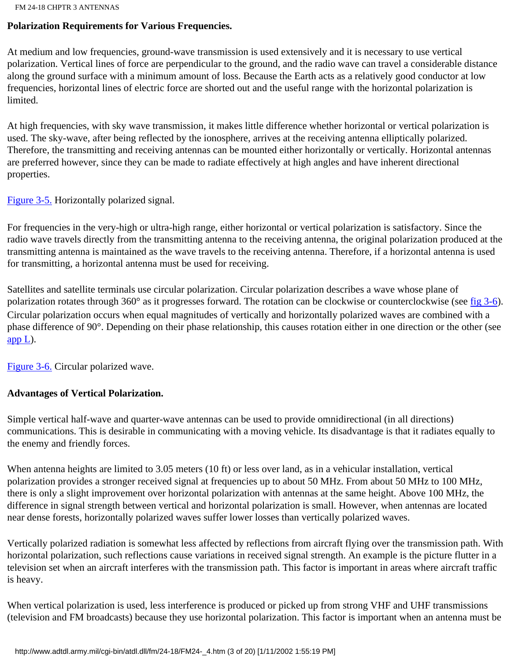#### **Polarization Requirements for Various Frequencies.**

At medium and low frequencies, ground-wave transmission is used extensively and it is necessary to use vertical polarization. Vertical lines of force are perpendicular to the ground, and the radio wave can travel a considerable distance along the ground surface with a minimum amount of loss. Because the Earth acts as a relatively good conductor at low frequencies, horizontal lines of electric force are shorted out and the useful range with the horizontal polarization is limited.

At high frequencies, with sky wave transmission, it makes little difference whether horizontal or vertical polarization is used. The sky-wave, after being reflected by the ionosphere, arrives at the receiving antenna elliptically polarized. Therefore, the transmitting and receiving antennas can be mounted either horizontally or vertically. Horizontal antennas are preferred however, since they can be made to radiate effectively at high angles and have inherent directional properties.

[Figure 3-5.](http://www.adtdl.army.mil/cgi-bin/atdl.dll/fm/24-18/24180028.gif) Horizontally polarized signal.

For frequencies in the very-high or ultra-high range, either horizontal or vertical polarization is satisfactory. Since the radio wave travels directly from the transmitting antenna to the receiving antenna, the original polarization produced at the transmitting antenna is maintained as the wave travels to the receiving antenna. Therefore, if a horizontal antenna is used for transmitting, a horizontal antenna must be used for receiving.

Satellites and satellite terminals use circular polarization. Circular polarization describes a wave whose plane of polarization rotates through 360° as it progresses forward. The rotation can be clockwise or counterclockwise (see [fig 3-6](http://www.adtdl.army.mil/cgi-bin/atdl.dll/fm/24-18/24180029.gif)). Circular polarization occurs when equal magnitudes of vertically and horizontally polarized waves are combined with a phase difference of 90°. Depending on their phase relationship, this causes rotation either in one direction or the other (see [app L](http://www.adtdl.army.mil/cgi-bin/atdl.dll/fm/24-18/FM24-_21.HTM)).

[Figure 3-6.](http://www.adtdl.army.mil/cgi-bin/atdl.dll/fm/24-18/24180029.gif) Circular polarized wave.

#### **Advantages of Vertical Polarization.**

Simple vertical half-wave and quarter-wave antennas can be used to provide omnidirectional (in all directions) communications. This is desirable in communicating with a moving vehicle. Its disadvantage is that it radiates equally to the enemy and friendly forces.

When antenna heights are limited to 3.05 meters (10 ft) or less over land, as in a vehicular installation, vertical polarization provides a stronger received signal at frequencies up to about 50 MHz. From about 50 MHz to 100 MHz, there is only a slight improvement over horizontal polarization with antennas at the same height. Above 100 MHz, the difference in signal strength between vertical and horizontal polarization is small. However, when antennas are located near dense forests, horizontally polarized waves suffer lower losses than vertically polarized waves.

Vertically polarized radiation is somewhat less affected by reflections from aircraft flying over the transmission path. With horizontal polarization, such reflections cause variations in received signal strength. An example is the picture flutter in a television set when an aircraft interferes with the transmission path. This factor is important in areas where aircraft traffic is heavy.

When vertical polarization is used, less interference is produced or picked up from strong VHF and UHF transmissions (television and FM broadcasts) because they use horizontal polarization. This factor is important when an antenna must be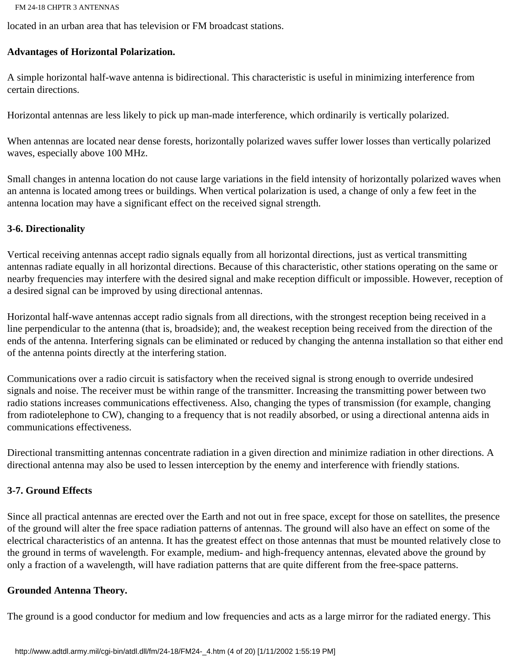#### FM 24-18 CHPTR 3 ANTENNAS

located in an urban area that has television or FM broadcast stations.

#### **Advantages of Horizontal Polarization.**

A simple horizontal half-wave antenna is bidirectional. This characteristic is useful in minimizing interference from certain directions.

Horizontal antennas are less likely to pick up man-made interference, which ordinarily is vertically polarized.

When antennas are located near dense forests, horizontally polarized waves suffer lower losses than vertically polarized waves, especially above 100 MHz.

Small changes in antenna location do not cause large variations in the field intensity of horizontally polarized waves when an antenna is located among trees or buildings. When vertical polarization is used, a change of only a few feet in the antenna location may have a significant effect on the received signal strength.

#### **3-6. Directionality**

Vertical receiving antennas accept radio signals equally from all horizontal directions, just as vertical transmitting antennas radiate equally in all horizontal directions. Because of this characteristic, other stations operating on the same or nearby frequencies may interfere with the desired signal and make reception difficult or impossible. However, reception of a desired signal can be improved by using directional antennas.

Horizontal half-wave antennas accept radio signals from all directions, with the strongest reception being received in a line perpendicular to the antenna (that is, broadside); and, the weakest reception being received from the direction of the ends of the antenna. Interfering signals can be eliminated or reduced by changing the antenna installation so that either end of the antenna points directly at the interfering station.

Communications over a radio circuit is satisfactory when the received signal is strong enough to override undesired signals and noise. The receiver must be within range of the transmitter. Increasing the transmitting power between two radio stations increases communications effectiveness. Also, changing the types of transmission (for example, changing from radiotelephone to CW), changing to a frequency that is not readily absorbed, or using a directional antenna aids in communications effectiveness.

Directional transmitting antennas concentrate radiation in a given direction and minimize radiation in other directions. A directional antenna may also be used to lessen interception by the enemy and interference with friendly stations.

#### **3-7. Ground Effects**

Since all practical antennas are erected over the Earth and not out in free space, except for those on satellites, the presence of the ground will alter the free space radiation patterns of antennas. The ground will also have an effect on some of the electrical characteristics of an antenna. It has the greatest effect on those antennas that must be mounted relatively close to the ground in terms of wavelength. For example, medium- and high-frequency antennas, elevated above the ground by only a fraction of a wavelength, will have radiation patterns that are quite different from the free-space patterns.

#### **Grounded Antenna Theory.**

The ground is a good conductor for medium and low frequencies and acts as a large mirror for the radiated energy. This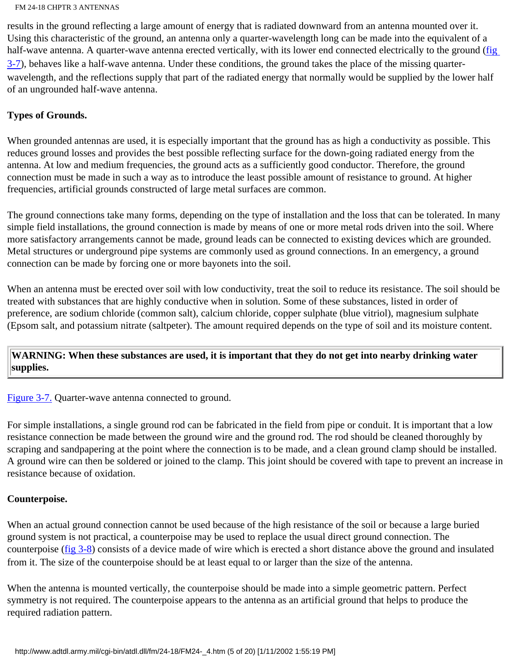results in the ground reflecting a large amount of energy that is radiated downward from an antenna mounted over it. Using this characteristic of the ground, an antenna only a quarter-wavelength long can be made into the equivalent of a half-wave antenna. A quarter-wave antenna erected vertically, with its lower end connected electrically to the ground ([fig](http://www.adtdl.army.mil/cgi-bin/atdl.dll/fm/24-18/24180030.gif) [3-7\)](http://www.adtdl.army.mil/cgi-bin/atdl.dll/fm/24-18/24180030.gif), behaves like a half-wave antenna. Under these conditions, the ground takes the place of the missing quarterwavelength, and the reflections supply that part of the radiated energy that normally would be supplied by the lower half of an ungrounded half-wave antenna.

#### **Types of Grounds.**

When grounded antennas are used, it is especially important that the ground has as high a conductivity as possible. This reduces ground losses and provides the best possible reflecting surface for the down-going radiated energy from the antenna. At low and medium frequencies, the ground acts as a sufficiently good conductor. Therefore, the ground connection must be made in such a way as to introduce the least possible amount of resistance to ground. At higher frequencies, artificial grounds constructed of large metal surfaces are common.

The ground connections take many forms, depending on the type of installation and the loss that can be tolerated. In many simple field installations, the ground connection is made by means of one or more metal rods driven into the soil. Where more satisfactory arrangements cannot be made, ground leads can be connected to existing devices which are grounded. Metal structures or underground pipe systems are commonly used as ground connections. In an emergency, a ground connection can be made by forcing one or more bayonets into the soil.

When an antenna must be erected over soil with low conductivity, treat the soil to reduce its resistance. The soil should be treated with substances that are highly conductive when in solution. Some of these substances, listed in order of preference, are sodium chloride (common salt), calcium chloride, copper sulphate (blue vitriol), magnesium sulphate (Epsom salt, and potassium nitrate (saltpeter). The amount required depends on the type of soil and its moisture content.

#### **WARNING: When these substances are used, it is important that they do not get into nearby drinking water supplies.**

[Figure 3-7.](http://www.adtdl.army.mil/cgi-bin/atdl.dll/fm/24-18/24180030.gif) Quarter-wave antenna connected to ground.

For simple installations, a single ground rod can be fabricated in the field from pipe or conduit. It is important that a low resistance connection be made between the ground wire and the ground rod. The rod should be cleaned thoroughly by scraping and sandpapering at the point where the connection is to be made, and a clean ground clamp should be installed. A ground wire can then be soldered or joined to the clamp. This joint should be covered with tape to prevent an increase in resistance because of oxidation.

#### **Counterpoise.**

When an actual ground connection cannot be used because of the high resistance of the soil or because a large buried ground system is not practical, a counterpoise may be used to replace the usual direct ground connection. The counterpoise [\(fig 3-8](http://www.adtdl.army.mil/cgi-bin/atdl.dll/fm/24-18/24180031.gif)) consists of a device made of wire which is erected a short distance above the ground and insulated from it. The size of the counterpoise should be at least equal to or larger than the size of the antenna.

When the antenna is mounted vertically, the counterpoise should be made into a simple geometric pattern. Perfect symmetry is not required. The counterpoise appears to the antenna as an artificial ground that helps to produce the required radiation pattern.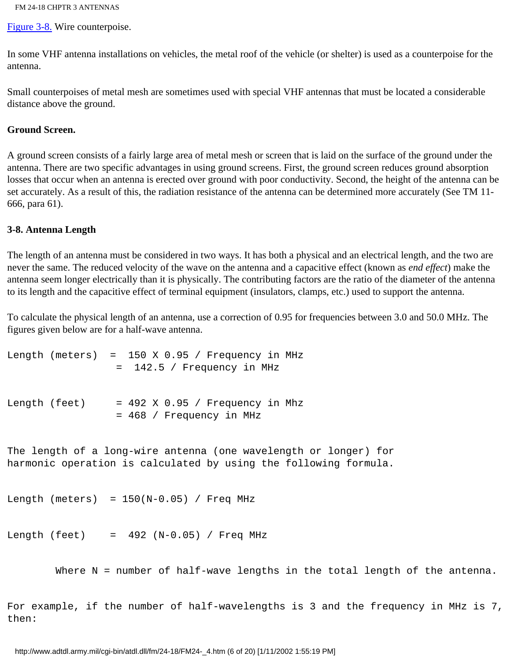FM 24-18 CHPTR 3 ANTENNAS

[Figure 3-8.](http://www.adtdl.army.mil/cgi-bin/atdl.dll/fm/24-18/24180031.gif) Wire counterpoise.

In some VHF antenna installations on vehicles, the metal roof of the vehicle (or shelter) is used as a counterpoise for the antenna.

Small counterpoises of metal mesh are sometimes used with special VHF antennas that must be located a considerable distance above the ground.

#### **Ground Screen.**

A ground screen consists of a fairly large area of metal mesh or screen that is laid on the surface of the ground under the antenna. There are two specific advantages in using ground screens. First, the ground screen reduces ground absorption losses that occur when an antenna is erected over ground with poor conductivity. Second, the height of the antenna can be set accurately. As a result of this, the radiation resistance of the antenna can be determined more accurately (See TM 11- 666, para 61).

#### **3-8. Antenna Length**

The length of an antenna must be considered in two ways. It has both a physical and an electrical length, and the two are never the same. The reduced velocity of the wave on the antenna and a capacitive effect (known as *end effect*) make the antenna seem longer electrically than it is physically. The contributing factors are the ratio of the diameter of the antenna to its length and the capacitive effect of terminal equipment (insulators, clamps, etc.) used to support the antenna.

To calculate the physical length of an antenna, use a correction of 0.95 for frequencies between 3.0 and 50.0 MHz. The figures given below are for a half-wave antenna.

Length (meters) = 150 X 0.95 / Frequency in MHz = 142.5 / Frequency in MHz Length (feet) =  $492 \times 0.95$  / Frequency in Mhz = 468 / Frequency in MHz The length of a long-wire antenna (one wavelength or longer) for harmonic operation is calculated by using the following formula. Length (meters) =  $150(N-0.05)$  / Freq MHz Length (feet) =  $492$  (N-0.05) / Freq MHz Where N = number of half-wave lengths in the total length of the antenna.

For example, if the number of half-wavelengths is 3 and the frequency in MHz is 7, then: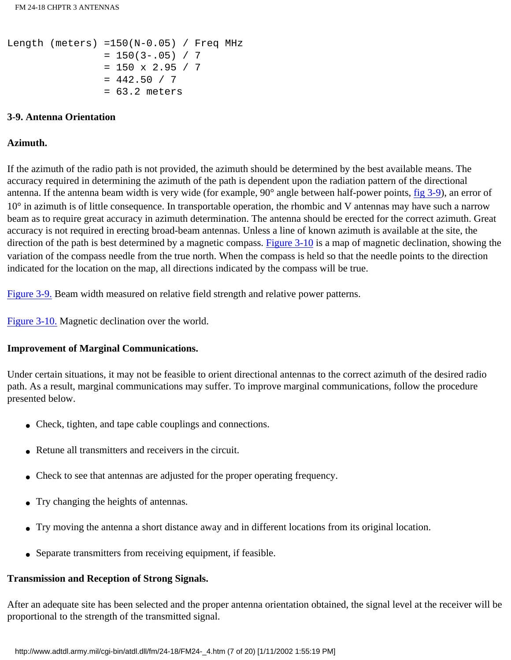```
Length (meters) =150(N-0.05) / Freq MHz
    = 150(3-.05) / 7= 150 \times 2.95 / 7= 442.50 / 7 = 63.2 meters
```
#### **3-9. Antenna Orientation**

#### **Azimuth.**

If the azimuth of the radio path is not provided, the azimuth should be determined by the best available means. The accuracy required in determining the azimuth of the path is dependent upon the radiation pattern of the directional antenna. If the antenna beam width is very wide (for example, 90° angle between half-power points, [fig 3-9](http://www.adtdl.army.mil/cgi-bin/atdl.dll/fm/24-18/24180032.gif)), an error of 10° in azimuth is of little consequence. In transportable operation, the rhombic and V antennas may have such a narrow beam as to require great accuracy in azimuth determination. The antenna should be erected for the correct azimuth. Great accuracy is not required in erecting broad-beam antennas. Unless a line of known azimuth is available at the site, the direction of the path is best determined by a magnetic compass. [Figure 3-10](http://www.adtdl.army.mil/cgi-bin/atdl.dll/fm/24-18/24180033.gif) is a map of magnetic declination, showing the variation of the compass needle from the true north. When the compass is held so that the needle points to the direction indicated for the location on the map, all directions indicated by the compass will be true.

[Figure 3-9.](http://www.adtdl.army.mil/cgi-bin/atdl.dll/fm/24-18/24180032.gif) Beam width measured on relative field strength and relative power patterns.

[Figure 3-10.](http://www.adtdl.army.mil/cgi-bin/atdl.dll/fm/24-18/24180033.gif) Magnetic declination over the world.

#### **Improvement of Marginal Communications.**

Under certain situations, it may not be feasible to orient directional antennas to the correct azimuth of the desired radio path. As a result, marginal communications may suffer. To improve marginal communications, follow the procedure presented below.

- Check, tighten, and tape cable couplings and connections.
- Retune all transmitters and receivers in the circuit.
- Check to see that antennas are adjusted for the proper operating frequency.
- Try changing the heights of antennas.
- Try moving the antenna a short distance away and in different locations from its original location.
- Separate transmitters from receiving equipment, if feasible.

#### **Transmission and Reception of Strong Signals.**

After an adequate site has been selected and the proper antenna orientation obtained, the signal level at the receiver will be proportional to the strength of the transmitted signal.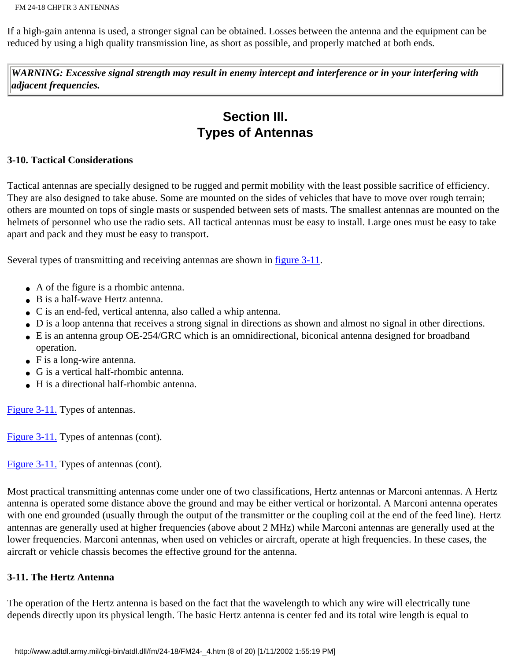If a high-gain antenna is used, a stronger signal can be obtained. Losses between the antenna and the equipment can be reduced by using a high quality transmission line, as short as possible, and properly matched at both ends.

*WARNING: Excessive signal strength may result in enemy intercept and interference or in your interfering with adjacent frequencies.*

## **Section III. Types of Antennas**

#### **3-10. Tactical Considerations**

Tactical antennas are specially designed to be rugged and permit mobility with the least possible sacrifice of efficiency. They are also designed to take abuse. Some are mounted on the sides of vehicles that have to move over rough terrain; others are mounted on tops of single masts or suspended between sets of masts. The smallest antennas are mounted on the helmets of personnel who use the radio sets. All tactical antennas must be easy to install. Large ones must be easy to take apart and pack and they must be easy to transport.

Several types of transmitting and receiving antennas are shown in [figure 3-11.](http://www.adtdl.army.mil/cgi-bin/atdl.dll/fm/24-18/FCHP3.HTM)

- A of the figure is a rhombic antenna.
- B is a half-wave Hertz antenna.
- C is an end-fed, vertical antenna, also called a whip antenna.
- D is a loop antenna that receives a strong signal in directions as shown and almost no signal in other directions.
- E is an antenna group OE-254/GRC which is an omnidirectional, biconical antenna designed for broadband operation.
- $\bullet$  F is a long-wire antenna.
- G is a vertical half-rhombic antenna.
- H is a directional half-rhombic antenna.

[Figure 3-11.](http://www.adtdl.army.mil/cgi-bin/atdl.dll/fm/24-18/24180034.gif) Types of antennas.

[Figure 3-11.](http://www.adtdl.army.mil/cgi-bin/atdl.dll/fm/24-18/24180035.gif) Types of antennas (cont).

[Figure 3-11.](http://www.adtdl.army.mil/cgi-bin/atdl.dll/fm/24-18/24180036.gif) Types of antennas (cont).

Most practical transmitting antennas come under one of two classifications, Hertz antennas or Marconi antennas. A Hertz antenna is operated some distance above the ground and may be either vertical or horizontal. A Marconi antenna operates with one end grounded (usually through the output of the transmitter or the coupling coil at the end of the feed line). Hertz antennas are generally used at higher frequencies (above about 2 MHz) while Marconi antennas are generally used at the lower frequencies. Marconi antennas, when used on vehicles or aircraft, operate at high frequencies. In these cases, the aircraft or vehicle chassis becomes the effective ground for the antenna.

#### **3-11. The Hertz Antenna**

The operation of the Hertz antenna is based on the fact that the wavelength to which any wire will electrically tune depends directly upon its physical length. The basic Hertz antenna is center fed and its total wire length is equal to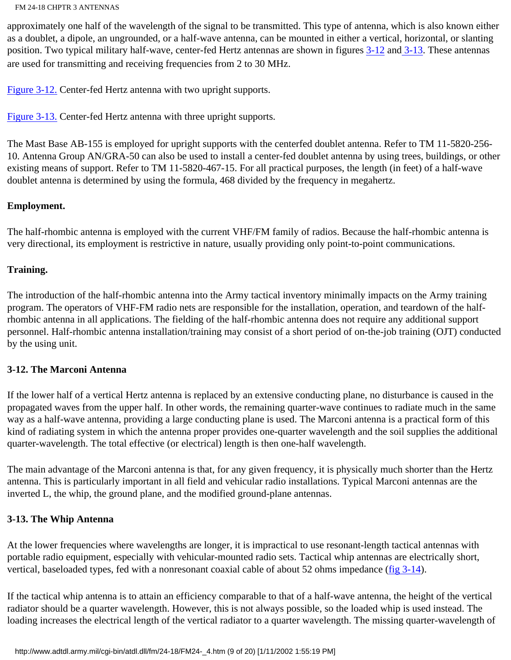approximately one half of the wavelength of the signal to be transmitted. This type of antenna, which is also known either as a doublet, a dipole, an ungrounded, or a half-wave antenna, can be mounted in either a vertical, horizontal, or slanting position. Two typical military half-wave, center-fed Hertz antennas are shown in figures  $3-12$  and  $3-13$ . These antennas are used for transmitting and receiving frequencies from 2 to 30 MHz.

[Figure 3-12.](http://www.adtdl.army.mil/cgi-bin/atdl.dll/fm/24-18/24180037.gif) Center-fed Hertz antenna with two upright supports.

[Figure 3-13.](http://www.adtdl.army.mil/cgi-bin/atdl.dll/fm/24-18/24180038.gif) Center-fed Hertz antenna with three upright supports.

The Mast Base AB-155 is employed for upright supports with the centerfed doublet antenna. Refer to TM 11-5820-256- 10. Antenna Group AN/GRA-50 can also be used to install a center-fed doublet antenna by using trees, buildings, or other existing means of support. Refer to TM 11-5820-467-15. For all practical purposes, the length (in feet) of a half-wave doublet antenna is determined by using the formula, 468 divided by the frequency in megahertz.

#### **Employment.**

The half-rhombic antenna is employed with the current VHF/FM family of radios. Because the half-rhombic antenna is very directional, its employment is restrictive in nature, usually providing only point-to-point communications.

#### **Training.**

The introduction of the half-rhombic antenna into the Army tactical inventory minimally impacts on the Army training program. The operators of VHF-FM radio nets are responsible for the installation, operation, and teardown of the halfrhombic antenna in all applications. The fielding of the half-rhombic antenna does not require any additional support personnel. Half-rhombic antenna installation/training may consist of a short period of on-the-job training (OJT) conducted by the using unit.

#### **3-12. The Marconi Antenna**

If the lower half of a vertical Hertz antenna is replaced by an extensive conducting plane, no disturbance is caused in the propagated waves from the upper half. In other words, the remaining quarter-wave continues to radiate much in the same way as a half-wave antenna, providing a large conducting plane is used. The Marconi antenna is a practical form of this kind of radiating system in which the antenna proper provides one-quarter wavelength and the soil supplies the additional quarter-wavelength. The total effective (or electrical) length is then one-half wavelength.

The main advantage of the Marconi antenna is that, for any given frequency, it is physically much shorter than the Hertz antenna. This is particularly important in all field and vehicular radio installations. Typical Marconi antennas are the inverted L, the whip, the ground plane, and the modified ground-plane antennas.

#### **3-13. The Whip Antenna**

At the lower frequencies where wavelengths are longer, it is impractical to use resonant-length tactical antennas with portable radio equipment, especially with vehicular-mounted radio sets. Tactical whip antennas are electrically short, vertical, baseloaded types, fed with a nonresonant coaxial cable of about 52 ohms impedance ([fig 3-14](http://www.adtdl.army.mil/cgi-bin/atdl.dll/fm/24-18/24180039.gif)).

If the tactical whip antenna is to attain an efficiency comparable to that of a half-wave antenna, the height of the vertical radiator should be a quarter wavelength. However, this is not always possible, so the loaded whip is used instead. The loading increases the electrical length of the vertical radiator to a quarter wavelength. The missing quarter-wavelength of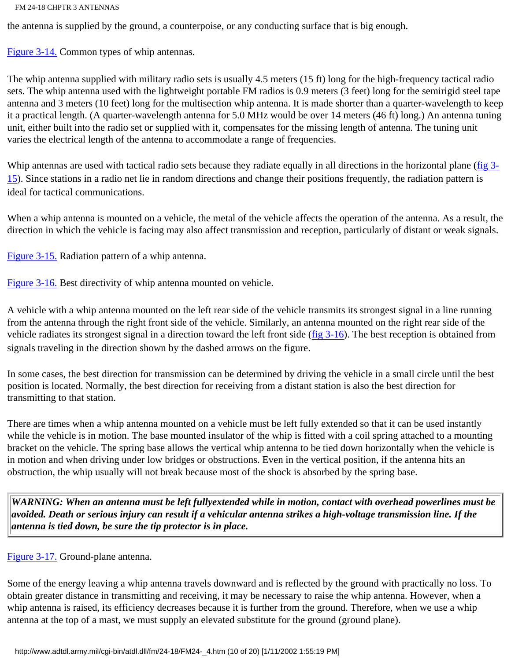#### FM 24-18 CHPTR 3 ANTENNAS

the antenna is supplied by the ground, a counterpoise, or any conducting surface that is big enough.

[Figure 3-14.](http://www.adtdl.army.mil/cgi-bin/atdl.dll/fm/24-18/24180039.gif) Common types of whip antennas.

The whip antenna supplied with military radio sets is usually 4.5 meters (15 ft) long for the high-frequency tactical radio sets. The whip antenna used with the lightweight portable FM radios is 0.9 meters (3 feet) long for the semirigid steel tape antenna and 3 meters (10 feet) long for the multisection whip antenna. It is made shorter than a quarter-wavelength to keep it a practical length. (A quarter-wavelength antenna for 5.0 MHz would be over 14 meters (46 ft) long.) An antenna tuning unit, either built into the radio set or supplied with it, compensates for the missing length of antenna. The tuning unit varies the electrical length of the antenna to accommodate a range of frequencies.

Whip antennas are used with tactical radio sets because they radiate equally in all directions in the horizontal plane ([fig 3-](http://www.adtdl.army.mil/cgi-bin/atdl.dll/fm/24-18/24180040.gif) [15\)](http://www.adtdl.army.mil/cgi-bin/atdl.dll/fm/24-18/24180040.gif). Since stations in a radio net lie in random directions and change their positions frequently, the radiation pattern is ideal for tactical communications.

When a whip antenna is mounted on a vehicle, the metal of the vehicle affects the operation of the antenna. As a result, the direction in which the vehicle is facing may also affect transmission and reception, particularly of distant or weak signals.

[Figure 3-15.](http://www.adtdl.army.mil/cgi-bin/atdl.dll/fm/24-18/24180040.gif) Radiation pattern of a whip antenna.

[Figure 3-16.](http://www.adtdl.army.mil/cgi-bin/atdl.dll/fm/24-18/24180041.gif) Best directivity of whip antenna mounted on vehicle.

A vehicle with a whip antenna mounted on the left rear side of the vehicle transmits its strongest signal in a line running from the antenna through the right front side of the vehicle. Similarly, an antenna mounted on the right rear side of the vehicle radiates its strongest signal in a direction toward the left front side ([fig 3-16](http://www.adtdl.army.mil/cgi-bin/atdl.dll/fm/24-18/24180041.gif)). The best reception is obtained from signals traveling in the direction shown by the dashed arrows on the figure.

In some cases, the best direction for transmission can be determined by driving the vehicle in a small circle until the best position is located. Normally, the best direction for receiving from a distant station is also the best direction for transmitting to that station.

There are times when a whip antenna mounted on a vehicle must be left fully extended so that it can be used instantly while the vehicle is in motion. The base mounted insulator of the whip is fitted with a coil spring attached to a mounting bracket on the vehicle. The spring base allows the vertical whip antenna to be tied down horizontally when the vehicle is in motion and when driving under low bridges or obstructions. Even in the vertical position, if the antenna hits an obstruction, the whip usually will not break because most of the shock is absorbed by the spring base.

*WARNING: When an antenna must be left fullyextended while in motion, contact with overhead powerlines must be avoided. Death or serious injury can result if a vehicular antenna strikes a high-voltage transmission line. If the antenna is tied down, be sure the tip protector is in place.*

#### [Figure 3-17.](http://www.adtdl.army.mil/cgi-bin/atdl.dll/fm/24-18/24180042.gif) Ground-plane antenna.

Some of the energy leaving a whip antenna travels downward and is reflected by the ground with practically no loss. To obtain greater distance in transmitting and receiving, it may be necessary to raise the whip antenna. However, when a whip antenna is raised, its efficiency decreases because it is further from the ground. Therefore, when we use a whip antenna at the top of a mast, we must supply an elevated substitute for the ground (ground plane).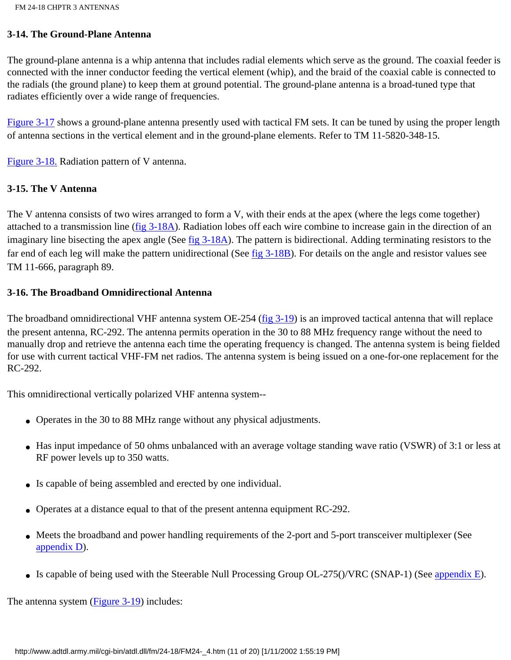#### **3-14. The Ground-Plane Antenna**

The ground-plane antenna is a whip antenna that includes radial elements which serve as the ground. The coaxial feeder is connected with the inner conductor feeding the vertical element (whip), and the braid of the coaxial cable is connected to the radials (the ground plane) to keep them at ground potential. The ground-plane antenna is a broad-tuned type that radiates efficiently over a wide range of frequencies.

[Figure 3-17](http://www.adtdl.army.mil/cgi-bin/atdl.dll/fm/24-18/24180042.gif) shows a ground-plane antenna presently used with tactical FM sets. It can be tuned by using the proper length of antenna sections in the vertical element and in the ground-plane elements. Refer to TM 11-5820-348-15.

[Figure 3-18.](http://www.adtdl.army.mil/cgi-bin/atdl.dll/fm/24-18/24180043.gif) Radiation pattern of V antenna.

#### **3-15. The V Antenna**

The V antenna consists of two wires arranged to form a V, with their ends at the apex (where the legs come together) attached to a transmission line [\(fig 3-18A](http://www.adtdl.army.mil/cgi-bin/atdl.dll/fm/24-18/24180043.gif)). Radiation lobes off each wire combine to increase gain in the direction of an imaginary line bisecting the apex angle (See [fig 3-18A](http://www.adtdl.army.mil/cgi-bin/atdl.dll/fm/24-18/24180043.gif)). The pattern is bidirectional. Adding terminating resistors to the far end of each leg will make the pattern unidirectional (See [fig 3-18B](http://www.adtdl.army.mil/cgi-bin/atdl.dll/fm/24-18/24180043.gif)). For details on the angle and resistor values see TM 11-666, paragraph 89.

#### **3-16. The Broadband Omnidirectional Antenna**

The broadband omnidirectional VHF antenna system OE-254 ([fig 3-19](http://www.adtdl.army.mil/cgi-bin/atdl.dll/fm/24-18/24180044.gif)) is an improved tactical antenna that will replace the present antenna, RC-292. The antenna permits operation in the 30 to 88 MHz frequency range without the need to manually drop and retrieve the antenna each time the operating frequency is changed. The antenna system is being fielded for use with current tactical VHF-FM net radios. The antenna system is being issued on a one-for-one replacement for the RC-292.

This omnidirectional vertically polarized VHF antenna system--

- Operates in the 30 to 88 MHz range without any physical adjustments.
- Has input impedance of 50 ohms unbalanced with an average voltage standing wave ratio (VSWR) of 3:1 or less at RF power levels up to 350 watts.
- Is capable of being assembled and erected by one individual.
- Operates at a distance equal to that of the present antenna equipment RC-292.
- Meets the broadband and power handling requirements of the 2-port and 5-port transceiver multiplexer (See [appendix D](http://www.adtdl.army.mil/cgi-bin/atdl.dll/fm/24-18/FM24-_13.HTM)).
- Is capable of being used with the Steerable Null Processing Group OL-275()/VRC (SNAP-1) (See [appendix E\)](http://www.adtdl.army.mil/cgi-bin/atdl.dll/fm/24-18/FM24-_14.HTM).

The antenna system ([Figure 3-19](http://www.adtdl.army.mil/cgi-bin/atdl.dll/fm/24-18/24180044.gif)) includes: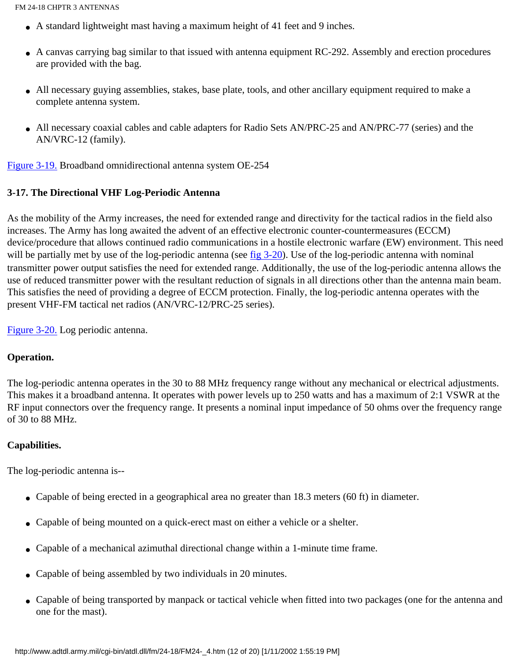- A standard lightweight mast having a maximum height of 41 feet and 9 inches.
- A canvas carrying bag similar to that issued with antenna equipment RC-292. Assembly and erection procedures are provided with the bag.
- All necessary guying assemblies, stakes, base plate, tools, and other ancillary equipment required to make a complete antenna system.
- All necessary coaxial cables and cable adapters for Radio Sets AN/PRC-25 and AN/PRC-77 (series) and the AN/VRC-12 (family).

[Figure 3-19.](http://www.adtdl.army.mil/cgi-bin/atdl.dll/fm/24-18/24180044.gif) Broadband omnidirectional antenna system OE-254

#### **3-17. The Directional VHF Log-Periodic Antenna**

As the mobility of the Army increases, the need for extended range and directivity for the tactical radios in the field also increases. The Army has long awaited the advent of an effective electronic counter-countermeasures (ECCM) device/procedure that allows continued radio communications in a hostile electronic warfare (EW) environment. This need will be partially met by use of the log-periodic antenna (see  $\underline{fig}$  3-20). Use of the log-periodic antenna with nominal transmitter power output satisfies the need for extended range. Additionally, the use of the log-periodic antenna allows the use of reduced transmitter power with the resultant reduction of signals in all directions other than the antenna main beam. This satisfies the need of providing a degree of ECCM protection. Finally, the log-periodic antenna operates with the present VHF-FM tactical net radios (AN/VRC-12/PRC-25 series).

[Figure 3-20.](http://www.adtdl.army.mil/cgi-bin/atdl.dll/fm/24-18/24180045.gif) Log periodic antenna.

#### **Operation.**

The log-periodic antenna operates in the 30 to 88 MHz frequency range without any mechanical or electrical adjustments. This makes it a broadband antenna. It operates with power levels up to 250 watts and has a maximum of 2:1 VSWR at the RF input connectors over the frequency range. It presents a nominal input impedance of 50 ohms over the frequency range of 30 to 88 MHz.

#### **Capabilities.**

The log-periodic antenna is--

- Capable of being erected in a geographical area no greater than 18.3 meters (60 ft) in diameter.
- Capable of being mounted on a quick-erect mast on either a vehicle or a shelter.
- Capable of a mechanical azimuthal directional change within a 1-minute time frame.
- Capable of being assembled by two individuals in 20 minutes.
- Capable of being transported by manpack or tactical vehicle when fitted into two packages (one for the antenna and one for the mast).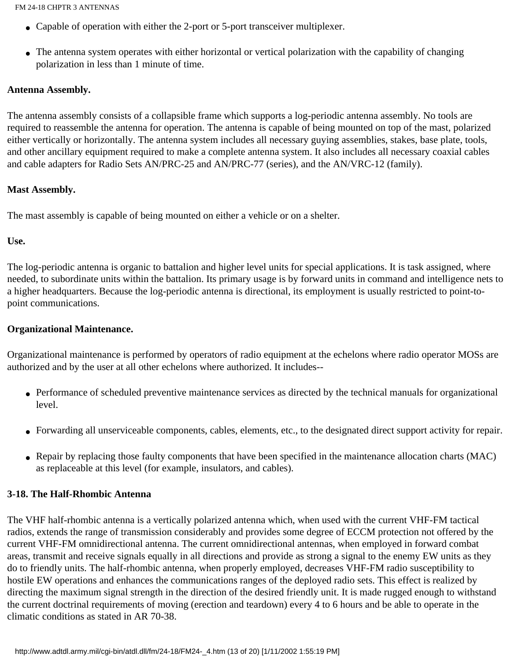#### FM 24-18 CHPTR 3 ANTENNAS

- Capable of operation with either the 2-port or 5-port transceiver multiplexer.
- The antenna system operates with either horizontal or vertical polarization with the capability of changing polarization in less than 1 minute of time.

#### **Antenna Assembly.**

The antenna assembly consists of a collapsible frame which supports a log-periodic antenna assembly. No tools are required to reassemble the antenna for operation. The antenna is capable of being mounted on top of the mast, polarized either vertically or horizontally. The antenna system includes all necessary guying assemblies, stakes, base plate, tools, and other ancillary equipment required to make a complete antenna system. It also includes all necessary coaxial cables and cable adapters for Radio Sets AN/PRC-25 and AN/PRC-77 (series), and the AN/VRC-12 (family).

#### **Mast Assembly.**

The mast assembly is capable of being mounted on either a vehicle or on a shelter.

**Use.**

The log-periodic antenna is organic to battalion and higher level units for special applications. It is task assigned, where needed, to subordinate units within the battalion. Its primary usage is by forward units in command and intelligence nets to a higher headquarters. Because the log-periodic antenna is directional, its employment is usually restricted to point-topoint communications.

#### **Organizational Maintenance.**

Organizational maintenance is performed by operators of radio equipment at the echelons where radio operator MOSs are authorized and by the user at all other echelons where authorized. It includes--

- Performance of scheduled preventive maintenance services as directed by the technical manuals for organizational level.
- Forwarding all unserviceable components, cables, elements, etc., to the designated direct support activity for repair.
- Repair by replacing those faulty components that have been specified in the maintenance allocation charts (MAC) as replaceable at this level (for example, insulators, and cables).

#### **3-18. The Half-Rhombic Antenna**

The VHF half-rhombic antenna is a vertically polarized antenna which, when used with the current VHF-FM tactical radios, extends the range of transmission considerably and provides some degree of ECCM protection not offered by the current VHF-FM omnidirectional antenna. The current omnidirectional antennas, when employed in forward combat areas, transmit and receive signals equally in all directions and provide as strong a signal to the enemy EW units as they do to friendly units. The half-rhombic antenna, when properly employed, decreases VHF-FM radio susceptibility to hostile EW operations and enhances the communications ranges of the deployed radio sets. This effect is realized by directing the maximum signal strength in the direction of the desired friendly unit. It is made rugged enough to withstand the current doctrinal requirements of moving (erection and teardown) every 4 to 6 hours and be able to operate in the climatic conditions as stated in AR 70-38.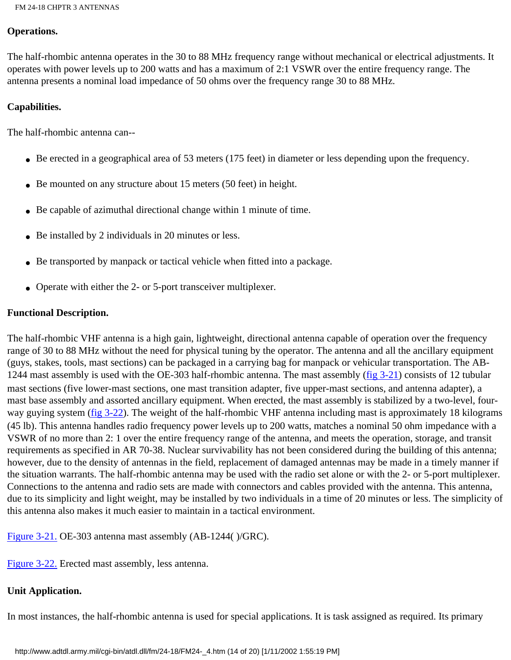#### **Operations.**

The half-rhombic antenna operates in the 30 to 88 MHz frequency range without mechanical or electrical adjustments. It operates with power levels up to 200 watts and has a maximum of 2:1 VSWR over the entire frequency range. The antenna presents a nominal load impedance of 50 ohms over the frequency range 30 to 88 MHz.

#### **Capabilities.**

The half-rhombic antenna can--

- Be erected in a geographical area of 53 meters (175 feet) in diameter or less depending upon the frequency.
- Be mounted on any structure about 15 meters (50 feet) in height.
- Be capable of azimuthal directional change within 1 minute of time.
- Be installed by 2 individuals in 20 minutes or less.
- Be transported by manpack or tactical vehicle when fitted into a package.
- Operate with either the 2- or 5-port transceiver multiplexer.

#### **Functional Description.**

The half-rhombic VHF antenna is a high gain, lightweight, directional antenna capable of operation over the frequency range of 30 to 88 MHz without the need for physical tuning by the operator. The antenna and all the ancillary equipment (guys, stakes, tools, mast sections) can be packaged in a carrying bag for manpack or vehicular transportation. The AB-1244 mast assembly is used with the OE-303 half-rhombic antenna. The mast assembly [\(fig 3-21\)](http://www.adtdl.army.mil/cgi-bin/atdl.dll/fm/24-18/24180046.gif) consists of 12 tubular mast sections (five lower-mast sections, one mast transition adapter, five upper-mast sections, and antenna adapter), a mast base assembly and assorted ancillary equipment. When erected, the mast assembly is stabilized by a two-level, fourway guying system [\(fig 3-22\)](http://www.adtdl.army.mil/cgi-bin/atdl.dll/fm/24-18/24180047.gif). The weight of the half-rhombic VHF antenna including mast is approximately 18 kilograms (45 lb). This antenna handles radio frequency power levels up to 200 watts, matches a nominal 50 ohm impedance with a VSWR of no more than 2: 1 over the entire frequency range of the antenna, and meets the operation, storage, and transit requirements as specified in AR 70-38. Nuclear survivability has not been considered during the building of this antenna; however, due to the density of antennas in the field, replacement of damaged antennas may be made in a timely manner if the situation warrants. The half-rhombic antenna may be used with the radio set alone or with the 2- or 5-port multiplexer. Connections to the antenna and radio sets are made with connectors and cables provided with the antenna. This antenna, due to its simplicity and light weight, may be installed by two individuals in a time of 20 minutes or less. The simplicity of this antenna also makes it much easier to maintain in a tactical environment.

[Figure 3-21.](http://www.adtdl.army.mil/cgi-bin/atdl.dll/fm/24-18/24180046.gif) OE-303 antenna mast assembly (AB-1244( )/GRC).

[Figure 3-22.](http://www.adtdl.army.mil/cgi-bin/atdl.dll/fm/24-18/24180047.gif) Erected mast assembly, less antenna.

#### **Unit Application.**

In most instances, the half-rhombic antenna is used for special applications. It is task assigned as required. Its primary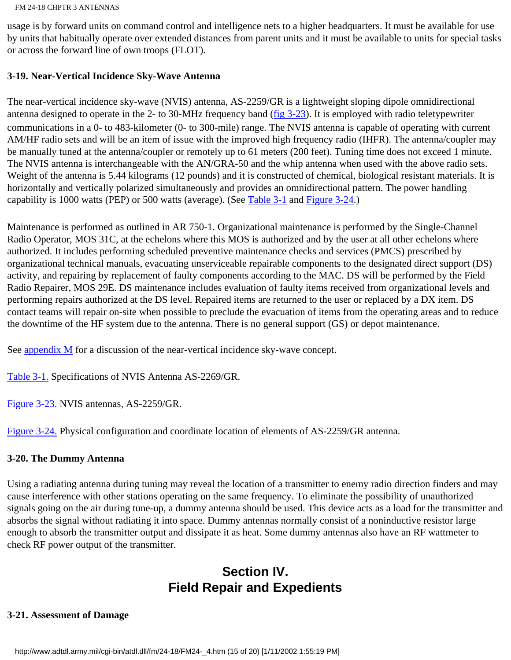usage is by forward units on command control and intelligence nets to a higher headquarters. It must be available for use by units that habitually operate over extended distances from parent units and it must be available to units for special tasks or across the forward line of own troops (FLOT).

#### **3-19. Near-Vertical Incidence Sky-Wave Antenna**

The near-vertical incidence sky-wave (NVIS) antenna, AS-2259/GR is a lightweight sloping dipole omnidirectional antenna designed to operate in the 2- to 30-MHz frequency band ([fig 3-23](http://www.adtdl.army.mil/cgi-bin/atdl.dll/fm/24-18/24180049.gif)). It is employed with radio teletypewriter communications in a 0- to 483-kilometer (0- to 300-mile) range. The NVIS antenna is capable of operating with current AM/HF radio sets and will be an item of issue with the improved high frequency radio (IHFR). The antenna/coupler may be manually tuned at the antenna/coupler or remotely up to 61 meters (200 feet). Tuning time does not exceed 1 minute. The NVIS antenna is interchangeable with the AN/GRA-50 and the whip antenna when used with the above radio sets. Weight of the antenna is 5.44 kilograms (12 pounds) and it is constructed of chemical, biological resistant materials. It is horizontally and vertically polarized simultaneously and provides an omnidirectional pattern. The power handling capability is 1000 watts (PEP) or 500 watts (average). (See [Table 3-1](http://www.adtdl.army.mil/cgi-bin/atdl.dll/fm/24-18/24180048.gif) and [Figure 3-24.](http://www.adtdl.army.mil/cgi-bin/atdl.dll/fm/24-18/24180050.gif))

Maintenance is performed as outlined in AR 750-1. Organizational maintenance is performed by the Single-Channel Radio Operator, MOS 31C, at the echelons where this MOS is authorized and by the user at all other echelons where authorized. It includes performing scheduled preventive maintenance checks and services (PMCS) prescribed by organizational technical manuals, evacuating unserviceable repairable components to the designated direct support (DS) activity, and repairing by replacement of faulty components according to the MAC. DS will be performed by the Field Radio Repairer, MOS 29E. DS maintenance includes evaluation of faulty items received from organizational levels and performing repairs authorized at the DS level. Repaired items are returned to the user or replaced by a DX item. DS contact teams will repair on-site when possible to preclude the evacuation of items from the operating areas and to reduce the downtime of the HF system due to the antenna. There is no general support (GS) or depot maintenance.

See  $\frac{appendix}{M}$  for a discussion of the near-vertical incidence sky-wave concept.

[Table 3-1.](http://www.adtdl.army.mil/cgi-bin/atdl.dll/fm/24-18/24180048.gif) Specifications of NVIS Antenna AS-2269/GR.

[Figure 3-23.](http://www.adtdl.army.mil/cgi-bin/atdl.dll/fm/24-18/24180049.gif) NVIS antennas, AS-2259/GR.

[Figure 3-24.](http://www.adtdl.army.mil/cgi-bin/atdl.dll/fm/24-18/24180050.gif) Physical configuration and coordinate location of elements of AS-2259/GR antenna.

#### **3-20. The Dummy Antenna**

Using a radiating antenna during tuning may reveal the location of a transmitter to enemy radio direction finders and may cause interference with other stations operating on the same frequency. To eliminate the possibility of unauthorized signals going on the air during tune-up, a dummy antenna should be used. This device acts as a load for the transmitter and absorbs the signal without radiating it into space. Dummy antennas normally consist of a noninductive resistor large enough to absorb the transmitter output and dissipate it as heat. Some dummy antennas also have an RF wattmeter to check RF power output of the transmitter.

## **Section IV. Field Repair and Expedients**

#### **3-21. Assessment of Damage**

http://www.adtdl.army.mil/cgi-bin/atdl.dll/fm/24-18/FM24-\_4.htm (15 of 20) [1/11/2002 1:55:19 PM]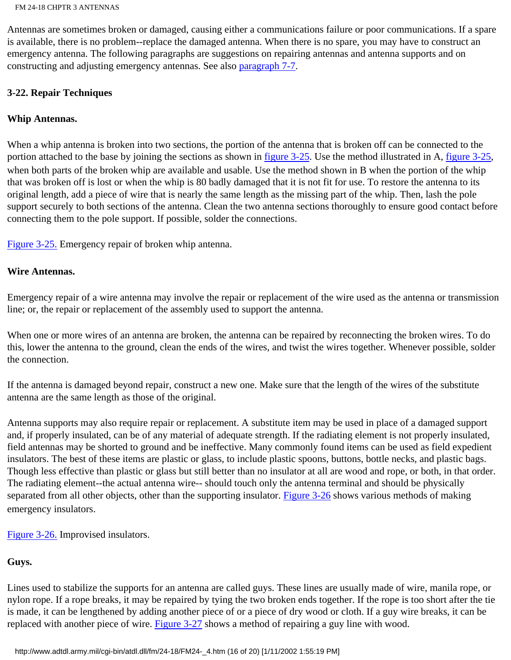Antennas are sometimes broken or damaged, causing either a communications failure or poor communications. If a spare is available, there is no problem--replace the damaged antenna. When there is no spare, you may have to construct an emergency antenna. The following paragraphs are suggestions on repairing antennas and antenna supports and on constructing and adjusting emergency antennas. See also [paragraph 7-7](http://www.adtdl.army.mil/cgi-bin/atdl.dll/fm/24-18/FM24-_8.HTM#P7-7).

#### **3-22. Repair Techniques**

#### **Whip Antennas.**

When a whip antenna is broken into two sections, the portion of the antenna that is broken off can be connected to the portion attached to the base by joining the sections as shown in [figure 3-25.](http://www.adtdl.army.mil/cgi-bin/atdl.dll/fm/24-18/24180051.gif) Use the method illustrated in A, [figure 3-25](http://www.adtdl.army.mil/cgi-bin/atdl.dll/fm/24-18/24180051.gif), when both parts of the broken whip are available and usable. Use the method shown in B when the portion of the whip that was broken off is lost or when the whip is 80 badly damaged that it is not fit for use. To restore the antenna to its original length, add a piece of wire that is nearly the same length as the missing part of the whip. Then, lash the pole support securely to both sections of the antenna. Clean the two antenna sections thoroughly to ensure good contact before connecting them to the pole support. If possible, solder the connections.

[Figure 3-25.](http://www.adtdl.army.mil/cgi-bin/atdl.dll/fm/24-18/24180051.gif) Emergency repair of broken whip antenna.

#### **Wire Antennas.**

Emergency repair of a wire antenna may involve the repair or replacement of the wire used as the antenna or transmission line; or, the repair or replacement of the assembly used to support the antenna.

When one or more wires of an antenna are broken, the antenna can be repaired by reconnecting the broken wires. To do this, lower the antenna to the ground, clean the ends of the wires, and twist the wires together. Whenever possible, solder the connection.

If the antenna is damaged beyond repair, construct a new one. Make sure that the length of the wires of the substitute antenna are the same length as those of the original.

Antenna supports may also require repair or replacement. A substitute item may be used in place of a damaged support and, if properly insulated, can be of any material of adequate strength. If the radiating element is not properly insulated, field antennas may be shorted to ground and be ineffective. Many commonly found items can be used as field expedient insulators. The best of these items are plastic or glass, to include plastic spoons, buttons, bottle necks, and plastic bags. Though less effective than plastic or glass but still better than no insulator at all are wood and rope, or both, in that order. The radiating element--the actual antenna wire-- should touch only the antenna terminal and should be physically separated from all other objects, other than the supporting insulator. [Figure 3-26](http://www.adtdl.army.mil/cgi-bin/atdl.dll/fm/24-18/24180052.gif) shows various methods of making emergency insulators.

[Figure 3-26.](http://www.adtdl.army.mil/cgi-bin/atdl.dll/fm/24-18/24180052.gif) Improvised insulators.

#### **Guys.**

Lines used to stabilize the supports for an antenna are called guys. These lines are usually made of wire, manila rope, or nylon rope. If a rope breaks, it may be repaired by tying the two broken ends together. If the rope is too short after the tie is made, it can be lengthened by adding another piece of or a piece of dry wood or cloth. If a guy wire breaks, it can be replaced with another piece of wire. [Figure 3-27](http://www.adtdl.army.mil/cgi-bin/atdl.dll/fm/24-18/24180053.gif) shows a method of repairing a guy line with wood.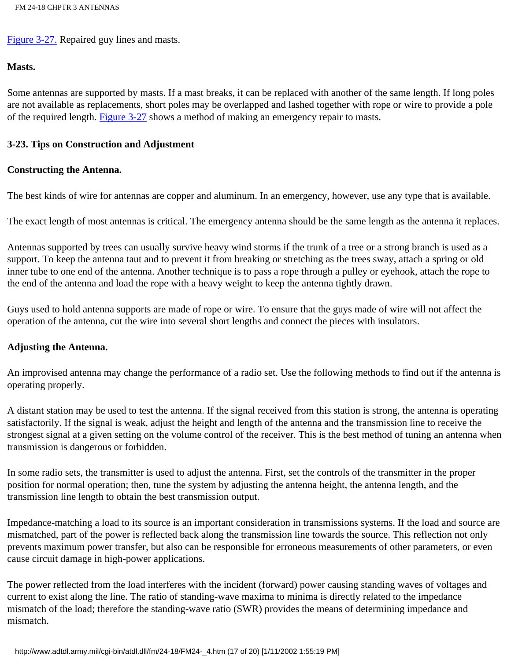[Figure 3-27.](http://www.adtdl.army.mil/cgi-bin/atdl.dll/fm/24-18/24180053.gif) Repaired guy lines and masts.

#### **Masts.**

Some antennas are supported by masts. If a mast breaks, it can be replaced with another of the same length. If long poles are not available as replacements, short poles may be overlapped and lashed together with rope or wire to provide a pole of the required length. [Figure 3-27](http://www.adtdl.army.mil/cgi-bin/atdl.dll/fm/24-18/24180053.gif) shows a method of making an emergency repair to masts.

#### **3-23. Tips on Construction and Adjustment**

#### **Constructing the Antenna.**

The best kinds of wire for antennas are copper and aluminum. In an emergency, however, use any type that is available.

The exact length of most antennas is critical. The emergency antenna should be the same length as the antenna it replaces.

Antennas supported by trees can usually survive heavy wind storms if the trunk of a tree or a strong branch is used as a support. To keep the antenna taut and to prevent it from breaking or stretching as the trees sway, attach a spring or old inner tube to one end of the antenna. Another technique is to pass a rope through a pulley or eyehook, attach the rope to the end of the antenna and load the rope with a heavy weight to keep the antenna tightly drawn.

Guys used to hold antenna supports are made of rope or wire. To ensure that the guys made of wire will not affect the operation of the antenna, cut the wire into several short lengths and connect the pieces with insulators.

#### **Adjusting the Antenna.**

An improvised antenna may change the performance of a radio set. Use the following methods to find out if the antenna is operating properly.

A distant station may be used to test the antenna. If the signal received from this station is strong, the antenna is operating satisfactorily. If the signal is weak, adjust the height and length of the antenna and the transmission line to receive the strongest signal at a given setting on the volume control of the receiver. This is the best method of tuning an antenna when transmission is dangerous or forbidden.

In some radio sets, the transmitter is used to adjust the antenna. First, set the controls of the transmitter in the proper position for normal operation; then, tune the system by adjusting the antenna height, the antenna length, and the transmission line length to obtain the best transmission output.

Impedance-matching a load to its source is an important consideration in transmissions systems. If the load and source are mismatched, part of the power is reflected back along the transmission line towards the source. This reflection not only prevents maximum power transfer, but also can be responsible for erroneous measurements of other parameters, or even cause circuit damage in high-power applications.

The power reflected from the load interferes with the incident (forward) power causing standing waves of voltages and current to exist along the line. The ratio of standing-wave maxima to minima is directly related to the impedance mismatch of the load; therefore the standing-wave ratio (SWR) provides the means of determining impedance and mismatch.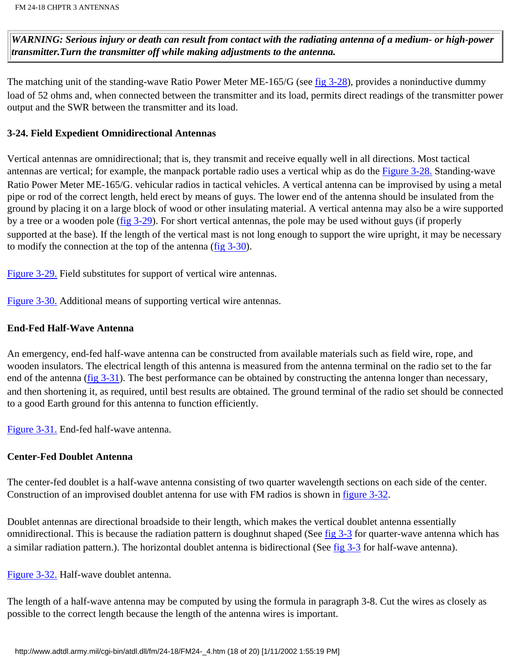*WARNING: Serious injury or death can result from contact with the radiating antenna of a medium- or high-power transmitter.Turn the transmitter off while making adjustments to the antenna.*

The matching unit of the standing-wave Ratio Power Meter ME-165/G (see [fig 3-28](http://www.adtdl.army.mil/cgi-bin/atdl.dll/fm/24-18/24180054.gif)), provides a noninductive dummy load of 52 ohms and, when connected between the transmitter and its load, permits direct readings of the transmitter power output and the SWR between the transmitter and its load.

#### **3-24. Field Expedient Omnidirectional Antennas**

Vertical antennas are omnidirectional; that is, they transmit and receive equally well in all directions. Most tactical antennas are vertical; for example, the manpack portable radio uses a vertical whip as do the [Figure 3-28.](http://www.adtdl.army.mil/cgi-bin/atdl.dll/fm/24-18/24180054.gif) Standing-wave Ratio Power Meter ME-165/G. vehicular radios in tactical vehicles. A vertical antenna can be improvised by using a metal pipe or rod of the correct length, held erect by means of guys. The lower end of the antenna should be insulated from the ground by placing it on a large block of wood or other insulating material. A vertical antenna may also be a wire supported by a tree or a wooden pole ([fig 3-29\)](http://www.adtdl.army.mil/cgi-bin/atdl.dll/fm/24-18/24180055.gif). For short vertical antennas, the pole may be used without guys (if properly supported at the base). If the length of the vertical mast is not long enough to support the wire upright, it may be necessary to modify the connection at the top of the antenna [\(fig 3-30](http://www.adtdl.army.mil/cgi-bin/atdl.dll/fm/24-18/24180056.gif)).

[Figure 3-29.](http://www.adtdl.army.mil/cgi-bin/atdl.dll/fm/24-18/24180055.gif) Field substitutes for support of vertical wire antennas.

[Figure 3-30.](http://www.adtdl.army.mil/cgi-bin/atdl.dll/fm/24-18/24180056.gif) Additional means of supporting vertical wire antennas.

#### **End-Fed Half-Wave Antenna**

An emergency, end-fed half-wave antenna can be constructed from available materials such as field wire, rope, and wooden insulators. The electrical length of this antenna is measured from the antenna terminal on the radio set to the far end of the antenna ([fig 3-31](http://www.adtdl.army.mil/cgi-bin/atdl.dll/fm/24-18/24180057.gif)). The best performance can be obtained by constructing the antenna longer than necessary, and then shortening it, as required, until best results are obtained. The ground terminal of the radio set should be connected to a good Earth ground for this antenna to function efficiently.

[Figure 3-31.](http://www.adtdl.army.mil/cgi-bin/atdl.dll/fm/24-18/24180057.gif) End-fed half-wave antenna.

#### **Center-Fed Doublet Antenna**

The center-fed doublet is a half-wave antenna consisting of two quarter wavelength sections on each side of the center. Construction of an improvised doublet antenna for use with FM radios is shown in [figure 3-32.](http://www.adtdl.army.mil/cgi-bin/atdl.dll/fm/24-18/24180058.gif)

Doublet antennas are directional broadside to their length, which makes the vertical doublet antenna essentially omnidirectional. This is because the radiation pattern is doughnut shaped (See [fig 3-3](http://www.adtdl.army.mil/cgi-bin/atdl.dll/fm/24-18/24180026.gif) for quarter-wave antenna which has a similar radiation pattern.). The horizontal doublet antenna is bidirectional (See [fig 3-3](http://www.adtdl.army.mil/cgi-bin/atdl.dll/fm/24-18/24180026.gif) for half-wave antenna).

[Figure 3-32.](http://www.adtdl.army.mil/cgi-bin/atdl.dll/fm/24-18/24180058.gif) Half-wave doublet antenna.

The length of a half-wave antenna may be computed by using the formula in paragraph 3-8. Cut the wires as closely as possible to the correct length because the length of the antenna wires is important.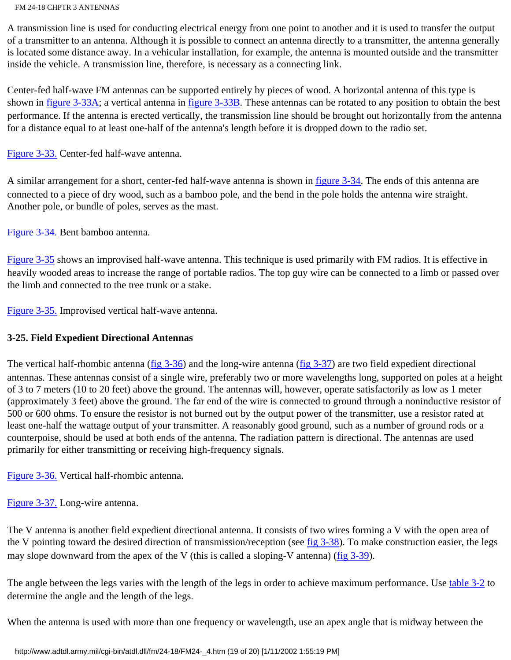#### FM 24-18 CHPTR 3 ANTENNAS

A transmission line is used for conducting electrical energy from one point to another and it is used to transfer the output of a transmitter to an antenna. Although it is possible to connect an antenna directly to a transmitter, the antenna generally is located some distance away. In a vehicular installation, for example, the antenna is mounted outside and the transmitter inside the vehicle. A transmission line, therefore, is necessary as a connecting link.

Center-fed half-wave FM antennas can be supported entirely by pieces of wood. A horizontal antenna of this type is shown in [figure 3-33A](http://www.adtdl.army.mil/cgi-bin/atdl.dll/fm/24-18/24180059.gif); a vertical antenna in [figure 3-33B.](http://www.adtdl.army.mil/cgi-bin/atdl.dll/fm/24-18/24180059.gif) These antennas can be rotated to any position to obtain the best performance. If the antenna is erected vertically, the transmission line should be brought out horizontally from the antenna for a distance equal to at least one-half of the antenna's length before it is dropped down to the radio set.

[Figure 3-33.](http://www.adtdl.army.mil/cgi-bin/atdl.dll/fm/24-18/24180059.gif) Center-fed half-wave antenna.

A similar arrangement for a short, center-fed half-wave antenna is shown in [figure 3-34](http://www.adtdl.army.mil/cgi-bin/atdl.dll/fm/24-18/24180060.gif). The ends of this antenna are connected to a piece of dry wood, such as a bamboo pole, and the bend in the pole holds the antenna wire straight. Another pole, or bundle of poles, serves as the mast.

[Figure 3-34.](http://www.adtdl.army.mil/cgi-bin/atdl.dll/fm/24-18/24180060.gif) Bent bamboo antenna.

[Figure 3-35](http://www.adtdl.army.mil/cgi-bin/atdl.dll/fm/24-18/24180061.gif) shows an improvised half-wave antenna. This technique is used primarily with FM radios. It is effective in heavily wooded areas to increase the range of portable radios. The top guy wire can be connected to a limb or passed over the limb and connected to the tree trunk or a stake.

[Figure 3-35.](http://www.adtdl.army.mil/cgi-bin/atdl.dll/fm/24-18/24180061.gif) Improvised vertical half-wave antenna.

#### **3-25. Field Expedient Directional Antennas**

The vertical half-rhombic antenna ([fig 3-36](http://www.adtdl.army.mil/cgi-bin/atdl.dll/fm/24-18/24180062.gif)) and the long-wire antenna [\(fig 3-37\)](http://www.adtdl.army.mil/cgi-bin/atdl.dll/fm/24-18/24180063.gif) are two field expedient directional antennas. These antennas consist of a single wire, preferably two or more wavelengths long, supported on poles at a height of 3 to 7 meters (10 to 20 feet) above the ground. The antennas will, however, operate satisfactorily as low as 1 meter (approximately 3 feet) above the ground. The far end of the wire is connected to ground through a noninductive resistor of 500 or 600 ohms. To ensure the resistor is not burned out by the output power of the transmitter, use a resistor rated at least one-half the wattage output of your transmitter. A reasonably good ground, such as a number of ground rods or a counterpoise, should be used at both ends of the antenna. The radiation pattern is directional. The antennas are used primarily for either transmitting or receiving high-frequency signals.

[Figure 3-36.](http://www.adtdl.army.mil/cgi-bin/atdl.dll/fm/24-18/24180062.gif) Vertical half-rhombic antenna.

[Figure 3-37.](http://www.adtdl.army.mil/cgi-bin/atdl.dll/fm/24-18/24180063.gif) Long-wire antenna.

The V antenna is another field expedient directional antenna. It consists of two wires forming a V with the open area of the V pointing toward the desired direction of transmission/reception (see  $fig\,3-38$ ). To make construction easier, the legs may slope downward from the apex of the V (this is called a sloping-V antenna) ([fig 3-39](http://www.adtdl.army.mil/cgi-bin/atdl.dll/fm/24-18/24180066.gif)).

The angle between the legs varies with the length of the legs in order to achieve maximum performance. Use [table 3-2](http://www.adtdl.army.mil/cgi-bin/atdl.dll/fm/24-18/24180064.gif) to determine the angle and the length of the legs.

When the antenna is used with more than one frequency or wavelength, use an apex angle that is midway between the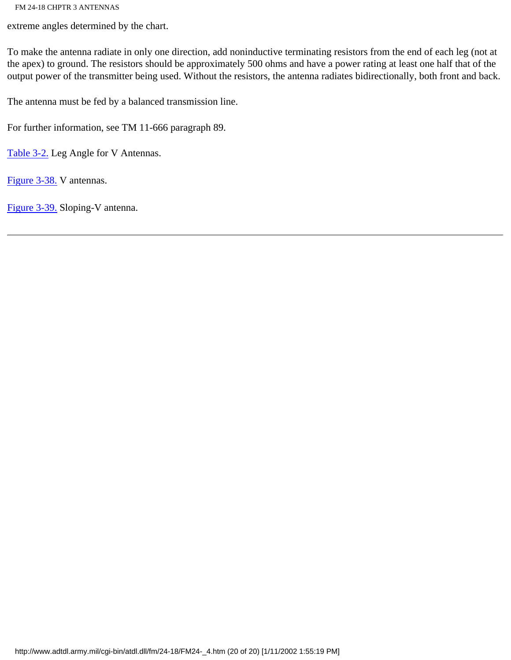#### FM 24-18 CHPTR 3 ANTENNAS

extreme angles determined by the chart.

To make the antenna radiate in only one direction, add noninductive terminating resistors from the end of each leg (not at the apex) to ground. The resistors should be approximately 500 ohms and have a power rating at least one half that of the output power of the transmitter being used. Without the resistors, the antenna radiates bidirectionally, both front and back.

The antenna must be fed by a balanced transmission line.

For further information, see TM 11-666 paragraph 89.

[Table 3-2.](http://www.adtdl.army.mil/cgi-bin/atdl.dll/fm/24-18/24180064.gif) Leg Angle for V Antennas.

[Figure 3-38.](http://www.adtdl.army.mil/cgi-bin/atdl.dll/fm/24-18/24180065.gif) V antennas.

[Figure 3-39.](http://www.adtdl.army.mil/cgi-bin/atdl.dll/fm/24-18/24180066.gif) Sloping-V antenna.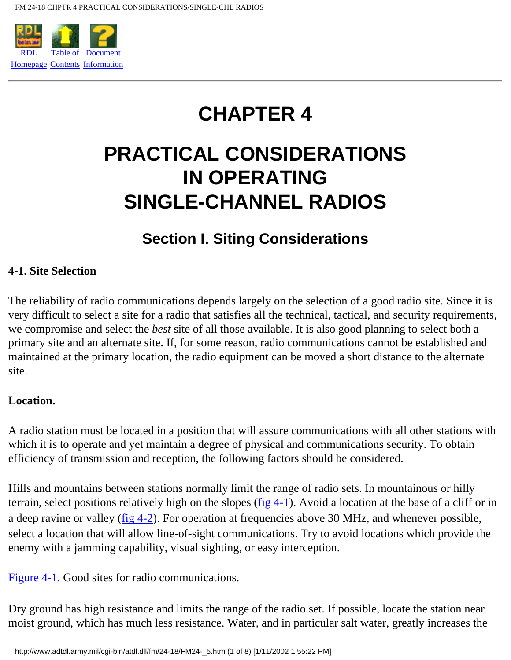

## **CHAPTER 4**

## **PRACTICAL CONSIDERATIONS IN OPERATING SINGLE-CHANNEL RADIOS**

### **Section I. Siting Considerations**

### **4-1. Site Selection**

The reliability of radio communications depends largely on the selection of a good radio site. Since it is very difficult to select a site for a radio that satisfies all the technical, tactical, and security requirements, we compromise and select the *best* site of all those available. It is also good planning to select both a primary site and an alternate site. If, for some reason, radio communications cannot be established and maintained at the primary location, the radio equipment can be moved a short distance to the alternate site.

### **Location.**

A radio station must be located in a position that will assure communications with all other stations with which it is to operate and yet maintain a degree of physical and communications security. To obtain efficiency of transmission and reception, the following factors should be considered.

Hills and mountains between stations normally limit the range of radio sets. In mountainous or hilly terrain, select positions relatively high on the slopes  $(fig 4-1)$ . Avoid a location at the base of a cliff or in a deep ravine or valley ([fig 4-2](http://www.adtdl.army.mil/cgi-bin/atdl.dll/fm/24-18/24180068.gif)). For operation at frequencies above 30 MHz, and whenever possible, select a location that will allow line-of-sight communications. Try to avoid locations which provide the enemy with a jamming capability, visual sighting, or easy interception.

[Figure 4-1.](http://www.adtdl.army.mil/cgi-bin/atdl.dll/fm/24-18/24180067.gif) Good sites for radio communications.

Dry ground has high resistance and limits the range of the radio set. If possible, locate the station near moist ground, which has much less resistance. Water, and in particular salt water, greatly increases the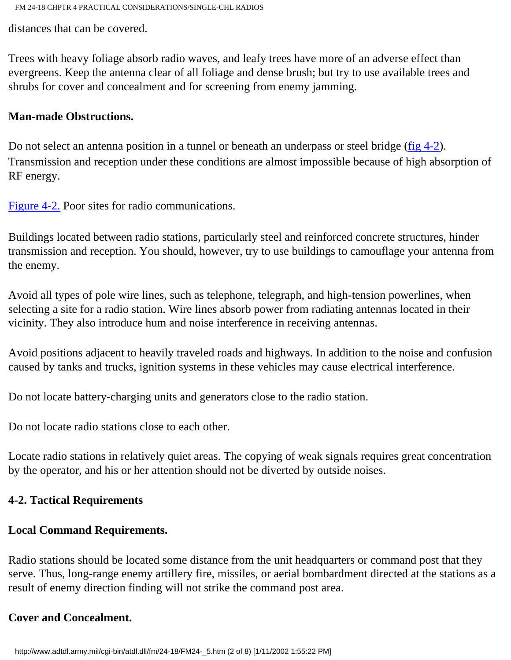distances that can be covered.

Trees with heavy foliage absorb radio waves, and leafy trees have more of an adverse effect than evergreens. Keep the antenna clear of all foliage and dense brush; but try to use available trees and shrubs for cover and concealment and for screening from enemy jamming.

### **Man-made Obstructions.**

Do not select an antenna position in a tunnel or beneath an underpass or steel bridge [\(fig 4-2\)](http://www.adtdl.army.mil/cgi-bin/atdl.dll/fm/24-18/24180068.gif). Transmission and reception under these conditions are almost impossible because of high absorption of RF energy.

[Figure 4-2.](http://www.adtdl.army.mil/cgi-bin/atdl.dll/fm/24-18/24180068.gif) Poor sites for radio communications.

Buildings located between radio stations, particularly steel and reinforced concrete structures, hinder transmission and reception. You should, however, try to use buildings to camouflage your antenna from the enemy.

Avoid all types of pole wire lines, such as telephone, telegraph, and high-tension powerlines, when selecting a site for a radio station. Wire lines absorb power from radiating antennas located in their vicinity. They also introduce hum and noise interference in receiving antennas.

Avoid positions adjacent to heavily traveled roads and highways. In addition to the noise and confusion caused by tanks and trucks, ignition systems in these vehicles may cause electrical interference.

Do not locate battery-charging units and generators close to the radio station.

Do not locate radio stations close to each other.

Locate radio stations in relatively quiet areas. The copying of weak signals requires great concentration by the operator, and his or her attention should not be diverted by outside noises.

### **4-2. Tactical Requirements**

### **Local Command Requirements.**

Radio stations should be located some distance from the unit headquarters or command post that they serve. Thus, long-range enemy artillery fire, missiles, or aerial bombardment directed at the stations as a result of enemy direction finding will not strike the command post area.

### **Cover and Concealment.**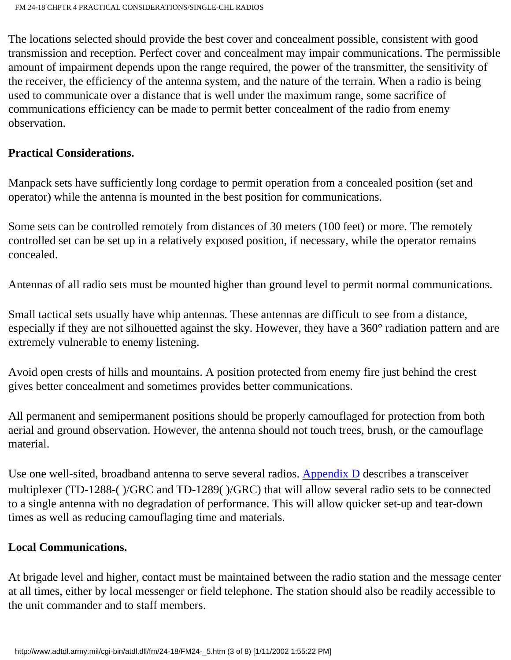The locations selected should provide the best cover and concealment possible, consistent with good transmission and reception. Perfect cover and concealment may impair communications. The permissible amount of impairment depends upon the range required, the power of the transmitter, the sensitivity of the receiver, the efficiency of the antenna system, and the nature of the terrain. When a radio is being used to communicate over a distance that is well under the maximum range, some sacrifice of communications efficiency can be made to permit better concealment of the radio from enemy observation.

### **Practical Considerations.**

Manpack sets have sufficiently long cordage to permit operation from a concealed position (set and operator) while the antenna is mounted in the best position for communications.

Some sets can be controlled remotely from distances of 30 meters (100 feet) or more. The remotely controlled set can be set up in a relatively exposed position, if necessary, while the operator remains concealed.

Antennas of all radio sets must be mounted higher than ground level to permit normal communications.

Small tactical sets usually have whip antennas. These antennas are difficult to see from a distance, especially if they are not silhouetted against the sky. However, they have a 360° radiation pattern and are extremely vulnerable to enemy listening.

Avoid open crests of hills and mountains. A position protected from enemy fire just behind the crest gives better concealment and sometimes provides better communications.

All permanent and semipermanent positions should be properly camouflaged for protection from both aerial and ground observation. However, the antenna should not touch trees, brush, or the camouflage material.

Use one well-sited, broadband antenna to serve several radios. [Appendix D](http://www.adtdl.army.mil/cgi-bin/atdl.dll/fm/24-18/FM24-_13.HTM) describes a transceiver multiplexer (TD-1288-( )/GRC and TD-1289( )/GRC) that will allow several radio sets to be connected to a single antenna with no degradation of performance. This will allow quicker set-up and tear-down times as well as reducing camouflaging time and materials.

### **Local Communications.**

At brigade level and higher, contact must be maintained between the radio station and the message center at all times, either by local messenger or field telephone. The station should also be readily accessible to the unit commander and to staff members.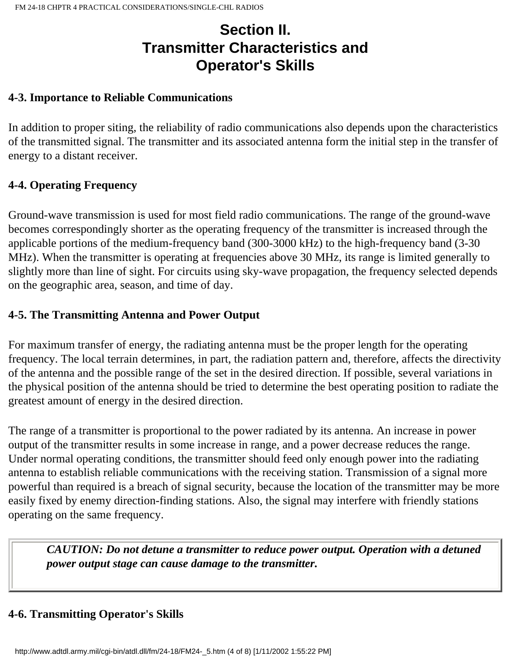### **Section II. Transmitter Characteristics and Operator's Skills**

### **4-3. Importance to Reliable Communications**

In addition to proper siting, the reliability of radio communications also depends upon the characteristics of the transmitted signal. The transmitter and its associated antenna form the initial step in the transfer of energy to a distant receiver.

### **4-4. Operating Frequency**

Ground-wave transmission is used for most field radio communications. The range of the ground-wave becomes correspondingly shorter as the operating frequency of the transmitter is increased through the applicable portions of the medium-frequency band (300-3000 kHz) to the high-frequency band (3-30 MHz). When the transmitter is operating at frequencies above 30 MHz, its range is limited generally to slightly more than line of sight. For circuits using sky-wave propagation, the frequency selected depends on the geographic area, season, and time of day.

### **4-5. The Transmitting Antenna and Power Output**

For maximum transfer of energy, the radiating antenna must be the proper length for the operating frequency. The local terrain determines, in part, the radiation pattern and, therefore, affects the directivity of the antenna and the possible range of the set in the desired direction. If possible, several variations in the physical position of the antenna should be tried to determine the best operating position to radiate the greatest amount of energy in the desired direction.

The range of a transmitter is proportional to the power radiated by its antenna. An increase in power output of the transmitter results in some increase in range, and a power decrease reduces the range. Under normal operating conditions, the transmitter should feed only enough power into the radiating antenna to establish reliable communications with the receiving station. Transmission of a signal more powerful than required is a breach of signal security, because the location of the transmitter may be more easily fixed by enemy direction-finding stations. Also, the signal may interfere with friendly stations operating on the same frequency.

*CAUTION: Do not detune a transmitter to reduce power output. Operation with a detuned power output stage can cause damage to the transmitter.*

### **4-6. Transmitting Operator's Skills**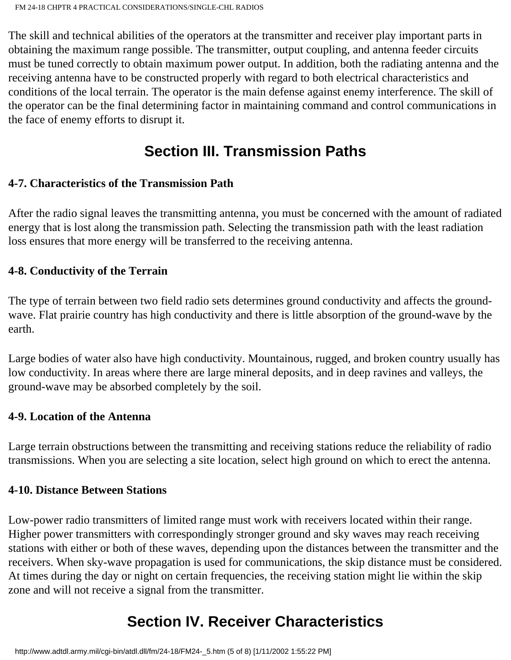The skill and technical abilities of the operators at the transmitter and receiver play important parts in obtaining the maximum range possible. The transmitter, output coupling, and antenna feeder circuits must be tuned correctly to obtain maximum power output. In addition, both the radiating antenna and the receiving antenna have to be constructed properly with regard to both electrical characteristics and conditions of the local terrain. The operator is the main defense against enemy interference. The skill of the operator can be the final determining factor in maintaining command and control communications in the face of enemy efforts to disrupt it.

### **Section III. Transmission Paths**

### **4-7. Characteristics of the Transmission Path**

After the radio signal leaves the transmitting antenna, you must be concerned with the amount of radiated energy that is lost along the transmission path. Selecting the transmission path with the least radiation loss ensures that more energy will be transferred to the receiving antenna.

### **4-8. Conductivity of the Terrain**

The type of terrain between two field radio sets determines ground conductivity and affects the groundwave. Flat prairie country has high conductivity and there is little absorption of the ground-wave by the earth.

Large bodies of water also have high conductivity. Mountainous, rugged, and broken country usually has low conductivity. In areas where there are large mineral deposits, and in deep ravines and valleys, the ground-wave may be absorbed completely by the soil.

### **4-9. Location of the Antenna**

Large terrain obstructions between the transmitting and receiving stations reduce the reliability of radio transmissions. When you are selecting a site location, select high ground on which to erect the antenna.

### **4-10. Distance Between Stations**

Low-power radio transmitters of limited range must work with receivers located within their range. Higher power transmitters with correspondingly stronger ground and sky waves may reach receiving stations with either or both of these waves, depending upon the distances between the transmitter and the receivers. When sky-wave propagation is used for communications, the skip distance must be considered. At times during the day or night on certain frequencies, the receiving station might lie within the skip zone and will not receive a signal from the transmitter.

### **Section IV. Receiver Characteristics**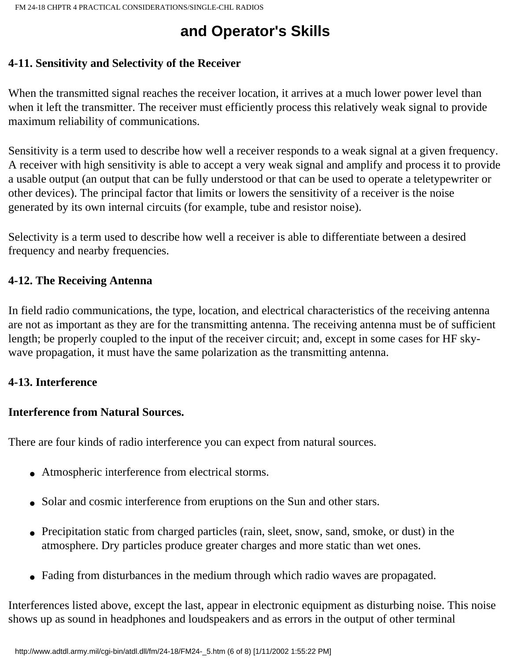### **and Operator's Skills**

### **4-11. Sensitivity and Selectivity of the Receiver**

When the transmitted signal reaches the receiver location, it arrives at a much lower power level than when it left the transmitter. The receiver must efficiently process this relatively weak signal to provide maximum reliability of communications.

Sensitivity is a term used to describe how well a receiver responds to a weak signal at a given frequency. A receiver with high sensitivity is able to accept a very weak signal and amplify and process it to provide a usable output (an output that can be fully understood or that can be used to operate a teletypewriter or other devices). The principal factor that limits or lowers the sensitivity of a receiver is the noise generated by its own internal circuits (for example, tube and resistor noise).

Selectivity is a term used to describe how well a receiver is able to differentiate between a desired frequency and nearby frequencies.

### **4-12. The Receiving Antenna**

In field radio communications, the type, location, and electrical characteristics of the receiving antenna are not as important as they are for the transmitting antenna. The receiving antenna must be of sufficient length; be properly coupled to the input of the receiver circuit; and, except in some cases for HF skywave propagation, it must have the same polarization as the transmitting antenna.

### **4-13. Interference**

### **Interference from Natural Sources.**

There are four kinds of radio interference you can expect from natural sources.

- Atmospheric interference from electrical storms.
- Solar and cosmic interference from eruptions on the Sun and other stars.
- Precipitation static from charged particles (rain, sleet, snow, sand, smoke, or dust) in the atmosphere. Dry particles produce greater charges and more static than wet ones.
- Fading from disturbances in the medium through which radio waves are propagated.

Interferences listed above, except the last, appear in electronic equipment as disturbing noise. This noise shows up as sound in headphones and loudspeakers and as errors in the output of other terminal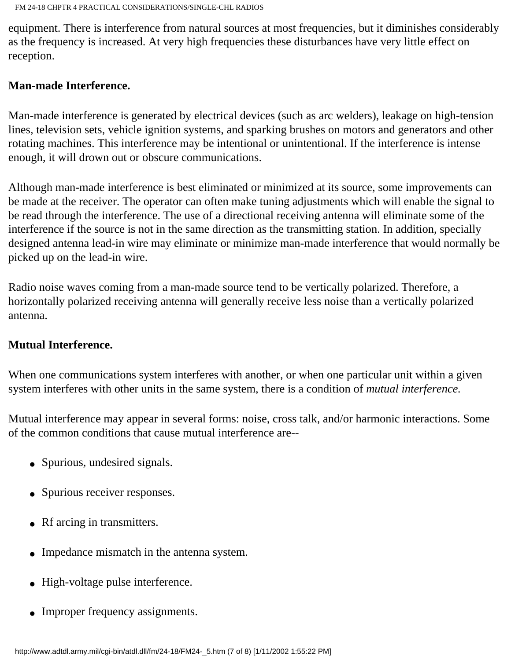equipment. There is interference from natural sources at most frequencies, but it diminishes considerably as the frequency is increased. At very high frequencies these disturbances have very little effect on reception.

### **Man-made Interference.**

Man-made interference is generated by electrical devices (such as arc welders), leakage on high-tension lines, television sets, vehicle ignition systems, and sparking brushes on motors and generators and other rotating machines. This interference may be intentional or unintentional. If the interference is intense enough, it will drown out or obscure communications.

Although man-made interference is best eliminated or minimized at its source, some improvements can be made at the receiver. The operator can often make tuning adjustments which will enable the signal to be read through the interference. The use of a directional receiving antenna will eliminate some of the interference if the source is not in the same direction as the transmitting station. In addition, specially designed antenna lead-in wire may eliminate or minimize man-made interference that would normally be picked up on the lead-in wire.

Radio noise waves coming from a man-made source tend to be vertically polarized. Therefore, a horizontally polarized receiving antenna will generally receive less noise than a vertically polarized antenna.

### **Mutual Interference.**

When one communications system interferes with another, or when one particular unit within a given system interferes with other units in the same system, there is a condition of *mutual interference.*

Mutual interference may appear in several forms: noise, cross talk, and/or harmonic interactions. Some of the common conditions that cause mutual interference are--

- Spurious, undesired signals.
- Spurious receiver responses.
- Rf arcing in transmitters.
- Impedance mismatch in the antenna system.
- High-voltage pulse interference.
- Improper frequency assignments.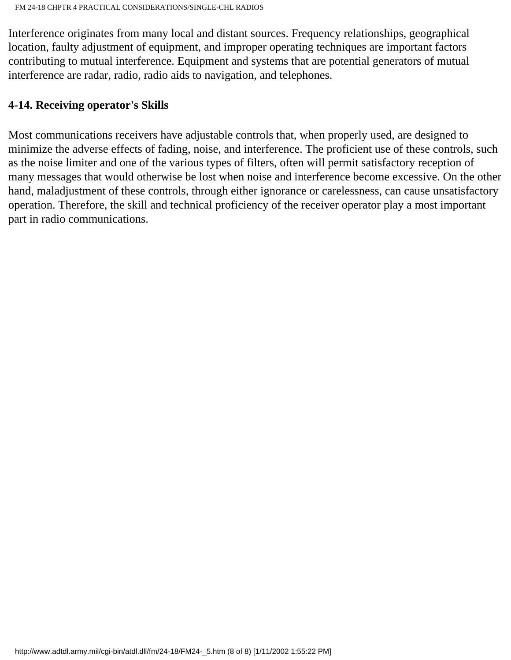Interference originates from many local and distant sources. Frequency relationships, geographical location, faulty adjustment of equipment, and improper operating techniques are important factors contributing to mutual interference. Equipment and systems that are potential generators of mutual interference are radar, radio, radio aids to navigation, and telephones.

### **4-14. Receiving operator's Skills**

Most communications receivers have adjustable controls that, when properly used, are designed to minimize the adverse effects of fading, noise, and interference. The proficient use of these controls, such as the noise limiter and one of the various types of filters, often will permit satisfactory reception of many messages that would otherwise be lost when noise and interference become excessive. On the other hand, maladjustment of these controls, through either ignorance or carelessness, can cause unsatisfactory operation. Therefore, the skill and technical proficiency of the receiver operator play a most important part in radio communications.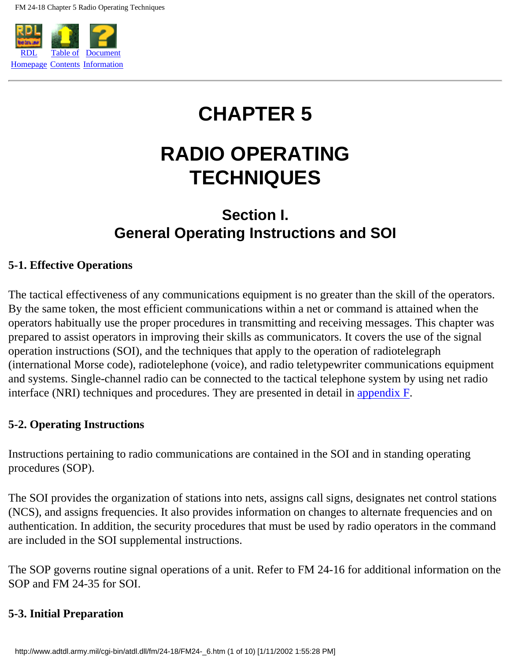

# **CHAPTER 5**

## **RADIO OPERATING TECHNIQUES**

### **Section I. General Operating Instructions and SOI**

### **5-1. Effective Operations**

The tactical effectiveness of any communications equipment is no greater than the skill of the operators. By the same token, the most efficient communications within a net or command is attained when the operators habitually use the proper procedures in transmitting and receiving messages. This chapter was prepared to assist operators in improving their skills as communicators. It covers the use of the signal operation instructions (SOI), and the techniques that apply to the operation of radiotelegraph (international Morse code), radiotelephone (voice), and radio teletypewriter communications equipment and systems. Single-channel radio can be connected to the tactical telephone system by using net radio interface (NRI) techniques and procedures. They are presented in detail in [appendix F.](http://www.adtdl.army.mil/cgi-bin/atdl.dll/fm/24-18/FM24-_15.HTM)

### **5-2. Operating Instructions**

Instructions pertaining to radio communications are contained in the SOI and in standing operating procedures (SOP).

The SOI provides the organization of stations into nets, assigns call signs, designates net control stations (NCS), and assigns frequencies. It also provides information on changes to alternate frequencies and on authentication. In addition, the security procedures that must be used by radio operators in the command are included in the SOI supplemental instructions.

The SOP governs routine signal operations of a unit. Refer to FM 24-16 for additional information on the SOP and FM 24-35 for SOI.

### **5-3. Initial Preparation**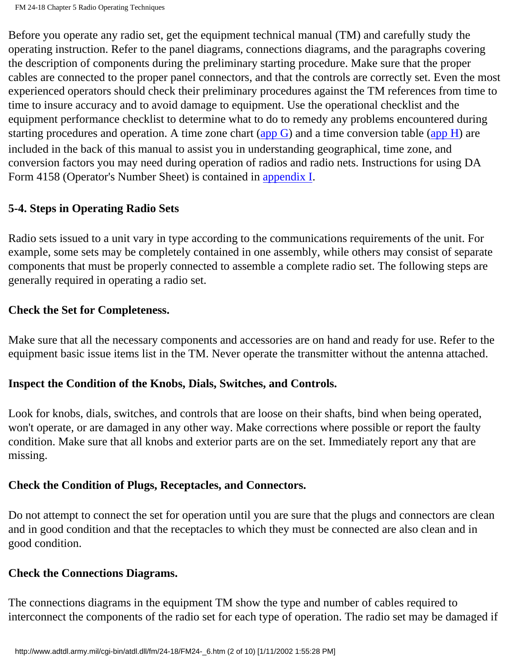Before you operate any radio set, get the equipment technical manual (TM) and carefully study the operating instruction. Refer to the panel diagrams, connections diagrams, and the paragraphs covering the description of components during the preliminary starting procedure. Make sure that the proper cables are connected to the proper panel connectors, and that the controls are correctly set. Even the most experienced operators should check their preliminary procedures against the TM references from time to time to insure accuracy and to avoid damage to equipment. Use the operational checklist and the equipment performance checklist to determine what to do to remedy any problems encountered during starting procedures and operation. A time zone chart [\(app G\)](http://www.adtdl.army.mil/cgi-bin/atdl.dll/fm/24-18/FM24-_16.HTM) and a time conversion table [\(app H](http://www.adtdl.army.mil/cgi-bin/atdl.dll/fm/24-18/FM24-_17.HTM)) are included in the back of this manual to assist you in understanding geographical, time zone, and conversion factors you may need during operation of radios and radio nets. Instructions for using DA Form 4158 (Operator's Number Sheet) is contained in **appendix I**.

### **5-4. Steps in Operating Radio Sets**

Radio sets issued to a unit vary in type according to the communications requirements of the unit. For example, some sets may be completely contained in one assembly, while others may consist of separate components that must be properly connected to assemble a complete radio set. The following steps are generally required in operating a radio set.

### **Check the Set for Completeness.**

Make sure that all the necessary components and accessories are on hand and ready for use. Refer to the equipment basic issue items list in the TM. Never operate the transmitter without the antenna attached.

### **Inspect the Condition of the Knobs, Dials, Switches, and Controls.**

Look for knobs, dials, switches, and controls that are loose on their shafts, bind when being operated, won't operate, or are damaged in any other way. Make corrections where possible or report the faulty condition. Make sure that all knobs and exterior parts are on the set. Immediately report any that are missing.

### **Check the Condition of Plugs, Receptacles, and Connectors.**

Do not attempt to connect the set for operation until you are sure that the plugs and connectors are clean and in good condition and that the receptacles to which they must be connected are also clean and in good condition.

### **Check the Connections Diagrams.**

The connections diagrams in the equipment TM show the type and number of cables required to interconnect the components of the radio set for each type of operation. The radio set may be damaged if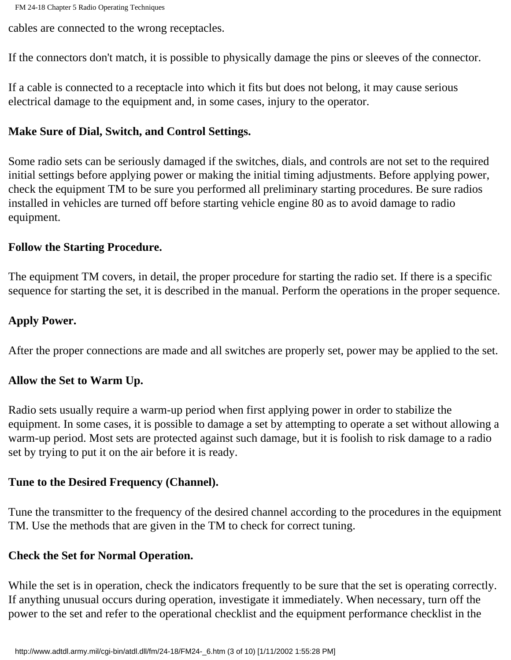cables are connected to the wrong receptacles.

If the connectors don't match, it is possible to physically damage the pins or sleeves of the connector.

If a cable is connected to a receptacle into which it fits but does not belong, it may cause serious electrical damage to the equipment and, in some cases, injury to the operator.

### **Make Sure of Dial, Switch, and Control Settings.**

Some radio sets can be seriously damaged if the switches, dials, and controls are not set to the required initial settings before applying power or making the initial timing adjustments. Before applying power, check the equipment TM to be sure you performed all preliminary starting procedures. Be sure radios installed in vehicles are turned off before starting vehicle engine 80 as to avoid damage to radio equipment.

### **Follow the Starting Procedure.**

The equipment TM covers, in detail, the proper procedure for starting the radio set. If there is a specific sequence for starting the set, it is described in the manual. Perform the operations in the proper sequence.

### **Apply Power.**

After the proper connections are made and all switches are properly set, power may be applied to the set.

### **Allow the Set to Warm Up.**

Radio sets usually require a warm-up period when first applying power in order to stabilize the equipment. In some cases, it is possible to damage a set by attempting to operate a set without allowing a warm-up period. Most sets are protected against such damage, but it is foolish to risk damage to a radio set by trying to put it on the air before it is ready.

### **Tune to the Desired Frequency (Channel).**

Tune the transmitter to the frequency of the desired channel according to the procedures in the equipment TM. Use the methods that are given in the TM to check for correct tuning.

### **Check the Set for Normal Operation.**

While the set is in operation, check the indicators frequently to be sure that the set is operating correctly. If anything unusual occurs during operation, investigate it immediately. When necessary, turn off the power to the set and refer to the operational checklist and the equipment performance checklist in the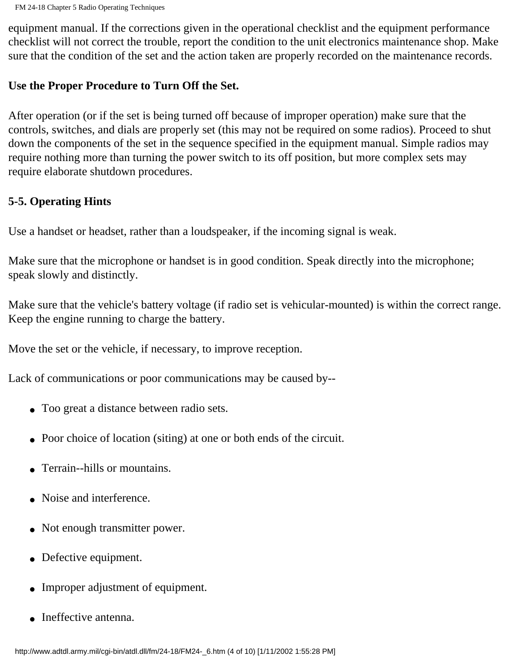equipment manual. If the corrections given in the operational checklist and the equipment performance checklist will not correct the trouble, report the condition to the unit electronics maintenance shop. Make sure that the condition of the set and the action taken are properly recorded on the maintenance records.

### **Use the Proper Procedure to Turn Off the Set.**

After operation (or if the set is being turned off because of improper operation) make sure that the controls, switches, and dials are properly set (this may not be required on some radios). Proceed to shut down the components of the set in the sequence specified in the equipment manual. Simple radios may require nothing more than turning the power switch to its off position, but more complex sets may require elaborate shutdown procedures.

### **5-5. Operating Hints**

Use a handset or headset, rather than a loudspeaker, if the incoming signal is weak.

Make sure that the microphone or handset is in good condition. Speak directly into the microphone; speak slowly and distinctly.

Make sure that the vehicle's battery voltage (if radio set is vehicular-mounted) is within the correct range. Keep the engine running to charge the battery.

Move the set or the vehicle, if necessary, to improve reception.

Lack of communications or poor communications may be caused by--

- Too great a distance between radio sets.
- Poor choice of location (siting) at one or both ends of the circuit.
- Terrain--hills or mountains.
- Noise and interference.
- Not enough transmitter power.
- Defective equipment.
- Improper adjustment of equipment.
- Ineffective antenna.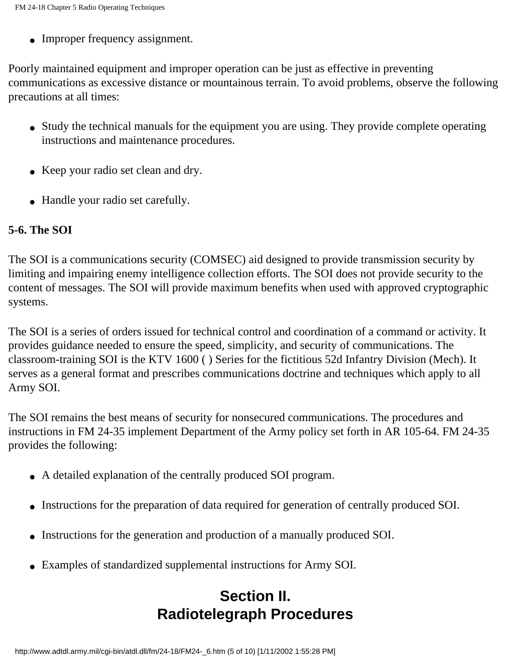• Improper frequency assignment.

Poorly maintained equipment and improper operation can be just as effective in preventing communications as excessive distance or mountainous terrain. To avoid problems, observe the following precautions at all times:

- Study the technical manuals for the equipment you are using. They provide complete operating instructions and maintenance procedures.
- Keep your radio set clean and dry.
- Handle your radio set carefully.

### **5-6. The SOI**

The SOI is a communications security (COMSEC) aid designed to provide transmission security by limiting and impairing enemy intelligence collection efforts. The SOI does not provide security to the content of messages. The SOI will provide maximum benefits when used with approved cryptographic systems.

The SOI is a series of orders issued for technical control and coordination of a command or activity. It provides guidance needed to ensure the speed, simplicity, and security of communications. The classroom-training SOI is the KTV 1600 ( ) Series for the fictitious 52d Infantry Division (Mech). It serves as a general format and prescribes communications doctrine and techniques which apply to all Army SOI.

The SOI remains the best means of security for nonsecured communications. The procedures and instructions in FM 24-35 implement Department of the Army policy set forth in AR 105-64. FM 24-35 provides the following:

- A detailed explanation of the centrally produced SOI program.
- Instructions for the preparation of data required for generation of centrally produced SOI.
- Instructions for the generation and production of a manually produced SOI.
- Examples of standardized supplemental instructions for Army SOI.

### **Section II. Radiotelegraph Procedures**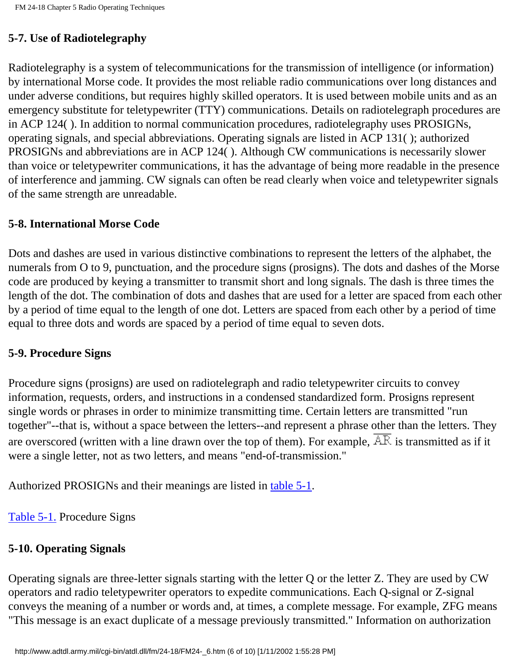### **5-7. Use of Radiotelegraphy**

Radiotelegraphy is a system of telecommunications for the transmission of intelligence (or information) by international Morse code. It provides the most reliable radio communications over long distances and under adverse conditions, but requires highly skilled operators. It is used between mobile units and as an emergency substitute for teletypewriter (TTY) communications. Details on radiotelegraph procedures are in ACP 124( ). In addition to normal communication procedures, radiotelegraphy uses PROSIGNs, operating signals, and special abbreviations. Operating signals are listed in ACP 131( ); authorized PROSIGNs and abbreviations are in ACP 124( ). Although CW communications is necessarily slower than voice or teletypewriter communications, it has the advantage of being more readable in the presence of interference and jamming. CW signals can often be read clearly when voice and teletypewriter signals of the same strength are unreadable.

### **5-8. International Morse Code**

Dots and dashes are used in various distinctive combinations to represent the letters of the alphabet, the numerals from O to 9, punctuation, and the procedure signs (prosigns). The dots and dashes of the Morse code are produced by keying a transmitter to transmit short and long signals. The dash is three times the length of the dot. The combination of dots and dashes that are used for a letter are spaced from each other by a period of time equal to the length of one dot. Letters are spaced from each other by a period of time equal to three dots and words are spaced by a period of time equal to seven dots.

### **5-9. Procedure Signs**

Procedure signs (prosigns) are used on radiotelegraph and radio teletypewriter circuits to convey information, requests, orders, and instructions in a condensed standardized form. Prosigns represent single words or phrases in order to minimize transmitting time. Certain letters are transmitted "run together"--that is, without a space between the letters--and represent a phrase other than the letters. They are overscored (written with a line drawn over the top of them). For example,  $\overline{AR}$  is transmitted as if it were a single letter, not as two letters, and means "end-of-transmission."

Authorized PROSIGNs and their meanings are listed in [table 5-1.](http://www.adtdl.army.mil/cgi-bin/atdl.dll/fm/24-18/24180069.gif)

[Table 5-1.](http://www.adtdl.army.mil/cgi-bin/atdl.dll/fm/24-18/24180069.gif) Procedure Signs

### **5-10. Operating Signals**

Operating signals are three-letter signals starting with the letter Q or the letter Z. They are used by CW operators and radio teletypewriter operators to expedite communications. Each Q-signal or Z-signal conveys the meaning of a number or words and, at times, a complete message. For example, ZFG means "This message is an exact duplicate of a message previously transmitted." Information on authorization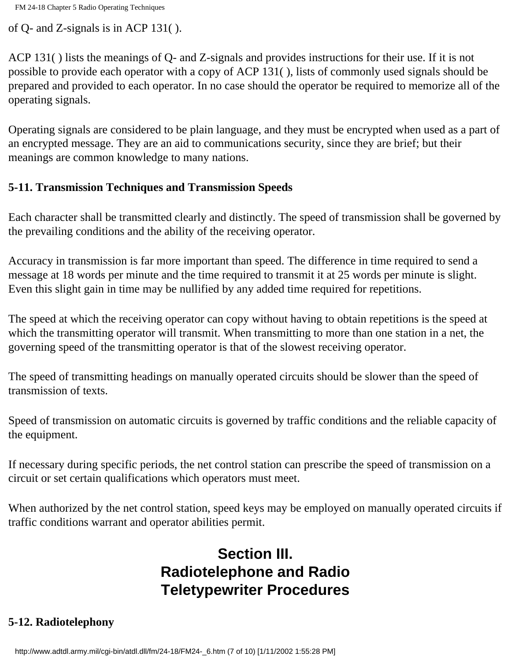of Q- and Z-signals is in ACP 131( ).

ACP 131( ) lists the meanings of Q- and Z-signals and provides instructions for their use. If it is not possible to provide each operator with a copy of ACP 131( ), lists of commonly used signals should be prepared and provided to each operator. In no case should the operator be required to memorize all of the operating signals.

Operating signals are considered to be plain language, and they must be encrypted when used as a part of an encrypted message. They are an aid to communications security, since they are brief; but their meanings are common knowledge to many nations.

### **5-11. Transmission Techniques and Transmission Speeds**

Each character shall be transmitted clearly and distinctly. The speed of transmission shall be governed by the prevailing conditions and the ability of the receiving operator.

Accuracy in transmission is far more important than speed. The difference in time required to send a message at 18 words per minute and the time required to transmit it at 25 words per minute is slight. Even this slight gain in time may be nullified by any added time required for repetitions.

The speed at which the receiving operator can copy without having to obtain repetitions is the speed at which the transmitting operator will transmit. When transmitting to more than one station in a net, the governing speed of the transmitting operator is that of the slowest receiving operator.

The speed of transmitting headings on manually operated circuits should be slower than the speed of transmission of texts.

Speed of transmission on automatic circuits is governed by traffic conditions and the reliable capacity of the equipment.

If necessary during specific periods, the net control station can prescribe the speed of transmission on a circuit or set certain qualifications which operators must meet.

When authorized by the net control station, speed keys may be employed on manually operated circuits if traffic conditions warrant and operator abilities permit.

### **Section III. Radiotelephone and Radio Teletypewriter Procedures**

### **5-12. Radiotelephony**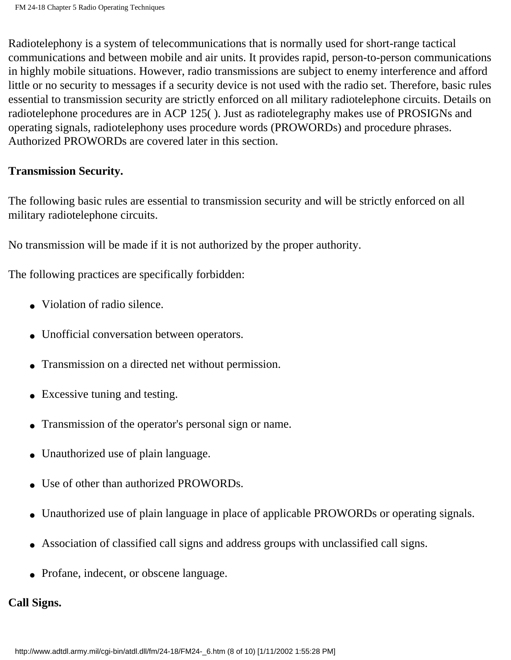Radiotelephony is a system of telecommunications that is normally used for short-range tactical communications and between mobile and air units. It provides rapid, person-to-person communications in highly mobile situations. However, radio transmissions are subject to enemy interference and afford little or no security to messages if a security device is not used with the radio set. Therefore, basic rules essential to transmission security are strictly enforced on all military radiotelephone circuits. Details on radiotelephone procedures are in ACP 125( ). Just as radiotelegraphy makes use of PROSIGNs and operating signals, radiotelephony uses procedure words (PROWORDs) and procedure phrases. Authorized PROWORDs are covered later in this section.

### **Transmission Security.**

The following basic rules are essential to transmission security and will be strictly enforced on all military radiotelephone circuits.

No transmission will be made if it is not authorized by the proper authority.

The following practices are specifically forbidden:

- Violation of radio silence.
- Unofficial conversation between operators.
- Transmission on a directed net without permission.
- Excessive tuning and testing.
- Transmission of the operator's personal sign or name.
- Unauthorized use of plain language.
- Use of other than authorized PROWORDs.
- Unauthorized use of plain language in place of applicable PROWORDs or operating signals.
- Association of classified call signs and address groups with unclassified call signs.
- Profane, indecent, or obscene language.

### **Call Signs.**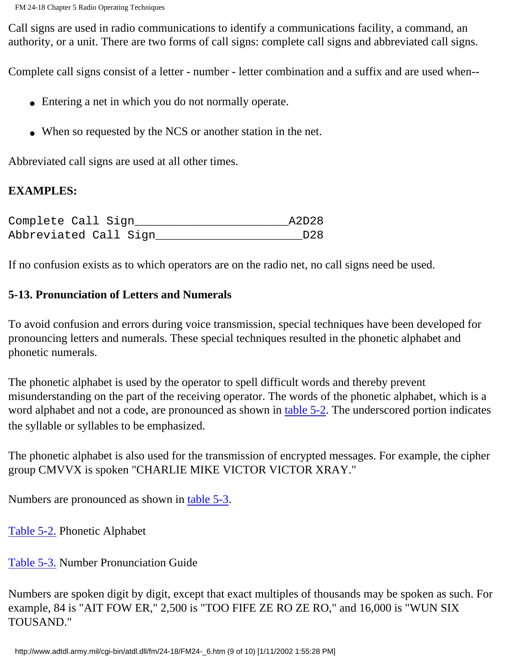Call signs are used in radio communications to identify a communications facility, a command, an authority, or a unit. There are two forms of call signs: complete call signs and abbreviated call signs.

Complete call signs consist of a letter - number - letter combination and a suffix and are used when--

- Entering a net in which you do not normally operate.
- When so requested by the NCS or another station in the net.

Abbreviated call signs are used at all other times.

### **EXAMPLES:**

| Complete Call Sign    | A2D28           |
|-----------------------|-----------------|
| Abbreviated Call Sign | D <sub>28</sub> |

If no confusion exists as to which operators are on the radio net, no call signs need be used.

### **5-13. Pronunciation of Letters and Numerals**

To avoid confusion and errors during voice transmission, special techniques have been developed for pronouncing letters and numerals. These special techniques resulted in the phonetic alphabet and phonetic numerals.

The phonetic alphabet is used by the operator to spell difficult words and thereby prevent misunderstanding on the part of the receiving operator. The words of the phonetic alphabet, which is a word alphabet and not a code, are pronounced as shown in [table 5-2.](http://www.adtdl.army.mil/cgi-bin/atdl.dll/fm/24-18/24180070.gif) The underscored portion indicates the syllable or syllables to be emphasized.

The phonetic alphabet is also used for the transmission of encrypted messages. For example, the cipher group CMVVX is spoken "CHARLIE MIKE VICTOR VICTOR XRAY."

Numbers are pronounced as shown in [table 5-3.](http://www.adtdl.army.mil/cgi-bin/atdl.dll/fm/24-18/24180071.gif)

[Table 5-2.](http://www.adtdl.army.mil/cgi-bin/atdl.dll/fm/24-18/24180070.gif) Phonetic Alphabet

[Table 5-3.](http://www.adtdl.army.mil/cgi-bin/atdl.dll/fm/24-18/24180071.gif) Number Pronunciation Guide

Numbers are spoken digit by digit, except that exact multiples of thousands may be spoken as such. For example, 84 is "AIT FOW ER," 2,500 is "TOO FIFE ZE RO ZE RO," and 16,000 is "WUN SIX TOUSAND."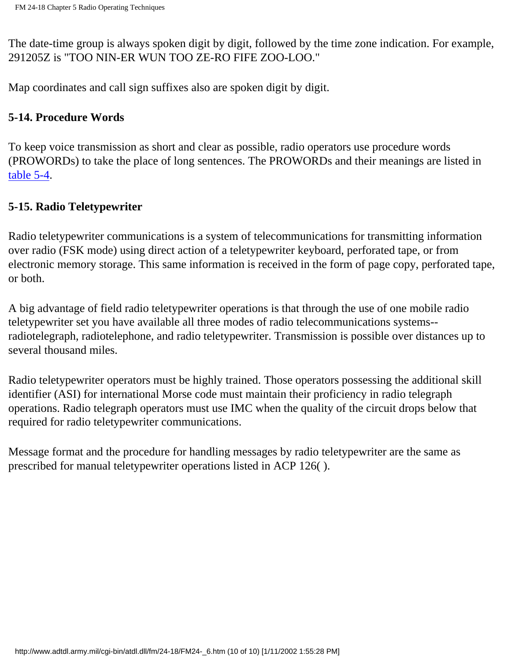The date-time group is always spoken digit by digit, followed by the time zone indication. For example, 291205Z is "TOO NIN-ER WUN TOO ZE-RO FIFE ZOO-LOO."

Map coordinates and call sign suffixes also are spoken digit by digit.

### **5-14. Procedure Words**

To keep voice transmission as short and clear as possible, radio operators use procedure words (PROWORDs) to take the place of long sentences. The PROWORDs and their meanings are listed in [table 5-4](http://www.adtdl.army.mil/cgi-bin/atdl.dll/fm/24-18/fchp5.htm).

### **5-15. Radio Teletypewriter**

Radio teletypewriter communications is a system of telecommunications for transmitting information over radio (FSK mode) using direct action of a teletypewriter keyboard, perforated tape, or from electronic memory storage. This same information is received in the form of page copy, perforated tape, or both.

A big advantage of field radio teletypewriter operations is that through the use of one mobile radio teletypewriter set you have available all three modes of radio telecommunications systems- radiotelegraph, radiotelephone, and radio teletypewriter. Transmission is possible over distances up to several thousand miles.

Radio teletypewriter operators must be highly trained. Those operators possessing the additional skill identifier (ASI) for international Morse code must maintain their proficiency in radio telegraph operations. Radio telegraph operators must use IMC when the quality of the circuit drops below that required for radio teletypewriter communications.

Message format and the procedure for handling messages by radio teletypewriter are the same as prescribed for manual teletypewriter operations listed in ACP 126( ).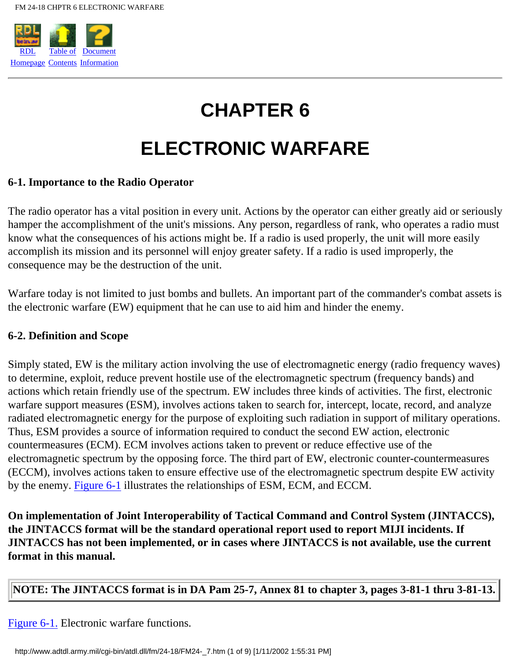

## **CHAPTER 6**

## **ELECTRONIC WARFARE**

### **6-1. Importance to the Radio Operator**

The radio operator has a vital position in every unit. Actions by the operator can either greatly aid or seriously hamper the accomplishment of the unit's missions. Any person, regardless of rank, who operates a radio must know what the consequences of his actions might be. If a radio is used properly, the unit will more easily accomplish its mission and its personnel will enjoy greater safety. If a radio is used improperly, the consequence may be the destruction of the unit.

Warfare today is not limited to just bombs and bullets. An important part of the commander's combat assets is the electronic warfare (EW) equipment that he can use to aid him and hinder the enemy.

### **6-2. Definition and Scope**

Simply stated, EW is the military action involving the use of electromagnetic energy (radio frequency waves) to determine, exploit, reduce prevent hostile use of the electromagnetic spectrum (frequency bands) and actions which retain friendly use of the spectrum. EW includes three kinds of activities. The first, electronic warfare support measures (ESM), involves actions taken to search for, intercept, locate, record, and analyze radiated electromagnetic energy for the purpose of exploiting such radiation in support of military operations. Thus, ESM provides a source of information required to conduct the second EW action, electronic countermeasures (ECM). ECM involves actions taken to prevent or reduce effective use of the electromagnetic spectrum by the opposing force. The third part of EW, electronic counter-countermeasures (ECCM), involves actions taken to ensure effective use of the electromagnetic spectrum despite EW activity by the enemy. [Figure 6-1](http://www.adtdl.army.mil/cgi-bin/atdl.dll/fm/24-18/24180079.gif) illustrates the relationships of ESM, ECM, and ECCM.

**On implementation of Joint Interoperability of Tactical Command and Control System (JINTACCS), the JINTACCS format will be the standard operational report used to report MIJI incidents. If JINTACCS has not been implemented, or in cases where JINTACCS is not available, use the current format in this manual.**

### **NOTE: The JINTACCS format is in DA Pam 25-7, Annex 81 to chapter 3, pages 3-81-1 thru 3-81-13.**

[Figure 6-1.](http://www.adtdl.army.mil/cgi-bin/atdl.dll/fm/24-18/24180079.gif) Electronic warfare functions.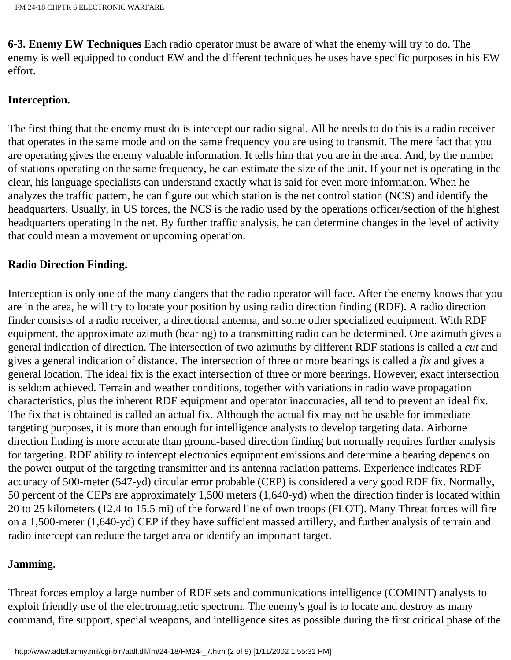**6-3. Enemy EW Techniques** Each radio operator must be aware of what the enemy will try to do. The enemy is well equipped to conduct EW and the different techniques he uses have specific purposes in his EW effort.

### **Interception.**

The first thing that the enemy must do is intercept our radio signal. All he needs to do this is a radio receiver that operates in the same mode and on the same frequency you are using to transmit. The mere fact that you are operating gives the enemy valuable information. It tells him that you are in the area. And, by the number of stations operating on the same frequency, he can estimate the size of the unit. If your net is operating in the clear, his language specialists can understand exactly what is said for even more information. When he analyzes the traffic pattern, he can figure out which station is the net control station (NCS) and identify the headquarters. Usually, in US forces, the NCS is the radio used by the operations officer/section of the highest headquarters operating in the net. By further traffic analysis, he can determine changes in the level of activity that could mean a movement or upcoming operation.

### **Radio Direction Finding.**

Interception is only one of the many dangers that the radio operator will face. After the enemy knows that you are in the area, he will try to locate your position by using radio direction finding (RDF). A radio direction finder consists of a radio receiver, a directional antenna, and some other specialized equipment. With RDF equipment, the approximate azimuth (bearing) to a transmitting radio can be determined. One azimuth gives a general indication of direction. The intersection of two azimuths by different RDF stations is called a *cut* and gives a general indication of distance. The intersection of three or more bearings is called a *fix* and gives a general location. The ideal fix is the exact intersection of three or more bearings. However, exact intersection is seldom achieved. Terrain and weather conditions, together with variations in radio wave propagation characteristics, plus the inherent RDF equipment and operator inaccuracies, all tend to prevent an ideal fix. The fix that is obtained is called an actual fix. Although the actual fix may not be usable for immediate targeting purposes, it is more than enough for intelligence analysts to develop targeting data. Airborne direction finding is more accurate than ground-based direction finding but normally requires further analysis for targeting. RDF ability to intercept electronics equipment emissions and determine a bearing depends on the power output of the targeting transmitter and its antenna radiation patterns. Experience indicates RDF accuracy of 500-meter (547-yd) circular error probable (CEP) is considered a very good RDF fix. Normally, 50 percent of the CEPs are approximately 1,500 meters (1,640-yd) when the direction finder is located within 20 to 25 kilometers (12.4 to 15.5 mi) of the forward line of own troops (FLOT). Many Threat forces will fire on a 1,500-meter (1,640-yd) CEP if they have sufficient massed artillery, and further analysis of terrain and radio intercept can reduce the target area or identify an important target.

### **Jamming.**

Threat forces employ a large number of RDF sets and communications intelligence (COMINT) analysts to exploit friendly use of the electromagnetic spectrum. The enemy's goal is to locate and destroy as many command, fire support, special weapons, and intelligence sites as possible during the first critical phase of the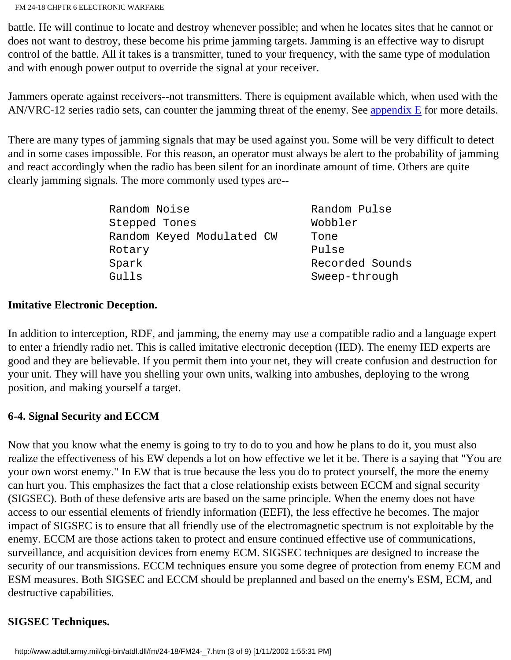battle. He will continue to locate and destroy whenever possible; and when he locates sites that he cannot or does not want to destroy, these become his prime jamming targets. Jamming is an effective way to disrupt control of the battle. All it takes is a transmitter, tuned to your frequency, with the same type of modulation and with enough power output to override the signal at your receiver.

Jammers operate against receivers--not transmitters. There is equipment available which, when used with the AN/VRC-12 series radio sets, can counter the jamming threat of the enemy. See [appendix E](http://www.adtdl.army.mil/cgi-bin/atdl.dll/fm/24-18/FM24-_14.HTM) for more details.

There are many types of jamming signals that may be used against you. Some will be very difficult to detect and in some cases impossible. For this reason, an operator must always be alert to the probability of jamming and react accordingly when the radio has been silent for an inordinate amount of time. Others are quite clearly jamming signals. The more commonly used types are--

| Random Noise              | Random Pulse    |
|---------------------------|-----------------|
| Stepped Tones             | Wobbler         |
| Random Keyed Modulated CW | Tone            |
| Rotary                    | Pulse           |
| Spark                     | Recorded Sounds |
| Gulls                     | Sweep-through   |
|                           |                 |

### **Imitative Electronic Deception.**

In addition to interception, RDF, and jamming, the enemy may use a compatible radio and a language expert to enter a friendly radio net. This is called imitative electronic deception (IED). The enemy IED experts are good and they are believable. If you permit them into your net, they will create confusion and destruction for your unit. They will have you shelling your own units, walking into ambushes, deploying to the wrong position, and making yourself a target.

### **6-4. Signal Security and ECCM**

Now that you know what the enemy is going to try to do to you and how he plans to do it, you must also realize the effectiveness of his EW depends a lot on how effective we let it be. There is a saying that "You are your own worst enemy." In EW that is true because the less you do to protect yourself, the more the enemy can hurt you. This emphasizes the fact that a close relationship exists between ECCM and signal security (SIGSEC). Both of these defensive arts are based on the same principle. When the enemy does not have access to our essential elements of friendly information (EEFI), the less effective he becomes. The major impact of SIGSEC is to ensure that all friendly use of the electromagnetic spectrum is not exploitable by the enemy. ECCM are those actions taken to protect and ensure continued effective use of communications, surveillance, and acquisition devices from enemy ECM. SIGSEC techniques are designed to increase the security of our transmissions. ECCM techniques ensure you some degree of protection from enemy ECM and ESM measures. Both SIGSEC and ECCM should be preplanned and based on the enemy's ESM, ECM, and destructive capabilities.

### **SIGSEC Techniques.**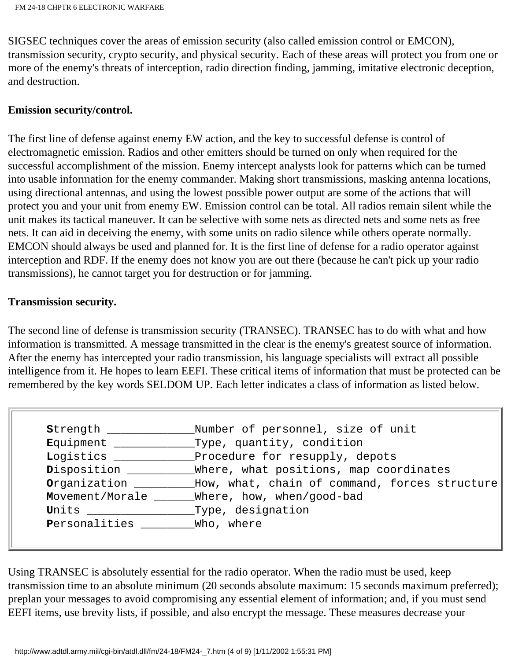SIGSEC techniques cover the areas of emission security (also called emission control or EMCON), transmission security, crypto security, and physical security. Each of these areas will protect you from one or more of the enemy's threats of interception, radio direction finding, jamming, imitative electronic deception, and destruction.

### **Emission security/control.**

The first line of defense against enemy EW action, and the key to successful defense is control of electromagnetic emission. Radios and other emitters should be turned on only when required for the successful accomplishment of the mission. Enemy intercept analysts look for patterns which can be turned into usable information for the enemy commander. Making short transmissions, masking antenna locations, using directional antennas, and using the lowest possible power output are some of the actions that will protect you and your unit from enemy EW. Emission control can be total. All radios remain silent while the unit makes its tactical maneuver. It can be selective with some nets as directed nets and some nets as free nets. It can aid in deceiving the enemy, with some units on radio silence while others operate normally. EMCON should always be used and planned for. It is the first line of defense for a radio operator against interception and RDF. If the enemy does not know you are out there (because he can't pick up your radio transmissions), he cannot target you for destruction or for jamming.

### **Transmission security.**

The second line of defense is transmission security (TRANSEC). TRANSEC has to do with what and how information is transmitted. A message transmitted in the clear is the enemy's greatest source of information. After the enemy has intercepted your radio transmission, his language specialists will extract all possible intelligence from it. He hopes to learn EEFI. These critical items of information that must be protected can be remembered by the key words SELDOM UP. Each letter indicates a class of information as listed below.

| <b>Strength</b>  | Number of personnel, size of unit             |  |
|------------------|-----------------------------------------------|--|
| Equipment        | Type, quantity, condition                     |  |
| Logistics ______ | Procedure for resupply, depots                |  |
| Disposition      | Where, what positions, map coordinates        |  |
| Organization     | How, what, chain of command, forces structure |  |
| Movement/Morale  | __Where, how, when/good-bad                   |  |
| <b>U</b> nits    | Type, designation                             |  |
| Personalities    | Who, where                                    |  |

-1

Using TRANSEC is absolutely essential for the radio operator. When the radio must be used, keep transmission time to an absolute minimum (20 seconds absolute maximum: 15 seconds maximum preferred); preplan your messages to avoid compromising any essential element of information; and, if you must send EEFI items, use brevity lists, if possible, and also encrypt the message. These measures decrease your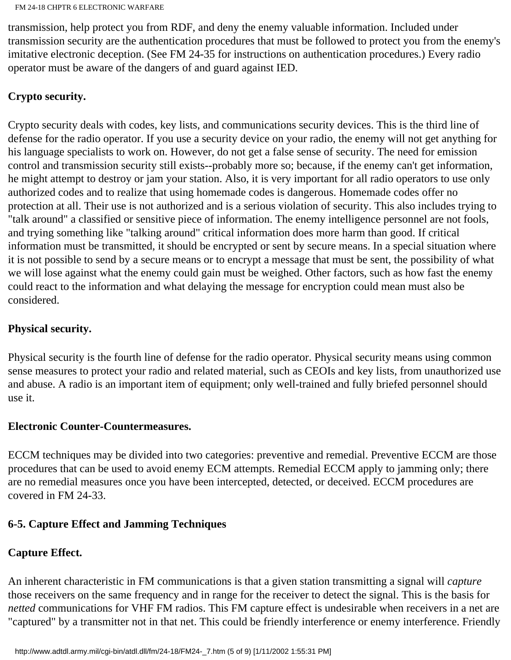transmission, help protect you from RDF, and deny the enemy valuable information. Included under transmission security are the authentication procedures that must be followed to protect you from the enemy's imitative electronic deception. (See FM 24-35 for instructions on authentication procedures.) Every radio operator must be aware of the dangers of and guard against IED.

### **Crypto security.**

Crypto security deals with codes, key lists, and communications security devices. This is the third line of defense for the radio operator. If you use a security device on your radio, the enemy will not get anything for his language specialists to work on. However, do not get a false sense of security. The need for emission control and transmission security still exists--probably more so; because, if the enemy can't get information, he might attempt to destroy or jam your station. Also, it is very important for all radio operators to use only authorized codes and to realize that using homemade codes is dangerous. Homemade codes offer no protection at all. Their use is not authorized and is a serious violation of security. This also includes trying to "talk around" a classified or sensitive piece of information. The enemy intelligence personnel are not fools, and trying something like "talking around" critical information does more harm than good. If critical information must be transmitted, it should be encrypted or sent by secure means. In a special situation where it is not possible to send by a secure means or to encrypt a message that must be sent, the possibility of what we will lose against what the enemy could gain must be weighed. Other factors, such as how fast the enemy could react to the information and what delaying the message for encryption could mean must also be considered.

### **Physical security.**

Physical security is the fourth line of defense for the radio operator. Physical security means using common sense measures to protect your radio and related material, such as CEOIs and key lists, from unauthorized use and abuse. A radio is an important item of equipment; only well-trained and fully briefed personnel should use it.

### **Electronic Counter-Countermeasures.**

ECCM techniques may be divided into two categories: preventive and remedial. Preventive ECCM are those procedures that can be used to avoid enemy ECM attempts. Remedial ECCM apply to jamming only; there are no remedial measures once you have been intercepted, detected, or deceived. ECCM procedures are covered in FM 24-33.

### **6-5. Capture Effect and Jamming Techniques**

### **Capture Effect.**

An inherent characteristic in FM communications is that a given station transmitting a signal will *capture* those receivers on the same frequency and in range for the receiver to detect the signal. This is the basis for *netted* communications for VHF FM radios. This FM capture effect is undesirable when receivers in a net are "captured" by a transmitter not in that net. This could be friendly interference or enemy interference. Friendly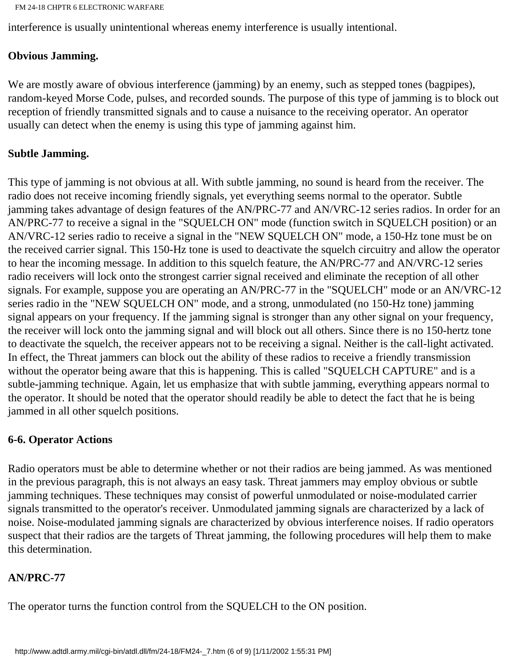```
FM 24-18 CHPTR 6 ELECTRONIC WARFARE
```
interference is usually unintentional whereas enemy interference is usually intentional.

### **Obvious Jamming.**

We are mostly aware of obvious interference (jamming) by an enemy, such as stepped tones (bagpipes), random-keyed Morse Code, pulses, and recorded sounds. The purpose of this type of jamming is to block out reception of friendly transmitted signals and to cause a nuisance to the receiving operator. An operator usually can detect when the enemy is using this type of jamming against him.

### **Subtle Jamming.**

This type of jamming is not obvious at all. With subtle jamming, no sound is heard from the receiver. The radio does not receive incoming friendly signals, yet everything seems normal to the operator. Subtle jamming takes advantage of design features of the AN/PRC-77 and AN/VRC-12 series radios. In order for an AN/PRC-77 to receive a signal in the "SQUELCH ON" mode (function switch in SQUELCH position) or an AN/VRC-12 series radio to receive a signal in the "NEW SQUELCH ON" mode, a 150-Hz tone must be on the received carrier signal. This 150-Hz tone is used to deactivate the squelch circuitry and allow the operator to hear the incoming message. In addition to this squelch feature, the AN/PRC-77 and AN/VRC-12 series radio receivers will lock onto the strongest carrier signal received and eliminate the reception of all other signals. For example, suppose you are operating an AN/PRC-77 in the "SQUELCH" mode or an AN/VRC-12 series radio in the "NEW SQUELCH ON" mode, and a strong, unmodulated (no 150-Hz tone) jamming signal appears on your frequency. If the jamming signal is stronger than any other signal on your frequency, the receiver will lock onto the jamming signal and will block out all others. Since there is no 150-hertz tone to deactivate the squelch, the receiver appears not to be receiving a signal. Neither is the call-light activated. In effect, the Threat jammers can block out the ability of these radios to receive a friendly transmission without the operator being aware that this is happening. This is called "SQUELCH CAPTURE" and is a subtle-jamming technique. Again, let us emphasize that with subtle jamming, everything appears normal to the operator. It should be noted that the operator should readily be able to detect the fact that he is being jammed in all other squelch positions.

### **6-6. Operator Actions**

Radio operators must be able to determine whether or not their radios are being jammed. As was mentioned in the previous paragraph, this is not always an easy task. Threat jammers may employ obvious or subtle jamming techniques. These techniques may consist of powerful unmodulated or noise-modulated carrier signals transmitted to the operator's receiver. Unmodulated jamming signals are characterized by a lack of noise. Noise-modulated jamming signals are characterized by obvious interference noises. If radio operators suspect that their radios are the targets of Threat jamming, the following procedures will help them to make this determination.

### **AN/PRC-77**

The operator turns the function control from the SQUELCH to the ON position.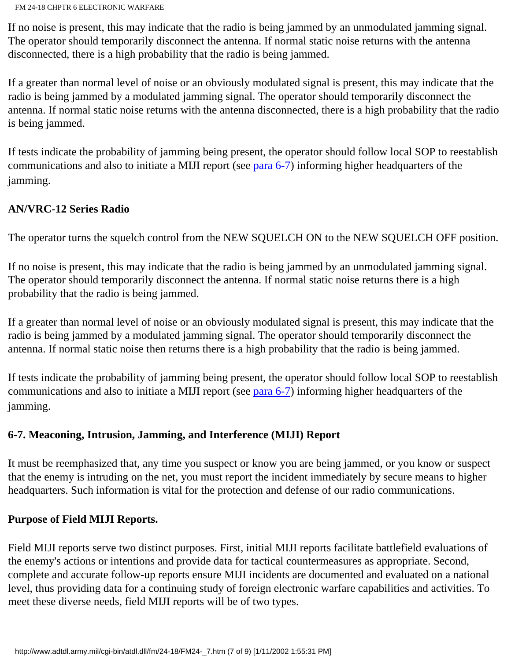FM 24-18 CHPTR 6 ELECTRONIC WARFARE

If no noise is present, this may indicate that the radio is being jammed by an unmodulated jamming signal. The operator should temporarily disconnect the antenna. If normal static noise returns with the antenna disconnected, there is a high probability that the radio is being jammed.

If a greater than normal level of noise or an obviously modulated signal is present, this may indicate that the radio is being jammed by a modulated jamming signal. The operator should temporarily disconnect the antenna. If normal static noise returns with the antenna disconnected, there is a high probability that the radio is being jammed.

If tests indicate the probability of jamming being present, the operator should follow local SOP to reestablish communications and also to initiate a MIJI report (see [para 6-7](http://www.adtdl.army.mil/cgi-bin/atdl.dll/fm/24-18/FM24-_7.HTM#P6-7)) informing higher headquarters of the jamming.

### **AN/VRC-12 Series Radio**

The operator turns the squelch control from the NEW SQUELCH ON to the NEW SQUELCH OFF position.

If no noise is present, this may indicate that the radio is being jammed by an unmodulated jamming signal. The operator should temporarily disconnect the antenna. If normal static noise returns there is a high probability that the radio is being jammed.

If a greater than normal level of noise or an obviously modulated signal is present, this may indicate that the radio is being jammed by a modulated jamming signal. The operator should temporarily disconnect the antenna. If normal static noise then returns there is a high probability that the radio is being jammed.

If tests indicate the probability of jamming being present, the operator should follow local SOP to reestablish communications and also to initiate a MIJI report (see [para 6-7](http://www.adtdl.army.mil/cgi-bin/atdl.dll/fm/24-18/FM24-_7.HTM#P6-7)) informing higher headquarters of the jamming.

### **6-7. Meaconing, Intrusion, Jamming, and Interference (MIJI) Report**

It must be reemphasized that, any time you suspect or know you are being jammed, or you know or suspect that the enemy is intruding on the net, you must report the incident immediately by secure means to higher headquarters. Such information is vital for the protection and defense of our radio communications.

### **Purpose of Field MIJI Reports.**

Field MIJI reports serve two distinct purposes. First, initial MIJI reports facilitate battlefield evaluations of the enemy's actions or intentions and provide data for tactical countermeasures as appropriate. Second, complete and accurate follow-up reports ensure MIJI incidents are documented and evaluated on a national level, thus providing data for a continuing study of foreign electronic warfare capabilities and activities. To meet these diverse needs, field MIJI reports will be of two types.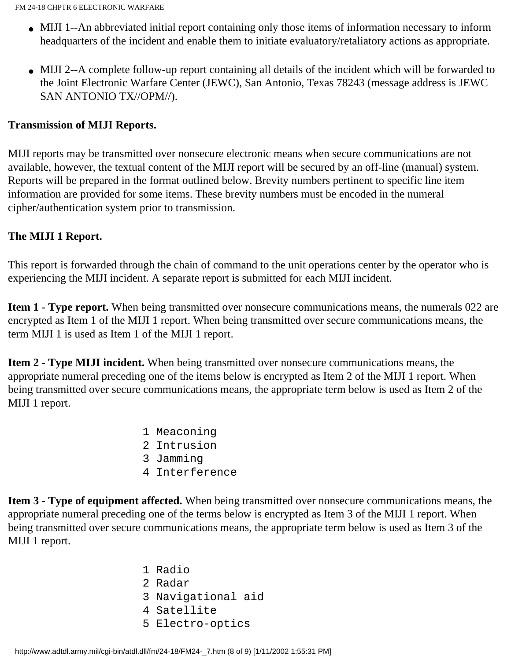FM 24-18 CHPTR 6 ELECTRONIC WARFARE

- MIJI 1--An abbreviated initial report containing only those items of information necessary to inform headquarters of the incident and enable them to initiate evaluatory/retaliatory actions as appropriate.
- MIJI 2--A complete follow-up report containing all details of the incident which will be forwarded to the Joint Electronic Warfare Center (JEWC), San Antonio, Texas 78243 (message address is JEWC SAN ANTONIO TX//OPM//).

### **Transmission of MIJI Reports.**

MIJI reports may be transmitted over nonsecure electronic means when secure communications are not available, however, the textual content of the MIJI report will be secured by an off-line (manual) system. Reports will be prepared in the format outlined below. Brevity numbers pertinent to specific line item information are provided for some items. These brevity numbers must be encoded in the numeral cipher/authentication system prior to transmission.

### **The MIJI 1 Report.**

This report is forwarded through the chain of command to the unit operations center by the operator who is experiencing the MIJI incident. A separate report is submitted for each MIJI incident.

**Item 1 - Type report.** When being transmitted over nonsecure communications means, the numerals 022 are encrypted as Item 1 of the MIJI 1 report. When being transmitted over secure communications means, the term MIJI 1 is used as Item 1 of the MIJI 1 report.

**Item 2 - Type MIJI incident.** When being transmitted over nonsecure communications means, the appropriate numeral preceding one of the items below is encrypted as Item 2 of the MIJI 1 report. When being transmitted over secure communications means, the appropriate term below is used as Item 2 of the MIJI 1 report.

- 1 Meaconing
- 2 Intrusion
- 3 Jamming
- 4 Interference

**Item 3 - Type of equipment affected.** When being transmitted over nonsecure communications means, the appropriate numeral preceding one of the terms below is encrypted as Item 3 of the MIJI 1 report. When being transmitted over secure communications means, the appropriate term below is used as Item 3 of the MIJI 1 report.

> 1 Radio 2 Radar 3 Navigational aid 4 Satellite 5 Electro-optics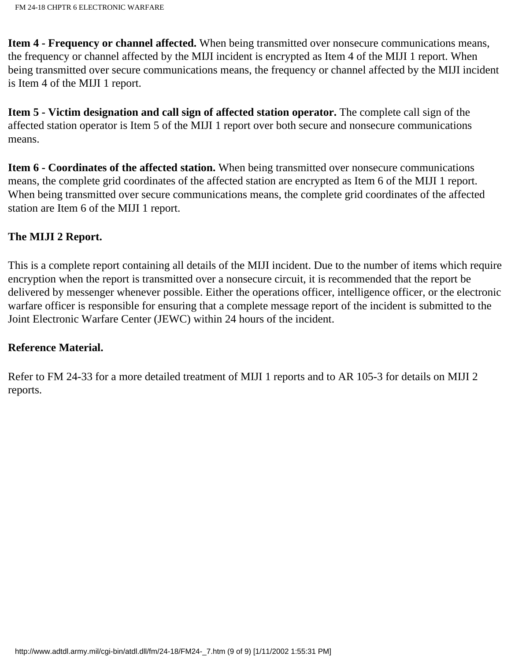**Item 4 - Frequency or channel affected.** When being transmitted over nonsecure communications means, the frequency or channel affected by the MIJI incident is encrypted as Item 4 of the MIJI 1 report. When being transmitted over secure communications means, the frequency or channel affected by the MIJI incident is Item 4 of the MIJI 1 report.

**Item 5 - Victim designation and call sign of affected station operator.** The complete call sign of the affected station operator is Item 5 of the MIJI 1 report over both secure and nonsecure communications means.

**Item 6 - Coordinates of the affected station.** When being transmitted over nonsecure communications means, the complete grid coordinates of the affected station are encrypted as Item 6 of the MIJI 1 report. When being transmitted over secure communications means, the complete grid coordinates of the affected station are Item 6 of the MIJI 1 report.

### **The MIJI 2 Report.**

This is a complete report containing all details of the MIJI incident. Due to the number of items which require encryption when the report is transmitted over a nonsecure circuit, it is recommended that the report be delivered by messenger whenever possible. Either the operations officer, intelligence officer, or the electronic warfare officer is responsible for ensuring that a complete message report of the incident is submitted to the Joint Electronic Warfare Center (JEWC) within 24 hours of the incident.

### **Reference Material.**

Refer to FM 24-33 for a more detailed treatment of MIJI 1 reports and to AR 105-3 for details on MIJI 2 reports.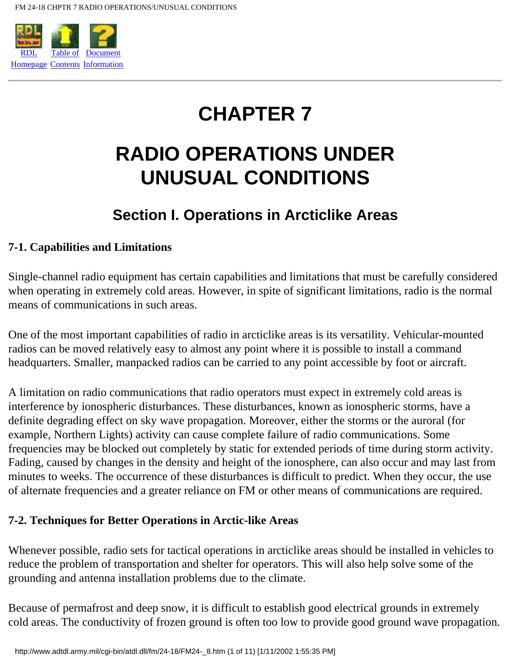

## **CHAPTER 7**

## **RADIO OPERATIONS UNDER UNUSUAL CONDITIONS**

### **Section I. Operations in Arcticlike Areas**

### **7-1. Capabilities and Limitations**

Single-channel radio equipment has certain capabilities and limitations that must be carefully considered when operating in extremely cold areas. However, in spite of significant limitations, radio is the normal means of communications in such areas.

One of the most important capabilities of radio in arcticlike areas is its versatility. Vehicular-mounted radios can be moved relatively easy to almost any point where it is possible to install a command headquarters. Smaller, manpacked radios can be carried to any point accessible by foot or aircraft.

A limitation on radio communications that radio operators must expect in extremely cold areas is interference by ionospheric disturbances. These disturbances, known as ionospheric storms, have a definite degrading effect on sky wave propagation. Moreover, either the storms or the auroral (for example, Northern Lights) activity can cause complete failure of radio communications. Some frequencies may be blocked out completely by static for extended periods of time during storm activity. Fading, caused by changes in the density and height of the ionosphere, can also occur and may last from minutes to weeks. The occurrence of these disturbances is difficult to predict. When they occur, the use of alternate frequencies and a greater reliance on FM or other means of communications are required.

### **7-2. Techniques for Better Operations in Arctic-like Areas**

Whenever possible, radio sets for tactical operations in arcticlike areas should be installed in vehicles to reduce the problem of transportation and shelter for operators. This will also help solve some of the grounding and antenna installation problems due to the climate.

Because of permafrost and deep snow, it is difficult to establish good electrical grounds in extremely cold areas. The conductivity of frozen ground is often too low to provide good ground wave propagation.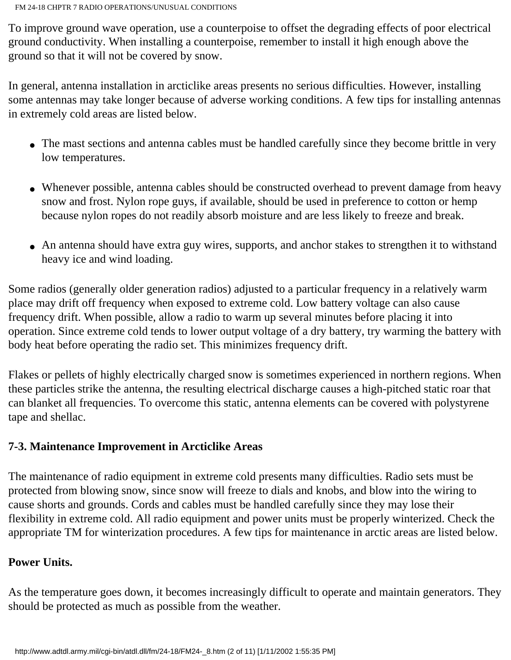To improve ground wave operation, use a counterpoise to offset the degrading effects of poor electrical ground conductivity. When installing a counterpoise, remember to install it high enough above the ground so that it will not be covered by snow.

In general, antenna installation in arcticlike areas presents no serious difficulties. However, installing some antennas may take longer because of adverse working conditions. A few tips for installing antennas in extremely cold areas are listed below.

- The mast sections and antenna cables must be handled carefully since they become brittle in very low temperatures.
- Whenever possible, antenna cables should be constructed overhead to prevent damage from heavy snow and frost. Nylon rope guys, if available, should be used in preference to cotton or hemp because nylon ropes do not readily absorb moisture and are less likely to freeze and break.
- An antenna should have extra guy wires, supports, and anchor stakes to strengthen it to withstand heavy ice and wind loading.

Some radios (generally older generation radios) adjusted to a particular frequency in a relatively warm place may drift off frequency when exposed to extreme cold. Low battery voltage can also cause frequency drift. When possible, allow a radio to warm up several minutes before placing it into operation. Since extreme cold tends to lower output voltage of a dry battery, try warming the battery with body heat before operating the radio set. This minimizes frequency drift.

Flakes or pellets of highly electrically charged snow is sometimes experienced in northern regions. When these particles strike the antenna, the resulting electrical discharge causes a high-pitched static roar that can blanket all frequencies. To overcome this static, antenna elements can be covered with polystyrene tape and shellac.

### **7-3. Maintenance Improvement in Arcticlike Areas**

The maintenance of radio equipment in extreme cold presents many difficulties. Radio sets must be protected from blowing snow, since snow will freeze to dials and knobs, and blow into the wiring to cause shorts and grounds. Cords and cables must be handled carefully since they may lose their flexibility in extreme cold. All radio equipment and power units must be properly winterized. Check the appropriate TM for winterization procedures. A few tips for maintenance in arctic areas are listed below.

### **Power Units.**

As the temperature goes down, it becomes increasingly difficult to operate and maintain generators. They should be protected as much as possible from the weather.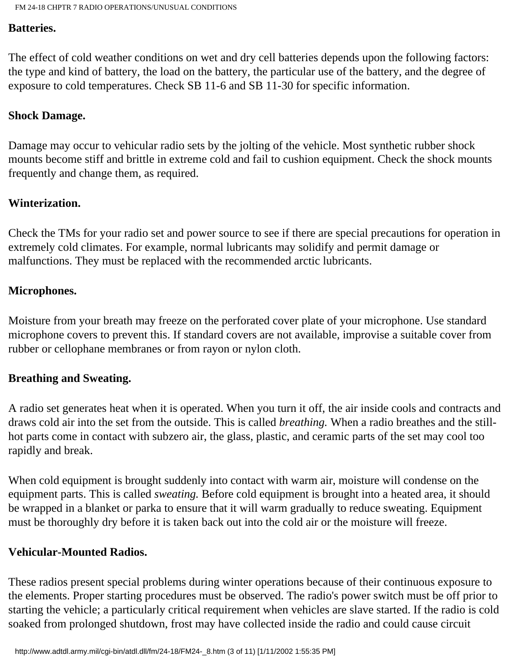### **Batteries.**

The effect of cold weather conditions on wet and dry cell batteries depends upon the following factors: the type and kind of battery, the load on the battery, the particular use of the battery, and the degree of exposure to cold temperatures. Check SB 11-6 and SB 11-30 for specific information.

### **Shock Damage.**

Damage may occur to vehicular radio sets by the jolting of the vehicle. Most synthetic rubber shock mounts become stiff and brittle in extreme cold and fail to cushion equipment. Check the shock mounts frequently and change them, as required.

### **Winterization.**

Check the TMs for your radio set and power source to see if there are special precautions for operation in extremely cold climates. For example, normal lubricants may solidify and permit damage or malfunctions. They must be replaced with the recommended arctic lubricants.

### **Microphones.**

Moisture from your breath may freeze on the perforated cover plate of your microphone. Use standard microphone covers to prevent this. If standard covers are not available, improvise a suitable cover from rubber or cellophane membranes or from rayon or nylon cloth.

### **Breathing and Sweating.**

A radio set generates heat when it is operated. When you turn it off, the air inside cools and contracts and draws cold air into the set from the outside. This is called *breathing.* When a radio breathes and the stillhot parts come in contact with subzero air, the glass, plastic, and ceramic parts of the set may cool too rapidly and break.

When cold equipment is brought suddenly into contact with warm air, moisture will condense on the equipment parts. This is called *sweating.* Before cold equipment is brought into a heated area, it should be wrapped in a blanket or parka to ensure that it will warm gradually to reduce sweating. Equipment must be thoroughly dry before it is taken back out into the cold air or the moisture will freeze.

### **Vehicular-Mounted Radios.**

These radios present special problems during winter operations because of their continuous exposure to the elements. Proper starting procedures must be observed. The radio's power switch must be off prior to starting the vehicle; a particularly critical requirement when vehicles are slave started. If the radio is cold soaked from prolonged shutdown, frost may have collected inside the radio and could cause circuit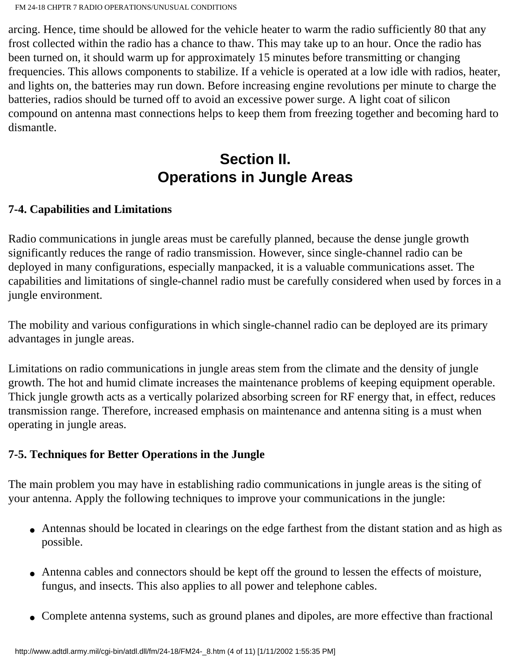arcing. Hence, time should be allowed for the vehicle heater to warm the radio sufficiently 80 that any frost collected within the radio has a chance to thaw. This may take up to an hour. Once the radio has been turned on, it should warm up for approximately 15 minutes before transmitting or changing frequencies. This allows components to stabilize. If a vehicle is operated at a low idle with radios, heater, and lights on, the batteries may run down. Before increasing engine revolutions per minute to charge the batteries, radios should be turned off to avoid an excessive power surge. A light coat of silicon compound on antenna mast connections helps to keep them from freezing together and becoming hard to dismantle.

### **Section II. Operations in Jungle Areas**

### **7-4. Capabilities and Limitations**

Radio communications in jungle areas must be carefully planned, because the dense jungle growth significantly reduces the range of radio transmission. However, since single-channel radio can be deployed in many configurations, especially manpacked, it is a valuable communications asset. The capabilities and limitations of single-channel radio must be carefully considered when used by forces in a jungle environment.

The mobility and various configurations in which single-channel radio can be deployed are its primary advantages in jungle areas.

Limitations on radio communications in jungle areas stem from the climate and the density of jungle growth. The hot and humid climate increases the maintenance problems of keeping equipment operable. Thick jungle growth acts as a vertically polarized absorbing screen for RF energy that, in effect, reduces transmission range. Therefore, increased emphasis on maintenance and antenna siting is a must when operating in jungle areas.

### **7-5. Techniques for Better Operations in the Jungle**

The main problem you may have in establishing radio communications in jungle areas is the siting of your antenna. Apply the following techniques to improve your communications in the jungle:

- Antennas should be located in clearings on the edge farthest from the distant station and as high as possible.
- Antenna cables and connectors should be kept off the ground to lessen the effects of moisture, fungus, and insects. This also applies to all power and telephone cables.
- Complete antenna systems, such as ground planes and dipoles, are more effective than fractional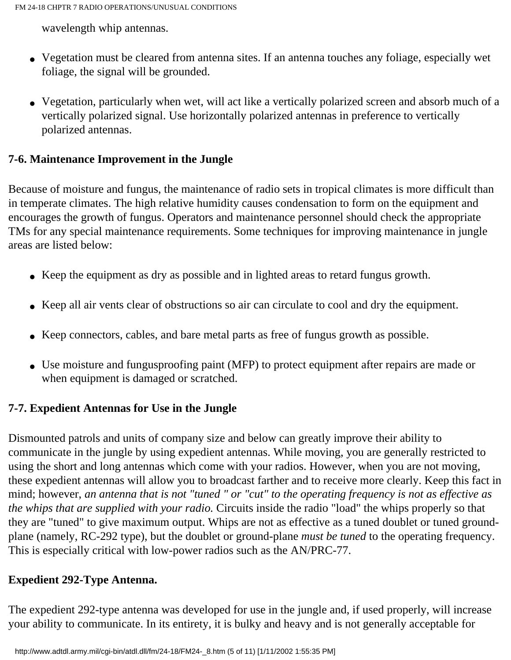wavelength whip antennas.

- Vegetation must be cleared from antenna sites. If an antenna touches any foliage, especially wet foliage, the signal will be grounded.
- Vegetation, particularly when wet, will act like a vertically polarized screen and absorb much of a vertically polarized signal. Use horizontally polarized antennas in preference to vertically polarized antennas.

### **7-6. Maintenance Improvement in the Jungle**

Because of moisture and fungus, the maintenance of radio sets in tropical climates is more difficult than in temperate climates. The high relative humidity causes condensation to form on the equipment and encourages the growth of fungus. Operators and maintenance personnel should check the appropriate TMs for any special maintenance requirements. Some techniques for improving maintenance in jungle areas are listed below:

- Keep the equipment as dry as possible and in lighted areas to retard fungus growth.
- Keep all air vents clear of obstructions so air can circulate to cool and dry the equipment.
- Keep connectors, cables, and bare metal parts as free of fungus growth as possible.
- Use moisture and fungusproofing paint (MFP) to protect equipment after repairs are made or when equipment is damaged or scratched.

### **7-7. Expedient Antennas for Use in the Jungle**

Dismounted patrols and units of company size and below can greatly improve their ability to communicate in the jungle by using expedient antennas. While moving, you are generally restricted to using the short and long antennas which come with your radios. However, when you are not moving, these expedient antennas will allow you to broadcast farther and to receive more clearly. Keep this fact in mind; however, *an antenna that is not "tuned " or "cut" to the operating frequency is not as effective as the whips that are supplied with your radio.* Circuits inside the radio "load" the whips properly so that they are "tuned" to give maximum output. Whips are not as effective as a tuned doublet or tuned groundplane (namely, RC-292 type), but the doublet or ground-plane *must be tuned* to the operating frequency. This is especially critical with low-power radios such as the AN/PRC-77.

### **Expedient 292-Type Antenna.**

The expedient 292-type antenna was developed for use in the jungle and, if used properly, will increase your ability to communicate. In its entirety, it is bulky and heavy and is not generally acceptable for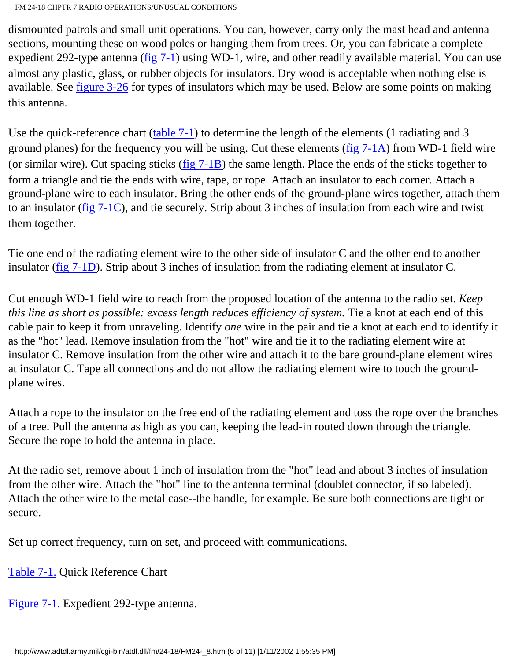dismounted patrols and small unit operations. You can, however, carry only the mast head and antenna sections, mounting these on wood poles or hanging them from trees. Or, you can fabricate a complete expedient 292-type antenna ([fig 7-1\)](http://www.adtdl.army.mil/cgi-bin/atdl.dll/fm/24-18/24180081.gif) using WD-1, wire, and other readily available material. You can use almost any plastic, glass, or rubber objects for insulators. Dry wood is acceptable when nothing else is available. See [figure 3-26](http://www.adtdl.army.mil/cgi-bin/atdl.dll/fm/24-18/24180052.gif) for types of insulators which may be used. Below are some points on making this antenna.

Use the quick-reference chart [\(table 7-1\)](http://www.adtdl.army.mil/cgi-bin/atdl.dll/fm/24-18/24180080.gif) to determine the length of the elements (1 radiating and 3 ground planes) for the frequency you will be using. Cut these elements ([fig 7-1A\)](http://www.adtdl.army.mil/cgi-bin/atdl.dll/fm/24-18/24180081.gif) from WD-1 field wire (or similar wire). Cut spacing sticks ([fig 7-1B\)](http://www.adtdl.army.mil/cgi-bin/atdl.dll/fm/24-18/24180081.gif) the same length. Place the ends of the sticks together to form a triangle and tie the ends with wire, tape, or rope. Attach an insulator to each corner. Attach a ground-plane wire to each insulator. Bring the other ends of the ground-plane wires together, attach them to an insulator [\(fig 7-1C](http://www.adtdl.army.mil/cgi-bin/atdl.dll/fm/24-18/24180081.gif)), and tie securely. Strip about 3 inches of insulation from each wire and twist them together.

Tie one end of the radiating element wire to the other side of insulator C and the other end to another insulator [\(fig 7-1D\)](http://www.adtdl.army.mil/cgi-bin/atdl.dll/fm/24-18/24180081.gif). Strip about 3 inches of insulation from the radiating element at insulator C.

Cut enough WD-1 field wire to reach from the proposed location of the antenna to the radio set. *Keep this line as short as possible: excess length reduces efficiency of system.* Tie a knot at each end of this cable pair to keep it from unraveling. Identify *one* wire in the pair and tie a knot at each end to identify it as the "hot" lead. Remove insulation from the "hot" wire and tie it to the radiating element wire at insulator C. Remove insulation from the other wire and attach it to the bare ground-plane element wires at insulator C. Tape all connections and do not allow the radiating element wire to touch the groundplane wires.

Attach a rope to the insulator on the free end of the radiating element and toss the rope over the branches of a tree. Pull the antenna as high as you can, keeping the lead-in routed down through the triangle. Secure the rope to hold the antenna in place.

At the radio set, remove about 1 inch of insulation from the "hot" lead and about 3 inches of insulation from the other wire. Attach the "hot" line to the antenna terminal (doublet connector, if so labeled). Attach the other wire to the metal case--the handle, for example. Be sure both connections are tight or secure.

Set up correct frequency, turn on set, and proceed with communications.

[Table 7-1.](http://www.adtdl.army.mil/cgi-bin/atdl.dll/fm/24-18/24180080.gif) Quick Reference Chart

[Figure 7-1.](http://www.adtdl.army.mil/cgi-bin/atdl.dll/fm/24-18/24180081.gif) Expedient 292-type antenna.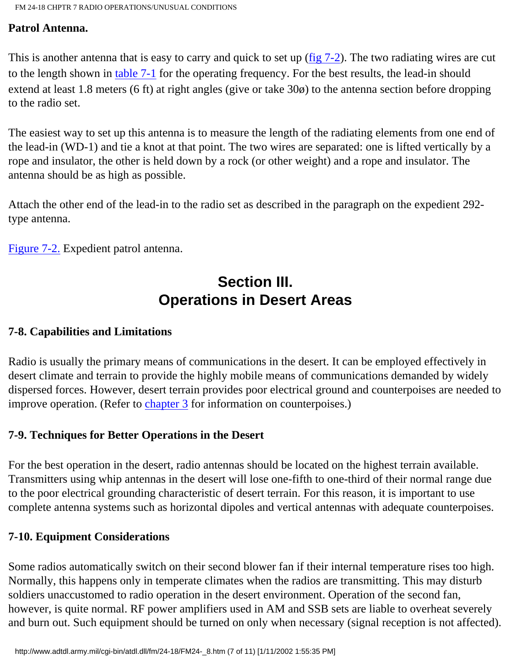#### **Patrol Antenna.**

This is another antenna that is easy to carry and quick to set up [\(fig 7-2\)](http://www.adtdl.army.mil/cgi-bin/atdl.dll/fm/24-18/24180082.gif). The two radiating wires are cut to the length shown in [table 7-1](http://www.adtdl.army.mil/cgi-bin/atdl.dll/fm/24-18/24180080.gif) for the operating frequency. For the best results, the lead-in should extend at least 1.8 meters (6 ft) at right angles (give or take 30ø) to the antenna section before dropping to the radio set.

The easiest way to set up this antenna is to measure the length of the radiating elements from one end of the lead-in (WD-1) and tie a knot at that point. The two wires are separated: one is lifted vertically by a rope and insulator, the other is held down by a rock (or other weight) and a rope and insulator. The antenna should be as high as possible.

Attach the other end of the lead-in to the radio set as described in the paragraph on the expedient 292 type antenna.

[Figure 7-2.](http://www.adtdl.army.mil/cgi-bin/atdl.dll/fm/24-18/24180082.gif) Expedient patrol antenna.

# **Section III. Operations in Desert Areas**

#### **7-8. Capabilities and Limitations**

Radio is usually the primary means of communications in the desert. It can be employed effectively in desert climate and terrain to provide the highly mobile means of communications demanded by widely dispersed forces. However, desert terrain provides poor electrical ground and counterpoises are needed to improve operation. (Refer to [chapter 3](http://www.adtdl.army.mil/cgi-bin/atdl.dll/fm/24-18/FM24-_4.HTM) for information on counterpoises.)

#### **7-9. Techniques for Better Operations in the Desert**

For the best operation in the desert, radio antennas should be located on the highest terrain available. Transmitters using whip antennas in the desert will lose one-fifth to one-third of their normal range due to the poor electrical grounding characteristic of desert terrain. For this reason, it is important to use complete antenna systems such as horizontal dipoles and vertical antennas with adequate counterpoises.

#### **7-10. Equipment Considerations**

Some radios automatically switch on their second blower fan if their internal temperature rises too high. Normally, this happens only in temperate climates when the radios are transmitting. This may disturb soldiers unaccustomed to radio operation in the desert environment. Operation of the second fan, however, is quite normal. RF power amplifiers used in AM and SSB sets are liable to overheat severely and burn out. Such equipment should be turned on only when necessary (signal reception is not affected).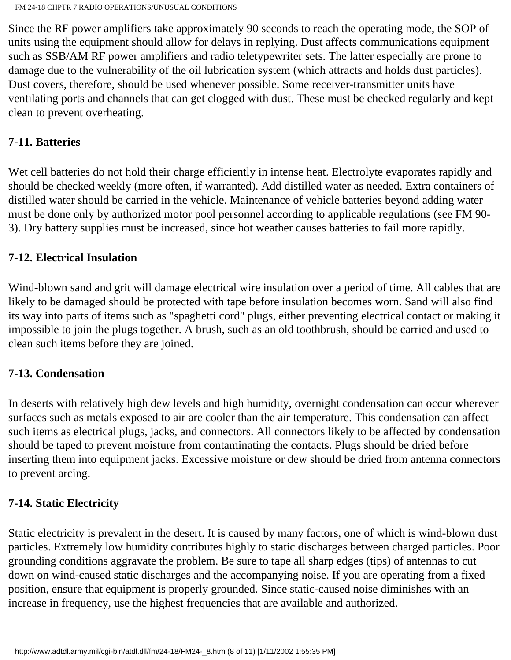Since the RF power amplifiers take approximately 90 seconds to reach the operating mode, the SOP of units using the equipment should allow for delays in replying. Dust affects communications equipment such as SSB/AM RF power amplifiers and radio teletypewriter sets. The latter especially are prone to damage due to the vulnerability of the oil lubrication system (which attracts and holds dust particles). Dust covers, therefore, should be used whenever possible. Some receiver-transmitter units have ventilating ports and channels that can get clogged with dust. These must be checked regularly and kept clean to prevent overheating.

#### **7-11. Batteries**

Wet cell batteries do not hold their charge efficiently in intense heat. Electrolyte evaporates rapidly and should be checked weekly (more often, if warranted). Add distilled water as needed. Extra containers of distilled water should be carried in the vehicle. Maintenance of vehicle batteries beyond adding water must be done only by authorized motor pool personnel according to applicable regulations (see FM 90- 3). Dry battery supplies must be increased, since hot weather causes batteries to fail more rapidly.

#### **7-12. Electrical Insulation**

Wind-blown sand and grit will damage electrical wire insulation over a period of time. All cables that are likely to be damaged should be protected with tape before insulation becomes worn. Sand will also find its way into parts of items such as "spaghetti cord" plugs, either preventing electrical contact or making it impossible to join the plugs together. A brush, such as an old toothbrush, should be carried and used to clean such items before they are joined.

#### **7-13. Condensation**

In deserts with relatively high dew levels and high humidity, overnight condensation can occur wherever surfaces such as metals exposed to air are cooler than the air temperature. This condensation can affect such items as electrical plugs, jacks, and connectors. All connectors likely to be affected by condensation should be taped to prevent moisture from contaminating the contacts. Plugs should be dried before inserting them into equipment jacks. Excessive moisture or dew should be dried from antenna connectors to prevent arcing.

## **7-14. Static Electricity**

Static electricity is prevalent in the desert. It is caused by many factors, one of which is wind-blown dust particles. Extremely low humidity contributes highly to static discharges between charged particles. Poor grounding conditions aggravate the problem. Be sure to tape all sharp edges (tips) of antennas to cut down on wind-caused static discharges and the accompanying noise. If you are operating from a fixed position, ensure that equipment is properly grounded. Since static-caused noise diminishes with an increase in frequency, use the highest frequencies that are available and authorized.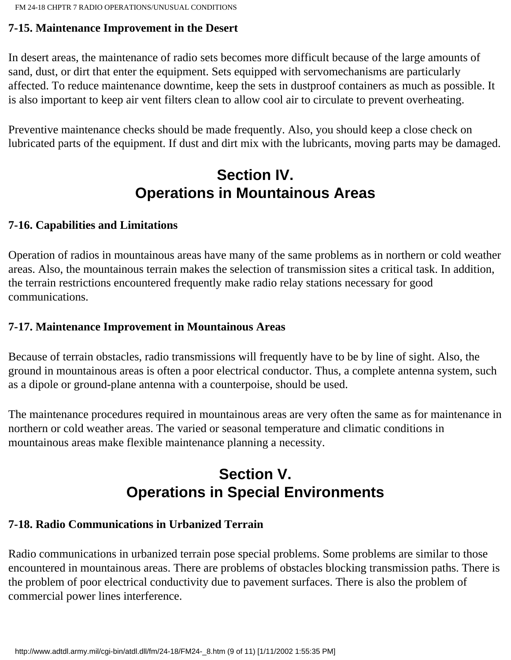#### **7-15. Maintenance Improvement in the Desert**

In desert areas, the maintenance of radio sets becomes more difficult because of the large amounts of sand, dust, or dirt that enter the equipment. Sets equipped with servomechanisms are particularly affected. To reduce maintenance downtime, keep the sets in dustproof containers as much as possible. It is also important to keep air vent filters clean to allow cool air to circulate to prevent overheating.

Preventive maintenance checks should be made frequently. Also, you should keep a close check on lubricated parts of the equipment. If dust and dirt mix with the lubricants, moving parts may be damaged.

# **Section IV. Operations in Mountainous Areas**

#### **7-16. Capabilities and Limitations**

Operation of radios in mountainous areas have many of the same problems as in northern or cold weather areas. Also, the mountainous terrain makes the selection of transmission sites a critical task. In addition, the terrain restrictions encountered frequently make radio relay stations necessary for good communications.

#### **7-17. Maintenance Improvement in Mountainous Areas**

Because of terrain obstacles, radio transmissions will frequently have to be by line of sight. Also, the ground in mountainous areas is often a poor electrical conductor. Thus, a complete antenna system, such as a dipole or ground-plane antenna with a counterpoise, should be used.

The maintenance procedures required in mountainous areas are very often the same as for maintenance in northern or cold weather areas. The varied or seasonal temperature and climatic conditions in mountainous areas make flexible maintenance planning a necessity.

# **Section V. Operations in Special Environments**

# **7-18. Radio Communications in Urbanized Terrain**

Radio communications in urbanized terrain pose special problems. Some problems are similar to those encountered in mountainous areas. There are problems of obstacles blocking transmission paths. There is the problem of poor electrical conductivity due to pavement surfaces. There is also the problem of commercial power lines interference.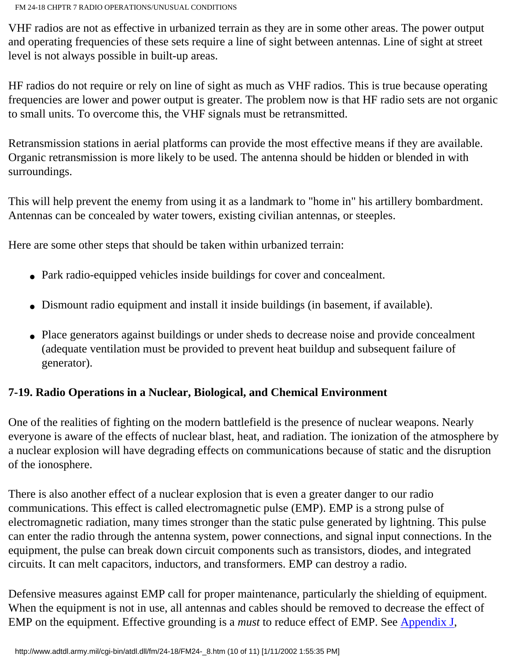VHF radios are not as effective in urbanized terrain as they are in some other areas. The power output and operating frequencies of these sets require a line of sight between antennas. Line of sight at street level is not always possible in built-up areas.

HF radios do not require or rely on line of sight as much as VHF radios. This is true because operating frequencies are lower and power output is greater. The problem now is that HF radio sets are not organic to small units. To overcome this, the VHF signals must be retransmitted.

Retransmission stations in aerial platforms can provide the most effective means if they are available. Organic retransmission is more likely to be used. The antenna should be hidden or blended in with surroundings.

This will help prevent the enemy from using it as a landmark to "home in" his artillery bombardment. Antennas can be concealed by water towers, existing civilian antennas, or steeples.

Here are some other steps that should be taken within urbanized terrain:

- Park radio-equipped vehicles inside buildings for cover and concealment.
- Dismount radio equipment and install it inside buildings (in basement, if available).
- Place generators against buildings or under sheds to decrease noise and provide concealment (adequate ventilation must be provided to prevent heat buildup and subsequent failure of generator).

# **7-19. Radio Operations in a Nuclear, Biological, and Chemical Environment**

One of the realities of fighting on the modern battlefield is the presence of nuclear weapons. Nearly everyone is aware of the effects of nuclear blast, heat, and radiation. The ionization of the atmosphere by a nuclear explosion will have degrading effects on communications because of static and the disruption of the ionosphere.

There is also another effect of a nuclear explosion that is even a greater danger to our radio communications. This effect is called electromagnetic pulse (EMP). EMP is a strong pulse of electromagnetic radiation, many times stronger than the static pulse generated by lightning. This pulse can enter the radio through the antenna system, power connections, and signal input connections. In the equipment, the pulse can break down circuit components such as transistors, diodes, and integrated circuits. It can melt capacitors, inductors, and transformers. EMP can destroy a radio.

Defensive measures against EMP call for proper maintenance, particularly the shielding of equipment. When the equipment is not in use, all antennas and cables should be removed to decrease the effect of EMP on the equipment. Effective grounding is a *must* to reduce effect of EMP. See [Appendix J](http://www.adtdl.army.mil/cgi-bin/atdl.dll/fm/24-18/FM24-_19.HTM),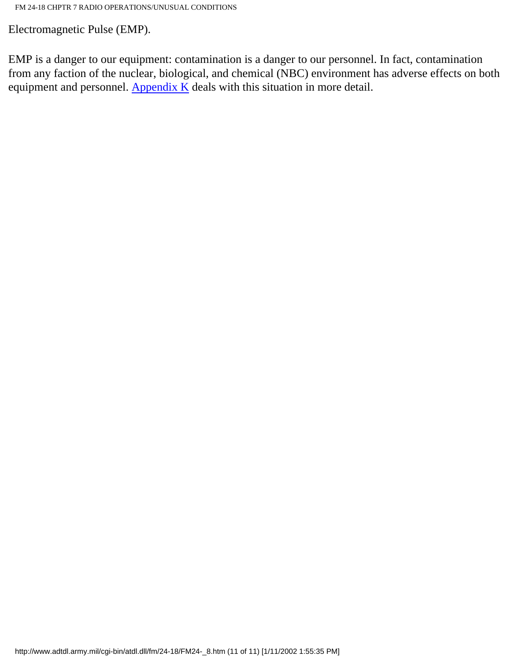Electromagnetic Pulse (EMP).

EMP is a danger to our equipment: contamination is a danger to our personnel. In fact, contamination from any faction of the nuclear, biological, and chemical (NBC) environment has adverse effects on both equipment and personnel. Appendix  $K$  deals with this situation in more detail.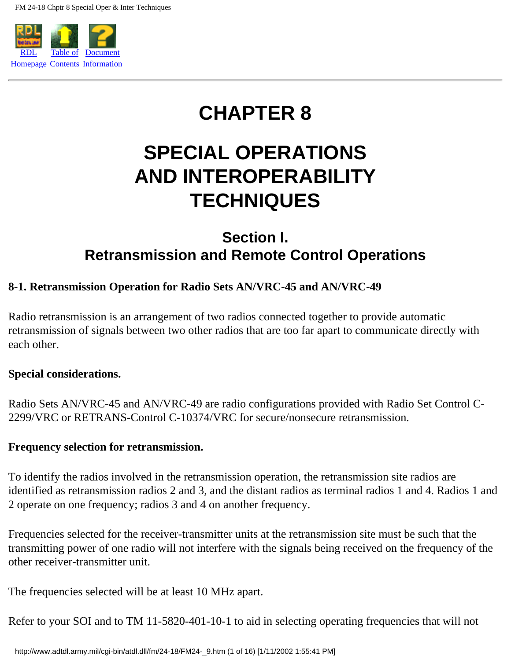

# **CHAPTER 8**

# **SPECIAL OPERATIONS AND INTEROPERABILITY TECHNIQUES**

# **Section I. Retransmission and Remote Control Operations**

## **8-1. Retransmission Operation for Radio Sets AN/VRC-45 and AN/VRC-49**

Radio retransmission is an arrangement of two radios connected together to provide automatic retransmission of signals between two other radios that are too far apart to communicate directly with each other.

#### **Special considerations.**

Radio Sets AN/VRC-45 and AN/VRC-49 are radio configurations provided with Radio Set Control C-2299/VRC or RETRANS-Control C-10374/VRC for secure/nonsecure retransmission.

#### **Frequency selection for retransmission.**

To identify the radios involved in the retransmission operation, the retransmission site radios are identified as retransmission radios 2 and 3, and the distant radios as terminal radios 1 and 4. Radios 1 and 2 operate on one frequency; radios 3 and 4 on another frequency.

Frequencies selected for the receiver-transmitter units at the retransmission site must be such that the transmitting power of one radio will not interfere with the signals being received on the frequency of the other receiver-transmitter unit.

The frequencies selected will be at least 10 MHz apart.

Refer to your SOI and to TM 11-5820-401-10-1 to aid in selecting operating frequencies that will not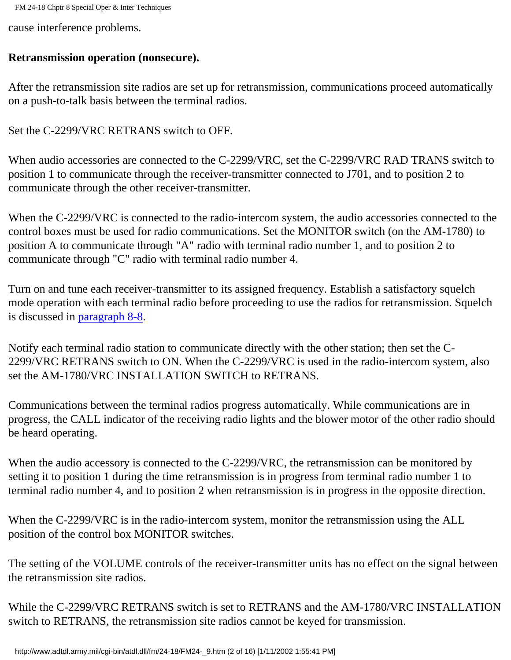FM 24-18 Chptr 8 Special Oper & Inter Techniques

cause interference problems.

#### **Retransmission operation (nonsecure).**

After the retransmission site radios are set up for retransmission, communications proceed automatically on a push-to-talk basis between the terminal radios.

Set the C-2299/VRC RETRANS switch to OFF.

When audio accessories are connected to the C-2299/VRC, set the C-2299/VRC RAD TRANS switch to position 1 to communicate through the receiver-transmitter connected to J701, and to position 2 to communicate through the other receiver-transmitter.

When the C-2299/VRC is connected to the radio-intercom system, the audio accessories connected to the control boxes must be used for radio communications. Set the MONITOR switch (on the AM-1780) to position A to communicate through "A" radio with terminal radio number 1, and to position 2 to communicate through "C" radio with terminal radio number 4.

Turn on and tune each receiver-transmitter to its assigned frequency. Establish a satisfactory squelch mode operation with each terminal radio before proceeding to use the radios for retransmission. Squelch is discussed in [paragraph 8-8](http://www.adtdl.army.mil/cgi-bin/atdl.dll/fm/24-18/FM24-_9.HTM#P8-8).

Notify each terminal radio station to communicate directly with the other station; then set the C-2299/VRC RETRANS switch to ON. When the C-2299/VRC is used in the radio-intercom system, also set the AM-1780/VRC INSTALLATION SWITCH to RETRANS.

Communications between the terminal radios progress automatically. While communications are in progress, the CALL indicator of the receiving radio lights and the blower motor of the other radio should be heard operating.

When the audio accessory is connected to the C-2299/VRC, the retransmission can be monitored by setting it to position 1 during the time retransmission is in progress from terminal radio number 1 to terminal radio number 4, and to position 2 when retransmission is in progress in the opposite direction.

When the C-2299/VRC is in the radio-intercom system, monitor the retransmission using the ALL position of the control box MONITOR switches.

The setting of the VOLUME controls of the receiver-transmitter units has no effect on the signal between the retransmission site radios.

While the C-2299/VRC RETRANS switch is set to RETRANS and the AM-1780/VRC INSTALLATION switch to RETRANS, the retransmission site radios cannot be keyed for transmission.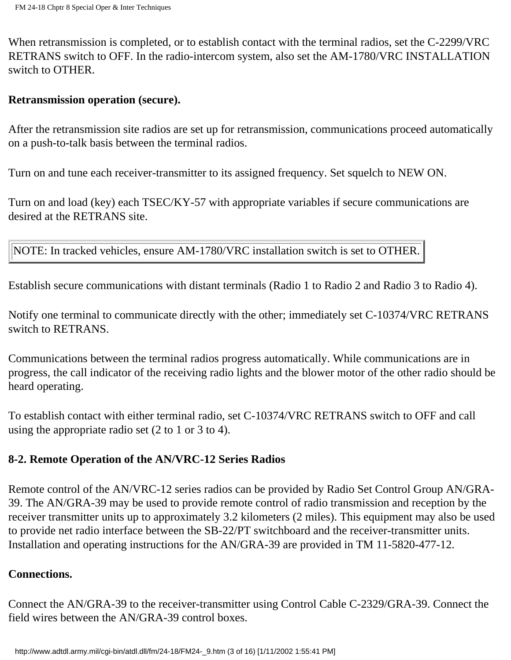When retransmission is completed, or to establish contact with the terminal radios, set the C-2299/VRC RETRANS switch to OFF. In the radio-intercom system, also set the AM-1780/VRC INSTALLATION switch to OTHER.

#### **Retransmission operation (secure).**

After the retransmission site radios are set up for retransmission, communications proceed automatically on a push-to-talk basis between the terminal radios.

Turn on and tune each receiver-transmitter to its assigned frequency. Set squelch to NEW ON.

Turn on and load (key) each TSEC/KY-57 with appropriate variables if secure communications are desired at the RETRANS site.

NOTE: In tracked vehicles, ensure AM-1780/VRC installation switch is set to OTHER.

Establish secure communications with distant terminals (Radio 1 to Radio 2 and Radio 3 to Radio 4).

Notify one terminal to communicate directly with the other; immediately set C-10374/VRC RETRANS switch to RETRANS.

Communications between the terminal radios progress automatically. While communications are in progress, the call indicator of the receiving radio lights and the blower motor of the other radio should be heard operating.

To establish contact with either terminal radio, set C-10374/VRC RETRANS switch to OFF and call using the appropriate radio set (2 to 1 or 3 to 4).

#### **8-2. Remote Operation of the AN/VRC-12 Series Radios**

Remote control of the AN/VRC-12 series radios can be provided by Radio Set Control Group AN/GRA-39. The AN/GRA-39 may be used to provide remote control of radio transmission and reception by the receiver transmitter units up to approximately 3.2 kilometers (2 miles). This equipment may also be used to provide net radio interface between the SB-22/PT switchboard and the receiver-transmitter units. Installation and operating instructions for the AN/GRA-39 are provided in TM 11-5820-477-12.

#### **Connections.**

Connect the AN/GRA-39 to the receiver-transmitter using Control Cable C-2329/GRA-39. Connect the field wires between the AN/GRA-39 control boxes.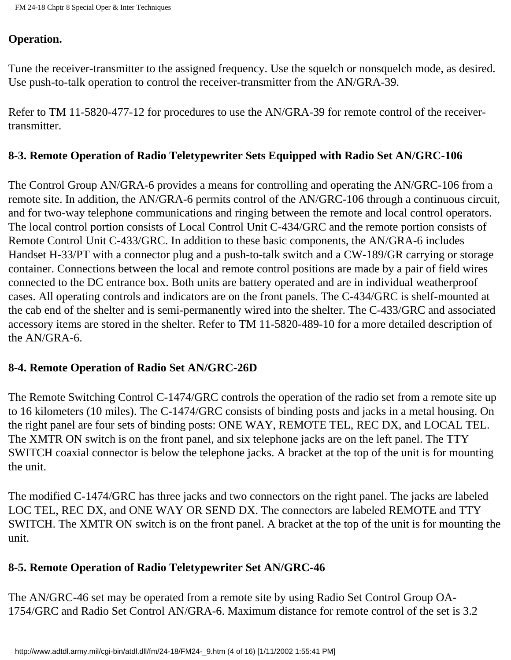#### **Operation.**

Tune the receiver-transmitter to the assigned frequency. Use the squelch or nonsquelch mode, as desired. Use push-to-talk operation to control the receiver-transmitter from the AN/GRA-39.

Refer to TM 11-5820-477-12 for procedures to use the AN/GRA-39 for remote control of the receivertransmitter.

#### **8-3. Remote Operation of Radio Teletypewriter Sets Equipped with Radio Set AN/GRC-106**

The Control Group AN/GRA-6 provides a means for controlling and operating the AN/GRC-106 from a remote site. In addition, the AN/GRA-6 permits control of the AN/GRC-106 through a continuous circuit, and for two-way telephone communications and ringing between the remote and local control operators. The local control portion consists of Local Control Unit C-434/GRC and the remote portion consists of Remote Control Unit C-433/GRC. In addition to these basic components, the AN/GRA-6 includes Handset H-33/PT with a connector plug and a push-to-talk switch and a CW-189/GR carrying or storage container. Connections between the local and remote control positions are made by a pair of field wires connected to the DC entrance box. Both units are battery operated and are in individual weatherproof cases. All operating controls and indicators are on the front panels. The C-434/GRC is shelf-mounted at the cab end of the shelter and is semi-permanently wired into the shelter. The C-433/GRC and associated accessory items are stored in the shelter. Refer to TM 11-5820-489-10 for a more detailed description of the AN/GRA-6.

#### **8-4. Remote Operation of Radio Set AN/GRC-26D**

The Remote Switching Control C-1474/GRC controls the operation of the radio set from a remote site up to 16 kilometers (10 miles). The C-1474/GRC consists of binding posts and jacks in a metal housing. On the right panel are four sets of binding posts: ONE WAY, REMOTE TEL, REC DX, and LOCAL TEL. The XMTR ON switch is on the front panel, and six telephone jacks are on the left panel. The TTY SWITCH coaxial connector is below the telephone jacks. A bracket at the top of the unit is for mounting the unit.

The modified C-1474/GRC has three jacks and two connectors on the right panel. The jacks are labeled LOC TEL, REC DX, and ONE WAY OR SEND DX. The connectors are labeled REMOTE and TTY SWITCH. The XMTR ON switch is on the front panel. A bracket at the top of the unit is for mounting the unit.

## **8-5. Remote Operation of Radio Teletypewriter Set AN/GRC-46**

The AN/GRC-46 set may be operated from a remote site by using Radio Set Control Group OA-1754/GRC and Radio Set Control AN/GRA-6. Maximum distance for remote control of the set is 3.2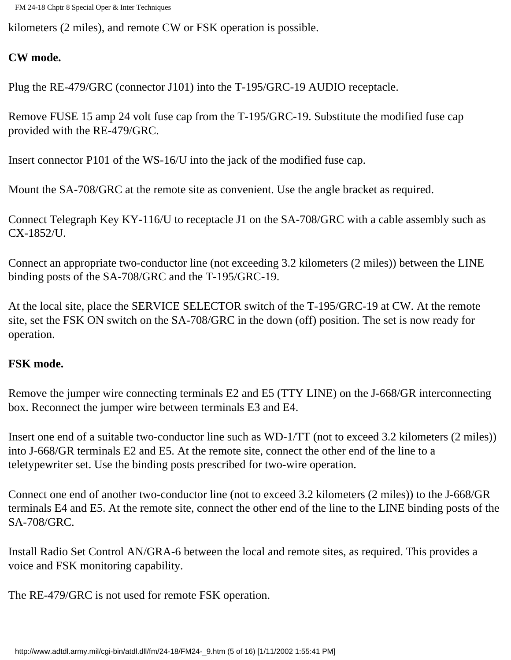```
FM 24-18 Chptr 8 Special Oper & Inter Techniques
```
kilometers (2 miles), and remote CW or FSK operation is possible.

#### **CW mode.**

Plug the RE-479/GRC (connector J101) into the T-195/GRC-19 AUDIO receptacle.

Remove FUSE 15 amp 24 volt fuse cap from the T-195/GRC-19. Substitute the modified fuse cap provided with the RE-479/GRC.

Insert connector P101 of the WS-16/U into the jack of the modified fuse cap.

Mount the SA-708/GRC at the remote site as convenient. Use the angle bracket as required.

Connect Telegraph Key KY-116/U to receptacle J1 on the SA-708/GRC with a cable assembly such as CX-1852/U.

Connect an appropriate two-conductor line (not exceeding 3.2 kilometers (2 miles)) between the LINE binding posts of the SA-708/GRC and the T-195/GRC-19.

At the local site, place the SERVICE SELECTOR switch of the T-195/GRC-19 at CW. At the remote site, set the FSK ON switch on the SA-708/GRC in the down (off) position. The set is now ready for operation.

## **FSK mode.**

Remove the jumper wire connecting terminals E2 and E5 (TTY LINE) on the J-668/GR interconnecting box. Reconnect the jumper wire between terminals E3 and E4.

Insert one end of a suitable two-conductor line such as WD-1/TT (not to exceed 3.2 kilometers (2 miles)) into J-668/GR terminals E2 and E5. At the remote site, connect the other end of the line to a teletypewriter set. Use the binding posts prescribed for two-wire operation.

Connect one end of another two-conductor line (not to exceed 3.2 kilometers (2 miles)) to the J-668/GR terminals E4 and E5. At the remote site, connect the other end of the line to the LINE binding posts of the SA-708/GRC.

Install Radio Set Control AN/GRA-6 between the local and remote sites, as required. This provides a voice and FSK monitoring capability.

The RE-479/GRC is not used for remote FSK operation.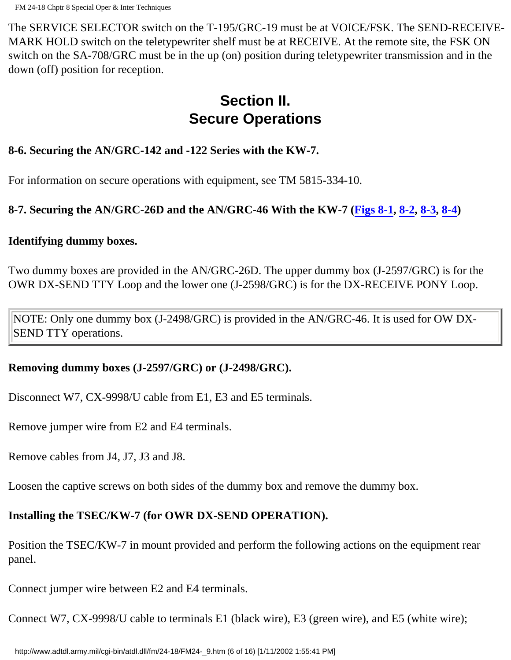The SERVICE SELECTOR switch on the T-195/GRC-19 must be at VOICE/FSK. The SEND-RECEIVE-MARK HOLD switch on the teletypewriter shelf must be at RECEIVE. At the remote site, the FSK ON switch on the SA-708/GRC must be in the up (on) position during teletypewriter transmission and in the down (off) position for reception.

# **Section II. Secure Operations**

#### **8-6. Securing the AN/GRC-142 and -122 Series with the KW-7.**

For information on secure operations with equipment, see TM 5815-334-10.

## **8-7. Securing the AN/GRC-26D and the AN/GRC-46 With the KW-7 ([Figs 8-1,](http://www.adtdl.army.mil/cgi-bin/atdl.dll/fm/24-18/24180083.gif) [8-2](http://www.adtdl.army.mil/cgi-bin/atdl.dll/fm/24-18/24180084.gif), [8-3,](http://www.adtdl.army.mil/cgi-bin/atdl.dll/fm/24-18/24180085.gif) [8-4](http://www.adtdl.army.mil/cgi-bin/atdl.dll/fm/24-18/24180086.gif))**

#### **Identifying dummy boxes.**

Two dummy boxes are provided in the AN/GRC-26D. The upper dummy box (J-2597/GRC) is for the OWR DX-SEND TTY Loop and the lower one (J-2598/GRC) is for the DX-RECEIVE PONY Loop.

NOTE: Only one dummy box (J-2498/GRC) is provided in the AN/GRC-46. It is used for OW DX-SEND TTY operations.

#### **Removing dummy boxes (J-2597/GRC) or (J-2498/GRC).**

Disconnect W7, CX-9998/U cable from E1, E3 and E5 terminals.

Remove jumper wire from E2 and E4 terminals.

Remove cables from J4, J7, J3 and J8.

Loosen the captive screws on both sides of the dummy box and remove the dummy box.

#### **Installing the TSEC/KW-7 (for OWR DX-SEND OPERATION).**

Position the TSEC/KW-7 in mount provided and perform the following actions on the equipment rear panel.

Connect jumper wire between E2 and E4 terminals.

Connect W7, CX-9998/U cable to terminals E1 (black wire), E3 (green wire), and E5 (white wire);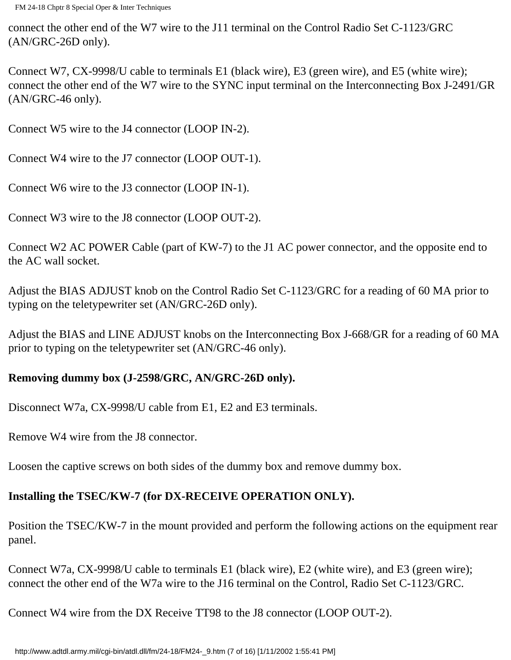connect the other end of the W7 wire to the J11 terminal on the Control Radio Set C-1123/GRC (AN/GRC-26D only).

Connect W7, CX-9998/U cable to terminals E1 (black wire), E3 (green wire), and E5 (white wire); connect the other end of the W7 wire to the SYNC input terminal on the Interconnecting Box J-2491/GR  $(AN/GRC-46 \text{ only}).$ 

Connect W5 wire to the J4 connector (LOOP IN-2).

Connect W4 wire to the J7 connector (LOOP OUT-1).

Connect W6 wire to the J3 connector (LOOP IN-1).

Connect W3 wire to the J8 connector (LOOP OUT-2).

Connect W2 AC POWER Cable (part of KW-7) to the J1 AC power connector, and the opposite end to the AC wall socket.

Adjust the BIAS ADJUST knob on the Control Radio Set C-1123/GRC for a reading of 60 MA prior to typing on the teletypewriter set (AN/GRC-26D only).

Adjust the BIAS and LINE ADJUST knobs on the Interconnecting Box J-668/GR for a reading of 60 MA prior to typing on the teletypewriter set (AN/GRC-46 only).

#### **Removing dummy box (J-2598/GRC, AN/GRC-26D only).**

Disconnect W7a, CX-9998/U cable from E1, E2 and E3 terminals.

Remove W4 wire from the J8 connector.

Loosen the captive screws on both sides of the dummy box and remove dummy box.

# **Installing the TSEC/KW-7 (for DX-RECEIVE OPERATION ONLY).**

Position the TSEC/KW-7 in the mount provided and perform the following actions on the equipment rear panel.

Connect W7a, CX-9998/U cable to terminals E1 (black wire), E2 (white wire), and E3 (green wire); connect the other end of the W7a wire to the J16 terminal on the Control, Radio Set C-1123/GRC.

Connect W4 wire from the DX Receive TT98 to the J8 connector (LOOP OUT-2).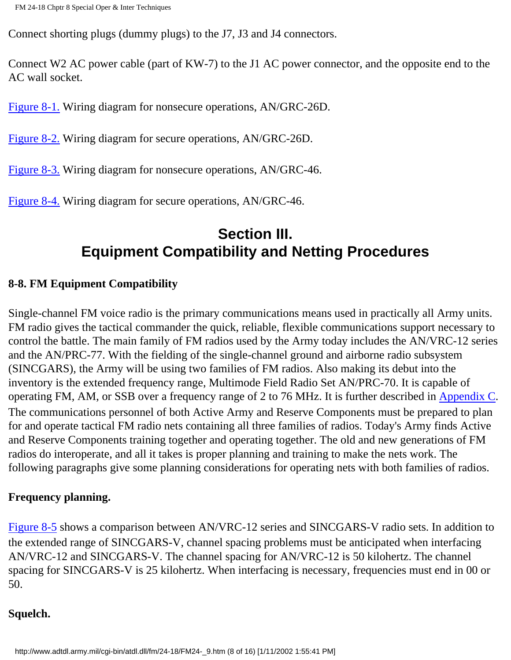Connect shorting plugs (dummy plugs) to the J7, J3 and J4 connectors.

Connect W2 AC power cable (part of KW-7) to the J1 AC power connector, and the opposite end to the AC wall socket.

[Figure 8-1.](http://www.adtdl.army.mil/cgi-bin/atdl.dll/fm/24-18/24180083.gif) Wiring diagram for nonsecure operations, AN/GRC-26D.

[Figure 8-2.](http://www.adtdl.army.mil/cgi-bin/atdl.dll/fm/24-18/24180084.gif) Wiring diagram for secure operations, AN/GRC-26D.

[Figure 8-3.](http://www.adtdl.army.mil/cgi-bin/atdl.dll/fm/24-18/24180085.gif) Wiring diagram for nonsecure operations, AN/GRC-46.

[Figure 8-4.](http://www.adtdl.army.mil/cgi-bin/atdl.dll/fm/24-18/24180086.gif) Wiring diagram for secure operations, AN/GRC-46.

# **Section III. Equipment Compatibility and Netting Procedures**

#### **8-8. FM Equipment Compatibility**

Single-channel FM voice radio is the primary communications means used in practically all Army units. FM radio gives the tactical commander the quick, reliable, flexible communications support necessary to control the battle. The main family of FM radios used by the Army today includes the AN/VRC-12 series and the AN/PRC-77. With the fielding of the single-channel ground and airborne radio subsystem (SINCGARS), the Army will be using two families of FM radios. Also making its debut into the inventory is the extended frequency range, Multimode Field Radio Set AN/PRC-70. It is capable of operating FM, AM, or SSB over a frequency range of 2 to 76 MHz. It is further described in [Appendix C.](http://www.adtdl.army.mil/cgi-bin/atdl.dll/fm/24-18/FM24-_12.HTM) The communications personnel of both Active Army and Reserve Components must be prepared to plan for and operate tactical FM radio nets containing all three families of radios. Today's Army finds Active and Reserve Components training together and operating together. The old and new generations of FM radios do interoperate, and all it takes is proper planning and training to make the nets work. The following paragraphs give some planning considerations for operating nets with both families of radios.

#### **Frequency planning.**

[Figure 8-5](http://www.adtdl.army.mil/cgi-bin/atdl.dll/fm/24-18/24180087.gif) shows a comparison between AN/VRC-12 series and SINCGARS-V radio sets. In addition to the extended range of SINCGARS-V, channel spacing problems must be anticipated when interfacing AN/VRC-12 and SINCGARS-V. The channel spacing for AN/VRC-12 is 50 kilohertz. The channel spacing for SINCGARS-V is 25 kilohertz. When interfacing is necessary, frequencies must end in 00 or 50.

#### **Squelch.**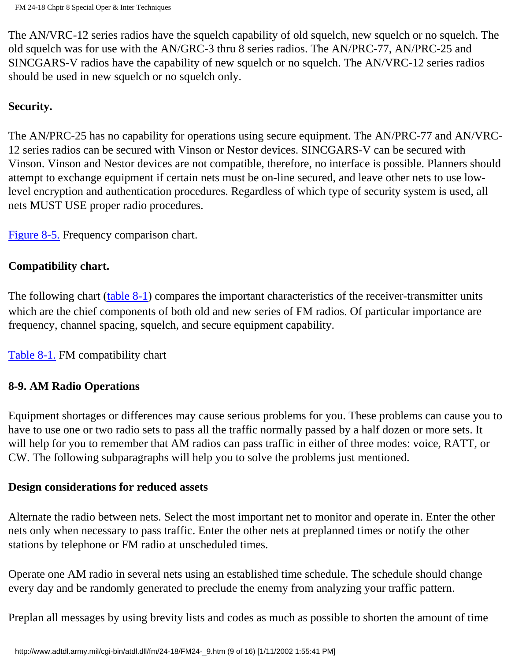The AN/VRC-12 series radios have the squelch capability of old squelch, new squelch or no squelch. The old squelch was for use with the AN/GRC-3 thru 8 series radios. The AN/PRC-77, AN/PRC-25 and SINCGARS-V radios have the capability of new squelch or no squelch. The AN/VRC-12 series radios should be used in new squelch or no squelch only.

#### **Security.**

The AN/PRC-25 has no capability for operations using secure equipment. The AN/PRC-77 and AN/VRC-12 series radios can be secured with Vinson or Nestor devices. SINCGARS-V can be secured with Vinson. Vinson and Nestor devices are not compatible, therefore, no interface is possible. Planners should attempt to exchange equipment if certain nets must be on-line secured, and leave other nets to use lowlevel encryption and authentication procedures. Regardless of which type of security system is used, all nets MUST USE proper radio procedures.

[Figure 8-5.](http://www.adtdl.army.mil/cgi-bin/atdl.dll/fm/24-18/24180087.gif) Frequency comparison chart.

#### **Compatibility chart.**

The following chart [\(table 8-1](http://www.adtdl.army.mil/cgi-bin/atdl.dll/fm/24-18/24180088.gif)) compares the important characteristics of the receiver-transmitter units which are the chief components of both old and new series of FM radios. Of particular importance are frequency, channel spacing, squelch, and secure equipment capability.

[Table 8-1.](http://www.adtdl.army.mil/cgi-bin/atdl.dll/fm/24-18/24180088.gif) FM compatibility chart

#### **8-9. AM Radio Operations**

Equipment shortages or differences may cause serious problems for you. These problems can cause you to have to use one or two radio sets to pass all the traffic normally passed by a half dozen or more sets. It will help for you to remember that AM radios can pass traffic in either of three modes: voice, RATT, or CW. The following subparagraphs will help you to solve the problems just mentioned.

#### **Design considerations for reduced assets**

Alternate the radio between nets. Select the most important net to monitor and operate in. Enter the other nets only when necessary to pass traffic. Enter the other nets at preplanned times or notify the other stations by telephone or FM radio at unscheduled times.

Operate one AM radio in several nets using an established time schedule. The schedule should change every day and be randomly generated to preclude the enemy from analyzing your traffic pattern.

Preplan all messages by using brevity lists and codes as much as possible to shorten the amount of time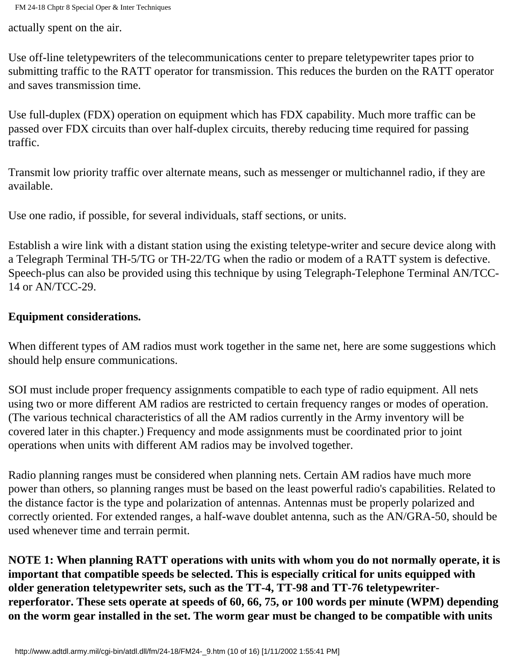actually spent on the air.

Use off-line teletypewriters of the telecommunications center to prepare teletypewriter tapes prior to submitting traffic to the RATT operator for transmission. This reduces the burden on the RATT operator and saves transmission time.

Use full-duplex (FDX) operation on equipment which has FDX capability. Much more traffic can be passed over FDX circuits than over half-duplex circuits, thereby reducing time required for passing traffic.

Transmit low priority traffic over alternate means, such as messenger or multichannel radio, if they are available.

Use one radio, if possible, for several individuals, staff sections, or units.

Establish a wire link with a distant station using the existing teletype-writer and secure device along with a Telegraph Terminal TH-5/TG or TH-22/TG when the radio or modem of a RATT system is defective. Speech-plus can also be provided using this technique by using Telegraph-Telephone Terminal AN/TCC-14 or AN/TCC-29.

#### **Equipment considerations.**

When different types of AM radios must work together in the same net, here are some suggestions which should help ensure communications.

SOI must include proper frequency assignments compatible to each type of radio equipment. All nets using two or more different AM radios are restricted to certain frequency ranges or modes of operation. (The various technical characteristics of all the AM radios currently in the Army inventory will be covered later in this chapter.) Frequency and mode assignments must be coordinated prior to joint operations when units with different AM radios may be involved together.

Radio planning ranges must be considered when planning nets. Certain AM radios have much more power than others, so planning ranges must be based on the least powerful radio's capabilities. Related to the distance factor is the type and polarization of antennas. Antennas must be properly polarized and correctly oriented. For extended ranges, a half-wave doublet antenna, such as the AN/GRA-50, should be used whenever time and terrain permit.

**NOTE 1: When planning RATT operations with units with whom you do not normally operate, it is important that compatible speeds be selected. This is especially critical for units equipped with older generation teletypewriter sets, such as the TT-4, TT-98 and TT-76 teletypewriterreperforator. These sets operate at speeds of 60, 66, 75, or 100 words per minute (WPM) depending on the worm gear installed in the set. The worm gear must be changed to be compatible with units**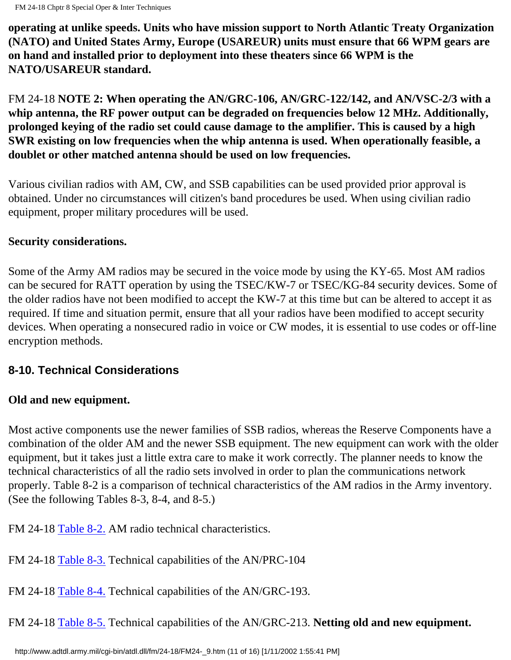**operating at unlike speeds. Units who have mission support to North Atlantic Treaty Organization (NATO) and United States Army, Europe (USAREUR) units must ensure that 66 WPM gears are on hand and installed prior to deployment into these theaters since 66 WPM is the NATO/USAREUR standard.**

FM 24-18 **NOTE 2: When operating the AN/GRC-106, AN/GRC-122/142, and AN/VSC-2/3 with a whip antenna, the RF power output can be degraded on frequencies below 12 MHz. Additionally, prolonged keying of the radio set could cause damage to the amplifier. This is caused by a high SWR existing on low frequencies when the whip antenna is used. When operationally feasible, a doublet or other matched antenna should be used on low frequencies.**

Various civilian radios with AM, CW, and SSB capabilities can be used provided prior approval is obtained. Under no circumstances will citizen's band procedures be used. When using civilian radio equipment, proper military procedures will be used.

#### **Security considerations.**

Some of the Army AM radios may be secured in the voice mode by using the KY-65. Most AM radios can be secured for RATT operation by using the TSEC/KW-7 or TSEC/KG-84 security devices. Some of the older radios have not been modified to accept the KW-7 at this time but can be altered to accept it as required. If time and situation permit, ensure that all your radios have been modified to accept security devices. When operating a nonsecured radio in voice or CW modes, it is essential to use codes or off-line encryption methods.

## **8-10. Technical Considerations**

#### **Old and new equipment.**

Most active components use the newer families of SSB radios, whereas the Reserve Components have a combination of the older AM and the newer SSB equipment. The new equipment can work with the older equipment, but it takes just a little extra care to make it work correctly. The planner needs to know the technical characteristics of all the radio sets involved in order to plan the communications network properly. Table 8-2 is a comparison of technical characteristics of the AM radios in the Army inventory. (See the following Tables 8-3, 8-4, and 8-5.)

FM 24-18 [Table 8-2.](http://www.adtdl.army.mil/cgi-bin/atdl.dll/fm/24-18/24180089.gif) AM radio technical characteristics.

FM 24-18 [Table 8-3.](http://www.adtdl.army.mil/cgi-bin/atdl.dll/fm/24-18/24180090.gif) Technical capabilities of the AN/PRC-104

FM 24-18 [Table 8-4.](http://www.adtdl.army.mil/cgi-bin/atdl.dll/fm/24-18/24180091.gif) Technical capabilities of the AN/GRC-193.

FM 24-18 [Table 8-5.](http://www.adtdl.army.mil/cgi-bin/atdl.dll/fm/24-18/24180092.gif) Technical capabilities of the AN/GRC-213. **Netting old and new equipment.**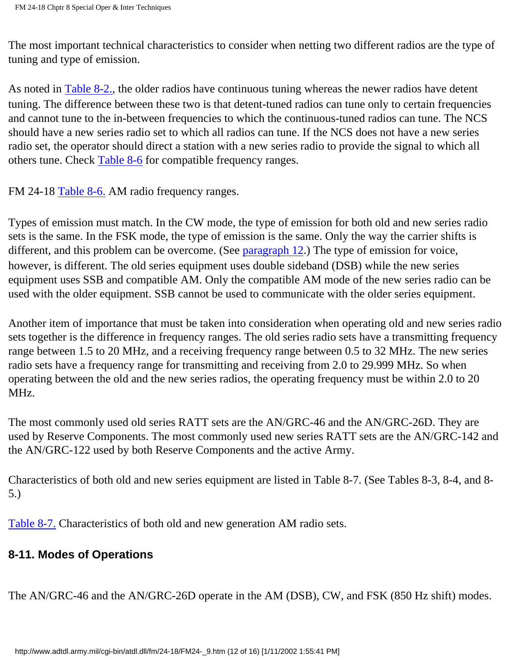The most important technical characteristics to consider when netting two different radios are the type of tuning and type of emission.

As noted in [Table 8-2.,](http://www.adtdl.army.mil/cgi-bin/atdl.dll/fm/24-18/24180089.gif) the older radios have continuous tuning whereas the newer radios have detent tuning. The difference between these two is that detent-tuned radios can tune only to certain frequencies and cannot tune to the in-between frequencies to which the continuous-tuned radios can tune. The NCS should have a new series radio set to which all radios can tune. If the NCS does not have a new series radio set, the operator should direct a station with a new series radio to provide the signal to which all others tune. Check [Table 8-6](http://www.adtdl.army.mil/cgi-bin/atdl.dll/fm/24-18/24180093.gif) for compatible frequency ranges.

FM 24-18 [Table 8-6.](http://www.adtdl.army.mil/cgi-bin/atdl.dll/fm/24-18/24180093.gif) AM radio frequency ranges.

Types of emission must match. In the CW mode, the type of emission for both old and new series radio sets is the same. In the FSK mode, the type of emission is the same. Only the way the carrier shifts is different, and this problem can be overcome. (See paragraph 12.) The type of emission for voice, however, is different. The old series equipment uses double sideband (DSB) while the new series equipment uses SSB and compatible AM. Only the compatible AM mode of the new series radio can be used with the older equipment. SSB cannot be used to communicate with the older series equipment.

Another item of importance that must be taken into consideration when operating old and new series radio sets together is the difference in frequency ranges. The old series radio sets have a transmitting frequency range between 1.5 to 20 MHz, and a receiving frequency range between 0.5 to 32 MHz. The new series radio sets have a frequency range for transmitting and receiving from 2.0 to 29.999 MHz. So when operating between the old and the new series radios, the operating frequency must be within 2.0 to 20 MHz.

The most commonly used old series RATT sets are the AN/GRC-46 and the AN/GRC-26D. They are used by Reserve Components. The most commonly used new series RATT sets are the AN/GRC-142 and the AN/GRC-122 used by both Reserve Components and the active Army.

Characteristics of both old and new series equipment are listed in Table 8-7. (See Tables 8-3, 8-4, and 8- 5.)

[Table 8-7.](http://www.adtdl.army.mil/cgi-bin/atdl.dll/fm/24-18/24180094.gif) Characteristics of both old and new generation AM radio sets.

# **8-11. Modes of Operations**

The AN/GRC-46 and the AN/GRC-26D operate in the AM (DSB), CW, and FSK (850 Hz shift) modes.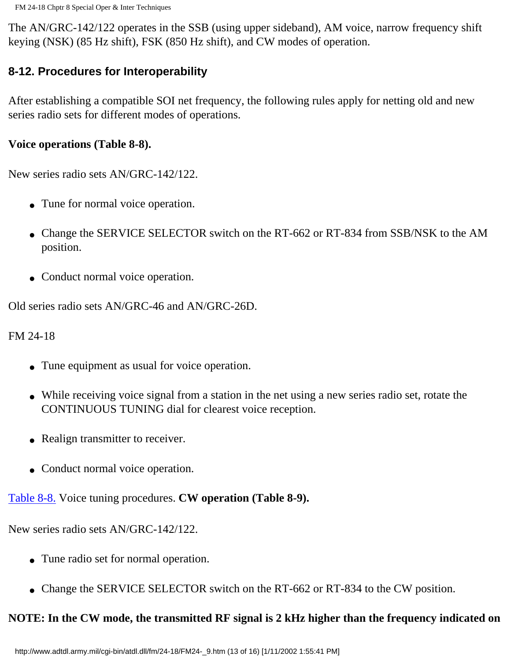The AN/GRC-142/122 operates in the SSB (using upper sideband), AM voice, narrow frequency shift keying (NSK) (85 Hz shift), FSK (850 Hz shift), and CW modes of operation.

## **8-12. Procedures for Interoperability**

After establishing a compatible SOI net frequency, the following rules apply for netting old and new series radio sets for different modes of operations.

#### **Voice operations (Table 8-8).**

New series radio sets AN/GRC-142/122.

- Tune for normal voice operation.
- Change the SERVICE SELECTOR switch on the RT-662 or RT-834 from SSB/NSK to the AM position.
- Conduct normal voice operation.

Old series radio sets AN/GRC-46 and AN/GRC-26D.

FM 24-18

- Tune equipment as usual for voice operation.
- While receiving voice signal from a station in the net using a new series radio set, rotate the CONTINUOUS TUNING dial for clearest voice reception.
- Realign transmitter to receiver.
- Conduct normal voice operation.

[Table 8-8.](http://www.adtdl.army.mil/cgi-bin/atdl.dll/fm/24-18/24180095.gif) Voice tuning procedures. **CW operation (Table 8-9).**

New series radio sets AN/GRC-142/122.

- Tune radio set for normal operation.
- Change the SERVICE SELECTOR switch on the RT-662 or RT-834 to the CW position.

# **NOTE: In the CW mode, the transmitted RF signal is 2 kHz higher than the frequency indicated on**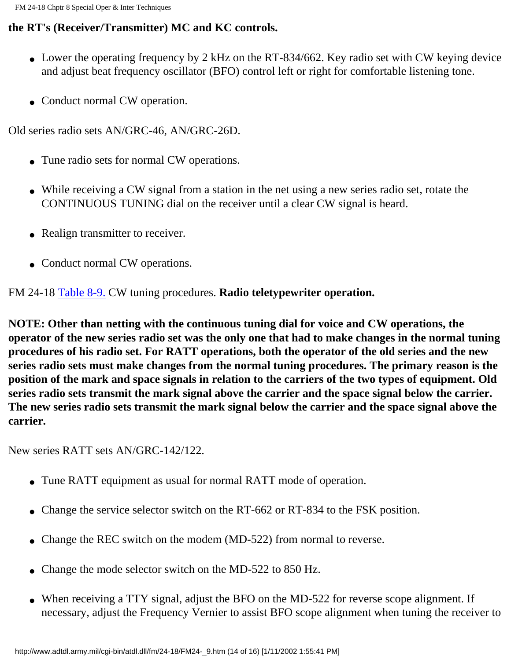#### **the RT's (Receiver/Transmitter) MC and KC controls.**

- Lower the operating frequency by 2 kHz on the RT-834/662. Key radio set with CW keying device and adjust beat frequency oscillator (BFO) control left or right for comfortable listening tone.
- Conduct normal CW operation.

Old series radio sets AN/GRC-46, AN/GRC-26D.

- Tune radio sets for normal CW operations.
- While receiving a CW signal from a station in the net using a new series radio set, rotate the CONTINUOUS TUNING dial on the receiver until a clear CW signal is heard.
- Realign transmitter to receiver.
- Conduct normal CW operations.

FM 24-18 [Table 8-9.](http://www.adtdl.army.mil/cgi-bin/atdl.dll/fm/24-18/24180096.gif) CW tuning procedures. **Radio teletypewriter operation.**

**NOTE: Other than netting with the continuous tuning dial for voice and CW operations, the operator of the new series radio set was the only one that had to make changes in the normal tuning procedures of his radio set. For RATT operations, both the operator of the old series and the new series radio sets must make changes from the normal tuning procedures. The primary reason is the position of the mark and space signals in relation to the carriers of the two types of equipment. Old series radio sets transmit the mark signal above the carrier and the space signal below the carrier. The new series radio sets transmit the mark signal below the carrier and the space signal above the carrier.**

New series RATT sets AN/GRC-142/122.

- Tune RATT equipment as usual for normal RATT mode of operation.
- Change the service selector switch on the RT-662 or RT-834 to the FSK position.
- Change the REC switch on the modem (MD-522) from normal to reverse.
- Change the mode selector switch on the MD-522 to 850 Hz.
- When receiving a TTY signal, adjust the BFO on the MD-522 for reverse scope alignment. If necessary, adjust the Frequency Vernier to assist BFO scope alignment when tuning the receiver to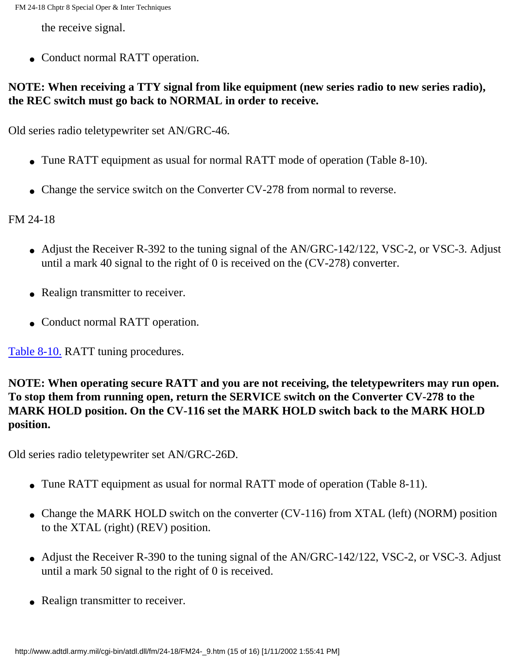the receive signal.

• Conduct normal RATT operation.

#### **NOTE: When receiving a TTY signal from like equipment (new series radio to new series radio), the REC switch must go back to NORMAL in order to receive.**

Old series radio teletypewriter set AN/GRC-46.

- Tune RATT equipment as usual for normal RATT mode of operation (Table 8-10).
- Change the service switch on the Converter CV-278 from normal to reverse.

FM 24-18

- Adjust the Receiver R-392 to the tuning signal of the AN/GRC-142/122, VSC-2, or VSC-3. Adjust until a mark 40 signal to the right of 0 is received on the (CV-278) converter.
- Realign transmitter to receiver.
- Conduct normal RATT operation.

[Table 8-10.](http://www.adtdl.army.mil/cgi-bin/atdl.dll/fm/24-18/24180097.gif) RATT tuning procedures.

**NOTE: When operating secure RATT and you are not receiving, the teletypewriters may run open. To stop them from running open, return the SERVICE switch on the Converter CV-278 to the MARK HOLD position. On the CV-116 set the MARK HOLD switch back to the MARK HOLD position.**

Old series radio teletypewriter set AN/GRC-26D.

- Tune RATT equipment as usual for normal RATT mode of operation (Table 8-11).
- Change the MARK HOLD switch on the converter (CV-116) from XTAL (left) (NORM) position to the XTAL (right) (REV) position.
- Adjust the Receiver R-390 to the tuning signal of the AN/GRC-142/122, VSC-2, or VSC-3. Adjust until a mark 50 signal to the right of 0 is received.
- Realign transmitter to receiver.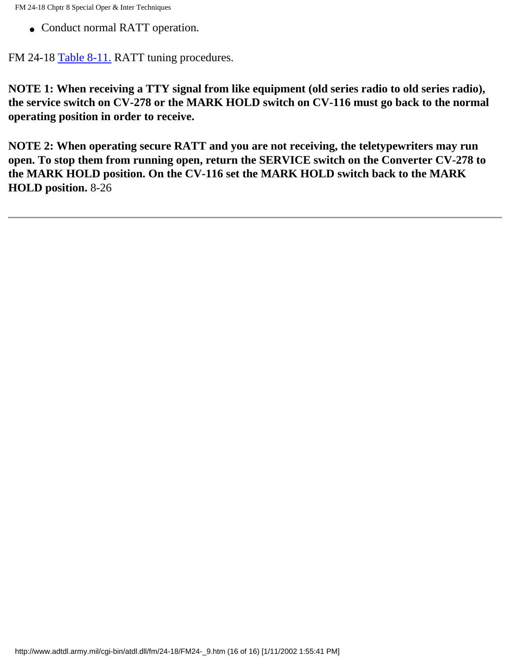• Conduct normal RATT operation.

FM 24-18 [Table 8-11.](http://www.adtdl.army.mil/cgi-bin/atdl.dll/fm/24-18/24180098.gif) RATT tuning procedures.

**NOTE 1: When receiving a TTY signal from like equipment (old series radio to old series radio), the service switch on CV-278 or the MARK HOLD switch on CV-116 must go back to the normal operating position in order to receive.**

**NOTE 2: When operating secure RATT and you are not receiving, the teletypewriters may run open. To stop them from running open, return the SERVICE switch on the Converter CV-278 to the MARK HOLD position. On the CV-116 set the MARK HOLD switch back to the MARK HOLD position.** 8-26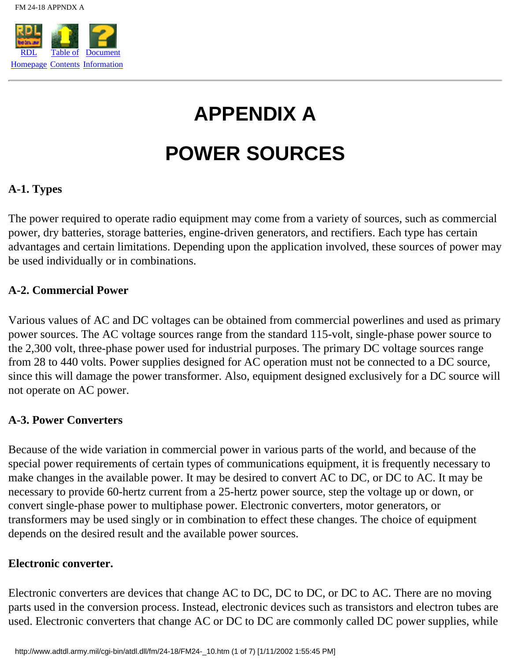

# **APPENDIX A**

# **POWER SOURCES**

# **A-1. Types**

The power required to operate radio equipment may come from a variety of sources, such as commercial power, dry batteries, storage batteries, engine-driven generators, and rectifiers. Each type has certain advantages and certain limitations. Depending upon the application involved, these sources of power may be used individually or in combinations.

#### **A-2. Commercial Power**

Various values of AC and DC voltages can be obtained from commercial powerlines and used as primary power sources. The AC voltage sources range from the standard 115-volt, single-phase power source to the 2,300 volt, three-phase power used for industrial purposes. The primary DC voltage sources range from 28 to 440 volts. Power supplies designed for AC operation must not be connected to a DC source, since this will damage the power transformer. Also, equipment designed exclusively for a DC source will not operate on AC power.

## **A-3. Power Converters**

Because of the wide variation in commercial power in various parts of the world, and because of the special power requirements of certain types of communications equipment, it is frequently necessary to make changes in the available power. It may be desired to convert AC to DC, or DC to AC. It may be necessary to provide 60-hertz current from a 25-hertz power source, step the voltage up or down, or convert single-phase power to multiphase power. Electronic converters, motor generators, or transformers may be used singly or in combination to effect these changes. The choice of equipment depends on the desired result and the available power sources.

#### **Electronic converter.**

Electronic converters are devices that change AC to DC, DC to DC, or DC to AC. There are no moving parts used in the conversion process. Instead, electronic devices such as transistors and electron tubes are used. Electronic converters that change AC or DC to DC are commonly called DC power supplies, while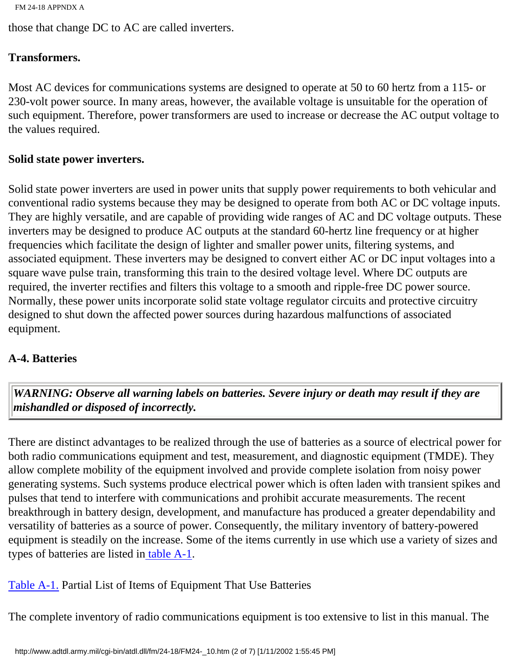```
FM 24-18 APPNDX A
```
those that change DC to AC are called inverters.

#### **Transformers.**

Most AC devices for communications systems are designed to operate at 50 to 60 hertz from a 115- or 230-volt power source. In many areas, however, the available voltage is unsuitable for the operation of such equipment. Therefore, power transformers are used to increase or decrease the AC output voltage to the values required.

#### **Solid state power inverters.**

Solid state power inverters are used in power units that supply power requirements to both vehicular and conventional radio systems because they may be designed to operate from both AC or DC voltage inputs. They are highly versatile, and are capable of providing wide ranges of AC and DC voltage outputs. These inverters may be designed to produce AC outputs at the standard 60-hertz line frequency or at higher frequencies which facilitate the design of lighter and smaller power units, filtering systems, and associated equipment. These inverters may be designed to convert either AC or DC input voltages into a square wave pulse train, transforming this train to the desired voltage level. Where DC outputs are required, the inverter rectifies and filters this voltage to a smooth and ripple-free DC power source. Normally, these power units incorporate solid state voltage regulator circuits and protective circuitry designed to shut down the affected power sources during hazardous malfunctions of associated equipment.

## **A-4. Batteries**

*WARNING: Observe all warning labels on batteries. Severe injury or death may result if they are mishandled or disposed of incorrectly.*

There are distinct advantages to be realized through the use of batteries as a source of electrical power for both radio communications equipment and test, measurement, and diagnostic equipment (TMDE). They allow complete mobility of the equipment involved and provide complete isolation from noisy power generating systems. Such systems produce electrical power which is often laden with transient spikes and pulses that tend to interfere with communications and prohibit accurate measurements. The recent breakthrough in battery design, development, and manufacture has produced a greater dependability and versatility of batteries as a source of power. Consequently, the military inventory of battery-powered equipment is steadily on the increase. Some of the items currently in use which use a variety of sizes and types of batteries are listed i[n table A-1](http://www.adtdl.army.mil/cgi-bin/atdl.dll/fm/24-18/24180099.gif).

## [Table A-1.](http://www.adtdl.army.mil/cgi-bin/atdl.dll/fm/24-18/24180099.gif) Partial List of Items of Equipment That Use Batteries

The complete inventory of radio communications equipment is too extensive to list in this manual. The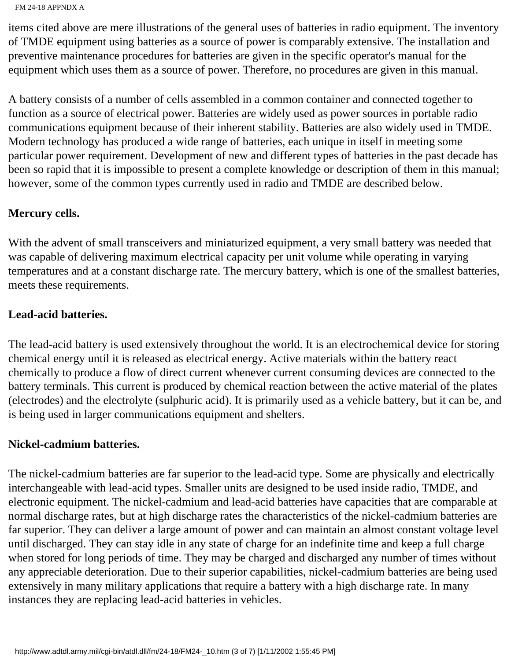```
FM 24-18 APPNDX A
```
items cited above are mere illustrations of the general uses of batteries in radio equipment. The inventory of TMDE equipment using batteries as a source of power is comparably extensive. The installation and preventive maintenance procedures for batteries are given in the specific operator's manual for the equipment which uses them as a source of power. Therefore, no procedures are given in this manual.

A battery consists of a number of cells assembled in a common container and connected together to function as a source of electrical power. Batteries are widely used as power sources in portable radio communications equipment because of their inherent stability. Batteries are also widely used in TMDE. Modern technology has produced a wide range of batteries, each unique in itself in meeting some particular power requirement. Development of new and different types of batteries in the past decade has been so rapid that it is impossible to present a complete knowledge or description of them in this manual; however, some of the common types currently used in radio and TMDE are described below.

#### **Mercury cells.**

With the advent of small transceivers and miniaturized equipment, a very small battery was needed that was capable of delivering maximum electrical capacity per unit volume while operating in varying temperatures and at a constant discharge rate. The mercury battery, which is one of the smallest batteries, meets these requirements.

#### **Lead-acid batteries.**

The lead-acid battery is used extensively throughout the world. It is an electrochemical device for storing chemical energy until it is released as electrical energy. Active materials within the battery react chemically to produce a flow of direct current whenever current consuming devices are connected to the battery terminals. This current is produced by chemical reaction between the active material of the plates (electrodes) and the electrolyte (sulphuric acid). It is primarily used as a vehicle battery, but it can be, and is being used in larger communications equipment and shelters.

#### **Nickel-cadmium batteries.**

The nickel-cadmium batteries are far superior to the lead-acid type. Some are physically and electrically interchangeable with lead-acid types. Smaller units are designed to be used inside radio, TMDE, and electronic equipment. The nickel-cadmium and lead-acid batteries have capacities that are comparable at normal discharge rates, but at high discharge rates the characteristics of the nickel-cadmium batteries are far superior. They can deliver a large amount of power and can maintain an almost constant voltage level until discharged. They can stay idle in any state of charge for an indefinite time and keep a full charge when stored for long periods of time. They may be charged and discharged any number of times without any appreciable deterioration. Due to their superior capabilities, nickel-cadmium batteries are being used extensively in many military applications that require a battery with a high discharge rate. In many instances they are replacing lead-acid batteries in vehicles.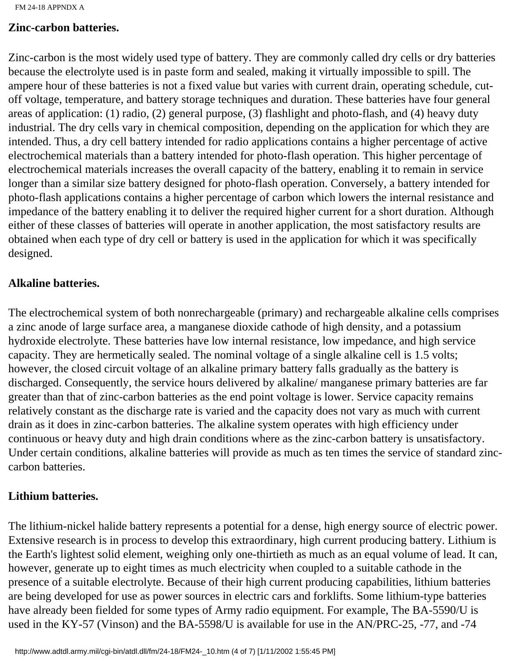FM 24-18 APPNDX A

#### **Zinc-carbon batteries.**

Zinc-carbon is the most widely used type of battery. They are commonly called dry cells or dry batteries because the electrolyte used is in paste form and sealed, making it virtually impossible to spill. The ampere hour of these batteries is not a fixed value but varies with current drain, operating schedule, cutoff voltage, temperature, and battery storage techniques and duration. These batteries have four general areas of application: (1) radio, (2) general purpose, (3) flashlight and photo-flash, and (4) heavy duty industrial. The dry cells vary in chemical composition, depending on the application for which they are intended. Thus, a dry cell battery intended for radio applications contains a higher percentage of active electrochemical materials than a battery intended for photo-flash operation. This higher percentage of electrochemical materials increases the overall capacity of the battery, enabling it to remain in service longer than a similar size battery designed for photo-flash operation. Conversely, a battery intended for photo-flash applications contains a higher percentage of carbon which lowers the internal resistance and impedance of the battery enabling it to deliver the required higher current for a short duration. Although either of these classes of batteries will operate in another application, the most satisfactory results are obtained when each type of dry cell or battery is used in the application for which it was specifically designed.

#### **Alkaline batteries.**

The electrochemical system of both nonrechargeable (primary) and rechargeable alkaline cells comprises a zinc anode of large surface area, a manganese dioxide cathode of high density, and a potassium hydroxide electrolyte. These batteries have low internal resistance, low impedance, and high service capacity. They are hermetically sealed. The nominal voltage of a single alkaline cell is 1.5 volts; however, the closed circuit voltage of an alkaline primary battery falls gradually as the battery is discharged. Consequently, the service hours delivered by alkaline/ manganese primary batteries are far greater than that of zinc-carbon batteries as the end point voltage is lower. Service capacity remains relatively constant as the discharge rate is varied and the capacity does not vary as much with current drain as it does in zinc-carbon batteries. The alkaline system operates with high efficiency under continuous or heavy duty and high drain conditions where as the zinc-carbon battery is unsatisfactory. Under certain conditions, alkaline batteries will provide as much as ten times the service of standard zinccarbon batteries.

#### **Lithium batteries.**

The lithium-nickel halide battery represents a potential for a dense, high energy source of electric power. Extensive research is in process to develop this extraordinary, high current producing battery. Lithium is the Earth's lightest solid element, weighing only one-thirtieth as much as an equal volume of lead. It can, however, generate up to eight times as much electricity when coupled to a suitable cathode in the presence of a suitable electrolyte. Because of their high current producing capabilities, lithium batteries are being developed for use as power sources in electric cars and forklifts. Some lithium-type batteries have already been fielded for some types of Army radio equipment. For example, The BA-5590/U is used in the KY-57 (Vinson) and the BA-5598/U is available for use in the AN/PRC-25, -77, and -74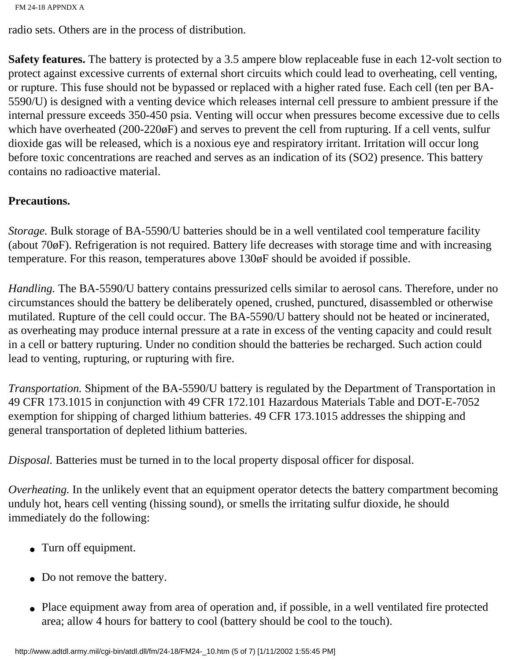```
FM 24-18 APPNDX A
```
radio sets. Others are in the process of distribution.

**Safety features.** The battery is protected by a 3.5 ampere blow replaceable fuse in each 12-volt section to protect against excessive currents of external short circuits which could lead to overheating, cell venting, or rupture. This fuse should not be bypassed or replaced with a higher rated fuse. Each cell (ten per BA-5590/U) is designed with a venting device which releases internal cell pressure to ambient pressure if the internal pressure exceeds 350-450 psia. Venting will occur when pressures become excessive due to cells which have overheated (200-220øF) and serves to prevent the cell from rupturing. If a cell vents, sulfur dioxide gas will be released, which is a noxious eye and respiratory irritant. Irritation will occur long before toxic concentrations are reached and serves as an indication of its (SO2) presence. This battery contains no radioactive material.

#### **Precautions.**

*Storage.* Bulk storage of BA-5590/U batteries should be in a well ventilated cool temperature facility (about 70øF). Refrigeration is not required. Battery life decreases with storage time and with increasing temperature. For this reason, temperatures above 130øF should be avoided if possible.

*Handling.* The BA-5590/U battery contains pressurized cells similar to aerosol cans. Therefore, under no circumstances should the battery be deliberately opened, crushed, punctured, disassembled or otherwise mutilated. Rupture of the cell could occur. The BA-5590/U battery should not be heated or incinerated, as overheating may produce internal pressure at a rate in excess of the venting capacity and could result in a cell or battery rupturing. Under no condition should the batteries be recharged. Such action could lead to venting, rupturing, or rupturing with fire.

*Transportation.* Shipment of the BA-5590/U battery is regulated by the Department of Transportation in 49 CFR 173.1015 in conjunction with 49 CFR 172.101 Hazardous Materials Table and DOT-E-7052 exemption for shipping of charged lithium batteries. 49 CFR 173.1015 addresses the shipping and general transportation of depleted lithium batteries.

*Disposal.* Batteries must be turned in to the local property disposal officer for disposal.

*Overheating.* In the unlikely event that an equipment operator detects the battery compartment becoming unduly hot, hears cell venting (hissing sound), or smells the irritating sulfur dioxide, he should immediately do the following:

- Turn off equipment.
- Do not remove the battery.
- Place equipment away from area of operation and, if possible, in a well ventilated fire protected area; allow 4 hours for battery to cool (battery should be cool to the touch).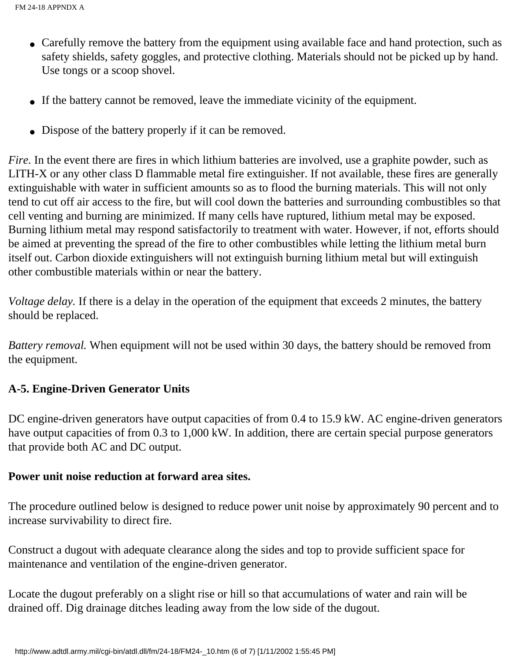- Carefully remove the battery from the equipment using available face and hand protection, such as safety shields, safety goggles, and protective clothing. Materials should not be picked up by hand. Use tongs or a scoop shovel.
- If the battery cannot be removed, leave the immediate vicinity of the equipment.
- Dispose of the battery properly if it can be removed.

*Fire.* In the event there are fires in which lithium batteries are involved, use a graphite powder, such as LITH-X or any other class D flammable metal fire extinguisher. If not available, these fires are generally extinguishable with water in sufficient amounts so as to flood the burning materials. This will not only tend to cut off air access to the fire, but will cool down the batteries and surrounding combustibles so that cell venting and burning are minimized. If many cells have ruptured, lithium metal may be exposed. Burning lithium metal may respond satisfactorily to treatment with water. However, if not, efforts should be aimed at preventing the spread of the fire to other combustibles while letting the lithium metal burn itself out. Carbon dioxide extinguishers will not extinguish burning lithium metal but will extinguish other combustible materials within or near the battery.

*Voltage delay.* If there is a delay in the operation of the equipment that exceeds 2 minutes, the battery should be replaced.

*Battery removal.* When equipment will not be used within 30 days, the battery should be removed from the equipment.

#### **A-5. Engine-Driven Generator Units**

DC engine-driven generators have output capacities of from 0.4 to 15.9 kW. AC engine-driven generators have output capacities of from 0.3 to 1,000 kW. In addition, there are certain special purpose generators that provide both AC and DC output.

#### **Power unit noise reduction at forward area sites.**

The procedure outlined below is designed to reduce power unit noise by approximately 90 percent and to increase survivability to direct fire.

Construct a dugout with adequate clearance along the sides and top to provide sufficient space for maintenance and ventilation of the engine-driven generator.

Locate the dugout preferably on a slight rise or hill so that accumulations of water and rain will be drained off. Dig drainage ditches leading away from the low side of the dugout.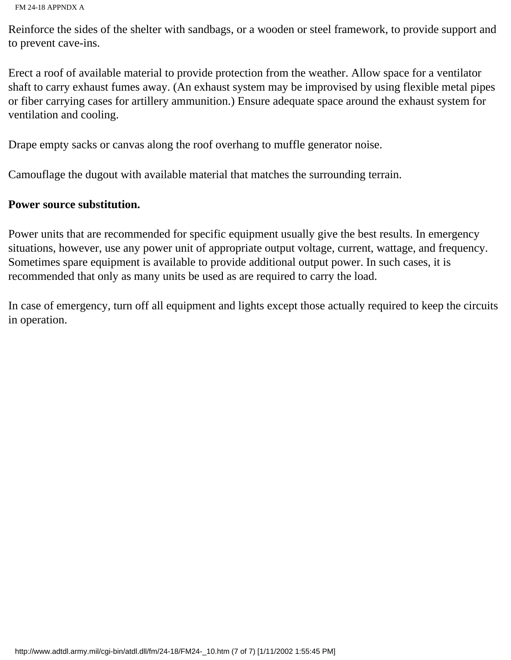```
FM 24-18 APPNDX A
```
Reinforce the sides of the shelter with sandbags, or a wooden or steel framework, to provide support and to prevent cave-ins.

Erect a roof of available material to provide protection from the weather. Allow space for a ventilator shaft to carry exhaust fumes away. (An exhaust system may be improvised by using flexible metal pipes or fiber carrying cases for artillery ammunition.) Ensure adequate space around the exhaust system for ventilation and cooling.

Drape empty sacks or canvas along the roof overhang to muffle generator noise.

Camouflage the dugout with available material that matches the surrounding terrain.

#### **Power source substitution.**

Power units that are recommended for specific equipment usually give the best results. In emergency situations, however, use any power unit of appropriate output voltage, current, wattage, and frequency. Sometimes spare equipment is available to provide additional output power. In such cases, it is recommended that only as many units be used as are required to carry the load.

In case of emergency, turn off all equipment and lights except those actually required to keep the circuits in operation.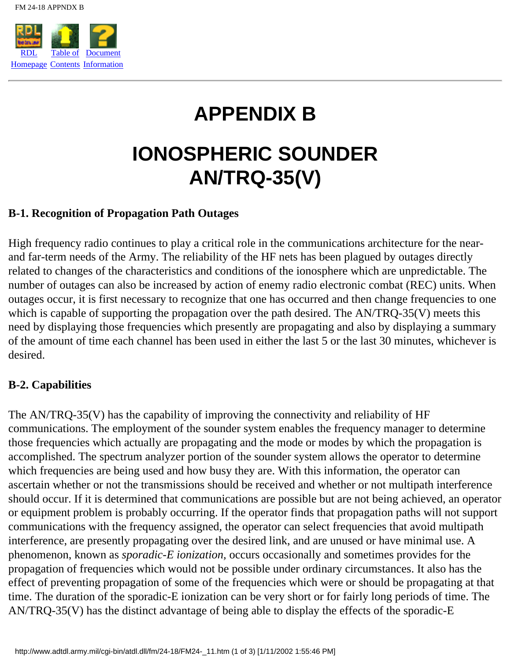

# **APPENDIX B**

# **IONOSPHERIC SOUNDER AN/TRQ-35(V)**

#### **B-1. Recognition of Propagation Path Outages**

High frequency radio continues to play a critical role in the communications architecture for the nearand far-term needs of the Army. The reliability of the HF nets has been plagued by outages directly related to changes of the characteristics and conditions of the ionosphere which are unpredictable. The number of outages can also be increased by action of enemy radio electronic combat (REC) units. When outages occur, it is first necessary to recognize that one has occurred and then change frequencies to one which is capable of supporting the propagation over the path desired. The AN/TRQ-35(V) meets this need by displaying those frequencies which presently are propagating and also by displaying a summary of the amount of time each channel has been used in either the last 5 or the last 30 minutes, whichever is desired.

#### **B-2. Capabilities**

The AN/TRQ-35(V) has the capability of improving the connectivity and reliability of HF communications. The employment of the sounder system enables the frequency manager to determine those frequencies which actually are propagating and the mode or modes by which the propagation is accomplished. The spectrum analyzer portion of the sounder system allows the operator to determine which frequencies are being used and how busy they are. With this information, the operator can ascertain whether or not the transmissions should be received and whether or not multipath interference should occur. If it is determined that communications are possible but are not being achieved, an operator or equipment problem is probably occurring. If the operator finds that propagation paths will not support communications with the frequency assigned, the operator can select frequencies that avoid multipath interference, are presently propagating over the desired link, and are unused or have minimal use. A phenomenon, known as *sporadic-E ionization,* occurs occasionally and sometimes provides for the propagation of frequencies which would not be possible under ordinary circumstances. It also has the effect of preventing propagation of some of the frequencies which were or should be propagating at that time. The duration of the sporadic-E ionization can be very short or for fairly long periods of time. The AN/TRQ-35(V) has the distinct advantage of being able to display the effects of the sporadic-E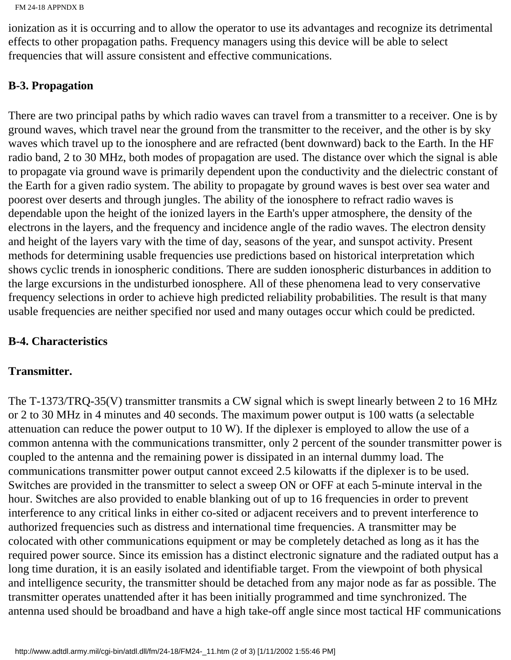```
FM 24-18 APPNDX B
```
ionization as it is occurring and to allow the operator to use its advantages and recognize its detrimental effects to other propagation paths. Frequency managers using this device will be able to select frequencies that will assure consistent and effective communications.

## **B-3. Propagation**

There are two principal paths by which radio waves can travel from a transmitter to a receiver. One is by ground waves, which travel near the ground from the transmitter to the receiver, and the other is by sky waves which travel up to the ionosphere and are refracted (bent downward) back to the Earth. In the HF radio band, 2 to 30 MHz, both modes of propagation are used. The distance over which the signal is able to propagate via ground wave is primarily dependent upon the conductivity and the dielectric constant of the Earth for a given radio system. The ability to propagate by ground waves is best over sea water and poorest over deserts and through jungles. The ability of the ionosphere to refract radio waves is dependable upon the height of the ionized layers in the Earth's upper atmosphere, the density of the electrons in the layers, and the frequency and incidence angle of the radio waves. The electron density and height of the layers vary with the time of day, seasons of the year, and sunspot activity. Present methods for determining usable frequencies use predictions based on historical interpretation which shows cyclic trends in ionospheric conditions. There are sudden ionospheric disturbances in addition to the large excursions in the undisturbed ionosphere. All of these phenomena lead to very conservative frequency selections in order to achieve high predicted reliability probabilities. The result is that many usable frequencies are neither specified nor used and many outages occur which could be predicted.

## **B-4. Characteristics**

## **Transmitter.**

The T-1373/TRQ-35(V) transmitter transmits a CW signal which is swept linearly between 2 to 16 MHz or 2 to 30 MHz in 4 minutes and 40 seconds. The maximum power output is 100 watts (a selectable attenuation can reduce the power output to 10 W). If the diplexer is employed to allow the use of a common antenna with the communications transmitter, only 2 percent of the sounder transmitter power is coupled to the antenna and the remaining power is dissipated in an internal dummy load. The communications transmitter power output cannot exceed 2.5 kilowatts if the diplexer is to be used. Switches are provided in the transmitter to select a sweep ON or OFF at each 5-minute interval in the hour. Switches are also provided to enable blanking out of up to 16 frequencies in order to prevent interference to any critical links in either co-sited or adjacent receivers and to prevent interference to authorized frequencies such as distress and international time frequencies. A transmitter may be colocated with other communications equipment or may be completely detached as long as it has the required power source. Since its emission has a distinct electronic signature and the radiated output has a long time duration, it is an easily isolated and identifiable target. From the viewpoint of both physical and intelligence security, the transmitter should be detached from any major node as far as possible. The transmitter operates unattended after it has been initially programmed and time synchronized. The antenna used should be broadband and have a high take-off angle since most tactical HF communications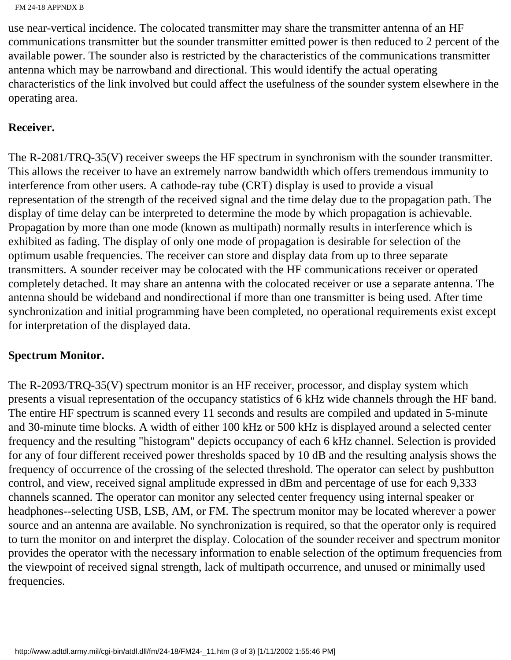```
FM 24-18 APPNDX B
```
use near-vertical incidence. The colocated transmitter may share the transmitter antenna of an HF communications transmitter but the sounder transmitter emitted power is then reduced to 2 percent of the available power. The sounder also is restricted by the characteristics of the communications transmitter antenna which may be narrowband and directional. This would identify the actual operating characteristics of the link involved but could affect the usefulness of the sounder system elsewhere in the operating area.

#### **Receiver.**

The R-2081/TRQ-35(V) receiver sweeps the HF spectrum in synchronism with the sounder transmitter. This allows the receiver to have an extremely narrow bandwidth which offers tremendous immunity to interference from other users. A cathode-ray tube (CRT) display is used to provide a visual representation of the strength of the received signal and the time delay due to the propagation path. The display of time delay can be interpreted to determine the mode by which propagation is achievable. Propagation by more than one mode (known as multipath) normally results in interference which is exhibited as fading. The display of only one mode of propagation is desirable for selection of the optimum usable frequencies. The receiver can store and display data from up to three separate transmitters. A sounder receiver may be colocated with the HF communications receiver or operated completely detached. It may share an antenna with the colocated receiver or use a separate antenna. The antenna should be wideband and nondirectional if more than one transmitter is being used. After time synchronization and initial programming have been completed, no operational requirements exist except for interpretation of the displayed data.

#### **Spectrum Monitor.**

The R-2093/TRQ-35(V) spectrum monitor is an HF receiver, processor, and display system which presents a visual representation of the occupancy statistics of 6 kHz wide channels through the HF band. The entire HF spectrum is scanned every 11 seconds and results are compiled and updated in 5-minute and 30-minute time blocks. A width of either 100 kHz or 500 kHz is displayed around a selected center frequency and the resulting "histogram" depicts occupancy of each 6 kHz channel. Selection is provided for any of four different received power thresholds spaced by 10 dB and the resulting analysis shows the frequency of occurrence of the crossing of the selected threshold. The operator can select by pushbutton control, and view, received signal amplitude expressed in dBm and percentage of use for each 9,333 channels scanned. The operator can monitor any selected center frequency using internal speaker or headphones--selecting USB, LSB, AM, or FM. The spectrum monitor may be located wherever a power source and an antenna are available. No synchronization is required, so that the operator only is required to turn the monitor on and interpret the display. Colocation of the sounder receiver and spectrum monitor provides the operator with the necessary information to enable selection of the optimum frequencies from the viewpoint of received signal strength, lack of multipath occurrence, and unused or minimally used frequencies.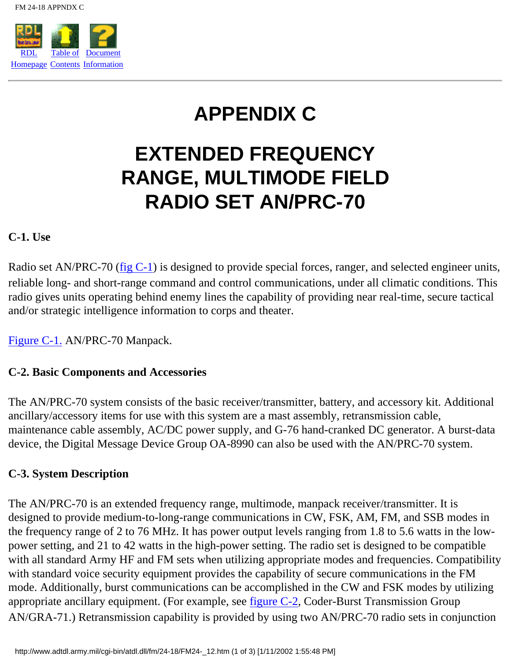

# **APPENDIX C**

# **EXTENDED FREQUENCY RANGE, MULTIMODE FIELD RADIO SET AN/PRC-70**

#### **C-1. Use**

Radio set AN/PRC-70 ( $fig C-1$ ) is designed to provide special forces, ranger, and selected engineer units, reliable long- and short-range command and control communications, under all climatic conditions. This radio gives units operating behind enemy lines the capability of providing near real-time, secure tactical and/or strategic intelligence information to corps and theater.

[Figure C-1.](http://www.adtdl.army.mil/cgi-bin/atdl.dll/fm/24-18/24180100.gif) AN/PRC-70 Manpack.

#### **C-2. Basic Components and Accessories**

The AN/PRC-70 system consists of the basic receiver/transmitter, battery, and accessory kit. Additional ancillary/accessory items for use with this system are a mast assembly, retransmission cable, maintenance cable assembly, AC/DC power supply, and G-76 hand-cranked DC generator. A burst-data device, the Digital Message Device Group OA-8990 can also be used with the AN/PRC-70 system.

#### **C-3. System Description**

The AN/PRC-70 is an extended frequency range, multimode, manpack receiver/transmitter. It is designed to provide medium-to-long-range communications in CW, FSK, AM, FM, and SSB modes in the frequency range of 2 to 76 MHz. It has power output levels ranging from 1.8 to 5.6 watts in the lowpower setting, and 21 to 42 watts in the high-power setting. The radio set is designed to be compatible with all standard Army HF and FM sets when utilizing appropriate modes and frequencies. Compatibility with standard voice security equipment provides the capability of secure communications in the FM mode. Additionally, burst communications can be accomplished in the CW and FSK modes by utilizing appropriate ancillary equipment. (For example, see [figure C-2](http://www.adtdl.army.mil/cgi-bin/atdl.dll/fm/24-18/24180101.gif), Coder-Burst Transmission Group AN/GRA-71.) Retransmission capability is provided by using two AN/PRC-70 radio sets in conjunction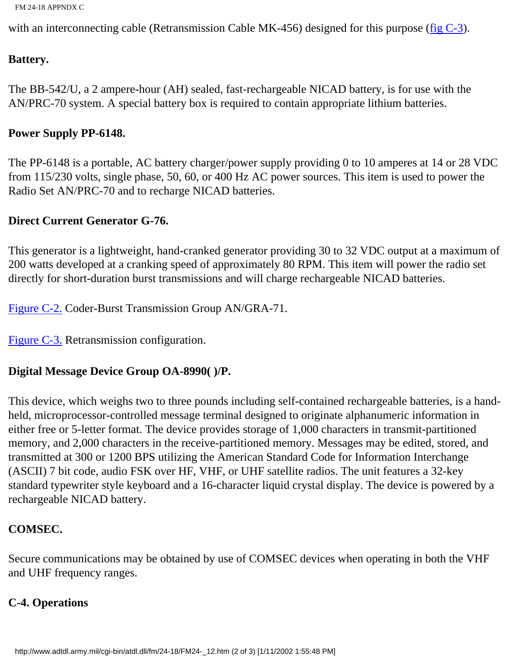```
FM 24-18 APPNDX C
```
with an interconnecting cable (Retransmission Cable MK-456) designed for this purpose [\(fig C-3](http://www.adtdl.army.mil/cgi-bin/atdl.dll/fm/24-18/24180102.gif)).

#### **Battery.**

The BB-542/U, a 2 ampere-hour (AH) sealed, fast-rechargeable NICAD battery, is for use with the AN/PRC-70 system. A special battery box is required to contain appropriate lithium batteries.

#### **Power Supply PP-6148.**

The PP-6148 is a portable, AC battery charger/power supply providing 0 to 10 amperes at 14 or 28 VDC from 115/230 volts, single phase, 50, 60, or 400 Hz AC power sources. This item is used to power the Radio Set AN/PRC-70 and to recharge NICAD batteries.

#### **Direct Current Generator G-76.**

This generator is a lightweight, hand-cranked generator providing 30 to 32 VDC output at a maximum of 200 watts developed at a cranking speed of approximately 80 RPM. This item will power the radio set directly for short-duration burst transmissions and will charge rechargeable NICAD batteries.

[Figure C-2.](http://www.adtdl.army.mil/cgi-bin/atdl.dll/fm/24-18/24180101.gif) Coder-Burst Transmission Group AN/GRA-71.

[Figure C-3.](http://www.adtdl.army.mil/cgi-bin/atdl.dll/fm/24-18/24180102.gif) Retransmission configuration.

#### **Digital Message Device Group OA-8990( )/P.**

This device, which weighs two to three pounds including self-contained rechargeable batteries, is a handheld, microprocessor-controlled message terminal designed to originate alphanumeric information in either free or 5-letter format. The device provides storage of 1,000 characters in transmit-partitioned memory, and 2,000 characters in the receive-partitioned memory. Messages may be edited, stored, and transmitted at 300 or 1200 BPS utilizing the American Standard Code for Information Interchange (ASCII) 7 bit code, audio FSK over HF, VHF, or UHF satellite radios. The unit features a 32-key standard typewriter style keyboard and a 16-character liquid crystal display. The device is powered by a rechargeable NICAD battery.

## **COMSEC.**

Secure communications may be obtained by use of COMSEC devices when operating in both the VHF and UHF frequency ranges.

#### **C-4. Operations**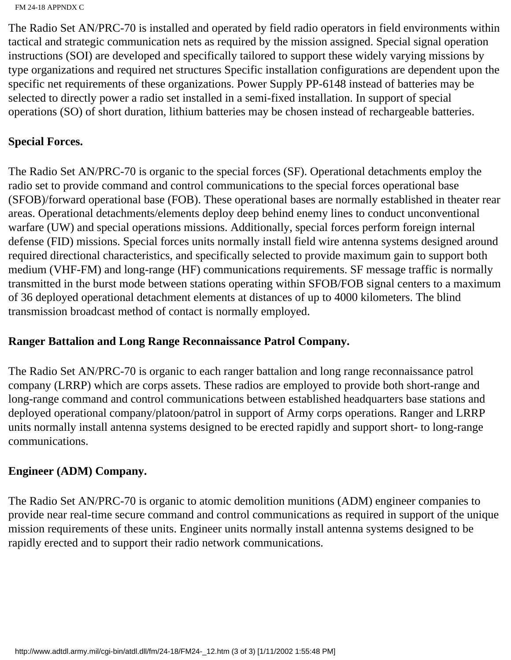```
FM 24-18 APPNDX C
```
The Radio Set AN/PRC-70 is installed and operated by field radio operators in field environments within tactical and strategic communication nets as required by the mission assigned. Special signal operation instructions (SOI) are developed and specifically tailored to support these widely varying missions by type organizations and required net structures Specific installation configurations are dependent upon the specific net requirements of these organizations. Power Supply PP-6148 instead of batteries may be selected to directly power a radio set installed in a semi-fixed installation. In support of special operations (SO) of short duration, lithium batteries may be chosen instead of rechargeable batteries.

## **Special Forces.**

The Radio Set AN/PRC-70 is organic to the special forces (SF). Operational detachments employ the radio set to provide command and control communications to the special forces operational base (SFOB)/forward operational base (FOB). These operational bases are normally established in theater rear areas. Operational detachments/elements deploy deep behind enemy lines to conduct unconventional warfare (UW) and special operations missions. Additionally, special forces perform foreign internal defense (FID) missions. Special forces units normally install field wire antenna systems designed around required directional characteristics, and specifically selected to provide maximum gain to support both medium (VHF-FM) and long-range (HF) communications requirements. SF message traffic is normally transmitted in the burst mode between stations operating within SFOB/FOB signal centers to a maximum of 36 deployed operational detachment elements at distances of up to 4000 kilometers. The blind transmission broadcast method of contact is normally employed.

## **Ranger Battalion and Long Range Reconnaissance Patrol Company.**

The Radio Set AN/PRC-70 is organic to each ranger battalion and long range reconnaissance patrol company (LRRP) which are corps assets. These radios are employed to provide both short-range and long-range command and control communications between established headquarters base stations and deployed operational company/platoon/patrol in support of Army corps operations. Ranger and LRRP units normally install antenna systems designed to be erected rapidly and support short- to long-range communications.

# **Engineer (ADM) Company.**

The Radio Set AN/PRC-70 is organic to atomic demolition munitions (ADM) engineer companies to provide near real-time secure command and control communications as required in support of the unique mission requirements of these units. Engineer units normally install antenna systems designed to be rapidly erected and to support their radio network communications.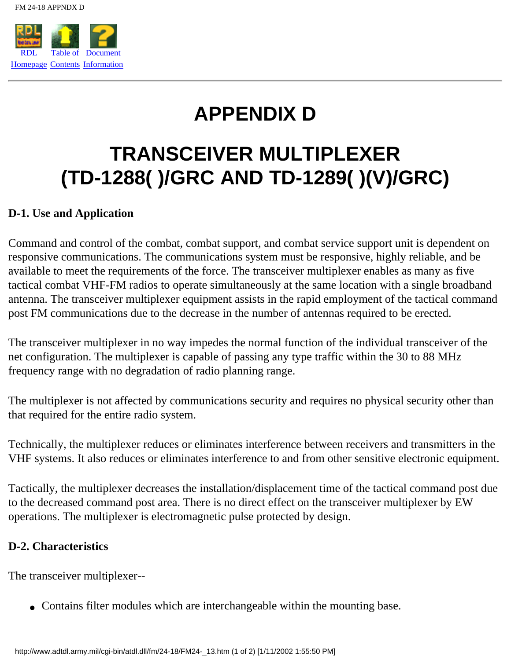

# **APPENDIX D**

# **TRANSCEIVER MULTIPLEXER (TD-1288( )/GRC AND TD-1289( )(V)/GRC)**

## **D-1. Use and Application**

Command and control of the combat, combat support, and combat service support unit is dependent on responsive communications. The communications system must be responsive, highly reliable, and be available to meet the requirements of the force. The transceiver multiplexer enables as many as five tactical combat VHF-FM radios to operate simultaneously at the same location with a single broadband antenna. The transceiver multiplexer equipment assists in the rapid employment of the tactical command post FM communications due to the decrease in the number of antennas required to be erected.

The transceiver multiplexer in no way impedes the normal function of the individual transceiver of the net configuration. The multiplexer is capable of passing any type traffic within the 30 to 88 MHz frequency range with no degradation of radio planning range.

The multiplexer is not affected by communications security and requires no physical security other than that required for the entire radio system.

Technically, the multiplexer reduces or eliminates interference between receivers and transmitters in the VHF systems. It also reduces or eliminates interference to and from other sensitive electronic equipment.

Tactically, the multiplexer decreases the installation/displacement time of the tactical command post due to the decreased command post area. There is no direct effect on the transceiver multiplexer by EW operations. The multiplexer is electromagnetic pulse protected by design.

#### **D-2. Characteristics**

The transceiver multiplexer--

• Contains filter modules which are interchangeable within the mounting base.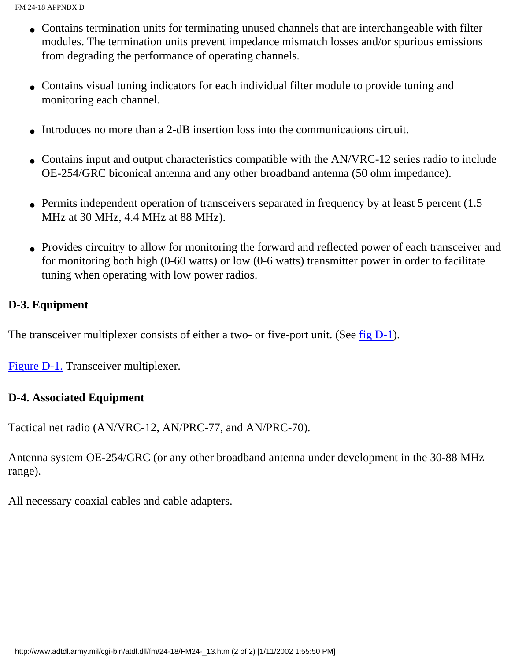- Contains termination units for terminating unused channels that are interchangeable with filter modules. The termination units prevent impedance mismatch losses and/or spurious emissions from degrading the performance of operating channels.
- Contains visual tuning indicators for each individual filter module to provide tuning and monitoring each channel.
- Introduces no more than a 2-dB insertion loss into the communications circuit.
- Contains input and output characteristics compatible with the AN/VRC-12 series radio to include OE-254/GRC biconical antenna and any other broadband antenna (50 ohm impedance).
- Permits independent operation of transceivers separated in frequency by at least 5 percent (1.5) MHz at 30 MHz, 4.4 MHz at 88 MHz).
- Provides circuitry to allow for monitoring the forward and reflected power of each transceiver and for monitoring both high (0-60 watts) or low (0-6 watts) transmitter power in order to facilitate tuning when operating with low power radios.

#### **D-3. Equipment**

The transceiver multiplexer consists of either a two- or five-port unit. (See [fig D-1](http://www.adtdl.army.mil/cgi-bin/atdl.dll/fm/24-18/24180103.gif)).

[Figure D-1.](http://www.adtdl.army.mil/cgi-bin/atdl.dll/fm/24-18/24180103.gif) Transceiver multiplexer.

#### **D-4. Associated Equipment**

Tactical net radio (AN/VRC-12, AN/PRC-77, and AN/PRC-70).

Antenna system OE-254/GRC (or any other broadband antenna under development in the 30-88 MHz range).

All necessary coaxial cables and cable adapters.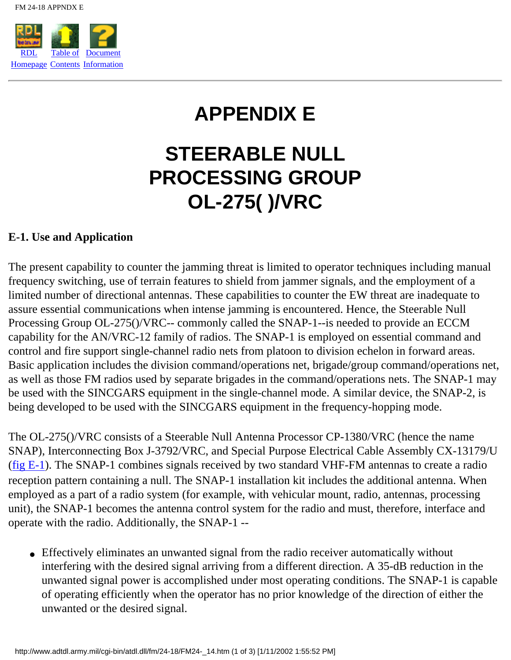

# **APPENDIX E**

# **STEERABLE NULL PROCESSING GROUP OL-275( )/VRC**

#### **E-1. Use and Application**

The present capability to counter the jamming threat is limited to operator techniques including manual frequency switching, use of terrain features to shield from jammer signals, and the employment of a limited number of directional antennas. These capabilities to counter the EW threat are inadequate to assure essential communications when intense jamming is encountered. Hence, the Steerable Null Processing Group OL-275()/VRC-- commonly called the SNAP-1--is needed to provide an ECCM capability for the AN/VRC-12 family of radios. The SNAP-1 is employed on essential command and control and fire support single-channel radio nets from platoon to division echelon in forward areas. Basic application includes the division command/operations net, brigade/group command/operations net, as well as those FM radios used by separate brigades in the command/operations nets. The SNAP-1 may be used with the SINCGARS equipment in the single-channel mode. A similar device, the SNAP-2, is being developed to be used with the SINCGARS equipment in the frequency-hopping mode.

The OL-275()/VRC consists of a Steerable Null Antenna Processor CP-1380/VRC (hence the name SNAP), Interconnecting Box J-3792/VRC, and Special Purpose Electrical Cable Assembly CX-13179/U ([fig E-1\)](http://www.adtdl.army.mil/cgi-bin/atdl.dll/fm/24-18/24180104.gif). The SNAP-1 combines signals received by two standard VHF-FM antennas to create a radio reception pattern containing a null. The SNAP-1 installation kit includes the additional antenna. When employed as a part of a radio system (for example, with vehicular mount, radio, antennas, processing unit), the SNAP-1 becomes the antenna control system for the radio and must, therefore, interface and operate with the radio. Additionally, the SNAP-1 --

• Effectively eliminates an unwanted signal from the radio receiver automatically without interfering with the desired signal arriving from a different direction. A 35-dB reduction in the unwanted signal power is accomplished under most operating conditions. The SNAP-1 is capable of operating efficiently when the operator has no prior knowledge of the direction of either the unwanted or the desired signal.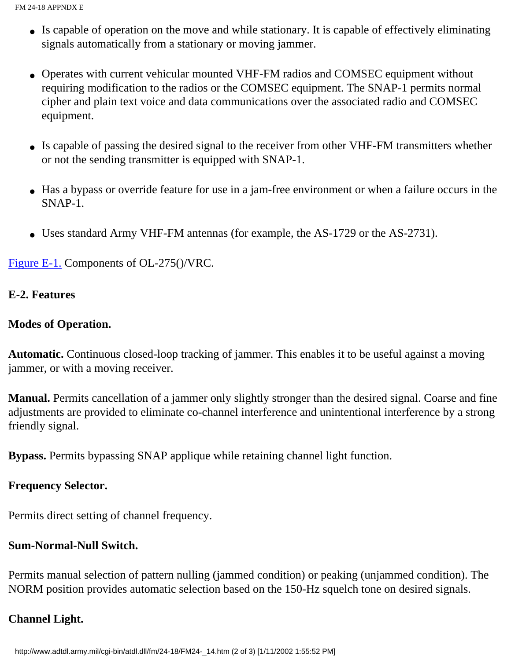- Is capable of operation on the move and while stationary. It is capable of effectively eliminating signals automatically from a stationary or moving jammer.
- Operates with current vehicular mounted VHF-FM radios and COMSEC equipment without requiring modification to the radios or the COMSEC equipment. The SNAP-1 permits normal cipher and plain text voice and data communications over the associated radio and COMSEC equipment.
- Is capable of passing the desired signal to the receiver from other VHF-FM transmitters whether or not the sending transmitter is equipped with SNAP-1.
- Has a bypass or override feature for use in a jam-free environment or when a failure occurs in the SNAP-1.
- Uses standard Army VHF-FM antennas (for example, the AS-1729 or the AS-2731).

[Figure E-1.](http://www.adtdl.army.mil/cgi-bin/atdl.dll/fm/24-18/24180104.gif) Components of OL-275()/VRC.

### **E-2. Features**

#### **Modes of Operation.**

**Automatic.** Continuous closed-loop tracking of jammer. This enables it to be useful against a moving jammer, or with a moving receiver.

**Manual.** Permits cancellation of a jammer only slightly stronger than the desired signal. Coarse and fine adjustments are provided to eliminate co-channel interference and unintentional interference by a strong friendly signal.

**Bypass.** Permits bypassing SNAP applique while retaining channel light function.

#### **Frequency Selector.**

Permits direct setting of channel frequency.

### **Sum-Normal-Null Switch.**

Permits manual selection of pattern nulling (jammed condition) or peaking (unjammed condition). The NORM position provides automatic selection based on the 150-Hz squelch tone on desired signals.

## **Channel Light.**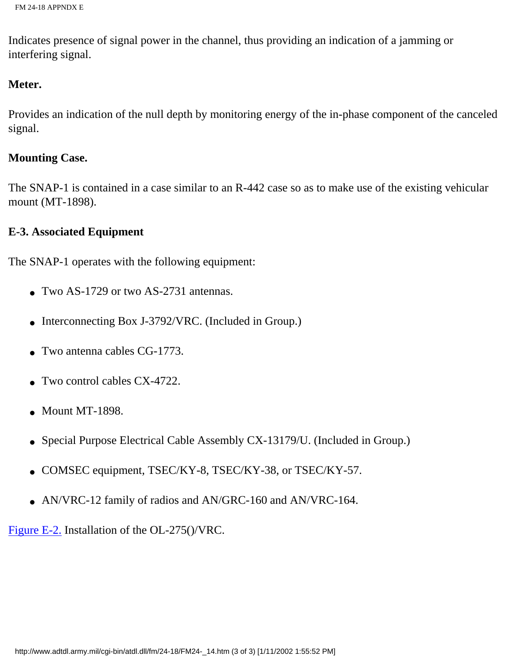Indicates presence of signal power in the channel, thus providing an indication of a jamming or interfering signal.

#### **Meter.**

Provides an indication of the null depth by monitoring energy of the in-phase component of the canceled signal.

#### **Mounting Case.**

The SNAP-1 is contained in a case similar to an R-442 case so as to make use of the existing vehicular mount (MT-1898).

#### **E-3. Associated Equipment**

The SNAP-1 operates with the following equipment:

- Two AS-1729 or two AS-2731 antennas.
- Interconnecting Box J-3792/VRC. (Included in Group.)
- Two antenna cables CG-1773.
- Two control cables CX-4722.
- $\bullet$  Mount MT-1898.
- Special Purpose Electrical Cable Assembly CX-13179/U. (Included in Group.)
- COMSEC equipment, TSEC/KY-8, TSEC/KY-38, or TSEC/KY-57.
- AN/VRC-12 family of radios and AN/GRC-160 and AN/VRC-164.

[Figure E-2.](http://www.adtdl.army.mil/cgi-bin/atdl.dll/fm/24-18/24180105.gif) Installation of the OL-275()/VRC.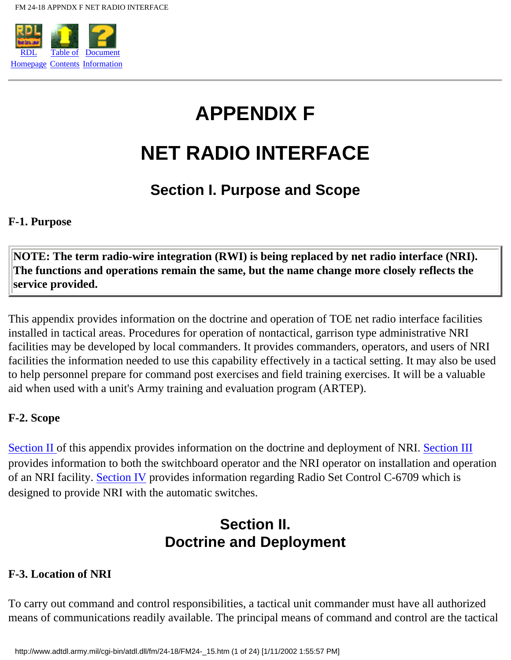

# **APPENDIX F**

# **NET RADIO INTERFACE**

# **Section I. Purpose and Scope**

### **F-1. Purpose**

**NOTE: The term radio-wire integration (RWI) is being replaced by net radio interface (NRI). The functions and operations remain the same, but the name change more closely reflects the service provided.**

This appendix provides information on the doctrine and operation of TOE net radio interface facilities installed in tactical areas. Procedures for operation of nontactical, garrison type administrative NRI facilities may be developed by local commanders. It provides commanders, operators, and users of NRI facilities the information needed to use this capability effectively in a tactical setting. It may also be used to help personnel prepare for command post exercises and field training exercises. It will be a valuable aid when used with a unit's Army training and evaluation program (ARTEP).

### **F-2. Scope**

Section II of this appendix provides information on the doctrine and deployment of NRI. Section III provides information to both the switchboard operator and the NRI operator on installation and operation of an NRI facility. **Section IV** provides information regarding Radio Set Control C-6709 which is designed to provide NRI with the automatic switches.

# **Section II. Doctrine and Deployment**

### **F-3. Location of NRI**

To carry out command and control responsibilities, a tactical unit commander must have all authorized means of communications readily available. The principal means of command and control are the tactical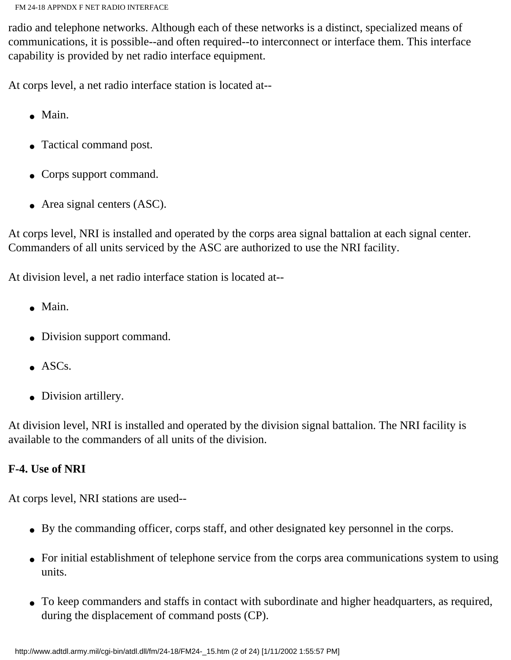radio and telephone networks. Although each of these networks is a distinct, specialized means of communications, it is possible--and often required--to interconnect or interface them. This interface capability is provided by net radio interface equipment.

At corps level, a net radio interface station is located at--

- Main.
- Tactical command post.
- Corps support command.
- Area signal centers (ASC).

At corps level, NRI is installed and operated by the corps area signal battalion at each signal center. Commanders of all units serviced by the ASC are authorized to use the NRI facility.

At division level, a net radio interface station is located at--

- Main.
- Division support command.
- ASCs.
- Division artillery.

At division level, NRI is installed and operated by the division signal battalion. The NRI facility is available to the commanders of all units of the division.

## **F-4. Use of NRI**

At corps level, NRI stations are used--

- By the commanding officer, corps staff, and other designated key personnel in the corps.
- For initial establishment of telephone service from the corps area communications system to using units.
- To keep commanders and staffs in contact with subordinate and higher headquarters, as required, during the displacement of command posts (CP).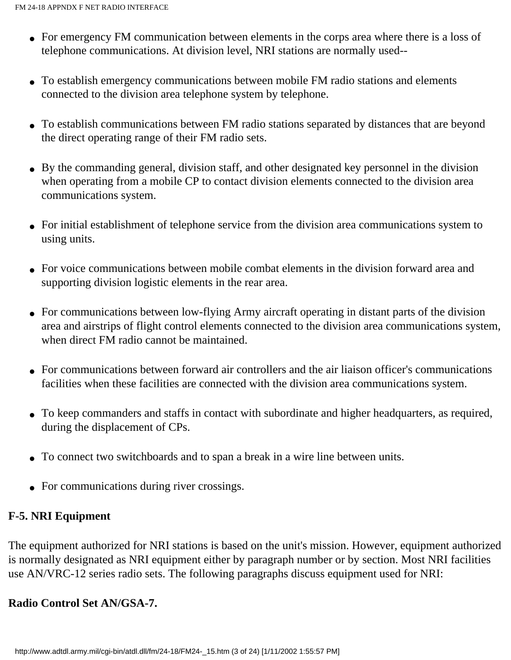- For emergency FM communication between elements in the corps area where there is a loss of telephone communications. At division level, NRI stations are normally used--
- To establish emergency communications between mobile FM radio stations and elements connected to the division area telephone system by telephone.
- To establish communications between FM radio stations separated by distances that are beyond the direct operating range of their FM radio sets.
- By the commanding general, division staff, and other designated key personnel in the division when operating from a mobile CP to contact division elements connected to the division area communications system.
- For initial establishment of telephone service from the division area communications system to using units.
- For voice communications between mobile combat elements in the division forward area and supporting division logistic elements in the rear area.
- For communications between low-flying Army aircraft operating in distant parts of the division area and airstrips of flight control elements connected to the division area communications system, when direct FM radio cannot be maintained.
- For communications between forward air controllers and the air liaison officer's communications facilities when these facilities are connected with the division area communications system.
- To keep commanders and staffs in contact with subordinate and higher headquarters, as required, during the displacement of CPs.
- To connect two switchboards and to span a break in a wire line between units.
- For communications during river crossings.

### **F-5. NRI Equipment**

The equipment authorized for NRI stations is based on the unit's mission. However, equipment authorized is normally designated as NRI equipment either by paragraph number or by section. Most NRI facilities use AN/VRC-12 series radio sets. The following paragraphs discuss equipment used for NRI:

#### **Radio Control Set AN/GSA-7.**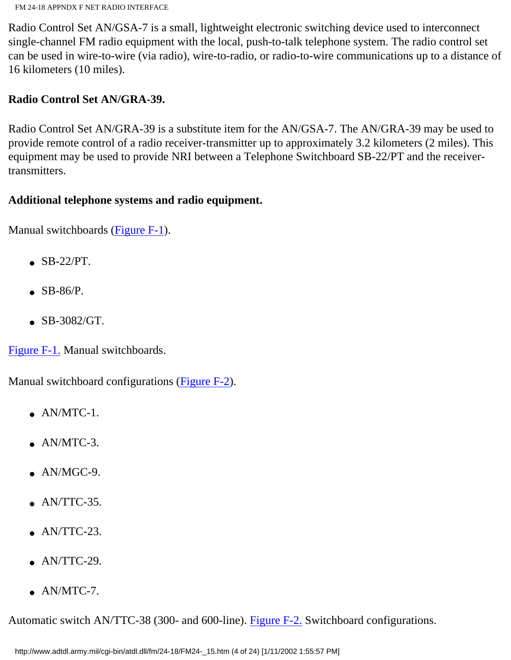Radio Control Set AN/GSA-7 is a small, lightweight electronic switching device used to interconnect single-channel FM radio equipment with the local, push-to-talk telephone system. The radio control set can be used in wire-to-wire (via radio), wire-to-radio, or radio-to-wire communications up to a distance of 16 kilometers (10 miles).

#### **Radio Control Set AN/GRA-39.**

Radio Control Set AN/GRA-39 is a substitute item for the AN/GSA-7. The AN/GRA-39 may be used to provide remote control of a radio receiver-transmitter up to approximately 3.2 kilometers (2 miles). This equipment may be used to provide NRI between a Telephone Switchboard SB-22/PT and the receivertransmitters.

#### **Additional telephone systems and radio equipment.**

Manual switchboards [\(Figure F-1\)](http://www.adtdl.army.mil/cgi-bin/atdl.dll/fm/24-18/24180106.gif).

- $\bullet$  SB-22/PT.
- $\bullet$  SB-86/P.
- SB-3082/GT.

[Figure F-1.](http://www.adtdl.army.mil/cgi-bin/atdl.dll/fm/24-18/24180106.gif) Manual switchboards.

Manual switchboard configurations ([Figure F-2](http://www.adtdl.army.mil/cgi-bin/atdl.dll/fm/24-18/24180107.gif)).

- $\bullet$  AN/MTC-1.
- $\bullet$  AN/MTC-3.
- $\bullet$  AN/MGC-9.
- $\bullet$  AN/TTC-35.
- $\bullet$  AN/TTC-23.
- $\bullet$  AN/TTC-29.
- $\bullet$  AN/MTC-7.

Automatic switch AN/TTC-38 (300- and 600-line). [Figure F-2.](http://www.adtdl.army.mil/cgi-bin/atdl.dll/fm/24-18/24180107.gif) Switchboard configurations.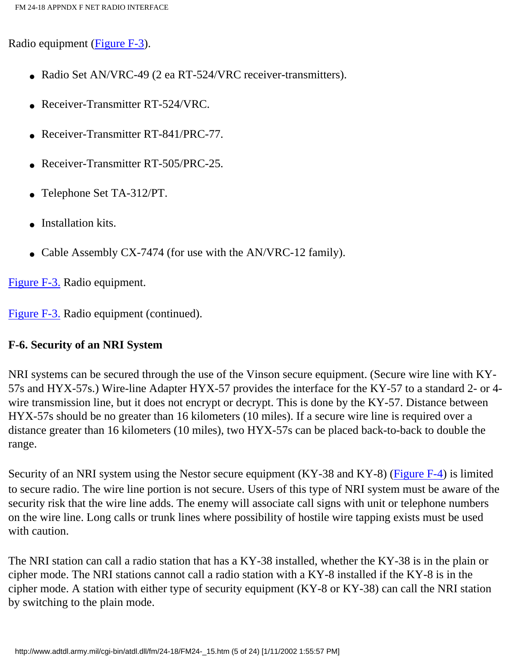Radio equipment ([Figure F-3\)](http://www.adtdl.army.mil/cgi-bin/atdl.dll/fm/24-18/24180108.gif).

- Radio Set AN/VRC-49 (2 ea RT-524/VRC receiver-transmitters).
- Receiver-Transmitter RT-524/VRC.
- Receiver-Transmitter RT-841/PRC-77.
- Receiver-Transmitter RT-505/PRC-25.
- Telephone Set TA-312/PT.
- Installation kits.
- Cable Assembly CX-7474 (for use with the AN/VRC-12 family).

[Figure F-3.](http://www.adtdl.army.mil/cgi-bin/atdl.dll/fm/24-18/24180108.gif) Radio equipment.

[Figure F-3.](http://www.adtdl.army.mil/cgi-bin/atdl.dll/fm/24-18/24180109.gif) Radio equipment (continued).

#### **F-6. Security of an NRI System**

NRI systems can be secured through the use of the Vinson secure equipment. (Secure wire line with KY-57s and HYX-57s.) Wire-line Adapter HYX-57 provides the interface for the KY-57 to a standard 2- or 4 wire transmission line, but it does not encrypt or decrypt. This is done by the KY-57. Distance between HYX-57s should be no greater than 16 kilometers (10 miles). If a secure wire line is required over a distance greater than 16 kilometers (10 miles), two HYX-57s can be placed back-to-back to double the range.

Security of an NRI system using the Nestor secure equipment (KY-38 and KY-8) ([Figure F-4\)](http://www.adtdl.army.mil/cgi-bin/atdl.dll/fm/24-18/24180110.gif) is limited to secure radio. The wire line portion is not secure. Users of this type of NRI system must be aware of the security risk that the wire line adds. The enemy will associate call signs with unit or telephone numbers on the wire line. Long calls or trunk lines where possibility of hostile wire tapping exists must be used with caution.

The NRI station can call a radio station that has a KY-38 installed, whether the KY-38 is in the plain or cipher mode. The NRI stations cannot call a radio station with a KY-8 installed if the KY-8 is in the cipher mode. A station with either type of security equipment (KY-8 or KY-38) can call the NRI station by switching to the plain mode.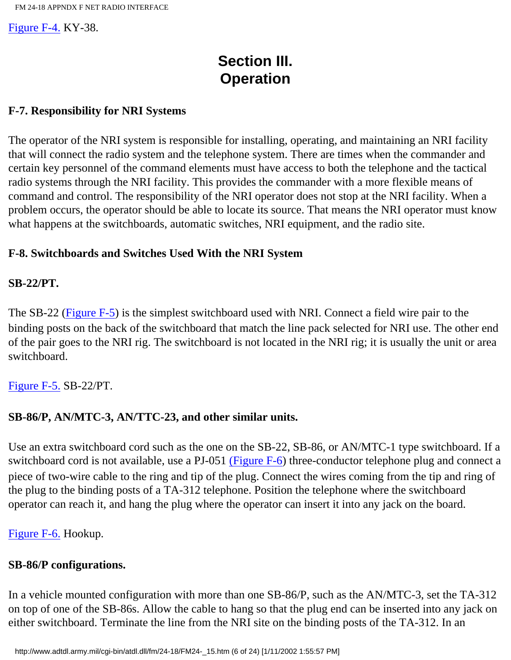FM 24-18 APPNDX F NET RADIO INTERFACE

[Figure F-4.](http://www.adtdl.army.mil/cgi-bin/atdl.dll/fm/24-18/24180110.gif) KY-38.

# **Section III. Operation**

#### **F-7. Responsibility for NRI Systems**

The operator of the NRI system is responsible for installing, operating, and maintaining an NRI facility that will connect the radio system and the telephone system. There are times when the commander and certain key personnel of the command elements must have access to both the telephone and the tactical radio systems through the NRI facility. This provides the commander with a more flexible means of command and control. The responsibility of the NRI operator does not stop at the NRI facility. When a problem occurs, the operator should be able to locate its source. That means the NRI operator must know what happens at the switchboards, automatic switches, NRI equipment, and the radio site.

#### **F-8. Switchboards and Switches Used With the NRI System**

#### **SB-22/PT.**

The SB-22 ([Figure F-5\)](http://www.adtdl.army.mil/cgi-bin/atdl.dll/fm/24-18/24180111.gif) is the simplest switchboard used with NRI. Connect a field wire pair to the binding posts on the back of the switchboard that match the line pack selected for NRI use. The other end of the pair goes to the NRI rig. The switchboard is not located in the NRI rig; it is usually the unit or area switchboard.

[Figure F-5.](http://www.adtdl.army.mil/cgi-bin/atdl.dll/fm/24-18/24180111.gif) SB-22/PT.

#### **SB-86/P, AN/MTC-3, AN/TTC-23, and other similar units.**

Use an extra switchboard cord such as the one on the SB-22, SB-86, or AN/MTC-1 type switchboard. If a switchboard cord is not available, use a PJ-051 [\(Figure F-6\)](http://www.adtdl.army.mil/cgi-bin/atdl.dll/fm/24-18/24180112.gif) three-conductor telephone plug and connect a piece of two-wire cable to the ring and tip of the plug. Connect the wires coming from the tip and ring of the plug to the binding posts of a TA-312 telephone. Position the telephone where the switchboard operator can reach it, and hang the plug where the operator can insert it into any jack on the board.

[Figure F-6.](http://www.adtdl.army.mil/cgi-bin/atdl.dll/fm/24-18/24180112.gif) Hookup.

#### **SB-86/P configurations.**

In a vehicle mounted configuration with more than one SB-86/P, such as the AN/MTC-3, set the TA-312 on top of one of the SB-86s. Allow the cable to hang so that the plug end can be inserted into any jack on either switchboard. Terminate the line from the NRI site on the binding posts of the TA-312. In an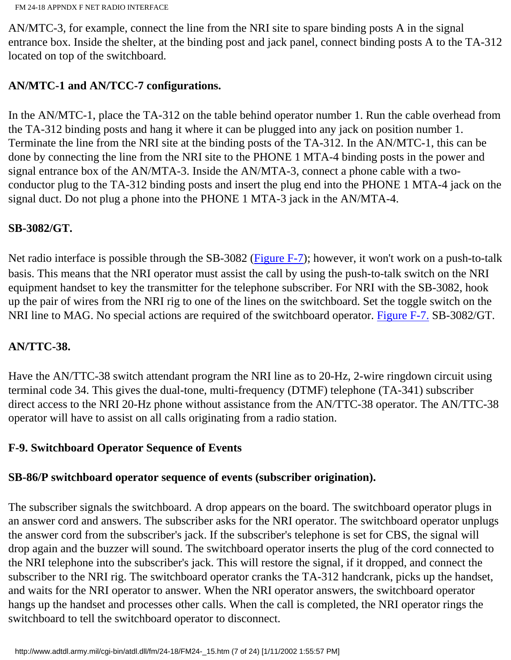AN/MTC-3, for example, connect the line from the NRI site to spare binding posts A in the signal entrance box. Inside the shelter, at the binding post and jack panel, connect binding posts A to the TA-312 located on top of the switchboard.

### **AN/MTC-1 and AN/TCC-7 configurations.**

In the AN/MTC-1, place the TA-312 on the table behind operator number 1. Run the cable overhead from the TA-312 binding posts and hang it where it can be plugged into any jack on position number 1. Terminate the line from the NRI site at the binding posts of the TA-312. In the AN/MTC-1, this can be done by connecting the line from the NRI site to the PHONE 1 MTA-4 binding posts in the power and signal entrance box of the AN/MTA-3. Inside the AN/MTA-3, connect a phone cable with a twoconductor plug to the TA-312 binding posts and insert the plug end into the PHONE 1 MTA-4 jack on the signal duct. Do not plug a phone into the PHONE 1 MTA-3 jack in the AN/MTA-4.

#### **SB-3082/GT.**

Net radio interface is possible through the SB-3082 [\(Figure F-7\)](http://www.adtdl.army.mil/cgi-bin/atdl.dll/fm/24-18/24180113.gif); however, it won't work on a push-to-talk basis. This means that the NRI operator must assist the call by using the push-to-talk switch on the NRI equipment handset to key the transmitter for the telephone subscriber. For NRI with the SB-3082, hook up the pair of wires from the NRI rig to one of the lines on the switchboard. Set the toggle switch on the NRI line to MAG. No special actions are required of the switchboard operator. [Figure F-7.](http://www.adtdl.army.mil/cgi-bin/atdl.dll/fm/24-18/24180113.gif) SB-3082/GT.

#### **AN/TTC-38.**

Have the AN/TTC-38 switch attendant program the NRI line as to 20-Hz, 2-wire ringdown circuit using terminal code 34. This gives the dual-tone, multi-frequency (DTMF) telephone (TA-341) subscriber direct access to the NRI 20-Hz phone without assistance from the AN/TTC-38 operator. The AN/TTC-38 operator will have to assist on all calls originating from a radio station.

#### **F-9. Switchboard Operator Sequence of Events**

#### **SB-86/P switchboard operator sequence of events (subscriber origination).**

The subscriber signals the switchboard. A drop appears on the board. The switchboard operator plugs in an answer cord and answers. The subscriber asks for the NRI operator. The switchboard operator unplugs the answer cord from the subscriber's jack. If the subscriber's telephone is set for CBS, the signal will drop again and the buzzer will sound. The switchboard operator inserts the plug of the cord connected to the NRI telephone into the subscriber's jack. This will restore the signal, if it dropped, and connect the subscriber to the NRI rig. The switchboard operator cranks the TA-312 handcrank, picks up the handset, and waits for the NRI operator to answer. When the NRI operator answers, the switchboard operator hangs up the handset and processes other calls. When the call is completed, the NRI operator rings the switchboard to tell the switchboard operator to disconnect.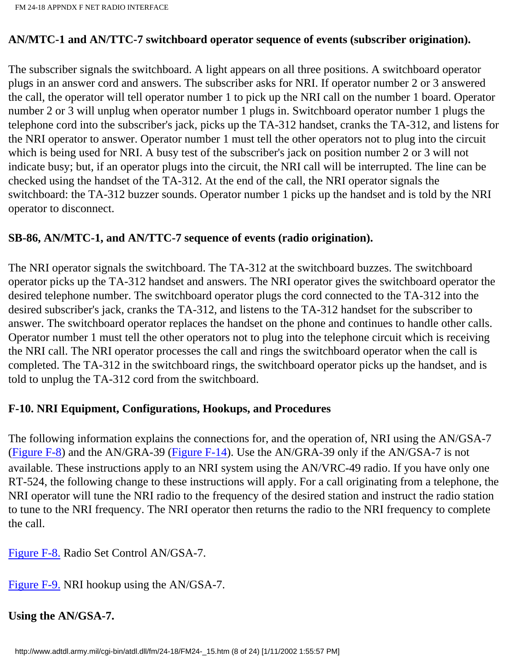#### **AN/MTC-1 and AN/TTC-7 switchboard operator sequence of events (subscriber origination).**

The subscriber signals the switchboard. A light appears on all three positions. A switchboard operator plugs in an answer cord and answers. The subscriber asks for NRI. If operator number 2 or 3 answered the call, the operator will tell operator number 1 to pick up the NRI call on the number 1 board. Operator number 2 or 3 will unplug when operator number 1 plugs in. Switchboard operator number 1 plugs the telephone cord into the subscriber's jack, picks up the TA-312 handset, cranks the TA-312, and listens for the NRI operator to answer. Operator number 1 must tell the other operators not to plug into the circuit which is being used for NRI. A busy test of the subscriber's jack on position number 2 or 3 will not indicate busy; but, if an operator plugs into the circuit, the NRI call will be interrupted. The line can be checked using the handset of the TA-312. At the end of the call, the NRI operator signals the switchboard: the TA-312 buzzer sounds. Operator number 1 picks up the handset and is told by the NRI operator to disconnect.

#### **SB-86, AN/MTC-1, and AN/TTC-7 sequence of events (radio origination).**

The NRI operator signals the switchboard. The TA-312 at the switchboard buzzes. The switchboard operator picks up the TA-312 handset and answers. The NRI operator gives the switchboard operator the desired telephone number. The switchboard operator plugs the cord connected to the TA-312 into the desired subscriber's jack, cranks the TA-312, and listens to the TA-312 handset for the subscriber to answer. The switchboard operator replaces the handset on the phone and continues to handle other calls. Operator number 1 must tell the other operators not to plug into the telephone circuit which is receiving the NRI call. The NRI operator processes the call and rings the switchboard operator when the call is completed. The TA-312 in the switchboard rings, the switchboard operator picks up the handset, and is told to unplug the TA-312 cord from the switchboard.

#### **F-10. NRI Equipment, Configurations, Hookups, and Procedures**

The following information explains the connections for, and the operation of, NRI using the AN/GSA-7 ([Figure F-8\)](http://www.adtdl.army.mil/cgi-bin/atdl.dll/fm/24-18/24180114.gif) and the AN/GRA-39 (Figure  $F-14$ ). Use the AN/GRA-39 only if the AN/GSA-7 is not available. These instructions apply to an NRI system using the AN/VRC-49 radio. If you have only one RT-524, the following change to these instructions will apply. For a call originating from a telephone, the NRI operator will tune the NRI radio to the frequency of the desired station and instruct the radio station to tune to the NRI frequency. The NRI operator then returns the radio to the NRI frequency to complete the call.

[Figure F-8.](http://www.adtdl.army.mil/cgi-bin/atdl.dll/fm/24-18/24180114.gif) Radio Set Control AN/GSA-7.

[Figure F-9.](http://www.adtdl.army.mil/cgi-bin/atdl.dll/fm/24-18/24180115.gif) NRI hookup using the AN/GSA-7.

#### **Using the AN/GSA-7.**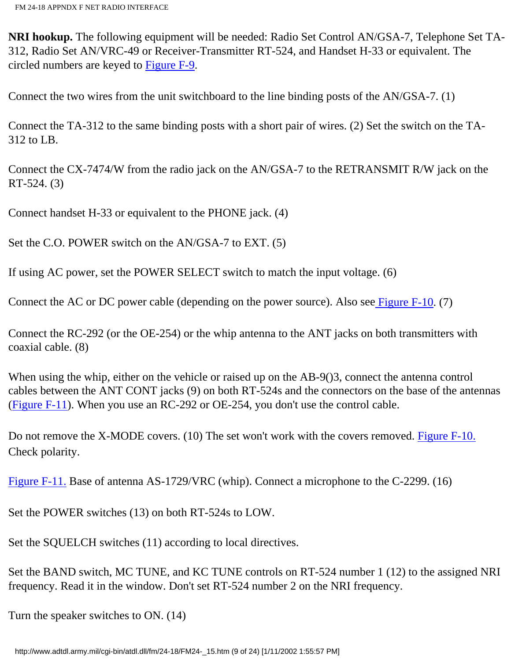**NRI hookup.** The following equipment will be needed: Radio Set Control AN/GSA-7, Telephone Set TA-312, Radio Set AN/VRC-49 or Receiver-Transmitter RT-524, and Handset H-33 or equivalent. The circled numbers are keyed to [Figure F-9](http://www.adtdl.army.mil/cgi-bin/atdl.dll/fm/24-18/24180115.gif).

Connect the two wires from the unit switchboard to the line binding posts of the AN/GSA-7. (1)

Connect the TA-312 to the same binding posts with a short pair of wires. (2) Set the switch on the TA-312 to LB.

Connect the CX-7474/W from the radio jack on the AN/GSA-7 to the RETRANSMIT R/W jack on the RT-524. (3)

Connect handset H-33 or equivalent to the PHONE jack. (4)

Set the C.O. POWER switch on the AN/GSA-7 to EXT. (5)

If using AC power, set the POWER SELECT switch to match the input voltage. (6)

Connect the AC or DC power cable (depending on the power source). Also see [Figure F-10](http://www.adtdl.army.mil/cgi-bin/atdl.dll/fm/24-18/24180116.gif). (7)

Connect the RC-292 (or the OE-254) or the whip antenna to the ANT jacks on both transmitters with coaxial cable. (8)

When using the whip, either on the vehicle or raised up on the AB-9()3, connect the antenna control cables between the ANT CONT jacks (9) on both RT-524s and the connectors on the base of the antennas ([Figure F-11\)](http://www.adtdl.army.mil/cgi-bin/atdl.dll/fm/24-18/24180117.gif). When you use an RC-292 or OE-254, you don't use the control cable.

Do not remove the X-MODE covers. (10) The set won't work with the covers removed. [Figure F-10.](http://www.adtdl.army.mil/cgi-bin/atdl.dll/fm/24-18/24180116.gif) Check polarity.

[Figure F-11.](http://www.adtdl.army.mil/cgi-bin/atdl.dll/fm/24-18/24180117.gif) Base of antenna AS-1729/VRC (whip). Connect a microphone to the C-2299. (16)

Set the POWER switches (13) on both RT-524s to LOW.

Set the SQUELCH switches (11) according to local directives.

Set the BAND switch, MC TUNE, and KC TUNE controls on RT-524 number 1 (12) to the assigned NRI frequency. Read it in the window. Don't set RT-524 number 2 on the NRI frequency.

Turn the speaker switches to ON. (14)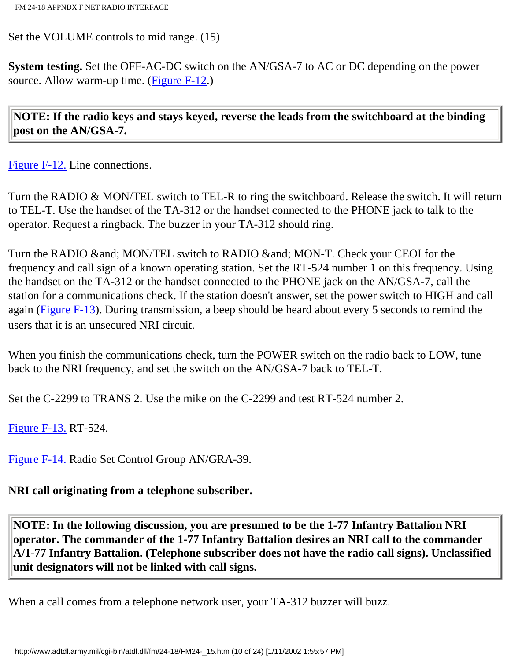Set the VOLUME controls to mid range. (15)

**System testing.** Set the OFF-AC-DC switch on the AN/GSA-7 to AC or DC depending on the power source. Allow warm-up time. ([Figure F-12.](http://www.adtdl.army.mil/cgi-bin/atdl.dll/fm/24-18/24180118.gif))

**NOTE: If the radio keys and stays keyed, reverse the leads from the switchboard at the binding post on the AN/GSA-7.**

[Figure F-12.](http://www.adtdl.army.mil/cgi-bin/atdl.dll/fm/24-18/24180118.gif) Line connections.

Turn the RADIO & MON/TEL switch to TEL-R to ring the switchboard. Release the switch. It will return to TEL-T. Use the handset of the TA-312 or the handset connected to the PHONE jack to talk to the operator. Request a ringback. The buzzer in your TA-312 should ring.

Turn the RADIO & and; MON/TEL switch to RADIO & and; MON-T. Check your CEOI for the frequency and call sign of a known operating station. Set the RT-524 number 1 on this frequency. Using the handset on the TA-312 or the handset connected to the PHONE jack on the AN/GSA-7, call the station for a communications check. If the station doesn't answer, set the power switch to HIGH and call again [\(Figure F-13](http://www.adtdl.army.mil/cgi-bin/atdl.dll/fm/24-18/24180119.gif)). During transmission, a beep should be heard about every 5 seconds to remind the users that it is an unsecured NRI circuit.

When you finish the communications check, turn the POWER switch on the radio back to LOW, tune back to the NRI frequency, and set the switch on the AN/GSA-7 back to TEL-T.

Set the C-2299 to TRANS 2. Use the mike on the C-2299 and test RT-524 number 2.

[Figure F-13.](http://www.adtdl.army.mil/cgi-bin/atdl.dll/fm/24-18/24180119.gif) RT-524.

[Figure F-14.](http://www.adtdl.army.mil/cgi-bin/atdl.dll/fm/24-18/24180120.gif) Radio Set Control Group AN/GRA-39.

#### **NRI call originating from a telephone subscriber.**

**NOTE: In the following discussion, you are presumed to be the 1-77 Infantry Battalion NRI operator. The commander of the 1-77 Infantry Battalion desires an NRI call to the commander A/1-77 Infantry Battalion. (Telephone subscriber does not have the radio call signs). Unclassified unit designators will not be linked with call signs.**

When a call comes from a telephone network user, your TA-312 buzzer will buzz.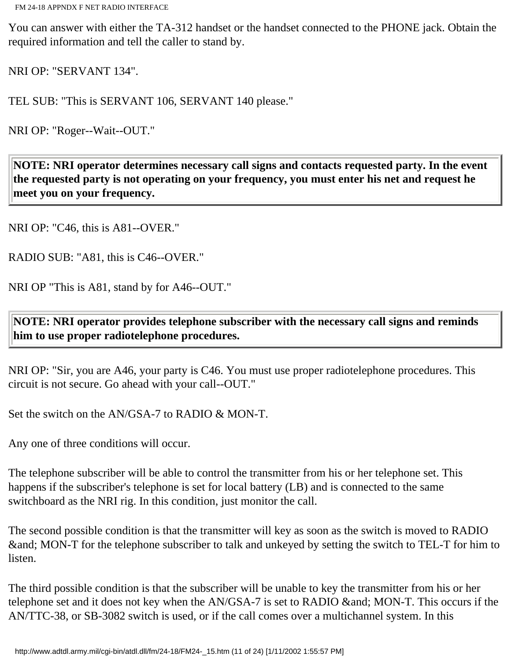FM 24-18 APPNDX F NET RADIO INTERFACE

You can answer with either the TA-312 handset or the handset connected to the PHONE jack. Obtain the required information and tell the caller to stand by.

NRI OP: "SERVANT 134".

TEL SUB: "This is SERVANT 106, SERVANT 140 please."

NRI OP: "Roger--Wait--OUT."

**NOTE: NRI operator determines necessary call signs and contacts requested party. In the event the requested party is not operating on your frequency, you must enter his net and request he meet you on your frequency.**

NRI OP: "C46, this is A81--OVER."

RADIO SUB: "A81, this is C46--OVER."

NRI OP "This is A81, stand by for A46--OUT."

**NOTE: NRI operator provides telephone subscriber with the necessary call signs and reminds him to use proper radiotelephone procedures.**

NRI OP: "Sir, you are A46, your party is C46. You must use proper radiotelephone procedures. This circuit is not secure. Go ahead with your call--OUT."

Set the switch on the AN/GSA-7 to RADIO & MON-T.

Any one of three conditions will occur.

The telephone subscriber will be able to control the transmitter from his or her telephone set. This happens if the subscriber's telephone is set for local battery (LB) and is connected to the same switchboard as the NRI rig. In this condition, just monitor the call.

The second possible condition is that the transmitter will key as soon as the switch is moved to RADIO ∧ MON-T for the telephone subscriber to talk and unkeyed by setting the switch to TEL-T for him to listen.

The third possible condition is that the subscriber will be unable to key the transmitter from his or her telephone set and it does not key when the AN/GSA-7 is set to RADIO & and; MON-T. This occurs if the AN/TTC-38, or SB-3082 switch is used, or if the call comes over a multichannel system. In this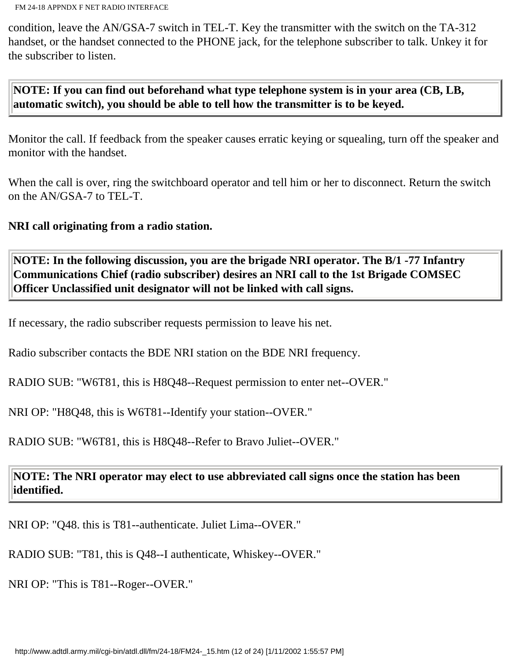FM 24-18 APPNDX F NET RADIO INTERFACE

condition, leave the AN/GSA-7 switch in TEL-T. Key the transmitter with the switch on the TA-312 handset, or the handset connected to the PHONE jack, for the telephone subscriber to talk. Unkey it for the subscriber to listen.

**NOTE: If you can find out beforehand what type telephone system is in your area (CB, LB, automatic switch), you should be able to tell how the transmitter is to be keyed.**

Monitor the call. If feedback from the speaker causes erratic keying or squealing, turn off the speaker and monitor with the handset.

When the call is over, ring the switchboard operator and tell him or her to disconnect. Return the switch on the AN/GSA-7 to TEL-T.

**NRI call originating from a radio station.**

**NOTE: In the following discussion, you are the brigade NRI operator. The B/1 -77 Infantry Communications Chief (radio subscriber) desires an NRI call to the 1st Brigade COMSEC Officer Unclassified unit designator will not be linked with call signs.**

If necessary, the radio subscriber requests permission to leave his net.

Radio subscriber contacts the BDE NRI station on the BDE NRI frequency.

RADIO SUB: "W6T81, this is H8Q48--Request permission to enter net--OVER."

NRI OP: "H8Q48, this is W6T81--Identify your station--OVER."

RADIO SUB: "W6T81, this is H8Q48--Refer to Bravo Juliet--OVER."

**NOTE: The NRI operator may elect to use abbreviated call signs once the station has been identified.**

NRI OP: "Q48. this is T81--authenticate. Juliet Lima--OVER."

RADIO SUB: "T81, this is Q48--I authenticate, Whiskey--OVER."

NRI OP: "This is T81--Roger--OVER."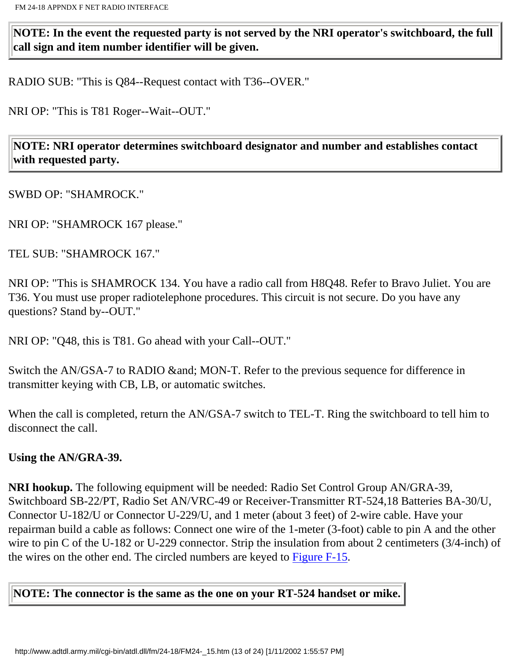**NOTE: In the event the requested party is not served by the NRI operator's switchboard, the full call sign and item number identifier will be given.**

RADIO SUB: "This is Q84--Request contact with T36--OVER."

NRI OP: "This is T81 Roger--Wait--OUT."

**NOTE: NRI operator determines switchboard designator and number and establishes contact with requested party.**

SWBD OP: "SHAMROCK."

NRI OP: "SHAMROCK 167 please."

TEL SUB: "SHAMROCK 167."

NRI OP: "This is SHAMROCK 134. You have a radio call from H8Q48. Refer to Bravo Juliet. You are T36. You must use proper radiotelephone procedures. This circuit is not secure. Do you have any questions? Stand by--OUT."

NRI OP: "Q48, this is T81. Go ahead with your Call--OUT."

Switch the AN/GSA-7 to RADIO & and; MON-T. Refer to the previous sequence for difference in transmitter keying with CB, LB, or automatic switches.

When the call is completed, return the AN/GSA-7 switch to TEL-T. Ring the switchboard to tell him to disconnect the call.

#### **Using the AN/GRA-39.**

**NRI hookup.** The following equipment will be needed: Radio Set Control Group AN/GRA-39, Switchboard SB-22/PT, Radio Set AN/VRC-49 or Receiver-Transmitter RT-524,18 Batteries BA-30/U, Connector U-182/U or Connector U-229/U, and 1 meter (about 3 feet) of 2-wire cable. Have your repairman build a cable as follows: Connect one wire of the 1-meter (3-foot) cable to pin A and the other wire to pin C of the U-182 or U-229 connector. Strip the insulation from about 2 centimeters (3/4-inch) of the wires on the other end. The circled numbers are keyed to [Figure F-15.](http://www.adtdl.army.mil/cgi-bin/atdl.dll/fm/24-18/24180121.gif)

**NOTE: The connector is the same as the one on your RT-524 handset or mike.**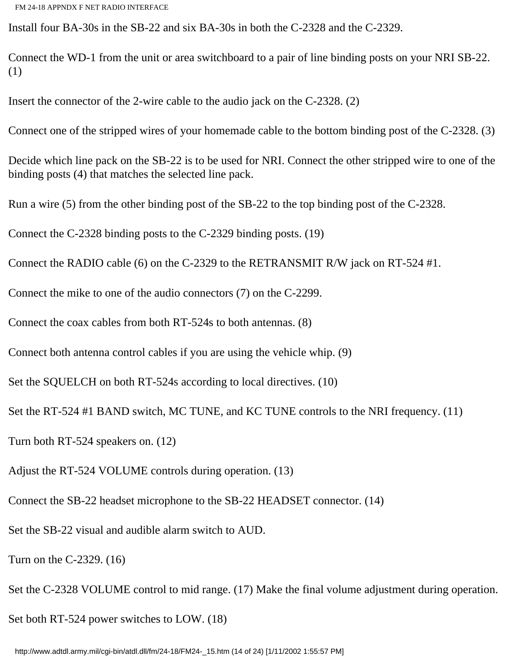Install four BA-30s in the SB-22 and six BA-30s in both the C-2328 and the C-2329.

Connect the WD-1 from the unit or area switchboard to a pair of line binding posts on your NRI SB-22. (1)

Insert the connector of the 2-wire cable to the audio jack on the C-2328. (2)

Connect one of the stripped wires of your homemade cable to the bottom binding post of the C-2328. (3)

Decide which line pack on the SB-22 is to be used for NRI. Connect the other stripped wire to one of the binding posts (4) that matches the selected line pack.

Run a wire (5) from the other binding post of the SB-22 to the top binding post of the C-2328.

Connect the C-2328 binding posts to the C-2329 binding posts. (19)

Connect the RADIO cable (6) on the C-2329 to the RETRANSMIT R/W jack on RT-524 #1.

Connect the mike to one of the audio connectors (7) on the C-2299.

Connect the coax cables from both RT-524s to both antennas. (8)

Connect both antenna control cables if you are using the vehicle whip. (9)

Set the SQUELCH on both RT-524s according to local directives. (10)

Set the RT-524 #1 BAND switch, MC TUNE, and KC TUNE controls to the NRI frequency. (11)

Turn both RT-524 speakers on. (12)

Adjust the RT-524 VOLUME controls during operation. (13)

Connect the SB-22 headset microphone to the SB-22 HEADSET connector. (14)

Set the SB-22 visual and audible alarm switch to AUD.

Turn on the C-2329. (16)

Set the C-2328 VOLUME control to mid range. (17) Make the final volume adjustment during operation.

Set both RT-524 power switches to LOW. (18)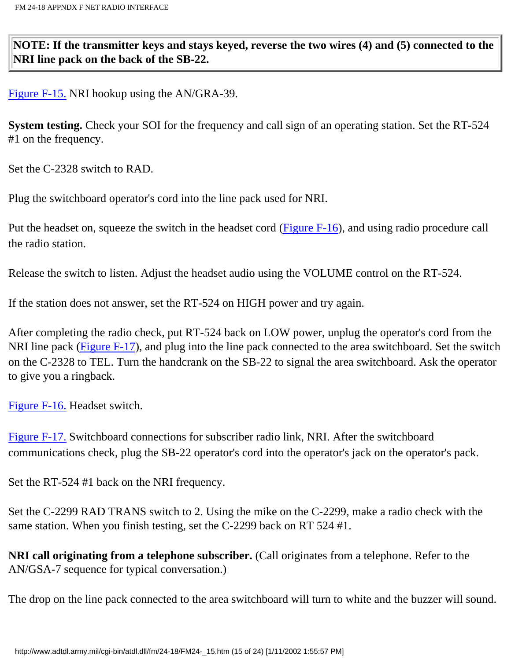**NOTE: If the transmitter keys and stays keyed, reverse the two wires (4) and (5) connected to the NRI line pack on the back of the SB-22.**

[Figure F-15.](http://www.adtdl.army.mil/cgi-bin/atdl.dll/fm/24-18/24180121.gif) NRI hookup using the AN/GRA-39.

**System testing.** Check your SOI for the frequency and call sign of an operating station. Set the RT-524 #1 on the frequency.

Set the C-2328 switch to RAD.

Plug the switchboard operator's cord into the line pack used for NRI.

Put the headset on, squeeze the switch in the headset cord [\(Figure F-16](http://www.adtdl.army.mil/cgi-bin/atdl.dll/fm/24-18/24180122.gif)), and using radio procedure call the radio station.

Release the switch to listen. Adjust the headset audio using the VOLUME control on the RT-524.

If the station does not answer, set the RT-524 on HIGH power and try again.

After completing the radio check, put RT-524 back on LOW power, unplug the operator's cord from the NRI line pack ( $Figure F-17$ ), and plug into the line pack connected to the area switchboard. Set the switch on the C-2328 to TEL. Turn the handcrank on the SB-22 to signal the area switchboard. Ask the operator to give you a ringback.

[Figure F-16.](http://www.adtdl.army.mil/cgi-bin/atdl.dll/fm/24-18/24180122.gif) Headset switch.

[Figure F-17.](http://www.adtdl.army.mil/cgi-bin/atdl.dll/fm/24-18/24180123.gif) Switchboard connections for subscriber radio link, NRI. After the switchboard communications check, plug the SB-22 operator's cord into the operator's jack on the operator's pack.

Set the RT-524 #1 back on the NRI frequency.

Set the C-2299 RAD TRANS switch to 2. Using the mike on the C-2299, make a radio check with the same station. When you finish testing, set the C-2299 back on RT 524 #1.

**NRI call originating from a telephone subscriber.** (Call originates from a telephone. Refer to the AN/GSA-7 sequence for typical conversation.)

The drop on the line pack connected to the area switchboard will turn to white and the buzzer will sound.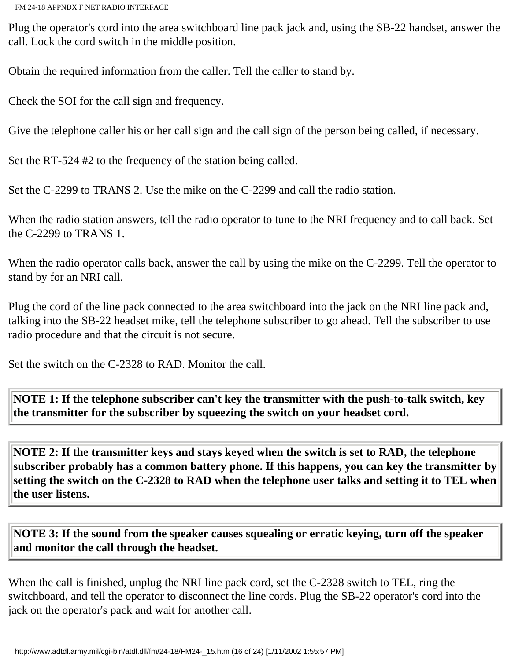Plug the operator's cord into the area switchboard line pack jack and, using the SB-22 handset, answer the call. Lock the cord switch in the middle position.

Obtain the required information from the caller. Tell the caller to stand by.

Check the SOI for the call sign and frequency.

Give the telephone caller his or her call sign and the call sign of the person being called, if necessary.

Set the RT-524 #2 to the frequency of the station being called.

Set the C-2299 to TRANS 2. Use the mike on the C-2299 and call the radio station.

When the radio station answers, tell the radio operator to tune to the NRI frequency and to call back. Set the C-2299 to TRANS 1.

When the radio operator calls back, answer the call by using the mike on the C-2299. Tell the operator to stand by for an NRI call.

Plug the cord of the line pack connected to the area switchboard into the jack on the NRI line pack and, talking into the SB-22 headset mike, tell the telephone subscriber to go ahead. Tell the subscriber to use radio procedure and that the circuit is not secure.

Set the switch on the C-2328 to RAD. Monitor the call.

**NOTE 1: If the telephone subscriber can't key the transmitter with the push-to-talk switch, key the transmitter for the subscriber by squeezing the switch on your headset cord.**

**NOTE 2: If the transmitter keys and stays keyed when the switch is set to RAD, the telephone subscriber probably has a common battery phone. If this happens, you can key the transmitter by setting the switch on the C-2328 to RAD when the telephone user talks and setting it to TEL when the user listens.**

**NOTE 3: If the sound from the speaker causes squealing or erratic keying, turn off the speaker and monitor the call through the headset.**

When the call is finished, unplug the NRI line pack cord, set the C-2328 switch to TEL, ring the switchboard, and tell the operator to disconnect the line cords. Plug the SB-22 operator's cord into the jack on the operator's pack and wait for another call.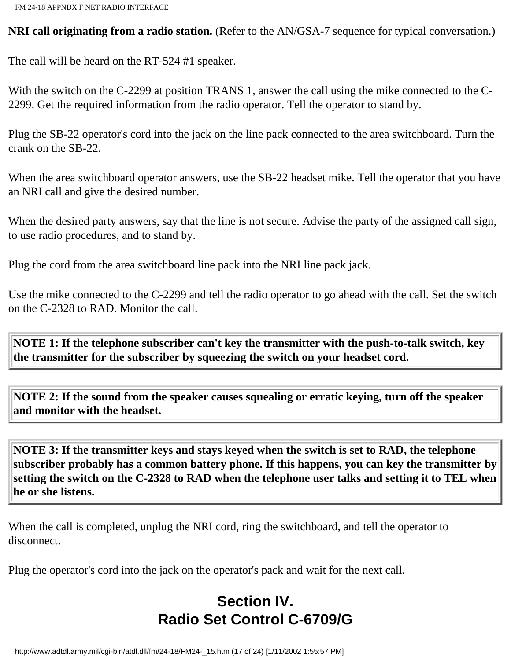**NRI call originating from a radio station.** (Refer to the AN/GSA-7 sequence for typical conversation.)

The call will be heard on the RT-524 #1 speaker.

With the switch on the C-2299 at position TRANS 1, answer the call using the mike connected to the C-2299. Get the required information from the radio operator. Tell the operator to stand by.

Plug the SB-22 operator's cord into the jack on the line pack connected to the area switchboard. Turn the crank on the SB-22.

When the area switchboard operator answers, use the SB-22 headset mike. Tell the operator that you have an NRI call and give the desired number.

When the desired party answers, say that the line is not secure. Advise the party of the assigned call sign, to use radio procedures, and to stand by.

Plug the cord from the area switchboard line pack into the NRI line pack jack.

Use the mike connected to the C-2299 and tell the radio operator to go ahead with the call. Set the switch on the C-2328 to RAD. Monitor the call.

**NOTE 1: If the telephone subscriber can't key the transmitter with the push-to-talk switch, key the transmitter for the subscriber by squeezing the switch on your headset cord.**

**NOTE 2: If the sound from the speaker causes squealing or erratic keying, turn off the speaker and monitor with the headset.**

**NOTE 3: If the transmitter keys and stays keyed when the switch is set to RAD, the telephone subscriber probably has a common battery phone. If this happens, you can key the transmitter by setting the switch on the C-2328 to RAD when the telephone user talks and setting it to TEL when he or she listens.**

When the call is completed, unplug the NRI cord, ring the switchboard, and tell the operator to disconnect.

Plug the operator's cord into the jack on the operator's pack and wait for the next call.

# **Section IV. Radio Set Control C-6709/G**

http://www.adtdl.army.mil/cgi-bin/atdl.dll/fm/24-18/FM24-\_15.htm (17 of 24) [1/11/2002 1:55:57 PM]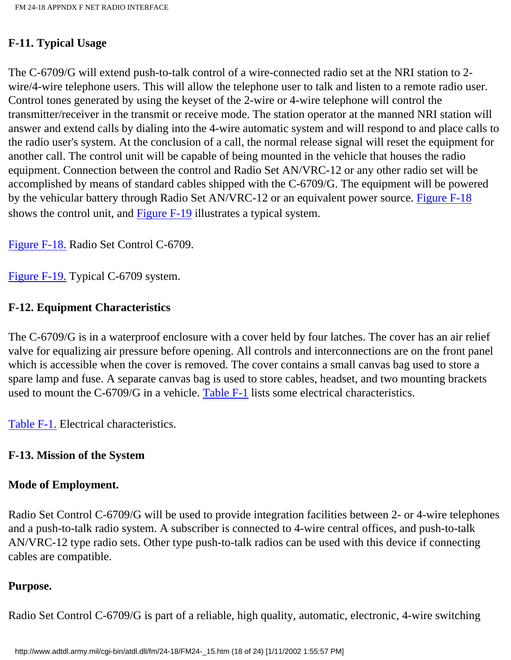## **F-11. Typical Usage**

The C-6709/G will extend push-to-talk control of a wire-connected radio set at the NRI station to 2 wire/4-wire telephone users. This will allow the telephone user to talk and listen to a remote radio user. Control tones generated by using the keyset of the 2-wire or 4-wire telephone will control the transmitter/receiver in the transmit or receive mode. The station operator at the manned NRI station will answer and extend calls by dialing into the 4-wire automatic system and will respond to and place calls to the radio user's system. At the conclusion of a call, the normal release signal will reset the equipment for another call. The control unit will be capable of being mounted in the vehicle that houses the radio equipment. Connection between the control and Radio Set AN/VRC-12 or any other radio set will be accomplished by means of standard cables shipped with the C-6709/G. The equipment will be powered by the vehicular battery through Radio Set AN/VRC-12 or an equivalent power source. [Figure F-18](http://www.adtdl.army.mil/cgi-bin/atdl.dll/fm/24-18/24180124.gif) shows the control unit, and [Figure F-19](http://www.adtdl.army.mil/cgi-bin/atdl.dll/fm/24-18/24180125.gif) illustrates a typical system.

[Figure F-18.](http://www.adtdl.army.mil/cgi-bin/atdl.dll/fm/24-18/24180124.gif) Radio Set Control C-6709.

[Figure F-19.](http://www.adtdl.army.mil/cgi-bin/atdl.dll/fm/24-18/24180125.gif) Typical C-6709 system.

#### **F-12. Equipment Characteristics**

The C-6709/G is in a waterproof enclosure with a cover held by four latches. The cover has an air relief valve for equalizing air pressure before opening. All controls and interconnections are on the front panel which is accessible when the cover is removed. The cover contains a small canvas bag used to store a spare lamp and fuse. A separate canvas bag is used to store cables, headset, and two mounting brackets used to mount the C-6709/G in a vehicle. [Table F-1](http://www.adtdl.army.mil/cgi-bin/atdl.dll/fm/24-18/24180126.gif) lists some electrical characteristics.

[Table F-1.](http://www.adtdl.army.mil/cgi-bin/atdl.dll/fm/24-18/24180126.gif) Electrical characteristics.

#### **F-13. Mission of the System**

#### **Mode of Employment.**

Radio Set Control C-6709/G will be used to provide integration facilities between 2- or 4-wire telephones and a push-to-talk radio system. A subscriber is connected to 4-wire central offices, and push-to-talk AN/VRC-12 type radio sets. Other type push-to-talk radios can be used with this device if connecting cables are compatible.

#### **Purpose.**

Radio Set Control C-6709/G is part of a reliable, high quality, automatic, electronic, 4-wire switching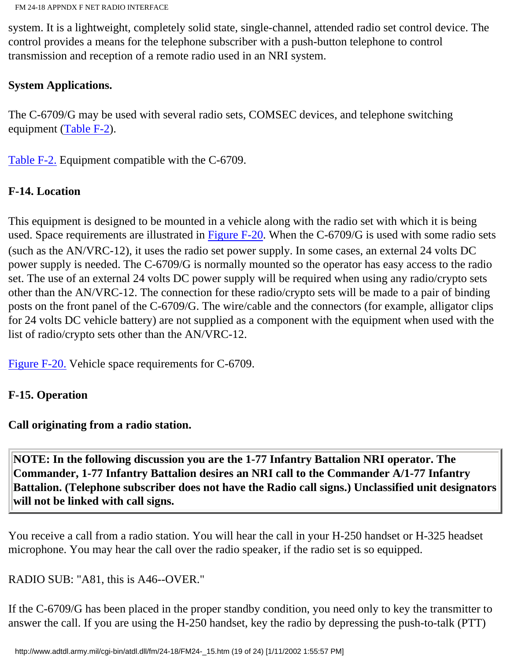system. It is a lightweight, completely solid state, single-channel, attended radio set control device. The control provides a means for the telephone subscriber with a push-button telephone to control transmission and reception of a remote radio used in an NRI system.

## **System Applications.**

The C-6709/G may be used with several radio sets, COMSEC devices, and telephone switching equipment ([Table F-2](http://www.adtdl.army.mil/cgi-bin/atdl.dll/fm/24-18/24180127.gif)).

[Table F-2.](http://www.adtdl.army.mil/cgi-bin/atdl.dll/fm/24-18/24180127.gif) Equipment compatible with the C-6709.

### **F-14. Location**

This equipment is designed to be mounted in a vehicle along with the radio set with which it is being used. Space requirements are illustrated in [Figure F-20](http://www.adtdl.army.mil/cgi-bin/atdl.dll/fm/24-18/24180128.gif). When the C-6709/G is used with some radio sets (such as the AN/VRC-12), it uses the radio set power supply. In some cases, an external 24 volts DC power supply is needed. The C-6709/G is normally mounted so the operator has easy access to the radio set. The use of an external 24 volts DC power supply will be required when using any radio/crypto sets other than the AN/VRC-12. The connection for these radio/crypto sets will be made to a pair of binding posts on the front panel of the C-6709/G. The wire/cable and the connectors (for example, alligator clips for 24 volts DC vehicle battery) are not supplied as a component with the equipment when used with the list of radio/crypto sets other than the AN/VRC-12.

[Figure F-20.](http://www.adtdl.army.mil/cgi-bin/atdl.dll/fm/24-18/24180128.gif) Vehicle space requirements for C-6709.

### **F-15. Operation**

### **Call originating from a radio station.**

**NOTE: In the following discussion you are the 1-77 Infantry Battalion NRI operator. The Commander, 1-77 Infantry Battalion desires an NRI call to the Commander A/1-77 Infantry Battalion. (Telephone subscriber does not have the Radio call signs.) Unclassified unit designators will not be linked with call signs.**

You receive a call from a radio station. You will hear the call in your H-250 handset or H-325 headset microphone. You may hear the call over the radio speaker, if the radio set is so equipped.

### RADIO SUB: "A81, this is A46--OVER."

If the C-6709/G has been placed in the proper standby condition, you need only to key the transmitter to answer the call. If you are using the H-250 handset, key the radio by depressing the push-to-talk (PTT)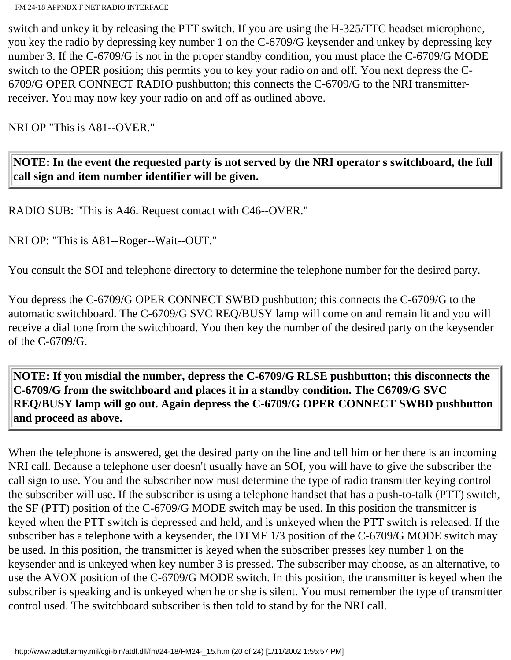switch and unkey it by releasing the PTT switch. If you are using the H-325/TTC headset microphone, you key the radio by depressing key number 1 on the C-6709/G keysender and unkey by depressing key number 3. If the C-6709/G is not in the proper standby condition, you must place the C-6709/G MODE switch to the OPER position; this permits you to key your radio on and off. You next depress the C-6709/G OPER CONNECT RADIO pushbutton; this connects the C-6709/G to the NRI transmitterreceiver. You may now key your radio on and off as outlined above.

NRI OP "This is A81--OVER."

**NOTE: In the event the requested party is not served by the NRI operator s switchboard, the full call sign and item number identifier will be given.**

RADIO SUB: "This is A46. Request contact with C46--OVER."

NRI OP: "This is A81--Roger--Wait--OUT."

You consult the SOI and telephone directory to determine the telephone number for the desired party.

You depress the C-6709/G OPER CONNECT SWBD pushbutton; this connects the C-6709/G to the automatic switchboard. The C-6709/G SVC REQ/BUSY lamp will come on and remain lit and you will receive a dial tone from the switchboard. You then key the number of the desired party on the keysender of the C-6709/G.

**NOTE: If you misdial the number, depress the C-6709/G RLSE pushbutton; this disconnects the C-6709/G from the switchboard and places it in a standby condition. The C6709/G SVC REQ/BUSY lamp will go out. Again depress the C-6709/G OPER CONNECT SWBD pushbutton and proceed as above.**

When the telephone is answered, get the desired party on the line and tell him or her there is an incoming NRI call. Because a telephone user doesn't usually have an SOI, you will have to give the subscriber the call sign to use. You and the subscriber now must determine the type of radio transmitter keying control the subscriber will use. If the subscriber is using a telephone handset that has a push-to-talk (PTT) switch, the SF (PTT) position of the C-6709/G MODE switch may be used. In this position the transmitter is keyed when the PTT switch is depressed and held, and is unkeyed when the PTT switch is released. If the subscriber has a telephone with a keysender, the DTMF 1/3 position of the C-6709/G MODE switch may be used. In this position, the transmitter is keyed when the subscriber presses key number 1 on the keysender and is unkeyed when key number 3 is pressed. The subscriber may choose, as an alternative, to use the AVOX position of the C-6709/G MODE switch. In this position, the transmitter is keyed when the subscriber is speaking and is unkeyed when he or she is silent. You must remember the type of transmitter control used. The switchboard subscriber is then told to stand by for the NRI call.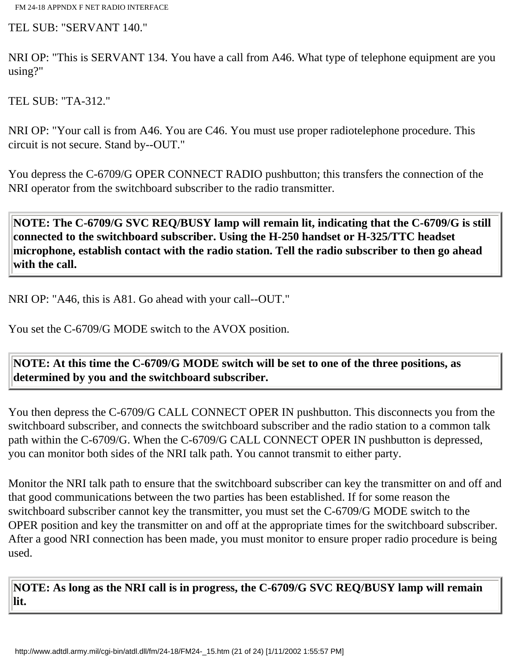TEL SUB: "SERVANT 140."

NRI OP: "This is SERVANT 134. You have a call from A46. What type of telephone equipment are you using?"

TEL SUB: "TA-312."

NRI OP: "Your call is from A46. You are C46. You must use proper radiotelephone procedure. This circuit is not secure. Stand by--OUT."

You depress the C-6709/G OPER CONNECT RADIO pushbutton; this transfers the connection of the NRI operator from the switchboard subscriber to the radio transmitter.

**NOTE: The C-6709/G SVC REQ/BUSY lamp will remain lit, indicating that the C-6709/G is still connected to the switchboard subscriber. Using the H-250 handset or H-325/TTC headset microphone, establish contact with the radio station. Tell the radio subscriber to then go ahead with the call.**

NRI OP: "A46, this is A81. Go ahead with your call--OUT."

You set the C-6709/G MODE switch to the AVOX position.

**NOTE: At this time the C-6709/G MODE switch will be set to one of the three positions, as determined by you and the switchboard subscriber.**

You then depress the C-6709/G CALL CONNECT OPER IN pushbutton. This disconnects you from the switchboard subscriber, and connects the switchboard subscriber and the radio station to a common talk path within the C-6709/G. When the C-6709/G CALL CONNECT OPER IN pushbutton is depressed, you can monitor both sides of the NRI talk path. You cannot transmit to either party.

Monitor the NRI talk path to ensure that the switchboard subscriber can key the transmitter on and off and that good communications between the two parties has been established. If for some reason the switchboard subscriber cannot key the transmitter, you must set the C-6709/G MODE switch to the OPER position and key the transmitter on and off at the appropriate times for the switchboard subscriber. After a good NRI connection has been made, you must monitor to ensure proper radio procedure is being used.

**NOTE: As long as the NRI call is in progress, the C-6709/G SVC REQ/BUSY lamp will remain lit.**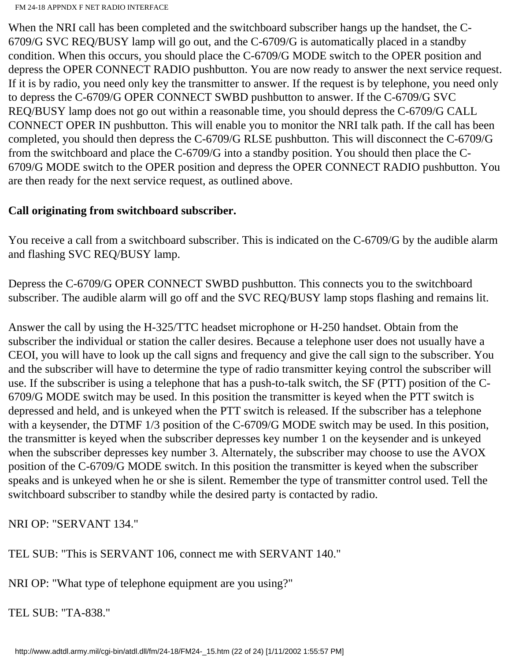When the NRI call has been completed and the switchboard subscriber hangs up the handset, the C-6709/G SVC REQ/BUSY lamp will go out, and the C-6709/G is automatically placed in a standby condition. When this occurs, you should place the C-6709/G MODE switch to the OPER position and depress the OPER CONNECT RADIO pushbutton. You are now ready to answer the next service request. If it is by radio, you need only key the transmitter to answer. If the request is by telephone, you need only to depress the C-6709/G OPER CONNECT SWBD pushbutton to answer. If the C-6709/G SVC REQ/BUSY lamp does not go out within a reasonable time, you should depress the C-6709/G CALL CONNECT OPER IN pushbutton. This will enable you to monitor the NRI talk path. If the call has been completed, you should then depress the C-6709/G RLSE pushbutton. This will disconnect the C-6709/G from the switchboard and place the C-6709/G into a standby position. You should then place the C-6709/G MODE switch to the OPER position and depress the OPER CONNECT RADIO pushbutton. You are then ready for the next service request, as outlined above.

### **Call originating from switchboard subscriber.**

You receive a call from a switchboard subscriber. This is indicated on the C-6709/G by the audible alarm and flashing SVC REQ/BUSY lamp.

Depress the C-6709/G OPER CONNECT SWBD pushbutton. This connects you to the switchboard subscriber. The audible alarm will go off and the SVC REQ/BUSY lamp stops flashing and remains lit.

Answer the call by using the H-325/TTC headset microphone or H-250 handset. Obtain from the subscriber the individual or station the caller desires. Because a telephone user does not usually have a CEOI, you will have to look up the call signs and frequency and give the call sign to the subscriber. You and the subscriber will have to determine the type of radio transmitter keying control the subscriber will use. If the subscriber is using a telephone that has a push-to-talk switch, the SF (PTT) position of the C-6709/G MODE switch may be used. In this position the transmitter is keyed when the PTT switch is depressed and held, and is unkeyed when the PTT switch is released. If the subscriber has a telephone with a keysender, the DTMF 1/3 position of the C-6709/G MODE switch may be used. In this position, the transmitter is keyed when the subscriber depresses key number 1 on the keysender and is unkeyed when the subscriber depresses key number 3. Alternately, the subscriber may choose to use the AVOX position of the C-6709/G MODE switch. In this position the transmitter is keyed when the subscriber speaks and is unkeyed when he or she is silent. Remember the type of transmitter control used. Tell the switchboard subscriber to standby while the desired party is contacted by radio.

NRI OP: "SERVANT 134."

TEL SUB: "This is SERVANT 106, connect me with SERVANT 140."

NRI OP: "What type of telephone equipment are you using?"

TEL SUB: "TA-838."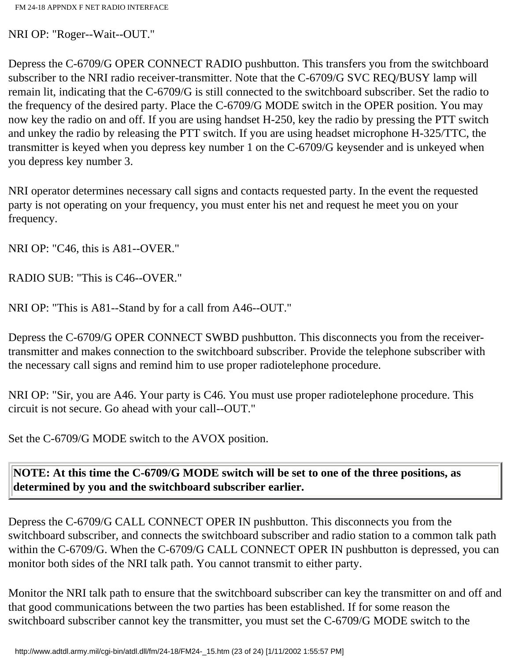NRI OP: "Roger--Wait--OUT."

Depress the C-6709/G OPER CONNECT RADIO pushbutton. This transfers you from the switchboard subscriber to the NRI radio receiver-transmitter. Note that the C-6709/G SVC REQ/BUSY lamp will remain lit, indicating that the C-6709/G is still connected to the switchboard subscriber. Set the radio to the frequency of the desired party. Place the C-6709/G MODE switch in the OPER position. You may now key the radio on and off. If you are using handset H-250, key the radio by pressing the PTT switch and unkey the radio by releasing the PTT switch. If you are using headset microphone H-325/TTC, the transmitter is keyed when you depress key number 1 on the C-6709/G keysender and is unkeyed when you depress key number 3.

NRI operator determines necessary call signs and contacts requested party. In the event the requested party is not operating on your frequency, you must enter his net and request he meet you on your frequency.

NRI OP: "C46, this is A81--OVER."

RADIO SUB: "This is C46--OVER."

NRI OP: "This is A81--Stand by for a call from A46--OUT."

Depress the C-6709/G OPER CONNECT SWBD pushbutton. This disconnects you from the receivertransmitter and makes connection to the switchboard subscriber. Provide the telephone subscriber with the necessary call signs and remind him to use proper radiotelephone procedure.

NRI OP: "Sir, you are A46. Your party is C46. You must use proper radiotelephone procedure. This circuit is not secure. Go ahead with your call--OUT."

Set the C-6709/G MODE switch to the AVOX position.

**NOTE: At this time the C-6709/G MODE switch will be set to one of the three positions, as determined by you and the switchboard subscriber earlier.**

Depress the C-6709/G CALL CONNECT OPER IN pushbutton. This disconnects you from the switchboard subscriber, and connects the switchboard subscriber and radio station to a common talk path within the C-6709/G. When the C-6709/G CALL CONNECT OPER IN pushbutton is depressed, you can monitor both sides of the NRI talk path. You cannot transmit to either party.

Monitor the NRI talk path to ensure that the switchboard subscriber can key the transmitter on and off and that good communications between the two parties has been established. If for some reason the switchboard subscriber cannot key the transmitter, you must set the C-6709/G MODE switch to the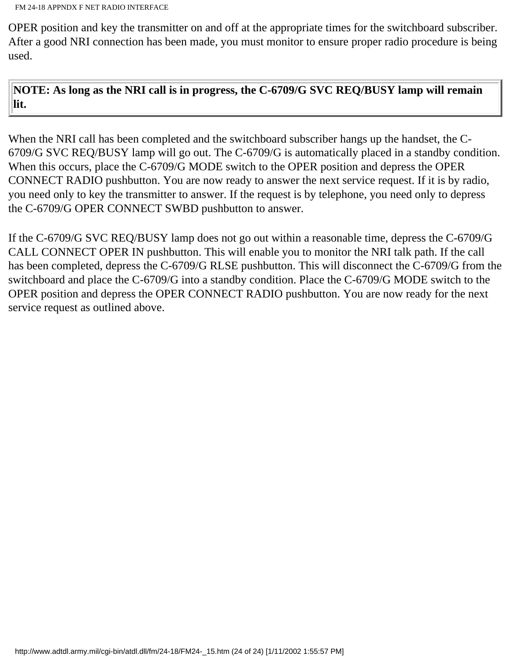OPER position and key the transmitter on and off at the appropriate times for the switchboard subscriber. After a good NRI connection has been made, you must monitor to ensure proper radio procedure is being used.

**NOTE: As long as the NRI call is in progress, the C-6709/G SVC REQ/BUSY lamp will remain lit.**

When the NRI call has been completed and the switchboard subscriber hangs up the handset, the C-6709/G SVC REQ/BUSY lamp will go out. The C-6709/G is automatically placed in a standby condition. When this occurs, place the C-6709/G MODE switch to the OPER position and depress the OPER CONNECT RADIO pushbutton. You are now ready to answer the next service request. If it is by radio, you need only to key the transmitter to answer. If the request is by telephone, you need only to depress the C-6709/G OPER CONNECT SWBD pushbutton to answer.

If the C-6709/G SVC REQ/BUSY lamp does not go out within a reasonable time, depress the C-6709/G CALL CONNECT OPER IN pushbutton. This will enable you to monitor the NRI talk path. If the call has been completed, depress the C-6709/G RLSE pushbutton. This will disconnect the C-6709/G from the switchboard and place the C-6709/G into a standby condition. Place the C-6709/G MODE switch to the OPER position and depress the OPER CONNECT RADIO pushbutton. You are now ready for the next service request as outlined above.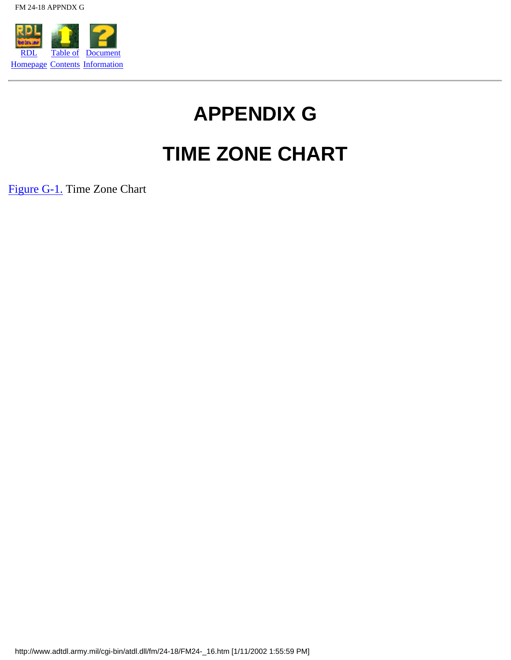

# **APPENDIX G**

# **TIME ZONE CHART**

[Figure G-1.](http://www.adtdl.army.mil/cgi-bin/atdl.dll/fm/24-18/24180129.gif) Time Zone Chart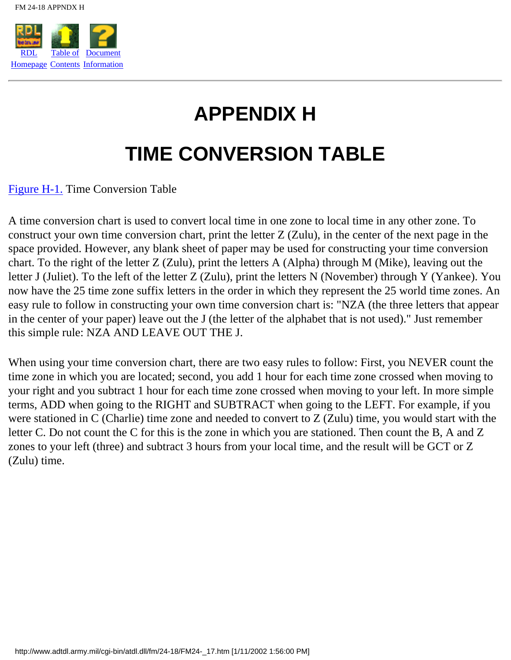

# **APPENDIX H**

# **TIME CONVERSION TABLE**

[Figure H-1.](http://www.adtdl.army.mil/cgi-bin/atdl.dll/fm/24-18/24180130.gif) Time Conversion Table

A time conversion chart is used to convert local time in one zone to local time in any other zone. To construct your own time conversion chart, print the letter Z (Zulu), in the center of the next page in the space provided. However, any blank sheet of paper may be used for constructing your time conversion chart. To the right of the letter Z (Zulu), print the letters A (Alpha) through M (Mike), leaving out the letter J (Juliet). To the left of the letter Z (Zulu), print the letters N (November) through Y (Yankee). You now have the 25 time zone suffix letters in the order in which they represent the 25 world time zones. An easy rule to follow in constructing your own time conversion chart is: "NZA (the three letters that appear in the center of your paper) leave out the J (the letter of the alphabet that is not used)." Just remember this simple rule: NZA AND LEAVE OUT THE J.

When using your time conversion chart, there are two easy rules to follow: First, you NEVER count the time zone in which you are located; second, you add 1 hour for each time zone crossed when moving to your right and you subtract 1 hour for each time zone crossed when moving to your left. In more simple terms, ADD when going to the RIGHT and SUBTRACT when going to the LEFT. For example, if you were stationed in C (Charlie) time zone and needed to convert to Z (Zulu) time, you would start with the letter C. Do not count the C for this is the zone in which you are stationed. Then count the B, A and Z zones to your left (three) and subtract 3 hours from your local time, and the result will be GCT or Z (Zulu) time.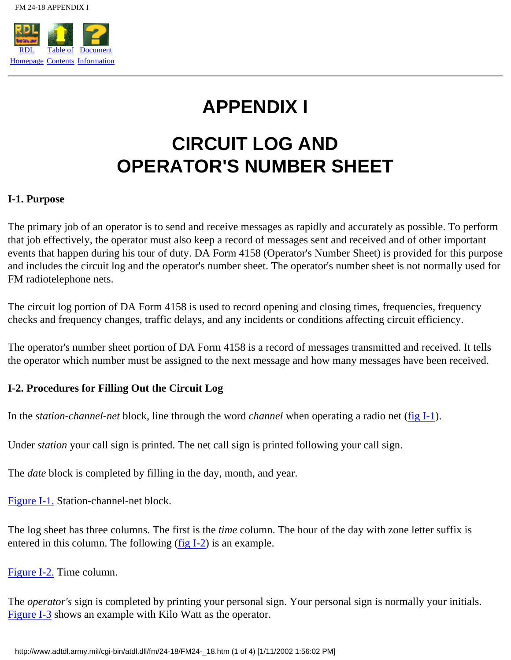

# **APPENDIX I**

# **CIRCUIT LOG AND OPERATOR'S NUMBER SHEET**

#### **I-1. Purpose**

The primary job of an operator is to send and receive messages as rapidly and accurately as possible. To perform that job effectively, the operator must also keep a record of messages sent and received and of other important events that happen during his tour of duty. DA Form 4158 (Operator's Number Sheet) is provided for this purpose and includes the circuit log and the operator's number sheet. The operator's number sheet is not normally used for FM radiotelephone nets.

The circuit log portion of DA Form 4158 is used to record opening and closing times, frequencies, frequency checks and frequency changes, traffic delays, and any incidents or conditions affecting circuit efficiency.

The operator's number sheet portion of DA Form 4158 is a record of messages transmitted and received. It tells the operator which number must be assigned to the next message and how many messages have been received.

#### **I-2. Procedures for Filling Out the Circuit Log**

In the *station-channel-net* block, line through the word *channel* when operating a radio net ([fig I-1\)](http://www.adtdl.army.mil/cgi-bin/atdl.dll/fm/24-18/24180131.gif).

Under *station* your call sign is printed. The net call sign is printed following your call sign.

The *date* block is completed by filling in the day, month, and year.

[Figure I-1.](http://www.adtdl.army.mil/cgi-bin/atdl.dll/fm/24-18/24180131.gif) Station-channel-net block.

The log sheet has three columns. The first is the *time* column. The hour of the day with zone letter suffix is entered in this column. The following ([fig I-2](http://www.adtdl.army.mil/cgi-bin/atdl.dll/fm/24-18/24180132.gif)) is an example.

[Figure I-2.](http://www.adtdl.army.mil/cgi-bin/atdl.dll/fm/24-18/24180132.gif) Time column.

The *operator's* sign is completed by printing your personal sign. Your personal sign is normally your initials. [Figure I-3](http://www.adtdl.army.mil/cgi-bin/atdl.dll/fm/24-18/24180133.gif) shows an example with Kilo Watt as the operator.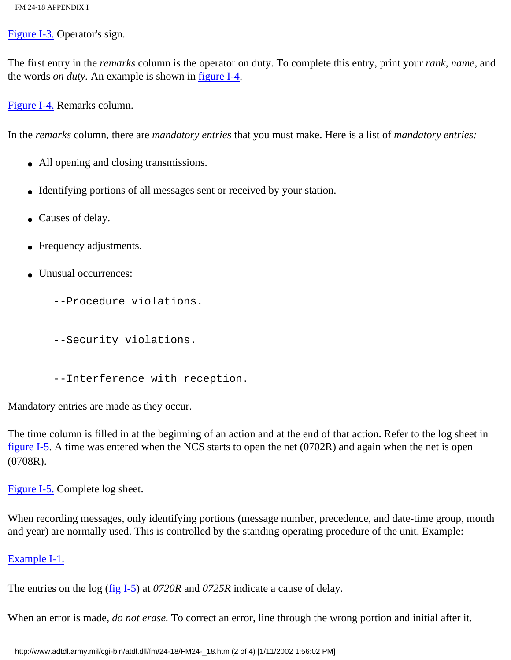[Figure I-3.](http://www.adtdl.army.mil/cgi-bin/atdl.dll/fm/24-18/24180133.gif) Operator's sign.

The first entry in the *remarks* column is the operator on duty. To complete this entry, print your *rank, name,* and the words *on duty.* An example is shown in [figure I-4](http://www.adtdl.army.mil/cgi-bin/atdl.dll/fm/24-18/24180134.gif).

[Figure I-4.](http://www.adtdl.army.mil/cgi-bin/atdl.dll/fm/24-18/24180134.gif) Remarks column.

In the *remarks* column, there are *mandatory entries* that you must make. Here is a list of *mandatory entries:*

- All opening and closing transmissions.
- Identifying portions of all messages sent or received by your station.
- Causes of delay.
- Frequency adjustments.
- Unusual occurrences:

--Procedure violations.

--Security violations.

--Interference with reception.

Mandatory entries are made as they occur.

The time column is filled in at the beginning of an action and at the end of that action. Refer to the log sheet in [figure I-5.](http://www.adtdl.army.mil/cgi-bin/atdl.dll/fm/24-18/24180135.gif) A time was entered when the NCS starts to open the net (0702R) and again when the net is open (0708R).

[Figure I-5.](http://www.adtdl.army.mil/cgi-bin/atdl.dll/fm/24-18/24180135.gif) Complete log sheet.

When recording messages, only identifying portions (message number, precedence, and date-time group, month and year) are normally used. This is controlled by the standing operating procedure of the unit. Example:

#### [Example I-1.](http://www.adtdl.army.mil/cgi-bin/atdl.dll/fm/24-18/24180136.gif)

The entries on the log [\(fig I-5](http://www.adtdl.army.mil/cgi-bin/atdl.dll/fm/24-18/24180135.gif)) at *0720R* and *0725R* indicate a cause of delay.

When an error is made, *do not erase.* To correct an error, line through the wrong portion and initial after it.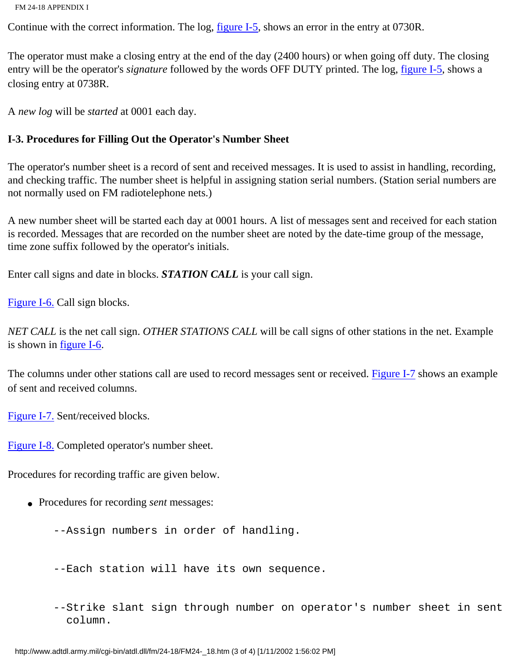```
FM 24-18 APPENDIX I
```
Continue with the correct information. The log, [figure I-5](http://www.adtdl.army.mil/cgi-bin/atdl.dll/fm/24-18/24180135.gif), shows an error in the entry at 0730R.

The operator must make a closing entry at the end of the day (2400 hours) or when going off duty. The closing entry will be the operator's *signature* followed by the words OFF DUTY printed. The log, [figure I-5,](http://www.adtdl.army.mil/cgi-bin/atdl.dll/fm/24-18/24180135.gif) shows a closing entry at 0738R.

A *new log* will be *started* at 0001 each day.

#### **I-3. Procedures for Filling Out the Operator's Number Sheet**

The operator's number sheet is a record of sent and received messages. It is used to assist in handling, recording, and checking traffic. The number sheet is helpful in assigning station serial numbers. (Station serial numbers are not normally used on FM radiotelephone nets.)

A new number sheet will be started each day at 0001 hours. A list of messages sent and received for each station is recorded. Messages that are recorded on the number sheet are noted by the date-time group of the message, time zone suffix followed by the operator's initials.

Enter call signs and date in blocks. *STATION CALL* is your call sign.

[Figure I-6.](http://www.adtdl.army.mil/cgi-bin/atdl.dll/fm/24-18/24180137.gif) Call sign blocks.

*NET CALL* is the net call sign. *OTHER STATIONS CALL* will be call signs of other stations in the net. Example is shown in [figure I-6](http://www.adtdl.army.mil/cgi-bin/atdl.dll/fm/24-18/24180137.gif).

The columns under other stations call are used to record messages sent or received. [Figure I-7](http://www.adtdl.army.mil/cgi-bin/atdl.dll/fm/24-18/24180138.gif) shows an example of sent and received columns.

[Figure I-7.](http://www.adtdl.army.mil/cgi-bin/atdl.dll/fm/24-18/24180138.gif) Sent/received blocks.

[Figure I-8.](http://www.adtdl.army.mil/cgi-bin/atdl.dll/fm/24-18/24180139.gif) Completed operator's number sheet.

Procedures for recording traffic are given below.

● Procedures for recording *sent* messages:

--Assign numbers in order of handling.

--Each station will have its own sequence.

 --Strike slant sign through number on operator's number sheet in sent column.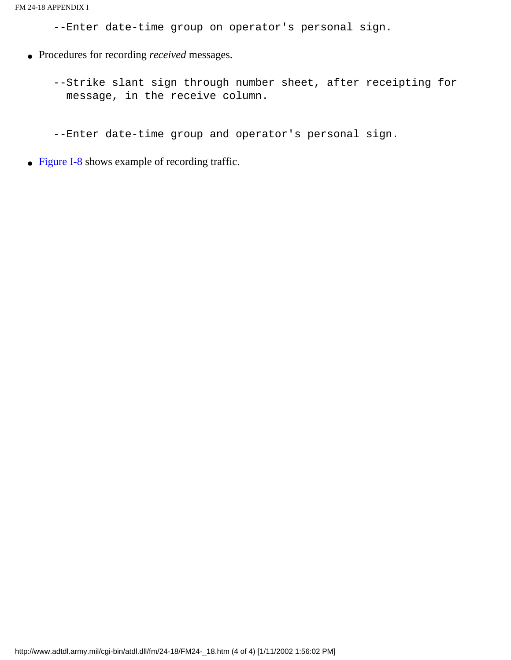--Enter date-time group on operator's personal sign.

- Procedures for recording *received* messages.
	- --Strike slant sign through number sheet, after receipting for message, in the receive column.

--Enter date-time group and operator's personal sign.

• [Figure I-8](http://www.adtdl.army.mil/cgi-bin/atdl.dll/fm/24-18/24180139.gif) shows example of recording traffic.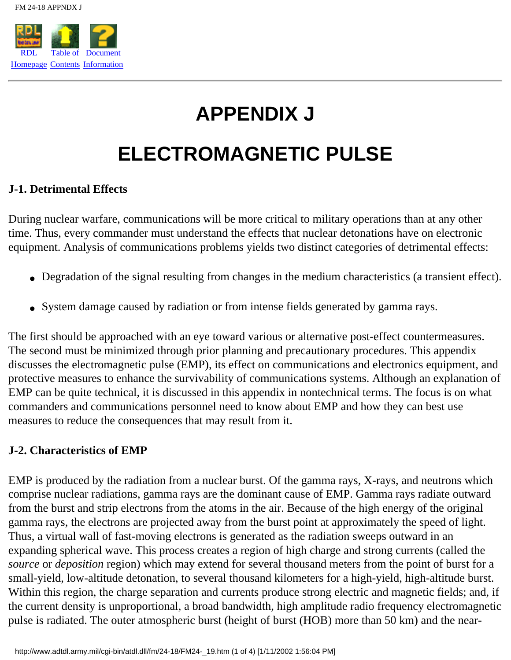

# **APPENDIX J**

# **ELECTROMAGNETIC PULSE**

#### **J-1. Detrimental Effects**

During nuclear warfare, communications will be more critical to military operations than at any other time. Thus, every commander must understand the effects that nuclear detonations have on electronic equipment. Analysis of communications problems yields two distinct categories of detrimental effects:

- Degradation of the signal resulting from changes in the medium characteristics (a transient effect).
- System damage caused by radiation or from intense fields generated by gamma rays.

The first should be approached with an eye toward various or alternative post-effect countermeasures. The second must be minimized through prior planning and precautionary procedures. This appendix discusses the electromagnetic pulse (EMP), its effect on communications and electronics equipment, and protective measures to enhance the survivability of communications systems. Although an explanation of EMP can be quite technical, it is discussed in this appendix in nontechnical terms. The focus is on what commanders and communications personnel need to know about EMP and how they can best use measures to reduce the consequences that may result from it.

#### **J-2. Characteristics of EMP**

EMP is produced by the radiation from a nuclear burst. Of the gamma rays, X-rays, and neutrons which comprise nuclear radiations, gamma rays are the dominant cause of EMP. Gamma rays radiate outward from the burst and strip electrons from the atoms in the air. Because of the high energy of the original gamma rays, the electrons are projected away from the burst point at approximately the speed of light. Thus, a virtual wall of fast-moving electrons is generated as the radiation sweeps outward in an expanding spherical wave. This process creates a region of high charge and strong currents (called the *source* or *deposition* region) which may extend for several thousand meters from the point of burst for a small-yield, low-altitude detonation, to several thousand kilometers for a high-yield, high-altitude burst. Within this region, the charge separation and currents produce strong electric and magnetic fields; and, if the current density is unproportional, a broad bandwidth, high amplitude radio frequency electromagnetic pulse is radiated. The outer atmospheric burst (height of burst (HOB) more than 50 km) and the near-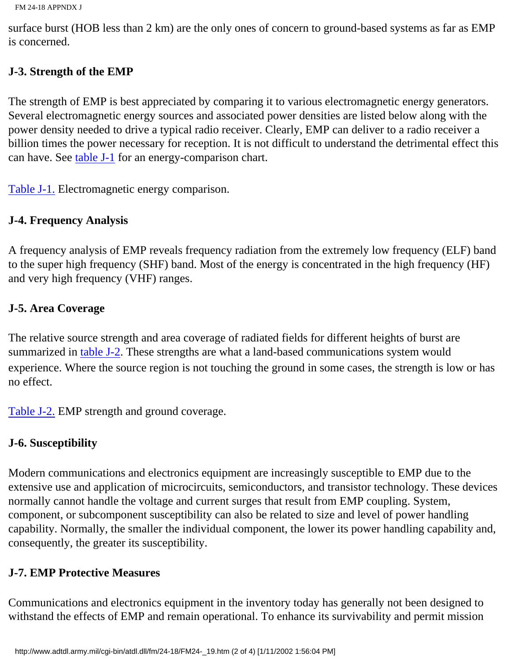```
FM 24-18 APPNDX J
```
surface burst (HOB less than 2 km) are the only ones of concern to ground-based systems as far as EMP is concerned.

## **J-3. Strength of the EMP**

The strength of EMP is best appreciated by comparing it to various electromagnetic energy generators. Several electromagnetic energy sources and associated power densities are listed below along with the power density needed to drive a typical radio receiver. Clearly, EMP can deliver to a radio receiver a billion times the power necessary for reception. It is not difficult to understand the detrimental effect this can have. See [table J-1](http://www.adtdl.army.mil/cgi-bin/atdl.dll/fm/24-18/24180140.gif) for an energy-comparison chart.

[Table J-1.](http://www.adtdl.army.mil/cgi-bin/atdl.dll/fm/24-18/24180140.gif) Electromagnetic energy comparison.

## **J-4. Frequency Analysis**

A frequency analysis of EMP reveals frequency radiation from the extremely low frequency (ELF) band to the super high frequency (SHF) band. Most of the energy is concentrated in the high frequency (HF) and very high frequency (VHF) ranges.

## **J-5. Area Coverage**

The relative source strength and area coverage of radiated fields for different heights of burst are summarized in [table J-2](http://www.adtdl.army.mil/cgi-bin/atdl.dll/fm/24-18/24180141.gif). These strengths are what a land-based communications system would experience. Where the source region is not touching the ground in some cases, the strength is low or has no effect.

[Table J-2.](http://www.adtdl.army.mil/cgi-bin/atdl.dll/fm/24-18/24180141.gif) EMP strength and ground coverage.

## **J-6. Susceptibility**

Modern communications and electronics equipment are increasingly susceptible to EMP due to the extensive use and application of microcircuits, semiconductors, and transistor technology. These devices normally cannot handle the voltage and current surges that result from EMP coupling. System, component, or subcomponent susceptibility can also be related to size and level of power handling capability. Normally, the smaller the individual component, the lower its power handling capability and, consequently, the greater its susceptibility.

## **J-7. EMP Protective Measures**

Communications and electronics equipment in the inventory today has generally not been designed to withstand the effects of EMP and remain operational. To enhance its survivability and permit mission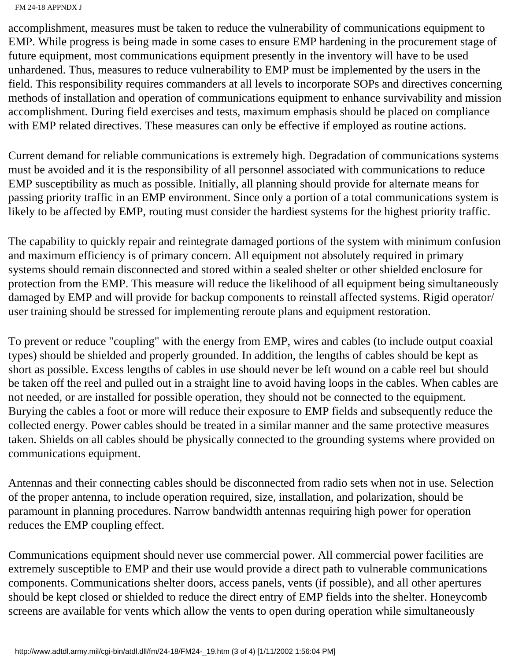```
FM 24-18 APPNDX J
```
accomplishment, measures must be taken to reduce the vulnerability of communications equipment to EMP. While progress is being made in some cases to ensure EMP hardening in the procurement stage of future equipment, most communications equipment presently in the inventory will have to be used unhardened. Thus, measures to reduce vulnerability to EMP must be implemented by the users in the field. This responsibility requires commanders at all levels to incorporate SOPs and directives concerning methods of installation and operation of communications equipment to enhance survivability and mission accomplishment. During field exercises and tests, maximum emphasis should be placed on compliance with EMP related directives. These measures can only be effective if employed as routine actions.

Current demand for reliable communications is extremely high. Degradation of communications systems must be avoided and it is the responsibility of all personnel associated with communications to reduce EMP susceptibility as much as possible. Initially, all planning should provide for alternate means for passing priority traffic in an EMP environment. Since only a portion of a total communications system is likely to be affected by EMP, routing must consider the hardiest systems for the highest priority traffic.

The capability to quickly repair and reintegrate damaged portions of the system with minimum confusion and maximum efficiency is of primary concern. All equipment not absolutely required in primary systems should remain disconnected and stored within a sealed shelter or other shielded enclosure for protection from the EMP. This measure will reduce the likelihood of all equipment being simultaneously damaged by EMP and will provide for backup components to reinstall affected systems. Rigid operator/ user training should be stressed for implementing reroute plans and equipment restoration.

To prevent or reduce "coupling" with the energy from EMP, wires and cables (to include output coaxial types) should be shielded and properly grounded. In addition, the lengths of cables should be kept as short as possible. Excess lengths of cables in use should never be left wound on a cable reel but should be taken off the reel and pulled out in a straight line to avoid having loops in the cables. When cables are not needed, or are installed for possible operation, they should not be connected to the equipment. Burying the cables a foot or more will reduce their exposure to EMP fields and subsequently reduce the collected energy. Power cables should be treated in a similar manner and the same protective measures taken. Shields on all cables should be physically connected to the grounding systems where provided on communications equipment.

Antennas and their connecting cables should be disconnected from radio sets when not in use. Selection of the proper antenna, to include operation required, size, installation, and polarization, should be paramount in planning procedures. Narrow bandwidth antennas requiring high power for operation reduces the EMP coupling effect.

Communications equipment should never use commercial power. All commercial power facilities are extremely susceptible to EMP and their use would provide a direct path to vulnerable communications components. Communications shelter doors, access panels, vents (if possible), and all other apertures should be kept closed or shielded to reduce the direct entry of EMP fields into the shelter. Honeycomb screens are available for vents which allow the vents to open during operation while simultaneously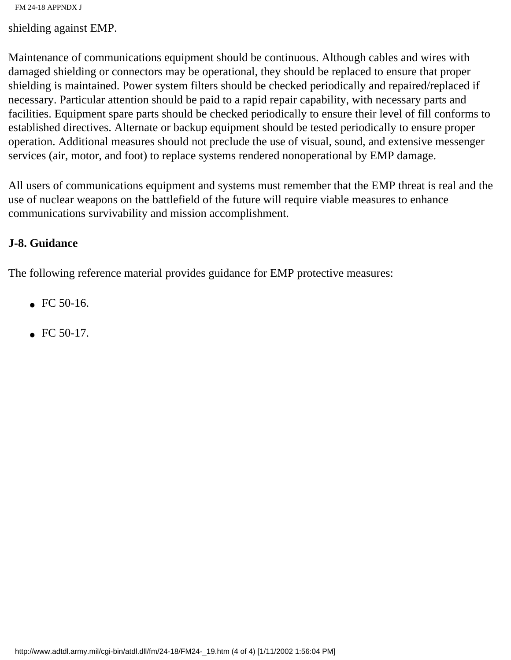FM 24-18 APPNDX J

shielding against EMP.

Maintenance of communications equipment should be continuous. Although cables and wires with damaged shielding or connectors may be operational, they should be replaced to ensure that proper shielding is maintained. Power system filters should be checked periodically and repaired/replaced if necessary. Particular attention should be paid to a rapid repair capability, with necessary parts and facilities. Equipment spare parts should be checked periodically to ensure their level of fill conforms to established directives. Alternate or backup equipment should be tested periodically to ensure proper operation. Additional measures should not preclude the use of visual, sound, and extensive messenger services (air, motor, and foot) to replace systems rendered nonoperational by EMP damage.

All users of communications equipment and systems must remember that the EMP threat is real and the use of nuclear weapons on the battlefield of the future will require viable measures to enhance communications survivability and mission accomplishment.

#### **J-8. Guidance**

The following reference material provides guidance for EMP protective measures:

- $\bullet$  FC 50-16.
- FC 50-17.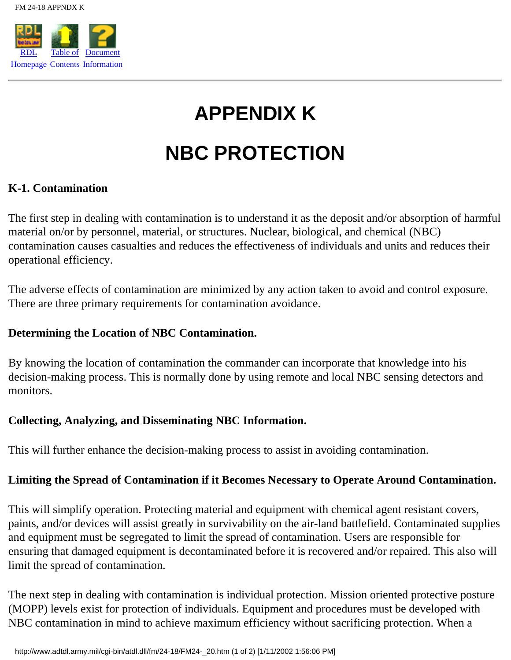

# **APPENDIX K**

# **NBC PROTECTION**

### **K-1. Contamination**

The first step in dealing with contamination is to understand it as the deposit and/or absorption of harmful material on/or by personnel, material, or structures. Nuclear, biological, and chemical (NBC) contamination causes casualties and reduces the effectiveness of individuals and units and reduces their operational efficiency.

The adverse effects of contamination are minimized by any action taken to avoid and control exposure. There are three primary requirements for contamination avoidance.

#### **Determining the Location of NBC Contamination.**

By knowing the location of contamination the commander can incorporate that knowledge into his decision-making process. This is normally done by using remote and local NBC sensing detectors and monitors.

### **Collecting, Analyzing, and Disseminating NBC Information.**

This will further enhance the decision-making process to assist in avoiding contamination.

### **Limiting the Spread of Contamination if it Becomes Necessary to Operate Around Contamination.**

This will simplify operation. Protecting material and equipment with chemical agent resistant covers, paints, and/or devices will assist greatly in survivability on the air-land battlefield. Contaminated supplies and equipment must be segregated to limit the spread of contamination. Users are responsible for ensuring that damaged equipment is decontaminated before it is recovered and/or repaired. This also will limit the spread of contamination.

The next step in dealing with contamination is individual protection. Mission oriented protective posture (MOPP) levels exist for protection of individuals. Equipment and procedures must be developed with NBC contamination in mind to achieve maximum efficiency without sacrificing protection. When a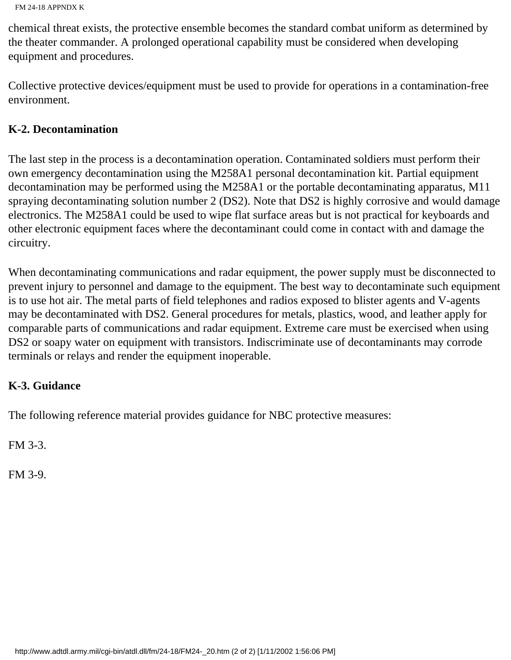```
FM 24-18 APPNDX K
```
chemical threat exists, the protective ensemble becomes the standard combat uniform as determined by the theater commander. A prolonged operational capability must be considered when developing equipment and procedures.

Collective protective devices/equipment must be used to provide for operations in a contamination-free environment.

## **K-2. Decontamination**

The last step in the process is a decontamination operation. Contaminated soldiers must perform their own emergency decontamination using the M258A1 personal decontamination kit. Partial equipment decontamination may be performed using the M258A1 or the portable decontaminating apparatus, M11 spraying decontaminating solution number 2 (DS2). Note that DS2 is highly corrosive and would damage electronics. The M258A1 could be used to wipe flat surface areas but is not practical for keyboards and other electronic equipment faces where the decontaminant could come in contact with and damage the circuitry.

When decontaminating communications and radar equipment, the power supply must be disconnected to prevent injury to personnel and damage to the equipment. The best way to decontaminate such equipment is to use hot air. The metal parts of field telephones and radios exposed to blister agents and V-agents may be decontaminated with DS2. General procedures for metals, plastics, wood, and leather apply for comparable parts of communications and radar equipment. Extreme care must be exercised when using DS2 or soapy water on equipment with transistors. Indiscriminate use of decontaminants may corrode terminals or relays and render the equipment inoperable.

## **K-3. Guidance**

The following reference material provides guidance for NBC protective measures:

FM 3-3.

FM 3-9.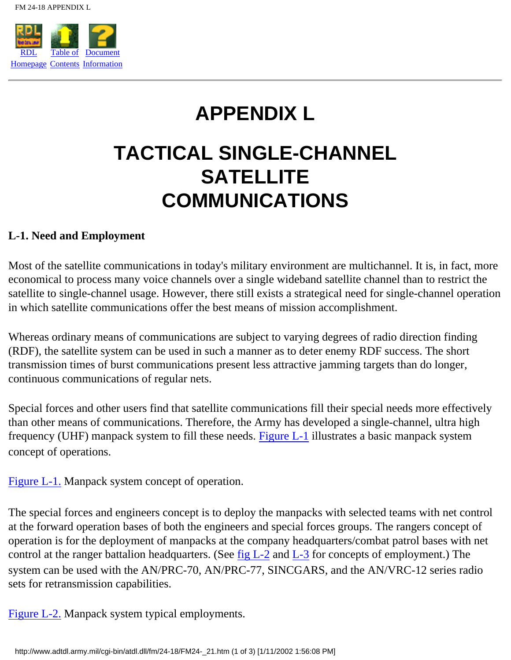

## **APPENDIX L**

## **TACTICAL SINGLE-CHANNEL SATELLITE COMMUNICATIONS**

### **L-1. Need and Employment**

Most of the satellite communications in today's military environment are multichannel. It is, in fact, more economical to process many voice channels over a single wideband satellite channel than to restrict the satellite to single-channel usage. However, there still exists a strategical need for single-channel operation in which satellite communications offer the best means of mission accomplishment.

Whereas ordinary means of communications are subject to varying degrees of radio direction finding (RDF), the satellite system can be used in such a manner as to deter enemy RDF success. The short transmission times of burst communications present less attractive jamming targets than do longer, continuous communications of regular nets.

Special forces and other users find that satellite communications fill their special needs more effectively than other means of communications. Therefore, the Army has developed a single-channel, ultra high frequency (UHF) manpack system to fill these needs. [Figure L-1](http://www.adtdl.army.mil/cgi-bin/atdl.dll/fm/24-18/24180142.gif) illustrates a basic manpack system concept of operations.

[Figure L-1.](http://www.adtdl.army.mil/cgi-bin/atdl.dll/fm/24-18/24180142.gif) Manpack system concept of operation.

The special forces and engineers concept is to deploy the manpacks with selected teams with net control at the forward operation bases of both the engineers and special forces groups. The rangers concept of operation is for the deployment of manpacks at the company headquarters/combat patrol bases with net control at the ranger battalion headquarters. (See  $\underline{fig L-2}$  and  $\underline{L-3}$  for concepts of employment.) The system can be used with the AN/PRC-70, AN/PRC-77, SINCGARS, and the AN/VRC-12 series radio sets for retransmission capabilities.

[Figure L-2.](http://www.adtdl.army.mil/cgi-bin/atdl.dll/fm/24-18/24180143.gif) Manpack system typical employments.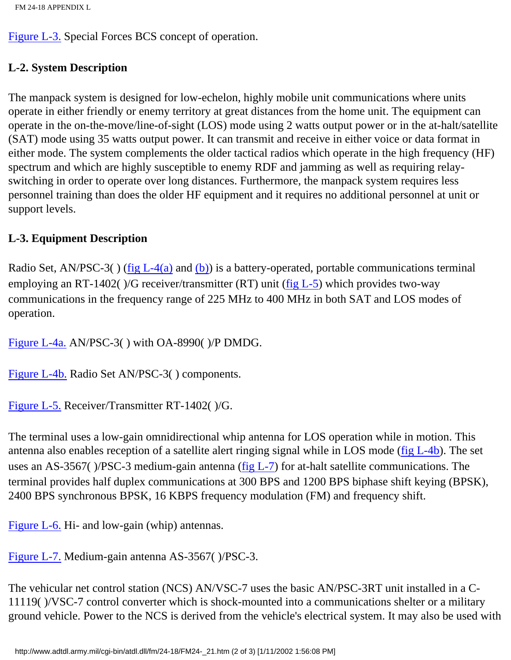FM 24-18 APPENDIX L

[Figure L-3.](http://www.adtdl.army.mil/cgi-bin/atdl.dll/fm/24-18/24180144.gif) Special Forces BCS concept of operation.

## **L-2. System Description**

The manpack system is designed for low-echelon, highly mobile unit communications where units operate in either friendly or enemy territory at great distances from the home unit. The equipment can operate in the on-the-move/line-of-sight (LOS) mode using 2 watts output power or in the at-halt/satellite (SAT) mode using 35 watts output power. It can transmit and receive in either voice or data format in either mode. The system complements the older tactical radios which operate in the high frequency (HF) spectrum and which are highly susceptible to enemy RDF and jamming as well as requiring relayswitching in order to operate over long distances. Furthermore, the manpack system requires less personnel training than does the older HF equipment and it requires no additional personnel at unit or support levels.

## **L-3. Equipment Description**

Radio Set, AN/PSC-3() ([fig L-4\(a\)](http://www.adtdl.army.mil/cgi-bin/atdl.dll/fm/24-18/24180145.gif) and [\(b\)](http://www.adtdl.army.mil/cgi-bin/atdl.dll/fm/24-18/24180146.gif)) is a battery-operated, portable communications terminal employing an RT-1402( )/G receiver/transmitter (RT) unit ([fig L-5\)](http://www.adtdl.army.mil/cgi-bin/atdl.dll/fm/24-18/24180147.gif) which provides two-way communications in the frequency range of 225 MHz to 400 MHz in both SAT and LOS modes of operation.

[Figure L-4a.](http://www.adtdl.army.mil/cgi-bin/atdl.dll/fm/24-18/24180145.gif) AN/PSC-3() with OA-8990()/P DMDG.

[Figure L-4b.](http://www.adtdl.army.mil/cgi-bin/atdl.dll/fm/24-18/24180146.gif) Radio Set AN/PSC-3( ) components.

[Figure L-5.](http://www.adtdl.army.mil/cgi-bin/atdl.dll/fm/24-18/24180147.gif) Receiver/Transmitter RT-1402( )/G.

The terminal uses a low-gain omnidirectional whip antenna for LOS operation while in motion. This antenna also enables reception of a satellite alert ringing signal while in LOS mode ([fig L-4b\)](http://www.adtdl.army.mil/cgi-bin/atdl.dll/fm/24-18/FL4.HTM). The set uses an AS-3567()/PSC-3 medium-gain antenna ([fig L-7\)](http://www.adtdl.army.mil/cgi-bin/atdl.dll/fm/24-18/24180149.gif) for at-halt satellite communications. The terminal provides half duplex communications at 300 BPS and 1200 BPS biphase shift keying (BPSK), 2400 BPS synchronous BPSK, 16 KBPS frequency modulation (FM) and frequency shift.

[Figure L-6.](http://www.adtdl.army.mil/cgi-bin/atdl.dll/fm/24-18/24180148.gif) Hi- and low-gain (whip) antennas.

[Figure L-7.](http://www.adtdl.army.mil/cgi-bin/atdl.dll/fm/24-18/24180149.gif) Medium-gain antenna AS-3567( )/PSC-3.

The vehicular net control station (NCS) AN/VSC-7 uses the basic AN/PSC-3RT unit installed in a C-11119( )/VSC-7 control converter which is shock-mounted into a communications shelter or a military ground vehicle. Power to the NCS is derived from the vehicle's electrical system. It may also be used with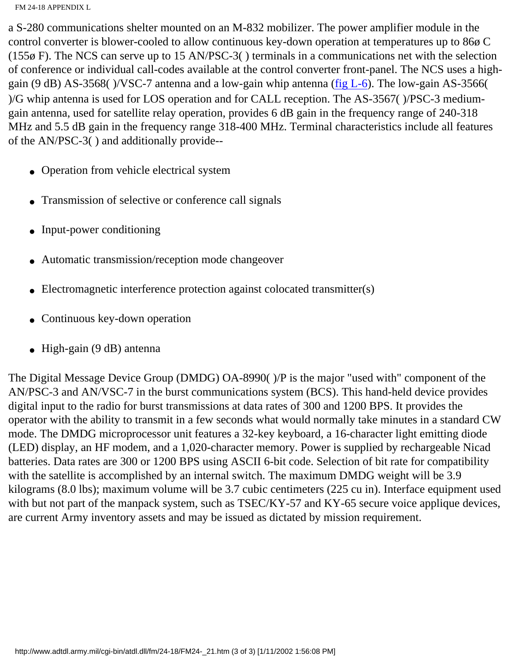FM 24-18 APPENDIX L

a S-280 communications shelter mounted on an M-832 mobilizer. The power amplifier module in the control converter is blower-cooled to allow continuous key-down operation at temperatures up to 86ø C (155ø F). The NCS can serve up to 15 AN/PSC-3( ) terminals in a communications net with the selection of conference or individual call-codes available at the control converter front-panel. The NCS uses a highgain (9 dB) AS-3568( )/VSC-7 antenna and a low-gain whip antenna [\(fig L-6\)](http://www.adtdl.army.mil/cgi-bin/atdl.dll/fm/24-18/24180148.gif). The low-gain AS-3566( )/G whip antenna is used for LOS operation and for CALL reception. The AS-3567( )/PSC-3 mediumgain antenna, used for satellite relay operation, provides 6 dB gain in the frequency range of 240-318 MHz and 5.5 dB gain in the frequency range 318-400 MHz. Terminal characteristics include all features of the AN/PSC-3( ) and additionally provide--

- Operation from vehicle electrical system
- Transmission of selective or conference call signals
- Input-power conditioning
- Automatic transmission/reception mode changeover
- Electromagnetic interference protection against colocated transmitter(s)
- Continuous key-down operation
- $\bullet$  High-gain (9 dB) antenna

The Digital Message Device Group (DMDG) OA-8990( )/P is the major "used with" component of the AN/PSC-3 and AN/VSC-7 in the burst communications system (BCS). This hand-held device provides digital input to the radio for burst transmissions at data rates of 300 and 1200 BPS. It provides the operator with the ability to transmit in a few seconds what would normally take minutes in a standard CW mode. The DMDG microprocessor unit features a 32-key keyboard, a 16-character light emitting diode (LED) display, an HF modem, and a 1,020-character memory. Power is supplied by rechargeable Nicad batteries. Data rates are 300 or 1200 BPS using ASCII 6-bit code. Selection of bit rate for compatibility with the satellite is accomplished by an internal switch. The maximum DMDG weight will be 3.9 kilograms (8.0 lbs); maximum volume will be 3.7 cubic centimeters (225 cu in). Interface equipment used with but not part of the manpack system, such as TSEC/KY-57 and KY-65 secure voice applique devices, are current Army inventory assets and may be issued as dictated by mission requirement.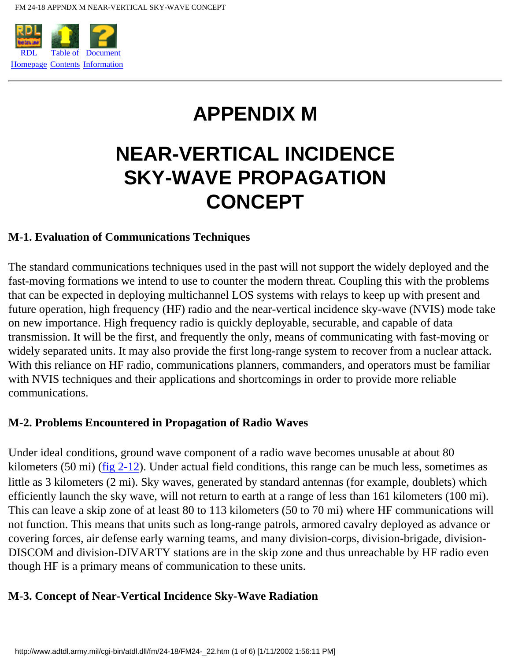

# **APPENDIX M**

## **NEAR-VERTICAL INCIDENCE SKY-WAVE PROPAGATION CONCEPT**

### **M-1. Evaluation of Communications Techniques**

The standard communications techniques used in the past will not support the widely deployed and the fast-moving formations we intend to use to counter the modern threat. Coupling this with the problems that can be expected in deploying multichannel LOS systems with relays to keep up with present and future operation, high frequency (HF) radio and the near-vertical incidence sky-wave (NVIS) mode take on new importance. High frequency radio is quickly deployable, securable, and capable of data transmission. It will be the first, and frequently the only, means of communicating with fast-moving or widely separated units. It may also provide the first long-range system to recover from a nuclear attack. With this reliance on HF radio, communications planners, commanders, and operators must be familiar with NVIS techniques and their applications and shortcomings in order to provide more reliable communications.

### **M-2. Problems Encountered in Propagation of Radio Waves**

Under ideal conditions, ground wave component of a radio wave becomes unusable at about 80 kilometers (50 mi) [\(fig 2-12](http://www.adtdl.army.mil/cgi-bin/atdl.dll/fm/24-18/24180014.gif)). Under actual field conditions, this range can be much less, sometimes as little as 3 kilometers (2 mi). Sky waves, generated by standard antennas (for example, doublets) which efficiently launch the sky wave, will not return to earth at a range of less than 161 kilometers (100 mi). This can leave a skip zone of at least 80 to 113 kilometers (50 to 70 mi) where HF communications will not function. This means that units such as long-range patrols, armored cavalry deployed as advance or covering forces, air defense early warning teams, and many division-corps, division-brigade, division-DISCOM and division-DIVARTY stations are in the skip zone and thus unreachable by HF radio even though HF is a primary means of communication to these units.

### **M-3. Concept of Near-Vertical Incidence Sky-Wave Radiation**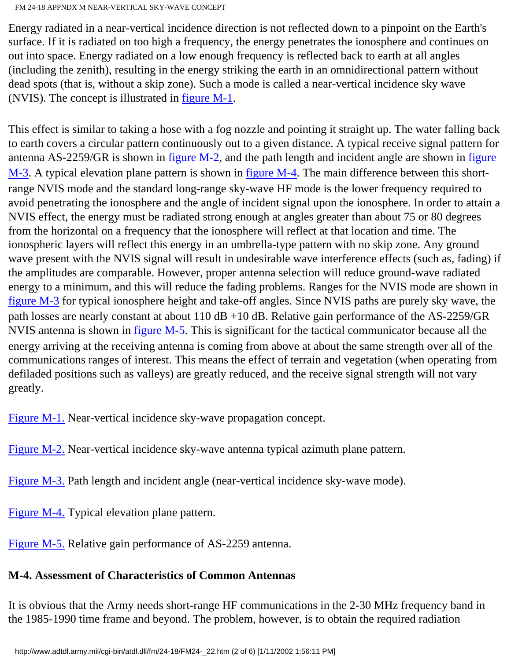Energy radiated in a near-vertical incidence direction is not reflected down to a pinpoint on the Earth's surface. If it is radiated on too high a frequency, the energy penetrates the ionosphere and continues on out into space. Energy radiated on a low enough frequency is reflected back to earth at all angles (including the zenith), resulting in the energy striking the earth in an omnidirectional pattern without dead spots (that is, without a skip zone). Such a mode is called a near-vertical incidence sky wave (NVIS). The concept is illustrated in [figure M-1](http://www.adtdl.army.mil/cgi-bin/atdl.dll/fm/24-18/24180150.gif).

This effect is similar to taking a hose with a fog nozzle and pointing it straight up. The water falling back to earth covers a circular pattern continuously out to a given distance. A typical receive signal pattern for antenna AS-2259/GR is shown in [figure M-2,](http://www.adtdl.army.mil/cgi-bin/atdl.dll/fm/24-18/24180151.gif) and the path length and incident angle are shown in [figure](http://www.adtdl.army.mil/cgi-bin/atdl.dll/fm/24-18/24180152.gif)  [M-3](http://www.adtdl.army.mil/cgi-bin/atdl.dll/fm/24-18/24180152.gif). A typical elevation plane pattern is shown in [figure M-4.](http://www.adtdl.army.mil/cgi-bin/atdl.dll/fm/24-18/24180153.gif) The main difference between this shortrange NVIS mode and the standard long-range sky-wave HF mode is the lower frequency required to avoid penetrating the ionosphere and the angle of incident signal upon the ionosphere. In order to attain a NVIS effect, the energy must be radiated strong enough at angles greater than about 75 or 80 degrees from the horizontal on a frequency that the ionosphere will reflect at that location and time. The ionospheric layers will reflect this energy in an umbrella-type pattern with no skip zone. Any ground wave present with the NVIS signal will result in undesirable wave interference effects (such as, fading) if the amplitudes are comparable. However, proper antenna selection will reduce ground-wave radiated energy to a minimum, and this will reduce the fading problems. Ranges for the NVIS mode are shown in [figure M-3](http://www.adtdl.army.mil/cgi-bin/atdl.dll/fm/24-18/24180152.gif) for typical ionosphere height and take-off angles. Since NVIS paths are purely sky wave, the path losses are nearly constant at about 110 dB +10 dB. Relative gain performance of the AS-2259/GR NVIS antenna is shown in [figure M-5.](http://www.adtdl.army.mil/cgi-bin/atdl.dll/fm/24-18/24180154.gif) This is significant for the tactical communicator because all the energy arriving at the receiving antenna is coming from above at about the same strength over all of the communications ranges of interest. This means the effect of terrain and vegetation (when operating from defiladed positions such as valleys) are greatly reduced, and the receive signal strength will not vary greatly.

[Figure M-1.](http://www.adtdl.army.mil/cgi-bin/atdl.dll/fm/24-18/24180150.gif) Near-vertical incidence sky-wave propagation concept.

[Figure M-2.](http://www.adtdl.army.mil/cgi-bin/atdl.dll/fm/24-18/24180151.gif) Near-vertical incidence sky-wave antenna typical azimuth plane pattern.

[Figure M-3.](http://www.adtdl.army.mil/cgi-bin/atdl.dll/fm/24-18/24180152.gif) Path length and incident angle (near-vertical incidence sky-wave mode).

[Figure M-4.](http://www.adtdl.army.mil/cgi-bin/atdl.dll/fm/24-18/24180153.gif) Typical elevation plane pattern.

[Figure M-5.](http://www.adtdl.army.mil/cgi-bin/atdl.dll/fm/24-18/24180154.gif) Relative gain performance of AS-2259 antenna.

## **M-4. Assessment of Characteristics of Common Antennas**

It is obvious that the Army needs short-range HF communications in the 2-30 MHz frequency band in the 1985-1990 time frame and beyond. The problem, however, is to obtain the required radiation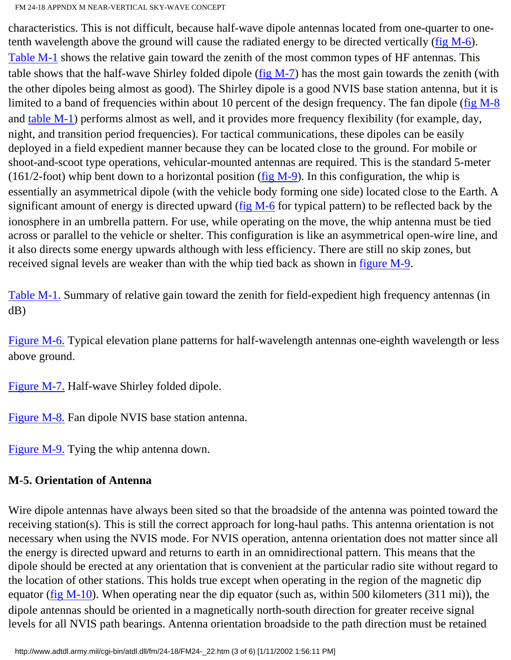characteristics. This is not difficult, because half-wave dipole antennas located from one-quarter to onetenth wavelength above the ground will cause the radiated energy to be directed vertically ([fig M-6\)](http://www.adtdl.army.mil/cgi-bin/atdl.dll/fm/24-18/24180156.gif). [Table M-1](http://www.adtdl.army.mil/cgi-bin/atdl.dll/fm/24-18/24180155.gif) shows the relative gain toward the zenith of the most common types of HF antennas. This table shows that the half-wave Shirley folded dipole (fig  $M-7$ ) has the most gain towards the zenith (with the other dipoles being almost as good). The Shirley dipole is a good NVIS base station antenna, but it is limited to a band of frequencies within about 10 percent of the design frequency. The fan dipole ( $f$ ig  $M-8$ and [table M-1\)](http://www.adtdl.army.mil/cgi-bin/atdl.dll/fm/24-18/24180155.gif) performs almost as well, and it provides more frequency flexibility (for example, day, night, and transition period frequencies). For tactical communications, these dipoles can be easily deployed in a field expedient manner because they can be located close to the ground. For mobile or shoot-and-scoot type operations, vehicular-mounted antennas are required. This is the standard 5-meter (161/2-foot) whip bent down to a horizontal position  $(fig M-9)$  $(fig M-9)$ . In this configuration, the whip is essentially an asymmetrical dipole (with the vehicle body forming one side) located close to the Earth. A significant amount of energy is directed upward ( $fig M-6$  for typical pattern) to be reflected back by the ionosphere in an umbrella pattern. For use, while operating on the move, the whip antenna must be tied across or parallel to the vehicle or shelter. This configuration is like an asymmetrical open-wire line, and it also directs some energy upwards although with less efficiency. There are still no skip zones, but received signal levels are weaker than with the whip tied back as shown in [figure M-9.](http://www.adtdl.army.mil/cgi-bin/atdl.dll/fm/24-18/24180159.gif)

[Table M-1.](http://www.adtdl.army.mil/cgi-bin/atdl.dll/fm/24-18/24180155.gif) Summary of relative gain toward the zenith for field-expedient high frequency antennas (in dB)

[Figure M-6.](http://www.adtdl.army.mil/cgi-bin/atdl.dll/fm/24-18/24180156.gif) Typical elevation plane patterns for half-wavelength antennas one-eighth wavelength or less above ground.

[Figure M-7.](http://www.adtdl.army.mil/cgi-bin/atdl.dll/fm/24-18/24180157.gif) Half-wave Shirley folded dipole.

[Figure M-8.](http://www.adtdl.army.mil/cgi-bin/atdl.dll/fm/24-18/24180158.gif) Fan dipole NVIS base station antenna.

[Figure M-9.](http://www.adtdl.army.mil/cgi-bin/atdl.dll/fm/24-18/24180159.gif) Tying the whip antenna down.

### **M-5. Orientation of Antenna**

Wire dipole antennas have always been sited so that the broadside of the antenna was pointed toward the receiving station(s). This is still the correct approach for long-haul paths. This antenna orientation is not necessary when using the NVIS mode. For NVIS operation, antenna orientation does not matter since all the energy is directed upward and returns to earth in an omnidirectional pattern. This means that the dipole should be erected at any orientation that is convenient at the particular radio site without regard to the location of other stations. This holds true except when operating in the region of the magnetic dip equator (fig  $M-10$ ). When operating near the dip equator (such as, within 500 kilometers (311 mi)), the dipole antennas should be oriented in a magnetically north-south direction for greater receive signal levels for all NVIS path bearings. Antenna orientation broadside to the path direction must be retained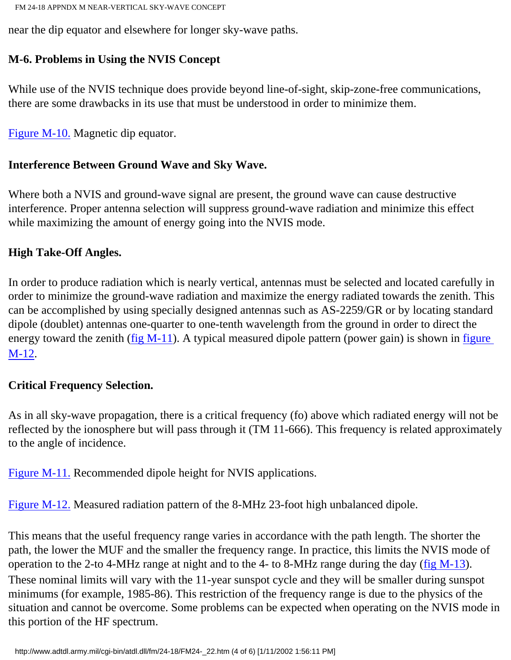FM 24-18 APPNDX M NEAR-VERTICAL SKY-WAVE CONCEPT

near the dip equator and elsewhere for longer sky-wave paths.

### **M-6. Problems in Using the NVIS Concept**

While use of the NVIS technique does provide beyond line-of-sight, skip-zone-free communications, there are some drawbacks in its use that must be understood in order to minimize them.

[Figure M-10.](http://www.adtdl.army.mil/cgi-bin/atdl.dll/fm/24-18/24180160.gif) Magnetic dip equator.

### **Interference Between Ground Wave and Sky Wave.**

Where both a NVIS and ground-wave signal are present, the ground wave can cause destructive interference. Proper antenna selection will suppress ground-wave radiation and minimize this effect while maximizing the amount of energy going into the NVIS mode.

### **High Take-Off Angles.**

In order to produce radiation which is nearly vertical, antennas must be selected and located carefully in order to minimize the ground-wave radiation and maximize the energy radiated towards the zenith. This can be accomplished by using specially designed antennas such as AS-2259/GR or by locating standard dipole (doublet) antennas one-quarter to one-tenth wavelength from the ground in order to direct the energy toward the zenith  $(fig M-11)$  $(fig M-11)$  $(fig M-11)$ . A typical measured dipole pattern (power gain) is shown in [figure](http://www.adtdl.army.mil/cgi-bin/atdl.dll/fm/24-18/24180162.gif) [M-12](http://www.adtdl.army.mil/cgi-bin/atdl.dll/fm/24-18/24180162.gif).

### **Critical Frequency Selection.**

As in all sky-wave propagation, there is a critical frequency (fo) above which radiated energy will not be reflected by the ionosphere but will pass through it (TM 11-666). This frequency is related approximately to the angle of incidence.

[Figure M-11.](http://www.adtdl.army.mil/cgi-bin/atdl.dll/fm/24-18/24180161.gif) Recommended dipole height for NVIS applications.

[Figure M-12.](http://www.adtdl.army.mil/cgi-bin/atdl.dll/fm/24-18/24180162.gif) Measured radiation pattern of the 8-MHz 23-foot high unbalanced dipole.

This means that the useful frequency range varies in accordance with the path length. The shorter the path, the lower the MUF and the smaller the frequency range. In practice, this limits the NVIS mode of operation to the 2-to 4-MHz range at night and to the 4- to 8-MHz range during the day ([fig M-13\)](http://www.adtdl.army.mil/cgi-bin/atdl.dll/fm/24-18/24180163.gif). These nominal limits will vary with the 11-year sunspot cycle and they will be smaller during sunspot minimums (for example, 1985-86). This restriction of the frequency range is due to the physics of the situation and cannot be overcome. Some problems can be expected when operating on the NVIS mode in this portion of the HF spectrum.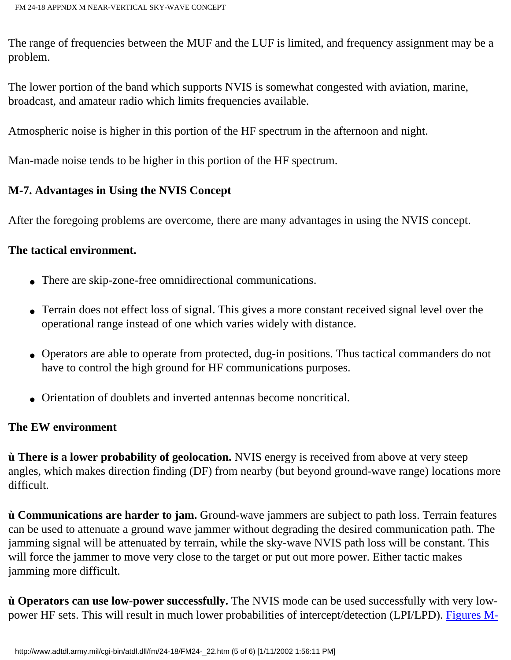The range of frequencies between the MUF and the LUF is limited, and frequency assignment may be a problem.

The lower portion of the band which supports NVIS is somewhat congested with aviation, marine, broadcast, and amateur radio which limits frequencies available.

Atmospheric noise is higher in this portion of the HF spectrum in the afternoon and night.

Man-made noise tends to be higher in this portion of the HF spectrum.

### **M-7. Advantages in Using the NVIS Concept**

After the foregoing problems are overcome, there are many advantages in using the NVIS concept.

#### **The tactical environment.**

- There are skip-zone-free omnidirectional communications.
- Terrain does not effect loss of signal. This gives a more constant received signal level over the operational range instead of one which varies widely with distance.
- Operators are able to operate from protected, dug-in positions. Thus tactical commanders do not have to control the high ground for HF communications purposes.
- Orientation of doublets and inverted antennas become noncritical.

### **The EW environment**

**ù There is a lower probability of geolocation.** NVIS energy is received from above at very steep angles, which makes direction finding (DF) from nearby (but beyond ground-wave range) locations more difficult.

**ù Communications are harder to jam.** Ground-wave jammers are subject to path loss. Terrain features can be used to attenuate a ground wave jammer without degrading the desired communication path. The jamming signal will be attenuated by terrain, while the sky-wave NVIS path loss will be constant. This will force the jammer to move very close to the target or put out more power. Either tactic makes jamming more difficult.

**ù Operators can use low-power successfully.** The NVIS mode can be used successfully with very lowpower HF sets. This will result in much lower probabilities of intercept/detection (LPI/LPD). [Figures M-](http://www.adtdl.army.mil/cgi-bin/atdl.dll/fm/24-18/24180164.gif)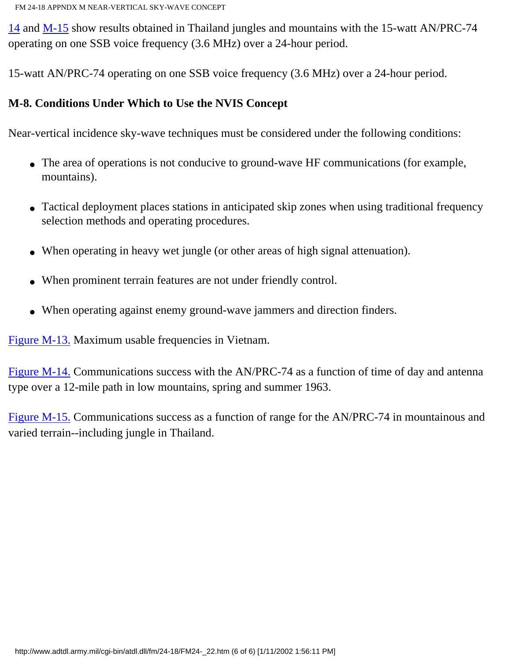[14](http://www.adtdl.army.mil/cgi-bin/atdl.dll/fm/24-18/24180164.gif) and [M-15](http://www.adtdl.army.mil/cgi-bin/atdl.dll/fm/24-18/24180165.gif) show results obtained in Thailand jungles and mountains with the 15-watt AN/PRC-74 operating on one SSB voice frequency (3.6 MHz) over a 24-hour period.

15-watt AN/PRC-74 operating on one SSB voice frequency (3.6 MHz) over a 24-hour period.

### **M-8. Conditions Under Which to Use the NVIS Concept**

Near-vertical incidence sky-wave techniques must be considered under the following conditions:

- The area of operations is not conducive to ground-wave HF communications (for example, mountains).
- Tactical deployment places stations in anticipated skip zones when using traditional frequency selection methods and operating procedures.
- When operating in heavy wet jungle (or other areas of high signal attenuation).
- When prominent terrain features are not under friendly control.
- When operating against enemy ground-wave jammers and direction finders.

[Figure M-13.](http://www.adtdl.army.mil/cgi-bin/atdl.dll/fm/24-18/24180163.gif) Maximum usable frequencies in Vietnam.

[Figure M-14.](http://www.adtdl.army.mil/cgi-bin/atdl.dll/fm/24-18/24180164.gif) Communications success with the AN/PRC-74 as a function of time of day and antenna type over a 12-mile path in low mountains, spring and summer 1963.

[Figure M-15.](http://www.adtdl.army.mil/cgi-bin/atdl.dll/fm/24-18/24180165.gif) Communications success as a function of range for the AN/PRC-74 in mountainous and varied terrain--including jungle in Thailand.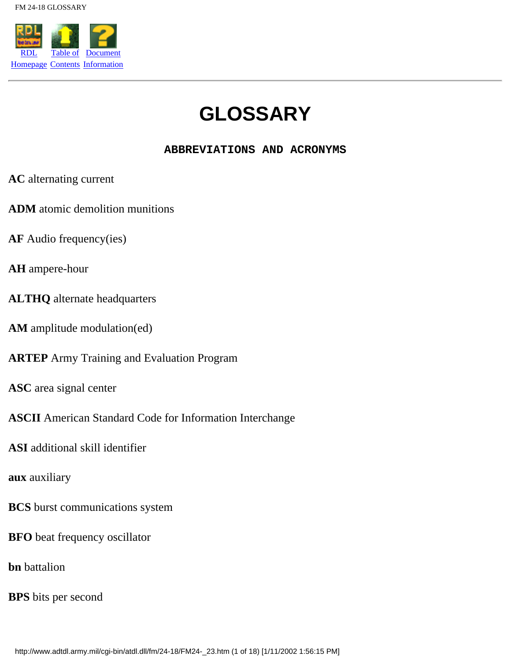

# **GLOSSARY**

**ABBREVIATIONS AND ACRONYMS**

- **AC** alternating current
- **ADM** atomic demolition munitions
- **AF** Audio frequency(ies)
- **AH** ampere-hour
- **ALTHQ** alternate headquarters
- **AM** amplitude modulation(ed)
- **ARTEP** Army Training and Evaluation Program
- **ASC** area signal center
- **ASCII** American Standard Code for Information Interchange
- **ASI** additional skill identifier
- **aux** auxiliary
- **BCS** burst communications system
- **BFO** beat frequency oscillator
- **bn** battalion
- **BPS** bits per second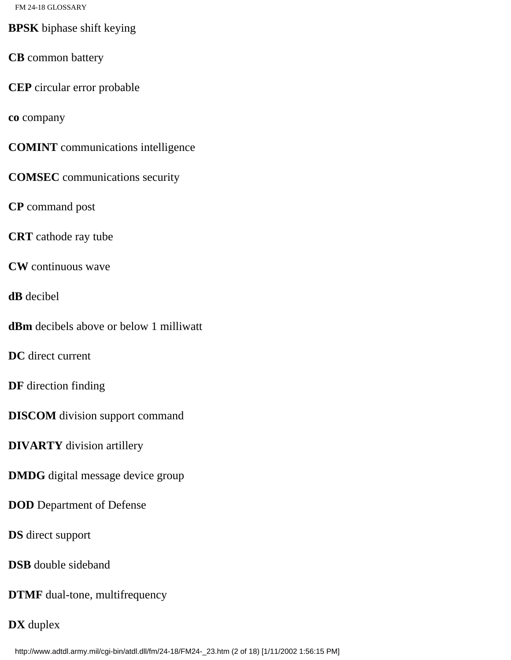FM 24-18 GLOSSARY

**BPSK** biphase shift keying

**CB** common battery

**CEP** circular error probable

**co** company

**COMINT** communications intelligence

**COMSEC** communications security

**CP** command post

**CRT** cathode ray tube

**CW** continuous wave

**dB** decibel

**dBm** decibels above or below 1 milliwatt

**DC** direct current

**DF** direction finding

**DISCOM** division support command

**DIVARTY** division artillery

**DMDG** digital message device group

**DOD** Department of Defense

**DS** direct support

**DSB** double sideband

**DTMF** dual-tone, multifrequency

**DX** duplex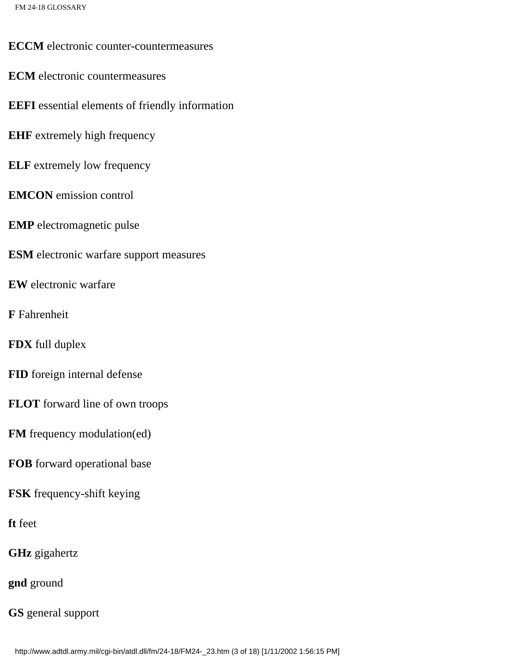- **ECCM** electronic counter-countermeasures
- **ECM** electronic countermeasures
- **EEFI** essential elements of friendly information
- **EHF** extremely high frequency
- **ELF** extremely low frequency
- **EMCON** emission control
- **EMP** electromagnetic pulse
- **ESM** electronic warfare support measures
- **EW** electronic warfare
- **F** Fahrenheit
- **FDX** full duplex
- **FID** foreign internal defense
- **FLOT** forward line of own troops
- **FM** frequency modulation(ed)
- **FOB** forward operational base
- **FSK** frequency-shift keying
- **ft** feet
- **GHz** gigahertz
- **gnd** ground

**GS** general support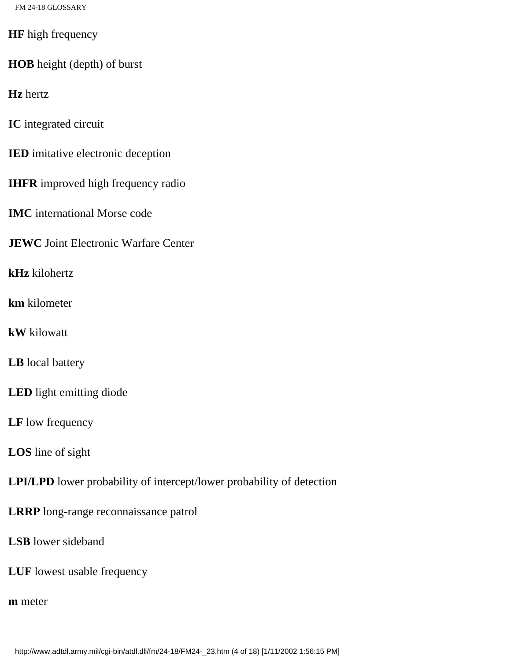FM 24-18 GLOSSARY

**HF** high frequency

**HOB** height (depth) of burst

**Hz** hertz

**IC** integrated circuit

**IED** imitative electronic deception

**IHFR** improved high frequency radio

**IMC** international Morse code

**JEWC** Joint Electronic Warfare Center

**kHz** kilohertz

**km** kilometer

**kW** kilowatt

**LB** local battery

**LED** light emitting diode

**LF** low frequency

**LOS** line of sight

**LPI/LPD** lower probability of intercept/lower probability of detection

**LRRP** long-range reconnaissance patrol

**LSB** lower sideband

**LUF** lowest usable frequency

**m** meter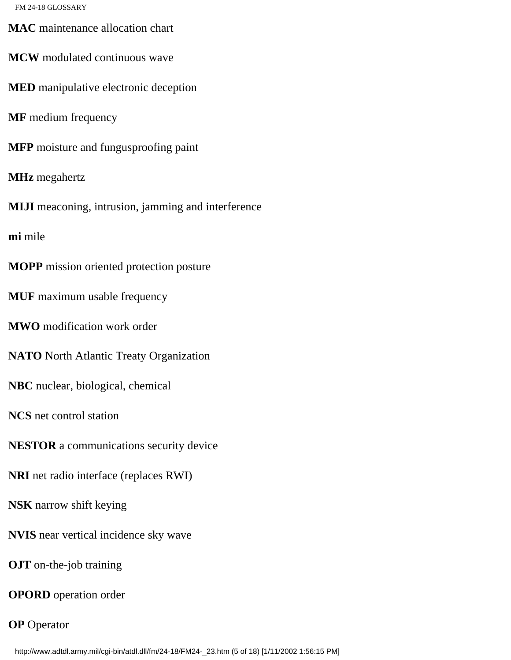| FM 24-18 GLOSSARY                                          |
|------------------------------------------------------------|
| <b>MAC</b> maintenance allocation chart                    |
| <b>MCW</b> modulated continuous wave                       |
| <b>MED</b> manipulative electronic deception               |
| <b>MF</b> medium frequency                                 |
| <b>MFP</b> moisture and fungusproofing paint               |
| <b>MHz</b> megahertz                                       |
| <b>MIJI</b> meaconing, intrusion, jamming and interference |
| mi mile                                                    |
| <b>MOPP</b> mission oriented protection posture            |
| <b>MUF</b> maximum usable frequency                        |
| <b>MWO</b> modification work order                         |
| <b>NATO</b> North Atlantic Treaty Organization             |
| <b>NBC</b> nuclear, biological, chemical                   |
| <b>NCS</b> net control station                             |
| <b>NESTOR</b> a communications security device             |
| <b>NRI</b> net radio interface (replaces RWI)              |
| <b>NSK</b> narrow shift keying                             |
| <b>NVIS</b> near vertical incidence sky wave               |
| <b>OJT</b> on-the-job training                             |
| <b>OPORD</b> operation order                               |
| <b>OP</b> Operator                                         |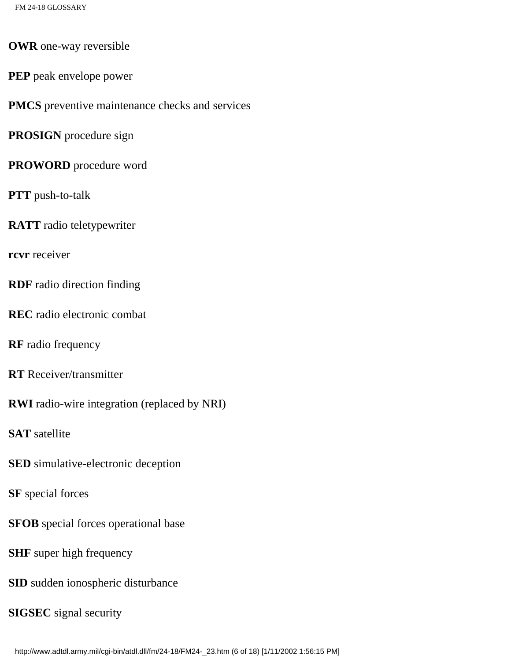FM 24-18 GLOSSARY

**OWR** one-way reversible

**PEP** peak envelope power

**PMCS** preventive maintenance checks and services

**PROSIGN** procedure sign

**PROWORD** procedure word

**PTT** push-to-talk

**RATT** radio teletypewriter

**rcvr** receiver

**RDF** radio direction finding

**REC** radio electronic combat

**RF** radio frequency

**RT** Receiver/transmitter

**RWI** radio-wire integration (replaced by NRI)

**SAT** satellite

**SED** simulative-electronic deception

**SF** special forces

**SFOB** special forces operational base

**SHF** super high frequency

**SID** sudden ionospheric disturbance

**SIGSEC** signal security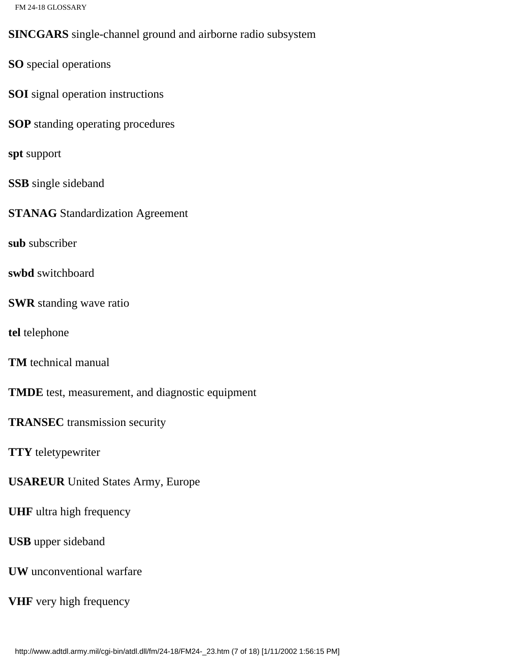```
FM 24-18 GLOSSARY
```
**SINCGARS** single-channel ground and airborne radio subsystem

- **SO** special operations
- **SOI** signal operation instructions
- **SOP** standing operating procedures
- **spt** support
- **SSB** single sideband
- **STANAG** Standardization Agreement
- **sub** subscriber
- **swbd** switchboard
- **SWR** standing wave ratio
- **tel** telephone
- **TM** technical manual
- **TMDE** test, measurement, and diagnostic equipment
- **TRANSEC** transmission security
- **TTY** teletypewriter
- **USAREUR** United States Army, Europe
- **UHF** ultra high frequency
- **USB** upper sideband
- **UW** unconventional warfare
- **VHF** very high frequency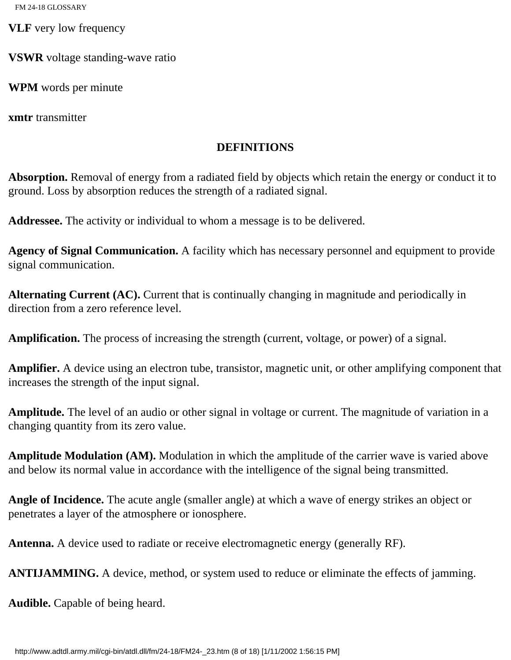FM 24-18 GLOSSARY

**VLF** very low frequency

**VSWR** voltage standing-wave ratio

**WPM** words per minute

**xmtr** transmitter

#### **DEFINITIONS**

**Absorption.** Removal of energy from a radiated field by objects which retain the energy or conduct it to ground. Loss by absorption reduces the strength of a radiated signal.

**Addressee.** The activity or individual to whom a message is to be delivered.

**Agency of Signal Communication.** A facility which has necessary personnel and equipment to provide signal communication.

**Alternating Current (AC).** Current that is continually changing in magnitude and periodically in direction from a zero reference level.

**Amplification.** The process of increasing the strength (current, voltage, or power) of a signal.

**Amplifier.** A device using an electron tube, transistor, magnetic unit, or other amplifying component that increases the strength of the input signal.

**Amplitude.** The level of an audio or other signal in voltage or current. The magnitude of variation in a changing quantity from its zero value.

**Amplitude Modulation (AM).** Modulation in which the amplitude of the carrier wave is varied above and below its normal value in accordance with the intelligence of the signal being transmitted.

**Angle of Incidence.** The acute angle (smaller angle) at which a wave of energy strikes an object or penetrates a layer of the atmosphere or ionosphere.

**Antenna.** A device used to radiate or receive electromagnetic energy (generally RF).

ANTIJAMMING. A device, method, or system used to reduce or eliminate the effects of jamming.

**Audible.** Capable of being heard.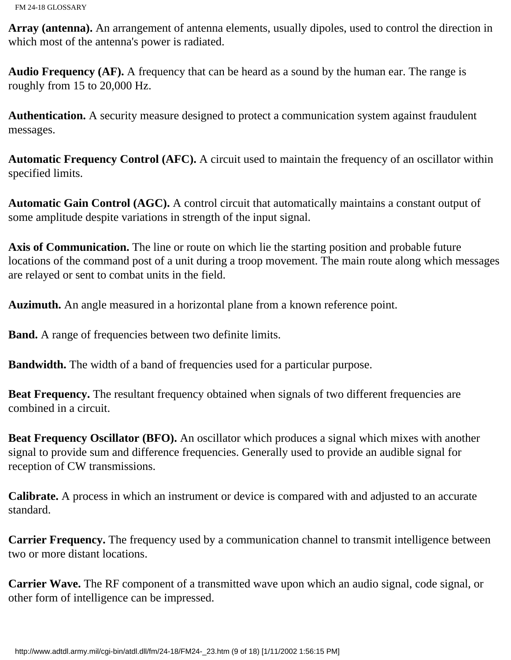**Array (antenna).** An arrangement of antenna elements, usually dipoles, used to control the direction in which most of the antenna's power is radiated.

**Audio Frequency (AF).** A frequency that can be heard as a sound by the human ear. The range is roughly from 15 to 20,000 Hz.

**Authentication.** A security measure designed to protect a communication system against fraudulent messages.

**Automatic Frequency Control (AFC).** A circuit used to maintain the frequency of an oscillator within specified limits.

**Automatic Gain Control (AGC).** A control circuit that automatically maintains a constant output of some amplitude despite variations in strength of the input signal.

**Axis of Communication.** The line or route on which lie the starting position and probable future locations of the command post of a unit during a troop movement. The main route along which messages are relayed or sent to combat units in the field.

**Auzimuth.** An angle measured in a horizontal plane from a known reference point.

**Band.** A range of frequencies between two definite limits.

**Bandwidth.** The width of a band of frequencies used for a particular purpose.

**Beat Frequency.** The resultant frequency obtained when signals of two different frequencies are combined in a circuit.

**Beat Frequency Oscillator (BFO).** An oscillator which produces a signal which mixes with another signal to provide sum and difference frequencies. Generally used to provide an audible signal for reception of CW transmissions.

**Calibrate.** A process in which an instrument or device is compared with and adjusted to an accurate standard.

**Carrier Frequency.** The frequency used by a communication channel to transmit intelligence between two or more distant locations.

**Carrier Wave.** The RF component of a transmitted wave upon which an audio signal, code signal, or other form of intelligence can be impressed.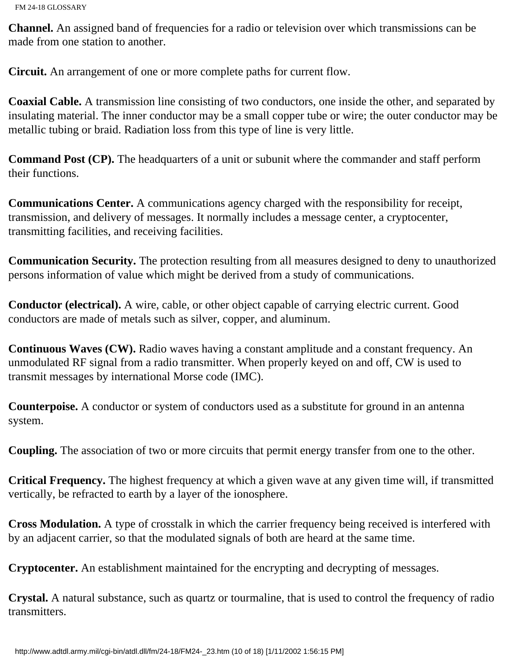**Channel.** An assigned band of frequencies for a radio or television over which transmissions can be made from one station to another.

**Circuit.** An arrangement of one or more complete paths for current flow.

**Coaxial Cable.** A transmission line consisting of two conductors, one inside the other, and separated by insulating material. The inner conductor may be a small copper tube or wire; the outer conductor may be metallic tubing or braid. Radiation loss from this type of line is very little.

**Command Post (CP).** The headquarters of a unit or subunit where the commander and staff perform their functions.

**Communications Center.** A communications agency charged with the responsibility for receipt, transmission, and delivery of messages. It normally includes a message center, a cryptocenter, transmitting facilities, and receiving facilities.

**Communication Security.** The protection resulting from all measures designed to deny to unauthorized persons information of value which might be derived from a study of communications.

**Conductor (electrical).** A wire, cable, or other object capable of carrying electric current. Good conductors are made of metals such as silver, copper, and aluminum.

**Continuous Waves (CW).** Radio waves having a constant amplitude and a constant frequency. An unmodulated RF signal from a radio transmitter. When properly keyed on and off, CW is used to transmit messages by international Morse code (IMC).

**Counterpoise.** A conductor or system of conductors used as a substitute for ground in an antenna system.

**Coupling.** The association of two or more circuits that permit energy transfer from one to the other.

**Critical Frequency.** The highest frequency at which a given wave at any given time will, if transmitted vertically, be refracted to earth by a layer of the ionosphere.

**Cross Modulation.** A type of crosstalk in which the carrier frequency being received is interfered with by an adjacent carrier, so that the modulated signals of both are heard at the same time.

**Cryptocenter.** An establishment maintained for the encrypting and decrypting of messages.

**Crystal.** A natural substance, such as quartz or tourmaline, that is used to control the frequency of radio transmitters.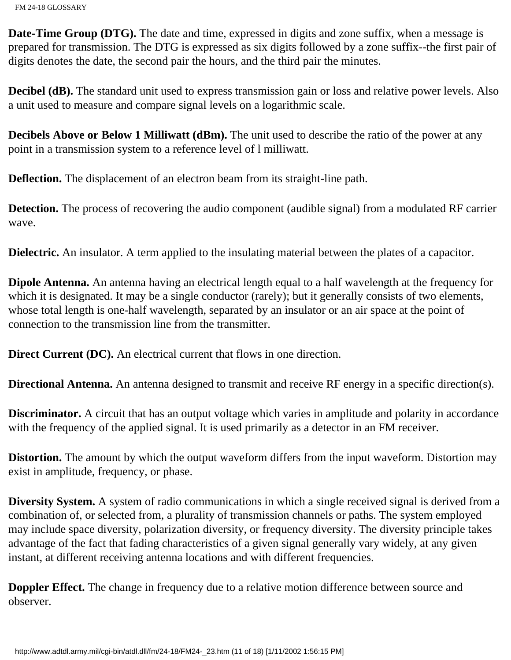**Date-Time Group (DTG).** The date and time, expressed in digits and zone suffix, when a message is prepared for transmission. The DTG is expressed as six digits followed by a zone suffix--the first pair of digits denotes the date, the second pair the hours, and the third pair the minutes.

**Decibel (dB).** The standard unit used to express transmission gain or loss and relative power levels. Also a unit used to measure and compare signal levels on a logarithmic scale.

**Decibels Above or Below 1 Milliwatt (dBm).** The unit used to describe the ratio of the power at any point in a transmission system to a reference level of l milliwatt.

**Deflection.** The displacement of an electron beam from its straight-line path.

**Detection.** The process of recovering the audio component (audible signal) from a modulated RF carrier wave.

**Dielectric.** An insulator. A term applied to the insulating material between the plates of a capacitor.

**Dipole Antenna.** An antenna having an electrical length equal to a half wavelength at the frequency for which it is designated. It may be a single conductor (rarely); but it generally consists of two elements, whose total length is one-half wavelength, separated by an insulator or an air space at the point of connection to the transmission line from the transmitter.

**Direct Current (DC).** An electrical current that flows in one direction.

**Directional Antenna.** An antenna designed to transmit and receive RF energy in a specific direction(s).

**Discriminator.** A circuit that has an output voltage which varies in amplitude and polarity in accordance with the frequency of the applied signal. It is used primarily as a detector in an FM receiver.

**Distortion.** The amount by which the output waveform differs from the input waveform. Distortion may exist in amplitude, frequency, or phase.

**Diversity System.** A system of radio communications in which a single received signal is derived from a combination of, or selected from, a plurality of transmission channels or paths. The system employed may include space diversity, polarization diversity, or frequency diversity. The diversity principle takes advantage of the fact that fading characteristics of a given signal generally vary widely, at any given instant, at different receiving antenna locations and with different frequencies.

**Doppler Effect.** The change in frequency due to a relative motion difference between source and observer.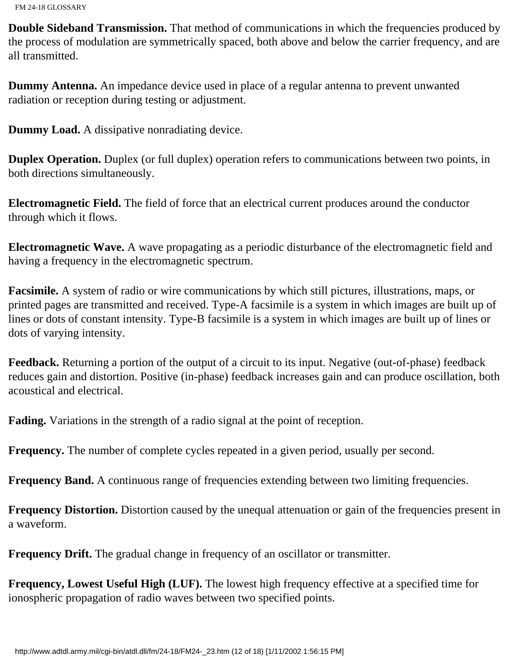**Double Sideband Transmission.** That method of communications in which the frequencies produced by the process of modulation are symmetrically spaced, both above and below the carrier frequency, and are all transmitted.

**Dummy Antenna.** An impedance device used in place of a regular antenna to prevent unwanted radiation or reception during testing or adjustment.

**Dummy Load.** A dissipative nonradiating device.

**Duplex Operation.** Duplex (or full duplex) operation refers to communications between two points, in both directions simultaneously.

**Electromagnetic Field.** The field of force that an electrical current produces around the conductor through which it flows.

**Electromagnetic Wave.** A wave propagating as a periodic disturbance of the electromagnetic field and having a frequency in the electromagnetic spectrum.

**Facsimile.** A system of radio or wire communications by which still pictures, illustrations, maps, or printed pages are transmitted and received. Type-A facsimile is a system in which images are built up of lines or dots of constant intensity. Type-B facsimile is a system in which images are built up of lines or dots of varying intensity.

Feedback. Returning a portion of the output of a circuit to its input. Negative (out-of-phase) feedback reduces gain and distortion. Positive (in-phase) feedback increases gain and can produce oscillation, both acoustical and electrical.

**Fading.** Variations in the strength of a radio signal at the point of reception.

**Frequency.** The number of complete cycles repeated in a given period, usually per second.

**Frequency Band.** A continuous range of frequencies extending between two limiting frequencies.

**Frequency Distortion.** Distortion caused by the unequal attenuation or gain of the frequencies present in a waveform.

**Frequency Drift.** The gradual change in frequency of an oscillator or transmitter.

**Frequency, Lowest Useful High (LUF).** The lowest high frequency effective at a specified time for ionospheric propagation of radio waves between two specified points.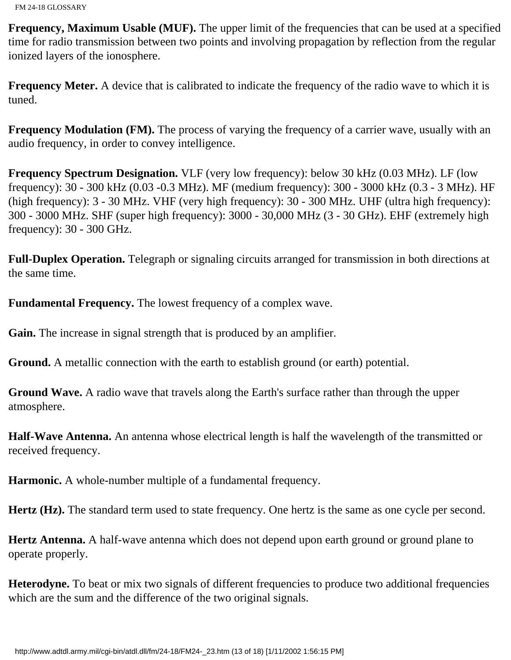**Frequency, Maximum Usable (MUF).** The upper limit of the frequencies that can be used at a specified time for radio transmission between two points and involving propagation by reflection from the regular ionized layers of the ionosphere.

**Frequency Meter.** A device that is calibrated to indicate the frequency of the radio wave to which it is tuned.

**Frequency Modulation (FM).** The process of varying the frequency of a carrier wave, usually with an audio frequency, in order to convey intelligence.

**Frequency Spectrum Designation.** VLF (very low frequency): below 30 kHz (0.03 MHz). LF (low frequency): 30 - 300 kHz (0.03 -0.3 MHz). MF (medium frequency): 300 - 3000 kHz (0.3 - 3 MHz). HF (high frequency): 3 - 30 MHz. VHF (very high frequency): 30 - 300 MHz. UHF (ultra high frequency): 300 - 3000 MHz. SHF (super high frequency): 3000 - 30,000 MHz (3 - 30 GHz). EHF (extremely high frequency): 30 - 300 GHz.

**Full-Duplex Operation.** Telegraph or signaling circuits arranged for transmission in both directions at the same time.

**Fundamental Frequency.** The lowest frequency of a complex wave.

**Gain.** The increase in signal strength that is produced by an amplifier.

**Ground.** A metallic connection with the earth to establish ground (or earth) potential.

**Ground Wave.** A radio wave that travels along the Earth's surface rather than through the upper atmosphere.

**Half-Wave Antenna.** An antenna whose electrical length is half the wavelength of the transmitted or received frequency.

**Harmonic.** A whole-number multiple of a fundamental frequency.

Hertz (Hz). The standard term used to state frequency. One hertz is the same as one cycle per second.

**Hertz Antenna.** A half-wave antenna which does not depend upon earth ground or ground plane to operate properly.

Heterodyne. To beat or mix two signals of different frequencies to produce two additional frequencies which are the sum and the difference of the two original signals.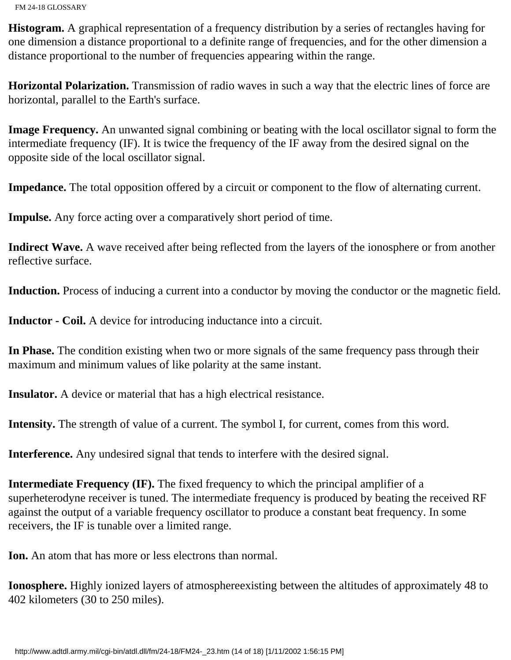#### FM 24-18 GLOSSARY

**Histogram.** A graphical representation of a frequency distribution by a series of rectangles having for one dimension a distance proportional to a definite range of frequencies, and for the other dimension a distance proportional to the number of frequencies appearing within the range.

**Horizontal Polarization.** Transmission of radio waves in such a way that the electric lines of force are horizontal, parallel to the Earth's surface.

**Image Frequency.** An unwanted signal combining or beating with the local oscillator signal to form the intermediate frequency (IF). It is twice the frequency of the IF away from the desired signal on the opposite side of the local oscillator signal.

**Impedance.** The total opposition offered by a circuit or component to the flow of alternating current.

**Impulse.** Any force acting over a comparatively short period of time.

**Indirect Wave.** A wave received after being reflected from the layers of the ionosphere or from another reflective surface.

**Induction.** Process of inducing a current into a conductor by moving the conductor or the magnetic field.

**Inductor - Coil.** A device for introducing inductance into a circuit.

**In Phase.** The condition existing when two or more signals of the same frequency pass through their maximum and minimum values of like polarity at the same instant.

**Insulator.** A device or material that has a high electrical resistance.

**Intensity.** The strength of value of a current. The symbol I, for current, comes from this word.

**Interference.** Any undesired signal that tends to interfere with the desired signal.

**Intermediate Frequency (IF).** The fixed frequency to which the principal amplifier of a superheterodyne receiver is tuned. The intermediate frequency is produced by beating the received RF against the output of a variable frequency oscillator to produce a constant beat frequency. In some receivers, the IF is tunable over a limited range.

**Ion.** An atom that has more or less electrons than normal.

**Ionosphere.** Highly ionized layers of atmosphereexisting between the altitudes of approximately 48 to 402 kilometers (30 to 250 miles).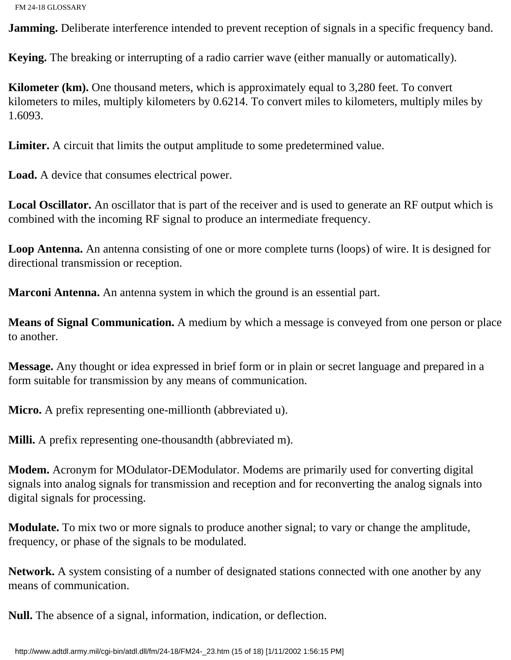**Jamming.** Deliberate interference intended to prevent reception of signals in a specific frequency band.

**Keying.** The breaking or interrupting of a radio carrier wave (either manually or automatically).

**Kilometer (km).** One thousand meters, which is approximately equal to 3,280 feet. To convert kilometers to miles, multiply kilometers by 0.6214. To convert miles to kilometers, multiply miles by 1.6093.

**Limiter.** A circuit that limits the output amplitude to some predetermined value.

**Load.** A device that consumes electrical power.

**Local Oscillator.** An oscillator that is part of the receiver and is used to generate an RF output which is combined with the incoming RF signal to produce an intermediate frequency.

Loop Antenna. An antenna consisting of one or more complete turns (loops) of wire. It is designed for directional transmission or reception.

**Marconi Antenna.** An antenna system in which the ground is an essential part.

**Means of Signal Communication.** A medium by which a message is conveyed from one person or place to another.

**Message.** Any thought or idea expressed in brief form or in plain or secret language and prepared in a form suitable for transmission by any means of communication.

**Micro.** A prefix representing one-millionth (abbreviated u).

**Milli.** A prefix representing one-thousandth (abbreviated m).

**Modem.** Acronym for MOdulator-DEModulator. Modems are primarily used for converting digital signals into analog signals for transmission and reception and for reconverting the analog signals into digital signals for processing.

**Modulate.** To mix two or more signals to produce another signal; to vary or change the amplitude, frequency, or phase of the signals to be modulated.

**Network.** A system consisting of a number of designated stations connected with one another by any means of communication.

**Null.** The absence of a signal, information, indication, or deflection.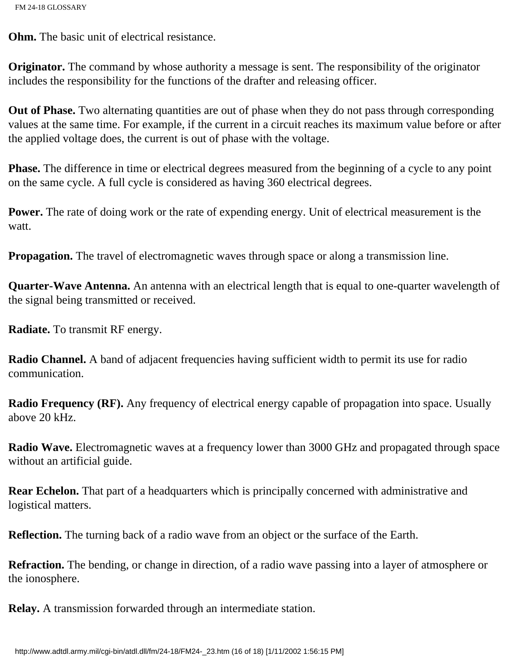**Ohm.** The basic unit of electrical resistance.

**Originator.** The command by whose authority a message is sent. The responsibility of the originator includes the responsibility for the functions of the drafter and releasing officer.

**Out of Phase.** Two alternating quantities are out of phase when they do not pass through corresponding values at the same time. For example, if the current in a circuit reaches its maximum value before or after the applied voltage does, the current is out of phase with the voltage.

**Phase.** The difference in time or electrical degrees measured from the beginning of a cycle to any point on the same cycle. A full cycle is considered as having 360 electrical degrees.

**Power.** The rate of doing work or the rate of expending energy. Unit of electrical measurement is the watt.

**Propagation.** The travel of electromagnetic waves through space or along a transmission line.

**Quarter-Wave Antenna.** An antenna with an electrical length that is equal to one-quarter wavelength of the signal being transmitted or received.

**Radiate.** To transmit RF energy.

**Radio Channel.** A band of adjacent frequencies having sufficient width to permit its use for radio communication.

**Radio Frequency (RF).** Any frequency of electrical energy capable of propagation into space. Usually above 20 kHz.

**Radio Wave.** Electromagnetic waves at a frequency lower than 3000 GHz and propagated through space without an artificial guide.

**Rear Echelon.** That part of a headquarters which is principally concerned with administrative and logistical matters.

**Reflection.** The turning back of a radio wave from an object or the surface of the Earth.

**Refraction.** The bending, or change in direction, of a radio wave passing into a layer of atmosphere or the ionosphere.

**Relay.** A transmission forwarded through an intermediate station.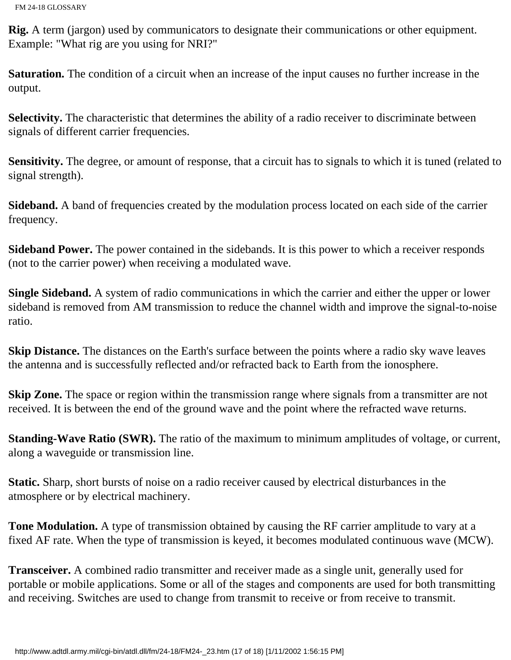**Rig.** A term (jargon) used by communicators to designate their communications or other equipment. Example: "What rig are you using for NRI?"

**Saturation.** The condition of a circuit when an increase of the input causes no further increase in the output.

**Selectivity.** The characteristic that determines the ability of a radio receiver to discriminate between signals of different carrier frequencies.

Sensitivity. The degree, or amount of response, that a circuit has to signals to which it is tuned (related to signal strength).

**Sideband.** A band of frequencies created by the modulation process located on each side of the carrier frequency.

**Sideband Power.** The power contained in the sidebands. It is this power to which a receiver responds (not to the carrier power) when receiving a modulated wave.

**Single Sideband.** A system of radio communications in which the carrier and either the upper or lower sideband is removed from AM transmission to reduce the channel width and improve the signal-to-noise ratio.

**Skip Distance.** The distances on the Earth's surface between the points where a radio sky wave leaves the antenna and is successfully reflected and/or refracted back to Earth from the ionosphere.

**Skip Zone.** The space or region within the transmission range where signals from a transmitter are not received. It is between the end of the ground wave and the point where the refracted wave returns.

**Standing-Wave Ratio (SWR).** The ratio of the maximum to minimum amplitudes of voltage, or current, along a waveguide or transmission line.

**Static.** Sharp, short bursts of noise on a radio receiver caused by electrical disturbances in the atmosphere or by electrical machinery.

**Tone Modulation.** A type of transmission obtained by causing the RF carrier amplitude to vary at a fixed AF rate. When the type of transmission is keyed, it becomes modulated continuous wave (MCW).

**Transceiver.** A combined radio transmitter and receiver made as a single unit, generally used for portable or mobile applications. Some or all of the stages and components are used for both transmitting and receiving. Switches are used to change from transmit to receive or from receive to transmit.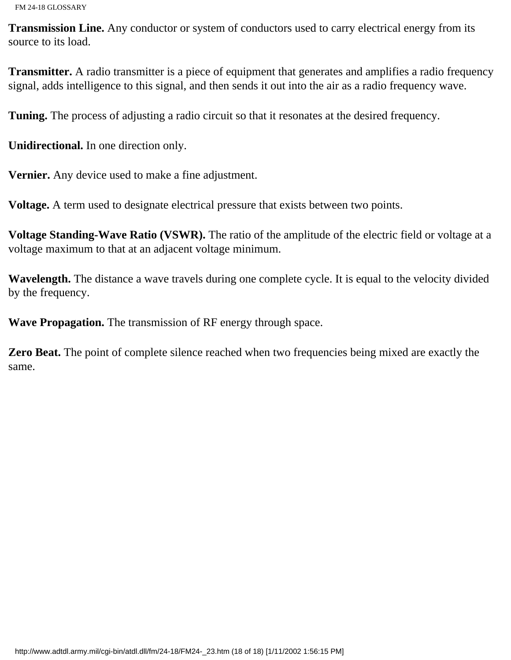FM 24-18 GLOSSARY

**Transmission Line.** Any conductor or system of conductors used to carry electrical energy from its source to its load.

**Transmitter.** A radio transmitter is a piece of equipment that generates and amplifies a radio frequency signal, adds intelligence to this signal, and then sends it out into the air as a radio frequency wave.

**Tuning.** The process of adjusting a radio circuit so that it resonates at the desired frequency.

**Unidirectional.** In one direction only.

**Vernier.** Any device used to make a fine adjustment.

**Voltage.** A term used to designate electrical pressure that exists between two points.

**Voltage Standing-Wave Ratio (VSWR).** The ratio of the amplitude of the electric field or voltage at a voltage maximum to that at an adjacent voltage minimum.

**Wavelength.** The distance a wave travels during one complete cycle. It is equal to the velocity divided by the frequency.

**Wave Propagation.** The transmission of RF energy through space.

**Zero Beat.** The point of complete silence reached when two frequencies being mixed are exactly the same.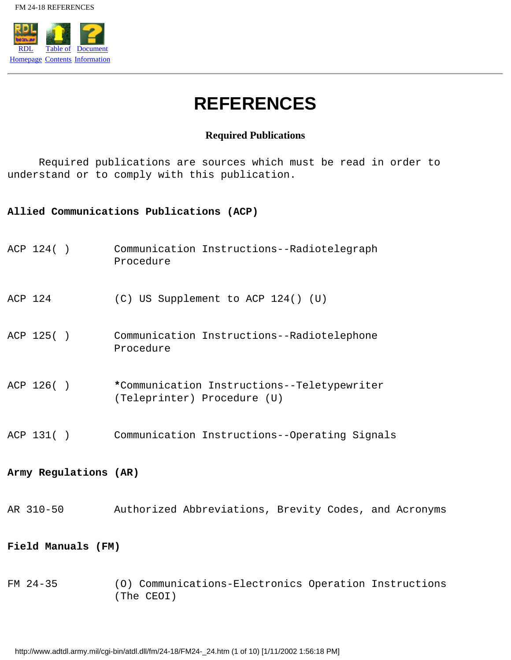

## **REFERENCES**

#### **Required Publications**

 Required publications are sources which must be read in order to understand or to comply with this publication.

#### **Allied Communications Publications (ACP)**

| ACP 124()             | Communication Instructions--Radiotelegraph<br>Procedure                    |  |
|-----------------------|----------------------------------------------------------------------------|--|
| ACP 124               | (C) US Supplement to ACP 124() (U)                                         |  |
| ACP 125()             | Communication Instructions--Radiotelephone<br>Procedure                    |  |
| ACP 126()             | *Communication Instructions--Teletypewriter<br>(Teleprinter) Procedure (U) |  |
| ACP 131()             | Communication Instructions--Operating Signals                              |  |
| Army Regulations (AR) |                                                                            |  |
| AR 310-50             | Authorized Abbreviations, Brevity Codes, and Acronyms                      |  |
| Field Manuals (FM)    |                                                                            |  |
| $FM$ 24-35            | (0) Communications-Electronics Operation Instructions<br>(The CEOI)        |  |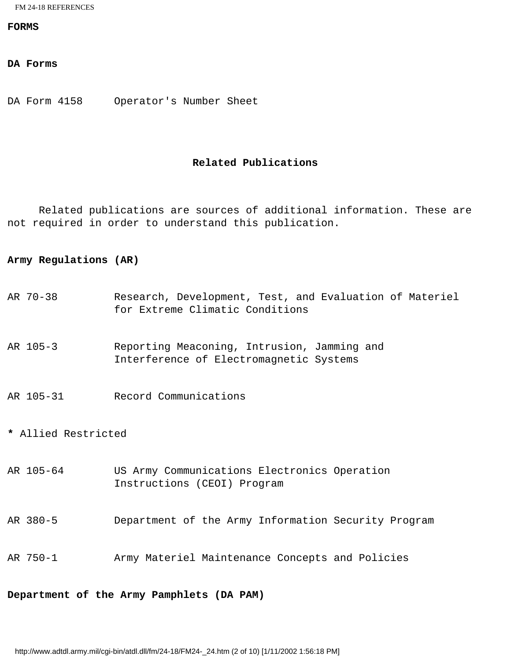FM 24-18 REFERENCES

#### **FORMS**

#### **DA Forms**

DA Form 4158 Operator's Number Sheet

#### **Related Publications**

 Related publications are sources of additional information. These are not required in order to understand this publication.

#### **Army Regulations (AR)**

- AR 70-38 Research, Development, Test, and Evaluation of Materiel for Extreme Climatic Conditions
- AR 105-3 Reporting Meaconing, Intrusion, Jamming and Interference of Electromagnetic Systems
- AR 105-31 Record Communications
- **\*** Allied Restricted
- AR 105-64 US Army Communications Electronics Operation Instructions (CEOI) Program
- AR 380-5 Department of the Army Information Security Program
- AR 750-1 Army Materiel Maintenance Concepts and Policies

#### **Department of the Army Pamphlets (DA PAM)**

http://www.adtdl.army.mil/cgi-bin/atdl.dll/fm/24-18/FM24-\_24.htm (2 of 10) [1/11/2002 1:56:18 PM]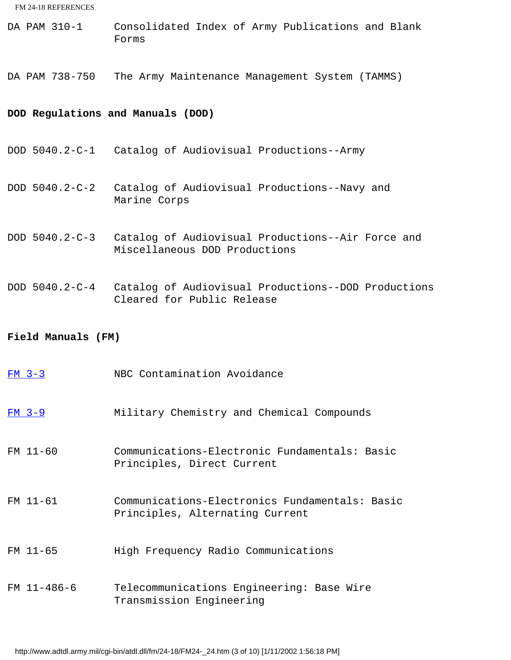FM 24-18 REFERENCES DA PAM 310-1 Consolidated Index of Army Publications and Blank Forms DA PAM 738-750 The Army Maintenance Management System (TAMMS) **DOD Regulations and Manuals (DOD)** DOD 5040.2-C-1 Catalog of Audiovisual Productions--Army DOD 5040.2-C-2 Catalog of Audiovisual Productions--Navy and Marine Corps DOD 5040.2-C-3 Catalog of Audiovisual Productions--Air Force and Miscellaneous DOD Productions DOD 5040.2-C-4 Catalog of Audiovisual Productions--DOD Productions Cleared for Public Release

#### **Field Manuals (FM)**

| $FM \, 3-3$       | NBC Contamination Avoidance                                                       |
|-------------------|-----------------------------------------------------------------------------------|
| $FM$ 3-9          | Military Chemistry and Chemical Compounds                                         |
| FM $11 - 60$      | Communications-Electronic Fundamentals: Basic<br>Principles, Direct Current       |
| $FM$ 11-61        | Communications-Electronics Fundamentals: Basic<br>Principles, Alternating Current |
| FM 11-65          | High Frequency Radio Communications                                               |
| $FM 11 - 486 - 6$ | Telecommunications Engineering: Base Wire<br>Transmission Engineering             |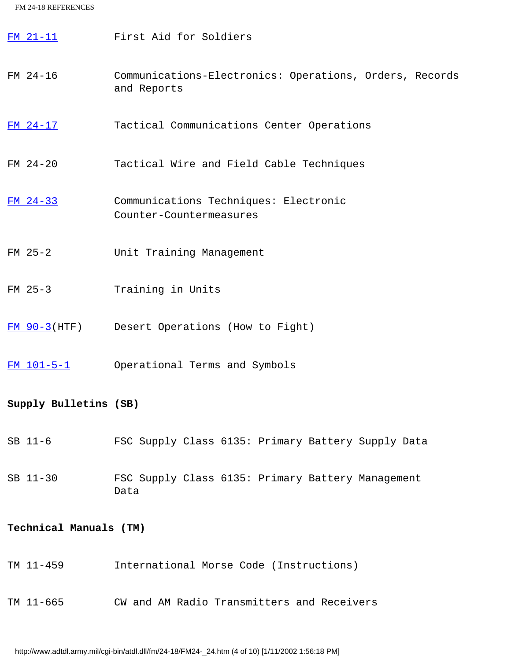#### FM 24-18 REFERENCES

| $FM 21-11$             | First Aid for Soldiers                                                 |  |  |  |
|------------------------|------------------------------------------------------------------------|--|--|--|
| FM 24-16               | Communications-Electronics: Operations, Orders, Records<br>and Reports |  |  |  |
| $FM 24-17$             | Tactical Communications Center Operations                              |  |  |  |
| $FM 24-20$             | Tactical Wire and Field Cable Techniques                               |  |  |  |
| $FM$ 24-33             | Communications Techniques: Electronic<br>Counter-Countermeasures       |  |  |  |
| $FM$ 25-2              | Unit Training Management                                               |  |  |  |
| $FM 25-3$              | Training in Units                                                      |  |  |  |
| $FM 90-3 (HTF)$        | Desert Operations (How to Fight)                                       |  |  |  |
| $FM 101 - 5 - 1$       | Operational Terms and Symbols                                          |  |  |  |
| Supply Bulletins (SB)  |                                                                        |  |  |  |
| SB 11-6                | FSC Supply Class 6135: Primary Battery Supply Data                     |  |  |  |
| SB 11-30               | FSC Supply Class 6135: Primary Battery Management<br>Data              |  |  |  |
| Technical Manuals (TM) |                                                                        |  |  |  |

- TM 11-459 International Morse Code (Instructions)
- TM 11-665 CW and AM Radio Transmitters and Receivers

http://www.adtdl.army.mil/cgi-bin/atdl.dll/fm/24-18/FM24-\_24.htm (4 of 10) [1/11/2002 1:56:18 PM]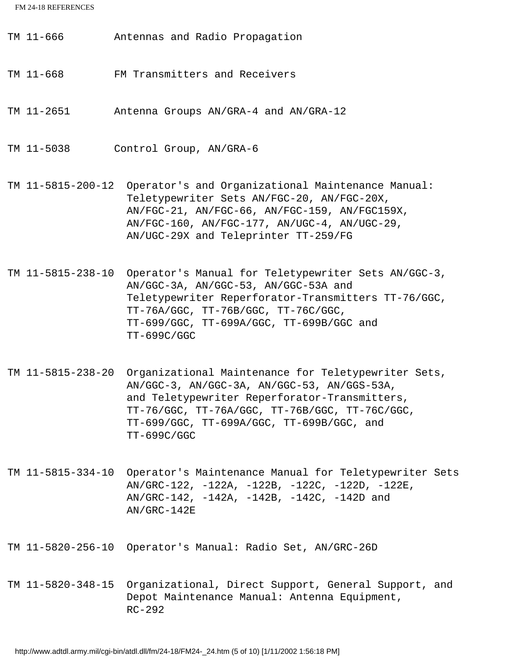FM 24-18 REFERENCES

- TM 11-666 Antennas and Radio Propagation
- TM 11-668 FM Transmitters and Receivers
- TM 11-2651 Antenna Groups AN/GRA-4 and AN/GRA-12
- TM 11-5038 Control Group, AN/GRA-6
- TM 11-5815-200-12 Operator's and Organizational Maintenance Manual: Teletypewriter Sets AN/FGC-20, AN/FGC-20X, AN/FGC-21, AN/FGC-66, AN/FGC-159, AN/FGC159X, AN/FGC-160, AN/FGC-177, AN/UGC-4, AN/UGC-29, AN/UGC-29X and Teleprinter TT-259/FG
- TM 11-5815-238-10 Operator's Manual for Teletypewriter Sets AN/GGC-3, AN/GGC-3A, AN/GGC-53, AN/GGC-53A and Teletypewriter Reperforator-Transmitters TT-76/GGC, TT-76A/GGC, TT-76B/GGC, TT-76C/GGC, TT-699/GGC, TT-699A/GGC, TT-699B/GGC and TT-699C/GGC
- TM 11-5815-238-20 Organizational Maintenance for Teletypewriter Sets, AN/GGC-3, AN/GGC-3A, AN/GGC-53, AN/GGS-53A, and Teletypewriter Reperforator-Transmitters, TT-76/GGC, TT-76A/GGC, TT-76B/GGC, TT-76C/GGC, TT-699/GGC, TT-699A/GGC, TT-699B/GGC, and TT-699C/GGC
- TM 11-5815-334-10 Operator's Maintenance Manual for Teletypewriter Sets AN/GRC-122, -122A, -122B, -122C, -122D, -122E, AN/GRC-142, -142A, -142B, -142C, -142D and AN/GRC-142E
- TM 11-5820-256-10 Operator's Manual: Radio Set, AN/GRC-26D
- TM 11-5820-348-15 Organizational, Direct Support, General Support, and Depot Maintenance Manual: Antenna Equipment, RC-292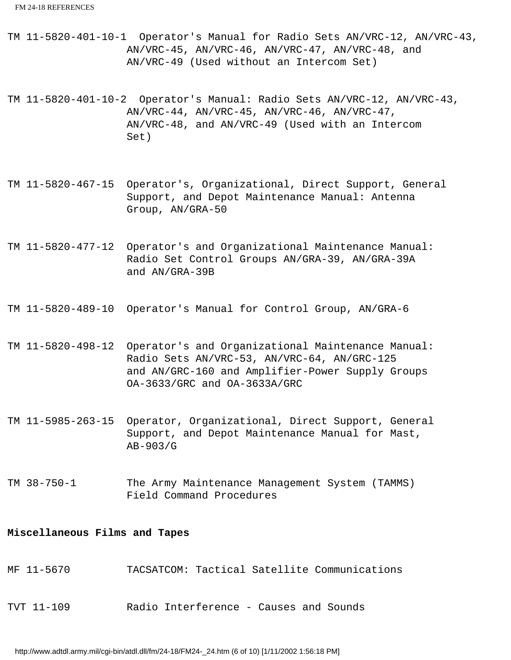- TM 11-5820-401-10-1 Operator's Manual for Radio Sets AN/VRC-12, AN/VRC-43, AN/VRC-45, AN/VRC-46, AN/VRC-47, AN/VRC-48, and AN/VRC-49 (Used without an Intercom Set)
- TM 11-5820-401-10-2 Operator's Manual: Radio Sets AN/VRC-12, AN/VRC-43, AN/VRC-44, AN/VRC-45, AN/VRC-46, AN/VRC-47, AN/VRC-48, and AN/VRC-49 (Used with an Intercom Set)
- TM 11-5820-467-15 Operator's, Organizational, Direct Support, General Support, and Depot Maintenance Manual: Antenna Group, AN/GRA-50
- TM 11-5820-477-12 Operator's and Organizational Maintenance Manual: Radio Set Control Groups AN/GRA-39, AN/GRA-39A and AN/GRA-39B
- TM 11-5820-489-10 Operator's Manual for Control Group, AN/GRA-6
- TM 11-5820-498-12 Operator's and Organizational Maintenance Manual: Radio Sets AN/VRC-53, AN/VRC-64, AN/GRC-125 and AN/GRC-160 and Amplifier-Power Supply Groups OA-3633/GRC and OA-3633A/GRC
- TM 11-5985-263-15 Operator, Organizational, Direct Support, General Support, and Depot Maintenance Manual for Mast, AB-903/G
- TM 38-750-1 The Army Maintenance Management System (TAMMS) Field Command Procedures

### **Miscellaneous Films and Tapes**

- MF 11-5670 TACSATCOM: Tactical Satellite Communications
- TVT 11-109 Radio Interference Causes and Sounds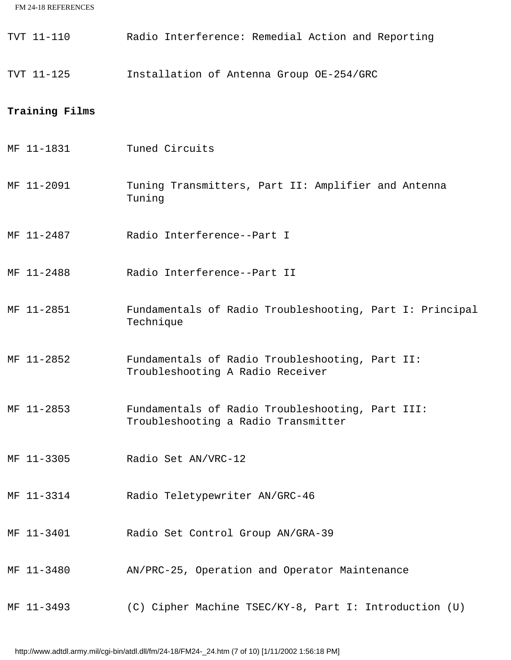FM 24-18 REFERENCES

| TVT 11-110     | Radio Interference: Remedial Action and Reporting                                       |
|----------------|-----------------------------------------------------------------------------------------|
| TVT 11-125     | Installation of Antenna Group OE-254/GRC                                                |
| Training Films |                                                                                         |
| MF 11-1831     | Tuned Circuits                                                                          |
| MF 11-2091     | Tuning Transmitters, Part II: Amplifier and Antenna<br>Tuning                           |
| MF 11-2487     | Radio Interference--Part I                                                              |
| MF 11-2488     | Radio Interference--Part II                                                             |
| MF 11-2851     | Fundamentals of Radio Troubleshooting, Part I: Principal<br>Technique                   |
| MF 11-2852     | Fundamentals of Radio Troubleshooting, Part II:<br>Troubleshooting A Radio Receiver     |
| MF 11-2853     | Fundamentals of Radio Troubleshooting, Part III:<br>Troubleshooting a Radio Transmitter |
| MF 11-3305     | Radio Set AN/VRC-12                                                                     |
| MF 11-3314     | Radio Teletypewriter AN/GRC-46                                                          |
| MF 11-3401     | Radio Set Control Group AN/GRA-39                                                       |
| MF 11-3480     | AN/PRC-25, Operation and Operator Maintenance                                           |
| MF 11-3493     | (C) Cipher Machine TSEC/KY-8, Part I: Introduction (U)                                  |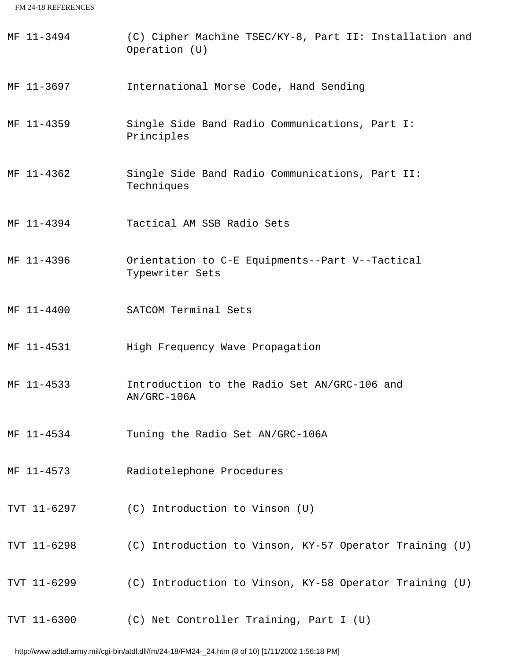FM 24-18 REFERENCES

- MF 11-3494 (C) Cipher Machine TSEC/KY-8, Part II: Installation and Operation (U) MF 11-3697 International Morse Code, Hand Sending MF 11-4359 Single Side Band Radio Communications, Part I: Principles MF 11-4362 Single Side Band Radio Communications, Part II: Techniques MF 11-4394 Tactical AM SSB Radio Sets MF 11-4396 Orientation to C-E Equipments--Part V--Tactical Typewriter Sets MF 11-4400 SATCOM Terminal Sets MF 11-4531 High Frequency Wave Propagation MF 11-4533 Introduction to the Radio Set AN/GRC-106 and AN/GRC-106A MF 11-4534 Tuning the Radio Set AN/GRC-106A MF 11-4573 Radiotelephone Procedures TVT 11-6297 (C) Introduction to Vinson (U) TVT 11-6298 (C) Introduction to Vinson, KY-57 Operator Training (U)
	- TVT 11-6299 (C) Introduction to Vinson, KY-58 Operator Training (U)
	- TVT 11-6300 (C) Net Controller Training, Part I (U)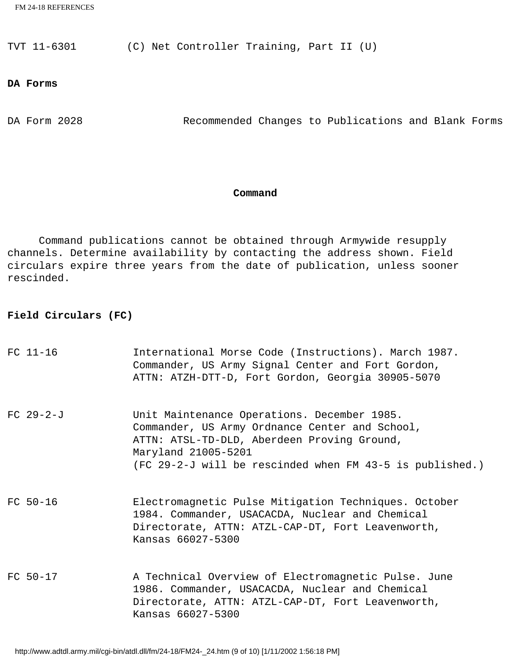TVT 11-6301 (C) Net Controller Training, Part II (U)

### **DA Forms**

DA Form 2028 Recommended Changes to Publications and Blank Forms

### **Command**

 Command publications cannot be obtained through Armywide resupply channels. Determine availability by contacting the address shown. Field circulars expire three years from the date of publication, unless sooner rescinded.

## **Field Circulars (FC)**

| $FC 11-16$ | International Morse Code (Instructions). March 1987.<br>Commander, US Army Signal Center and Fort Gordon,<br>ATTN: ATZH-DTT-D, Fort Gordon, Georgia 30905-5070                                                                  |
|------------|---------------------------------------------------------------------------------------------------------------------------------------------------------------------------------------------------------------------------------|
| FC 29-2-J  | Unit Maintenance Operations. December 1985.<br>Commander, US Army Ordnance Center and School,<br>ATTN: ATSL-TD-DLD, Aberdeen Proving Ground,<br>Maryland 21005-5201<br>(FC 29-2-J will be rescinded when FM 43-5 is published.) |
| $FC 50-16$ | Electromagnetic Pulse Mitigation Techniques. October<br>1984. Commander, USACACDA, Nuclear and Chemical<br>Directorate, ATTN: ATZL-CAP-DT, Fort Leavenworth,<br>Kansas 66027-5300                                               |
| $FC 50-17$ | A Technical Overview of Electromagnetic Pulse. June<br>1986. Commander, USACACDA, Nuclear and Chemical<br>Directorate, ATTN: ATZL-CAP-DT, Fort Leavenworth,<br>Kansas 66027-5300                                                |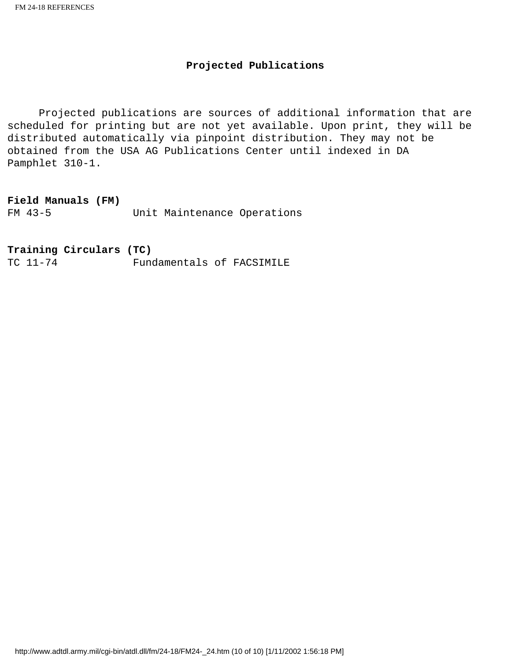## **Projected Publications**

 Projected publications are sources of additional information that are scheduled for printing but are not yet available. Upon print, they will be distributed automatically via pinpoint distribution. They may not be obtained from the USA AG Publications Center until indexed in DA Pamphlet 310-1.

**Field Manuals (FM)** FM 43-5 Unit Maintenance Operations

**Training Circulars (TC)**

TC 11-74 Fundamentals of FACSIMILE